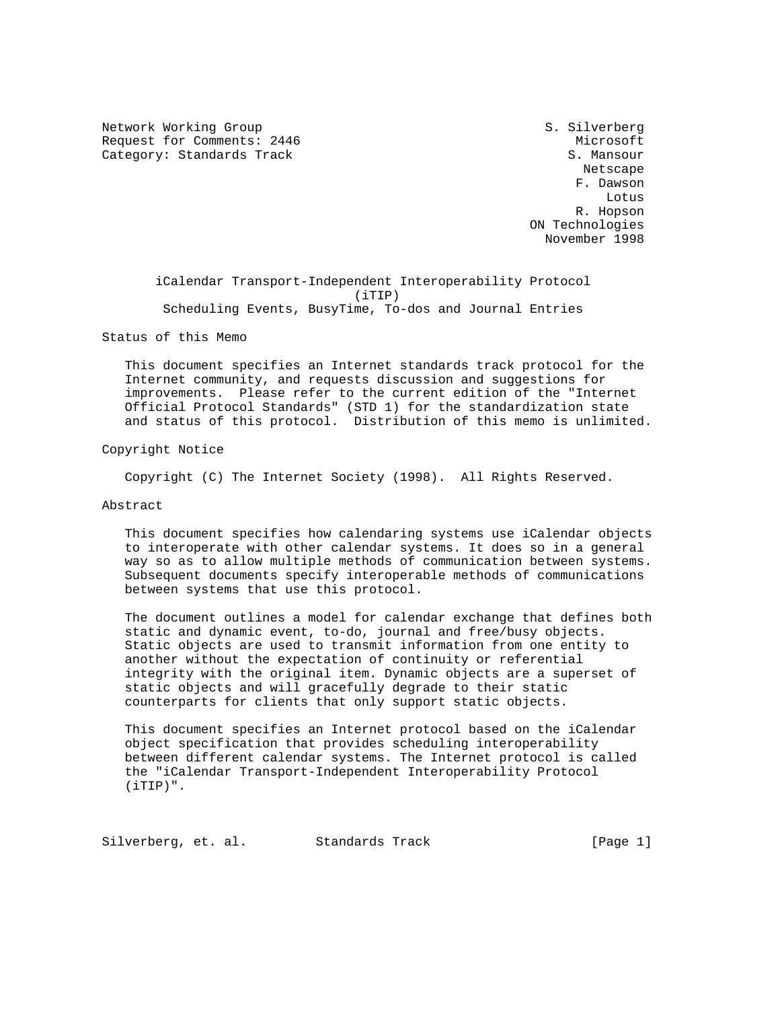Network Working Group S. Silverberg Request for Comments: 2446 Microsoft Category: Standards Track S. Mansour

 Netscape F. Dawson Lotus R. Hopson ON Technologies November 1998

 iCalendar Transport-Independent Interoperability Protocol (iTIP) Scheduling Events, BusyTime, To-dos and Journal Entries

Status of this Memo

 This document specifies an Internet standards track protocol for the Internet community, and requests discussion and suggestions for improvements. Please refer to the current edition of the "Internet Official Protocol Standards" (STD 1) for the standardization state and status of this protocol. Distribution of this memo is unlimited.

Copyright Notice

Copyright (C) The Internet Society (1998). All Rights Reserved.

Abstract

 This document specifies how calendaring systems use iCalendar objects to interoperate with other calendar systems. It does so in a general way so as to allow multiple methods of communication between systems. Subsequent documents specify interoperable methods of communications between systems that use this protocol.

 The document outlines a model for calendar exchange that defines both static and dynamic event, to-do, journal and free/busy objects. Static objects are used to transmit information from one entity to another without the expectation of continuity or referential integrity with the original item. Dynamic objects are a superset of static objects and will gracefully degrade to their static counterparts for clients that only support static objects.

 This document specifies an Internet protocol based on the iCalendar object specification that provides scheduling interoperability between different calendar systems. The Internet protocol is called the "iCalendar Transport-Independent Interoperability Protocol (iTIP)".

Silverberg, et. al. Standards Track [Page 1]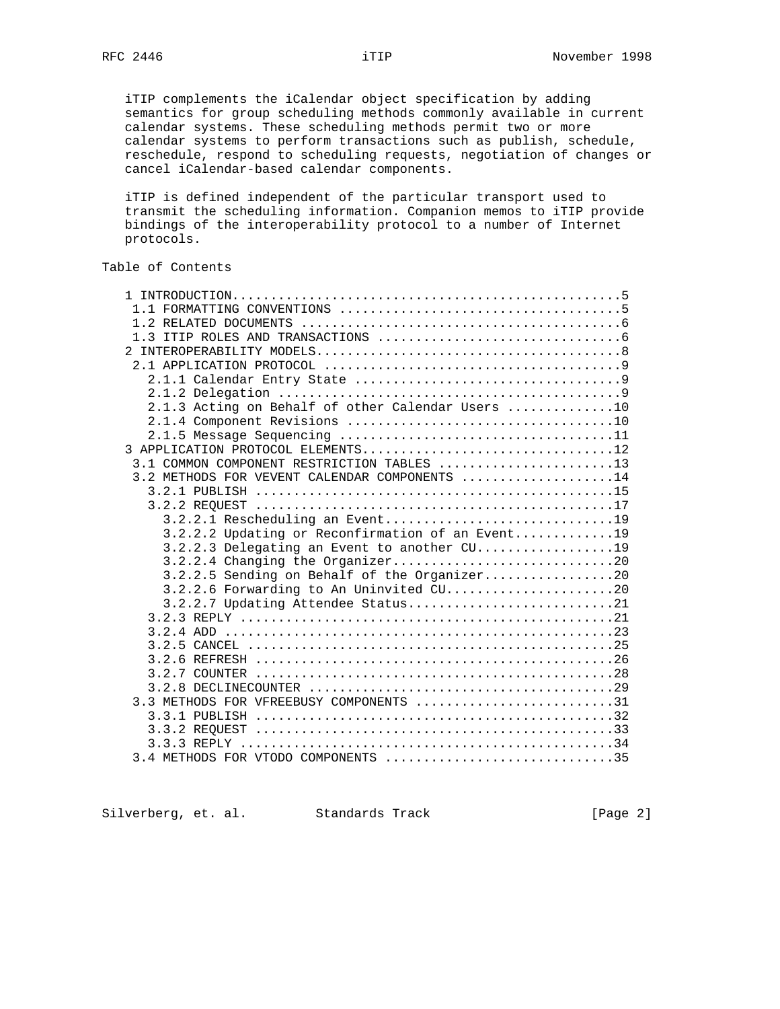iTIP complements the iCalendar object specification by adding semantics for group scheduling methods commonly available in current calendar systems. These scheduling methods permit two or more calendar systems to perform transactions such as publish, schedule, reschedule, respond to scheduling requests, negotiation of changes or cancel iCalendar-based calendar components.

 iTIP is defined independent of the particular transport used to transmit the scheduling information. Companion memos to iTIP provide bindings of the interoperability protocol to a number of Internet protocols.

# Table of Contents

| 2.1.3 Acting on Behalf of other Calendar Users 10 |
|---------------------------------------------------|
|                                                   |
|                                                   |
| 3 APPLICATION PROTOCOL ELEMENTS12                 |
| 3.1 COMMON COMPONENT RESTRICTION TABLES 13        |
| 3.2 METHODS FOR VEVENT CALENDAR COMPONENTS 14     |
|                                                   |
|                                                   |
| 3.2.2.1 Rescheduling an Event19                   |
| 3.2.2.2 Updating or Reconfirmation of an Event19  |
|                                                   |
|                                                   |
| 3.2.2.5 Sending on Behalf of the Organizer20      |
| 3.2.2.6 Forwarding to An Uninvited CU20           |
| 3.2.2.7 Updating Attendee Status21                |
|                                                   |
|                                                   |
|                                                   |
|                                                   |
|                                                   |
| 3.3 METHODS FOR VFREEBUSY COMPONENTS 31           |
|                                                   |
|                                                   |
|                                                   |
| 3.4 METHODS FOR VTODO COMPONENTS 35               |
|                                                   |

Silverberg, et. al. Standards Track [Page 2]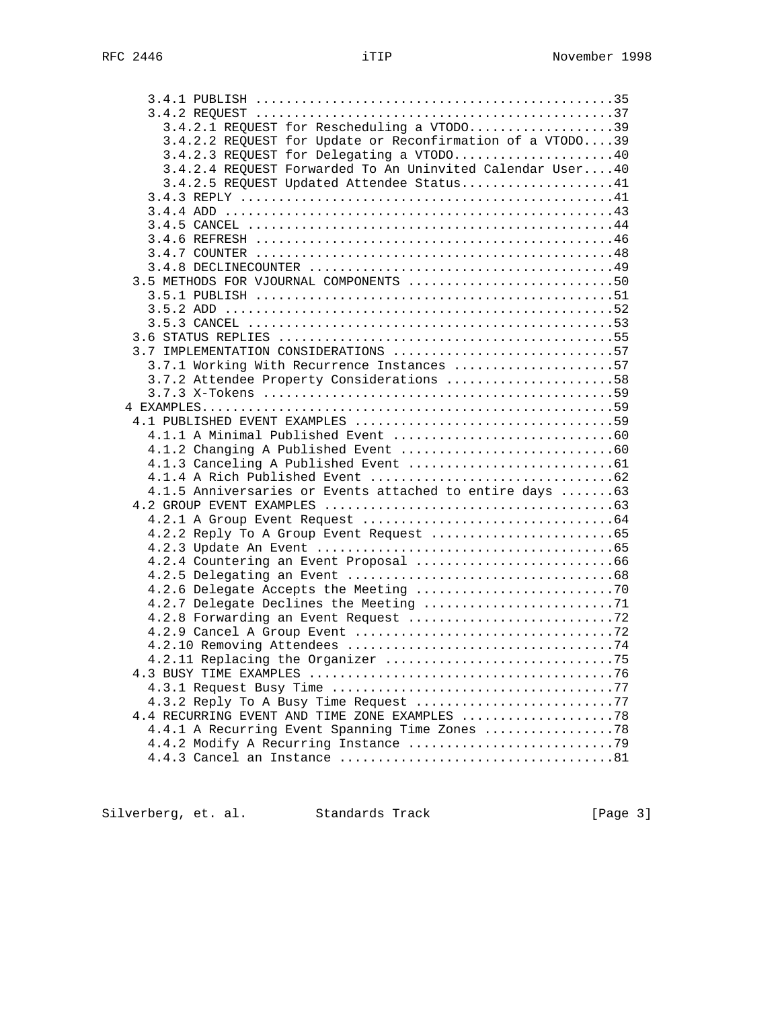| 3.4.2.1 REQUEST for Rescheduling a VTODO39                |  |
|-----------------------------------------------------------|--|
| 3.4.2.2 REQUEST for Update or Reconfirmation of a VTODO39 |  |
| 3.4.2.3 REQUEST for Delegating a VTODO40                  |  |
| 3.4.2.4 REQUEST Forwarded To An Uninvited Calendar User40 |  |
| 3.4.2.5 REQUEST Updated Attendee Status41                 |  |
|                                                           |  |
|                                                           |  |
|                                                           |  |
|                                                           |  |
|                                                           |  |
|                                                           |  |
| 3.5 METHODS FOR VJOURNAL COMPONENTS 50                    |  |
|                                                           |  |
|                                                           |  |
|                                                           |  |
|                                                           |  |
| 3.7 IMPLEMENTATION CONSIDERATIONS 57                      |  |
| 3.7.1 Working With Recurrence Instances 57                |  |
| 3.7.2 Attendee Property Considerations 58                 |  |
|                                                           |  |
|                                                           |  |
|                                                           |  |
|                                                           |  |
|                                                           |  |
|                                                           |  |
| 4.1.5 Anniversaries or Events attached to entire days  63 |  |
|                                                           |  |
|                                                           |  |
|                                                           |  |
|                                                           |  |
|                                                           |  |
|                                                           |  |
|                                                           |  |
|                                                           |  |
|                                                           |  |
|                                                           |  |
|                                                           |  |
|                                                           |  |
|                                                           |  |
|                                                           |  |
| 4.3.2 Reply To A Busy Time Request 77                     |  |
|                                                           |  |
| 4.4.1 A Recurring Event Spanning Time Zones  78           |  |
|                                                           |  |
|                                                           |  |

Silverberg, et. al. Standards Track [Page 3]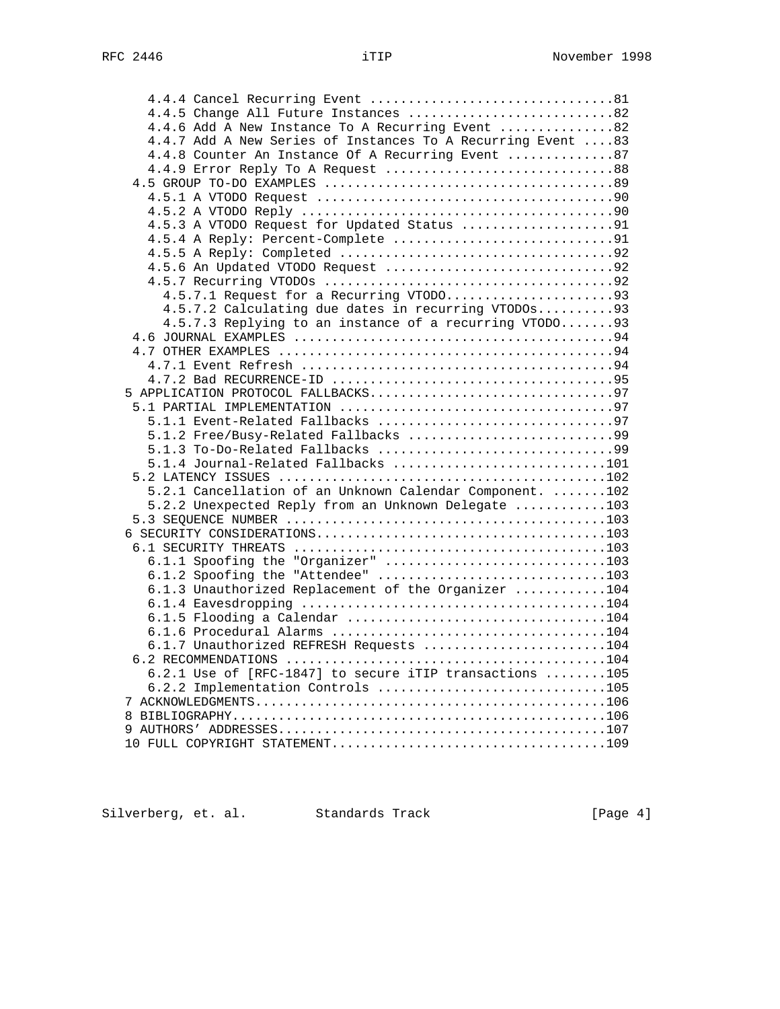| 4.4.5 Change All Future Instances 82                        |  |
|-------------------------------------------------------------|--|
| 4.4.6 Add A New Instance To A Recurring Event 82            |  |
| 4.4.7 Add A New Series of Instances To A Recurring Event 83 |  |
| 4.4.8 Counter An Instance Of A Recurring Event 87           |  |
|                                                             |  |
|                                                             |  |
|                                                             |  |
|                                                             |  |
| 4.5.3 A VTODO Request for Updated Status 91                 |  |
|                                                             |  |
|                                                             |  |
|                                                             |  |
|                                                             |  |
|                                                             |  |
| 4.5.7.2 Calculating due dates in recurring VTODOs93         |  |
| 4.5.7.3 Replying to an instance of a recurring VTODO93      |  |
|                                                             |  |
|                                                             |  |
|                                                             |  |
|                                                             |  |
|                                                             |  |
|                                                             |  |
|                                                             |  |
|                                                             |  |
| 5.1.4 Journal-Related Fallbacks 101                         |  |
|                                                             |  |
| 5.2.1 Cancellation of an Unknown Calendar Component. 102    |  |
| 5.2.2 Unexpected Reply from an Unknown Delegate 103         |  |
|                                                             |  |
|                                                             |  |
|                                                             |  |
| 6.1.1 Spoofing the "Organizer" 103                          |  |
| 6.1.2 Spoofing the "Attendee" 103                           |  |
| 6.1.3 Unauthorized Replacement of the Organizer 104         |  |
|                                                             |  |
|                                                             |  |
|                                                             |  |
| 6.1.7 Unauthorized REFRESH Requests 104                     |  |
|                                                             |  |
| 6.2.1 Use of [RFC-1847] to secure iTIP transactions 105     |  |
| 6.2.2 Implementation Controls 105                           |  |
|                                                             |  |
|                                                             |  |
|                                                             |  |
|                                                             |  |

Silverberg, et. al. Standards Track [Page 4]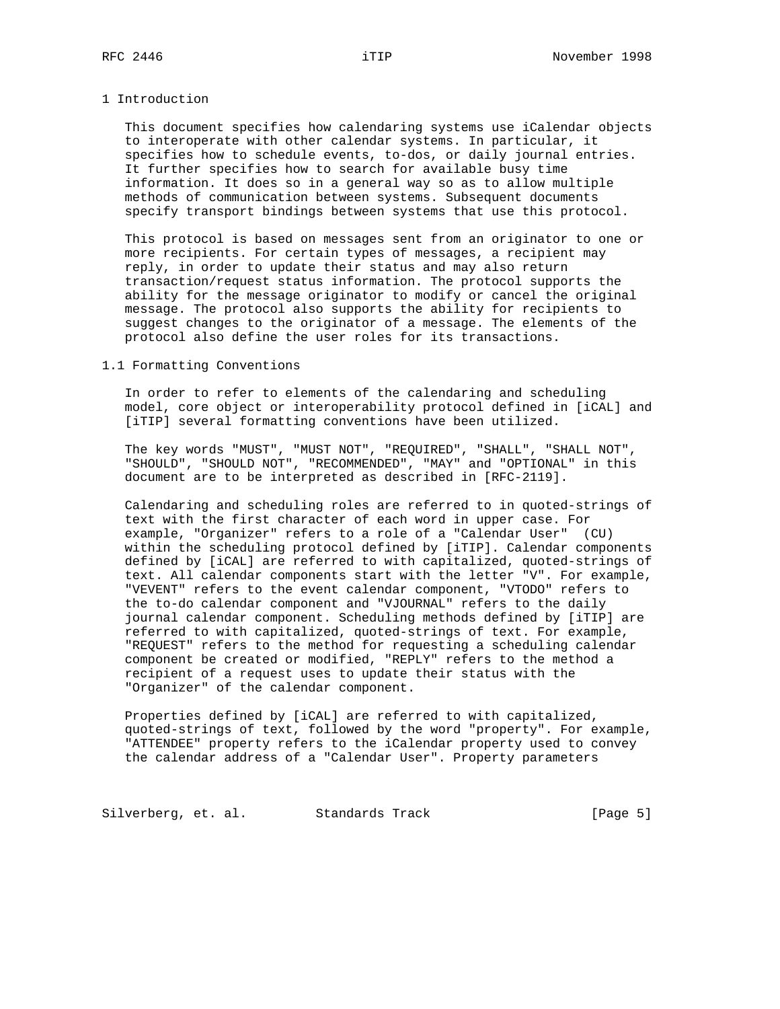#### 1 Introduction

 This document specifies how calendaring systems use iCalendar objects to interoperate with other calendar systems. In particular, it specifies how to schedule events, to-dos, or daily journal entries. It further specifies how to search for available busy time information. It does so in a general way so as to allow multiple methods of communication between systems. Subsequent documents specify transport bindings between systems that use this protocol.

 This protocol is based on messages sent from an originator to one or more recipients. For certain types of messages, a recipient may reply, in order to update their status and may also return transaction/request status information. The protocol supports the ability for the message originator to modify or cancel the original message. The protocol also supports the ability for recipients to suggest changes to the originator of a message. The elements of the protocol also define the user roles for its transactions.

#### 1.1 Formatting Conventions

 In order to refer to elements of the calendaring and scheduling model, core object or interoperability protocol defined in [iCAL] and [iTIP] several formatting conventions have been utilized.

 The key words "MUST", "MUST NOT", "REQUIRED", "SHALL", "SHALL NOT", "SHOULD", "SHOULD NOT", "RECOMMENDED", "MAY" and "OPTIONAL" in this document are to be interpreted as described in [RFC-2119].

 Calendaring and scheduling roles are referred to in quoted-strings of text with the first character of each word in upper case. For example, "Organizer" refers to a role of a "Calendar User" (CU) within the scheduling protocol defined by [iTIP]. Calendar components defined by [iCAL] are referred to with capitalized, quoted-strings of text. All calendar components start with the letter "V". For example, "VEVENT" refers to the event calendar component, "VTODO" refers to the to-do calendar component and "VJOURNAL" refers to the daily journal calendar component. Scheduling methods defined by [iTIP] are referred to with capitalized, quoted-strings of text. For example, "REQUEST" refers to the method for requesting a scheduling calendar component be created or modified, "REPLY" refers to the method a recipient of a request uses to update their status with the "Organizer" of the calendar component.

 Properties defined by [iCAL] are referred to with capitalized, quoted-strings of text, followed by the word "property". For example, "ATTENDEE" property refers to the iCalendar property used to convey the calendar address of a "Calendar User". Property parameters

Silverberg, et. al. Standards Track (Page 5)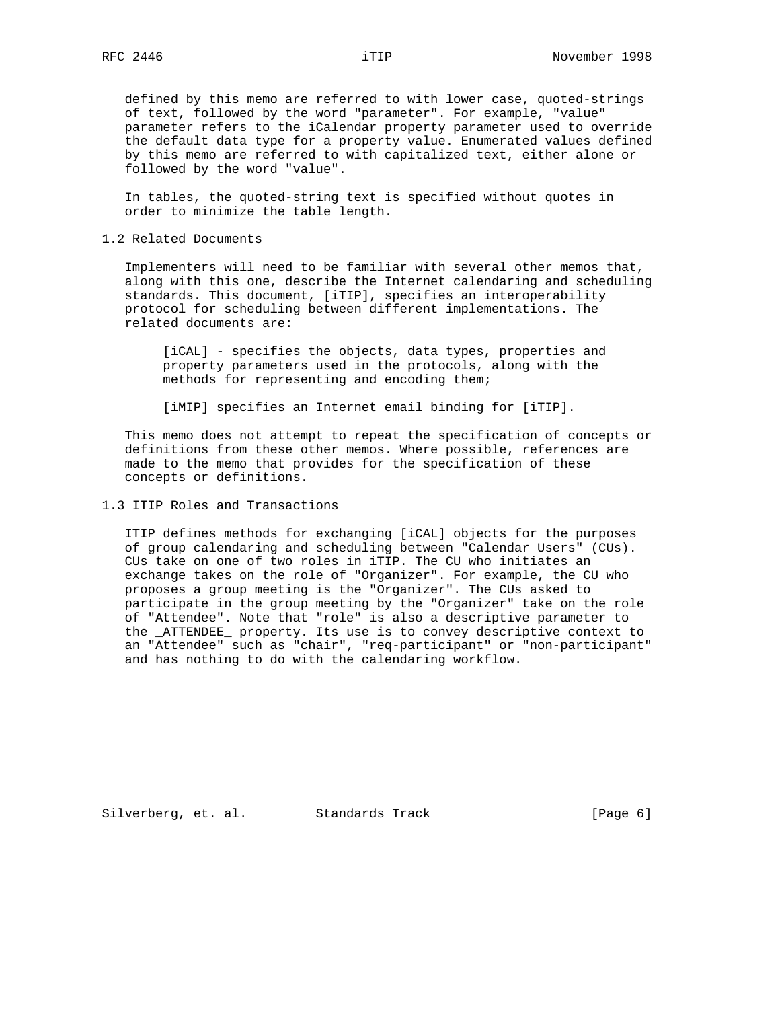defined by this memo are referred to with lower case, quoted-strings of text, followed by the word "parameter". For example, "value" parameter refers to the iCalendar property parameter used to override the default data type for a property value. Enumerated values defined by this memo are referred to with capitalized text, either alone or followed by the word "value".

 In tables, the quoted-string text is specified without quotes in order to minimize the table length.

1.2 Related Documents

 Implementers will need to be familiar with several other memos that, along with this one, describe the Internet calendaring and scheduling standards. This document, [iTIP], specifies an interoperability protocol for scheduling between different implementations. The related documents are:

 [iCAL] - specifies the objects, data types, properties and property parameters used in the protocols, along with the methods for representing and encoding them;

[iMIP] specifies an Internet email binding for [iTIP].

 This memo does not attempt to repeat the specification of concepts or definitions from these other memos. Where possible, references are made to the memo that provides for the specification of these concepts or definitions.

#### 1.3 ITIP Roles and Transactions

 ITIP defines methods for exchanging [iCAL] objects for the purposes of group calendaring and scheduling between "Calendar Users" (CUs). CUs take on one of two roles in iTIP. The CU who initiates an exchange takes on the role of "Organizer". For example, the CU who proposes a group meeting is the "Organizer". The CUs asked to participate in the group meeting by the "Organizer" take on the role of "Attendee". Note that "role" is also a descriptive parameter to the \_ATTENDEE\_ property. Its use is to convey descriptive context to an "Attendee" such as "chair", "req-participant" or "non-participant" and has nothing to do with the calendaring workflow.

Silverberg, et. al. Standards Track [Page 6]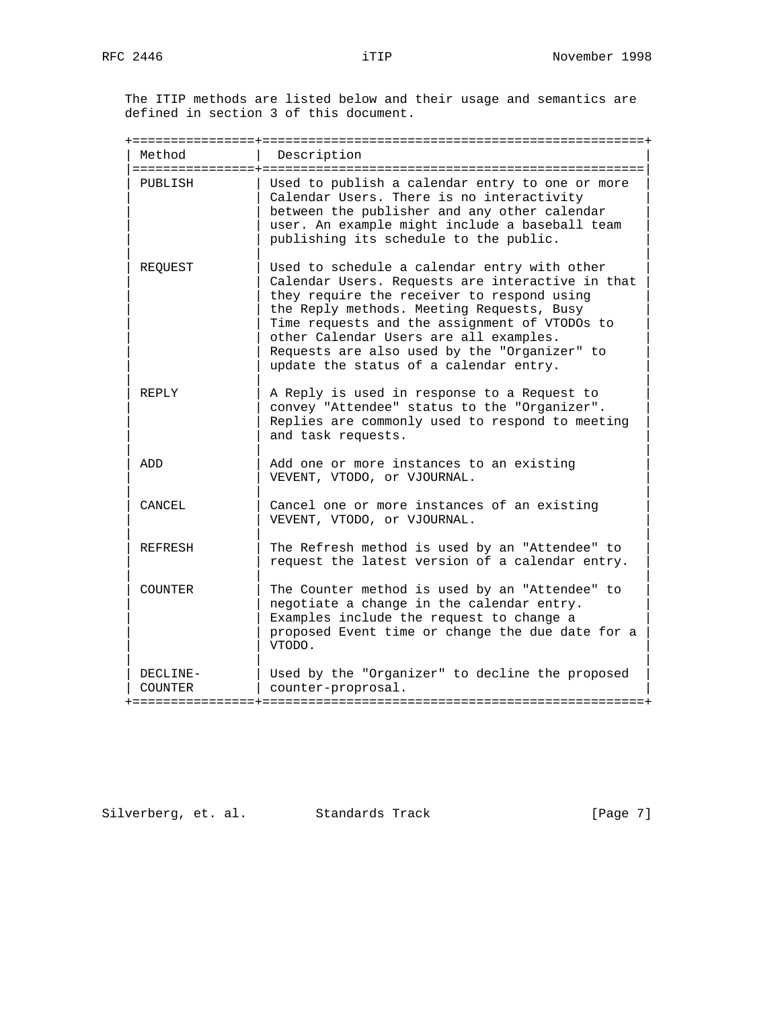The ITIP methods are listed below and their usage and semantics are defined in section 3 of this document.

+================+==================================================+

| Method<br>Description |                                                                                                                                                                                                                                                                                                                                                                                  |
|-----------------------|----------------------------------------------------------------------------------------------------------------------------------------------------------------------------------------------------------------------------------------------------------------------------------------------------------------------------------------------------------------------------------|
| PUBLISH               | Used to publish a calendar entry to one or more<br>Calendar Users. There is no interactivity<br>between the publisher and any other calendar<br>user. An example might include a baseball team<br>publishing its schedule to the public.                                                                                                                                         |
| REOUEST               | Used to schedule a calendar entry with other<br>Calendar Users. Requests are interactive in that<br>they require the receiver to respond using<br>the Reply methods. Meeting Requests, Busy<br>Time requests and the assignment of VTODOs to<br>other Calendar Users are all examples.<br>Requests are also used by the "Organizer" to<br>update the status of a calendar entry. |
| REPLY                 | A Reply is used in response to a Request to<br>convey "Attendee" status to the "Organizer".<br>Replies are commonly used to respond to meeting<br>and task requests.                                                                                                                                                                                                             |
| ADD                   | Add one or more instances to an existing<br>VEVENT, VTODO, or VJOURNAL.                                                                                                                                                                                                                                                                                                          |
| CANCEL                | Cancel one or more instances of an existing<br>VEVENT, VTODO, or VJOURNAL.                                                                                                                                                                                                                                                                                                       |
| REFRESH               | The Refresh method is used by an "Attendee" to<br>request the latest version of a calendar entry.                                                                                                                                                                                                                                                                                |
| COUNTER               | The Counter method is used by an "Attendee" to<br>negotiate a change in the calendar entry.<br>Examples include the request to change a<br>proposed Event time or change the due date for a<br>VTODO.                                                                                                                                                                            |
| DECLINE-<br>COUNTER   | Used by the "Organizer" to decline the proposed<br>counter-proprosal.                                                                                                                                                                                                                                                                                                            |

Silverberg, et. al. Standards Track [Page 7]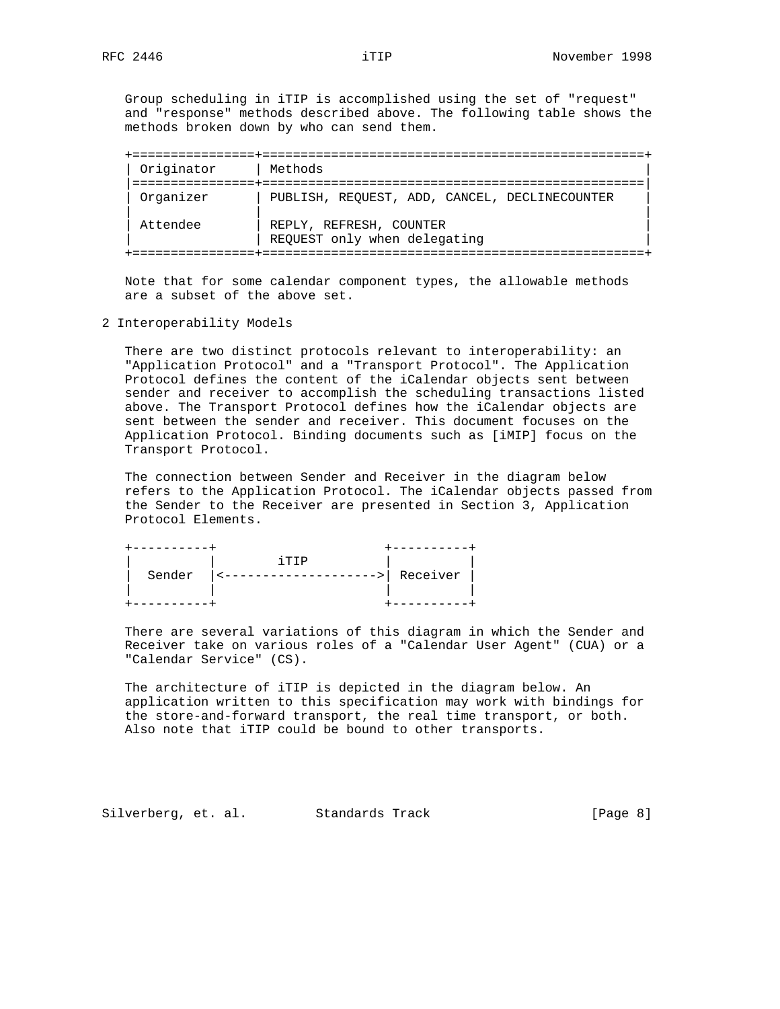Group scheduling in iTIP is accomplished using the set of "request" and "response" methods described above. The following table shows the methods broken down by who can send them.

| Originator | Methods                                                 |
|------------|---------------------------------------------------------|
| Organizer  | PUBLISH, REOUEST, ADD, CANCEL, DECLINECOUNTER           |
| Attendee   | REPLY, REFRESH, COUNTER<br>REQUEST only when delegating |

 Note that for some calendar component types, the allowable methods are a subset of the above set.

2 Interoperability Models

 There are two distinct protocols relevant to interoperability: an "Application Protocol" and a "Transport Protocol". The Application Protocol defines the content of the iCalendar objects sent between sender and receiver to accomplish the scheduling transactions listed above. The Transport Protocol defines how the iCalendar objects are sent between the sender and receiver. This document focuses on the Application Protocol. Binding documents such as [iMIP] focus on the Transport Protocol.

 The connection between Sender and Receiver in the diagram below refers to the Application Protocol. The iCalendar objects passed from the Sender to the Receiver are presented in Section 3, Application Protocol Elements.

|        | סדידו |          |
|--------|-------|----------|
| Sender |       | Receiver |
|        |       |          |
|        |       |          |

 There are several variations of this diagram in which the Sender and Receiver take on various roles of a "Calendar User Agent" (CUA) or a "Calendar Service" (CS).

 The architecture of iTIP is depicted in the diagram below. An application written to this specification may work with bindings for the store-and-forward transport, the real time transport, or both. Also note that iTIP could be bound to other transports.

Silverberg, et. al. Standards Track [Page 8]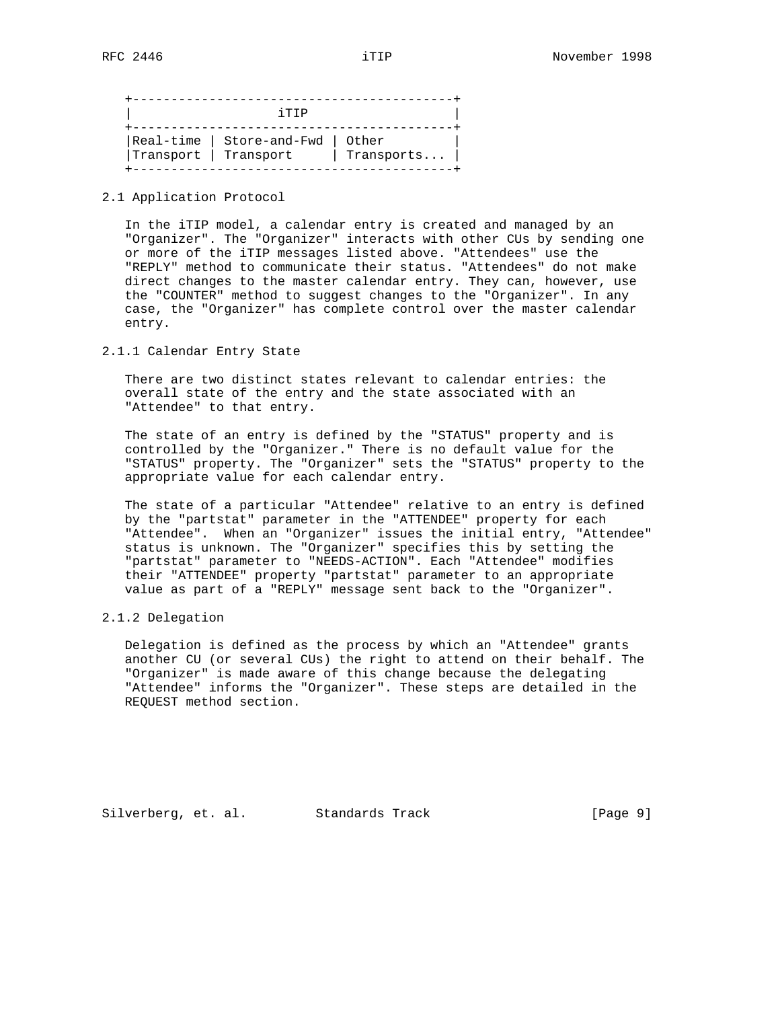+------------------------------------------+  $i$  TIP +------------------------------------------+ |Real-time | Store-and-Fwd | Other |  $|$ Transport  $|$  Transport  $|$  Transports...  $|$ +------------------------------------------+

#### 2.1 Application Protocol

 In the iTIP model, a calendar entry is created and managed by an "Organizer". The "Organizer" interacts with other CUs by sending one or more of the iTIP messages listed above. "Attendees" use the "REPLY" method to communicate their status. "Attendees" do not make direct changes to the master calendar entry. They can, however, use the "COUNTER" method to suggest changes to the "Organizer". In any case, the "Organizer" has complete control over the master calendar entry.

## 2.1.1 Calendar Entry State

 There are two distinct states relevant to calendar entries: the overall state of the entry and the state associated with an "Attendee" to that entry.

 The state of an entry is defined by the "STATUS" property and is controlled by the "Organizer." There is no default value for the "STATUS" property. The "Organizer" sets the "STATUS" property to the appropriate value for each calendar entry.

 The state of a particular "Attendee" relative to an entry is defined by the "partstat" parameter in the "ATTENDEE" property for each "Attendee". When an "Organizer" issues the initial entry, "Attendee" status is unknown. The "Organizer" specifies this by setting the "partstat" parameter to "NEEDS-ACTION". Each "Attendee" modifies their "ATTENDEE" property "partstat" parameter to an appropriate value as part of a "REPLY" message sent back to the "Organizer".

#### 2.1.2 Delegation

 Delegation is defined as the process by which an "Attendee" grants another CU (or several CUs) the right to attend on their behalf. The "Organizer" is made aware of this change because the delegating "Attendee" informs the "Organizer". These steps are detailed in the REQUEST method section.

Silverberg, et. al. Standards Track [Page 9]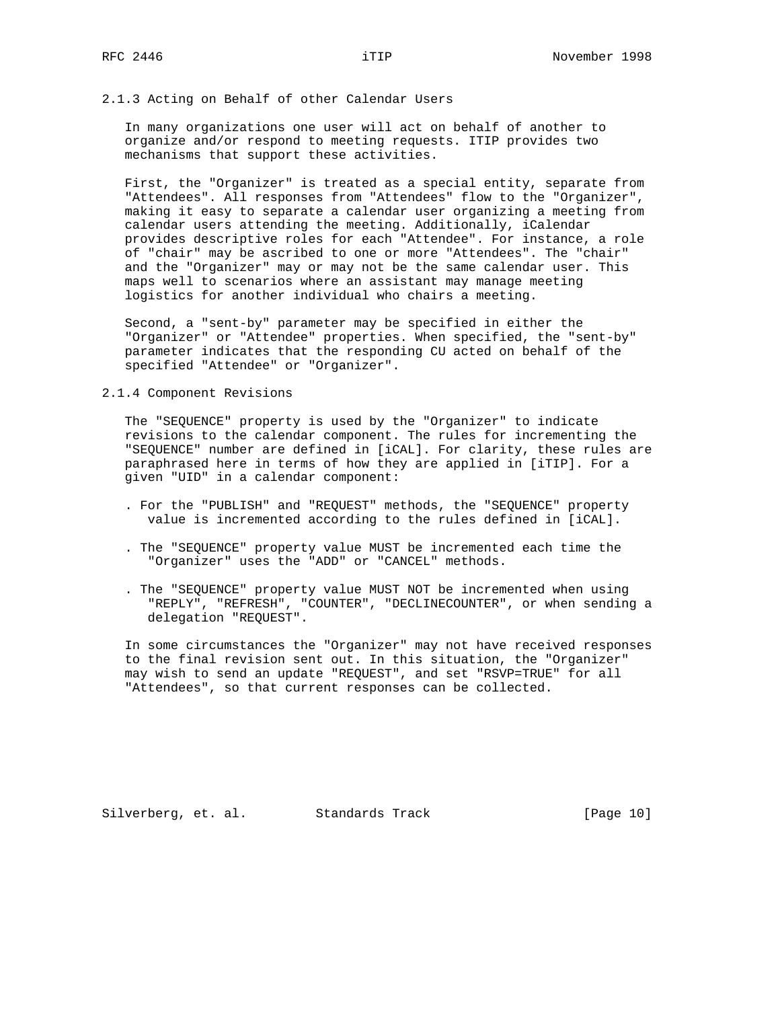### 2.1.3 Acting on Behalf of other Calendar Users

 In many organizations one user will act on behalf of another to organize and/or respond to meeting requests. ITIP provides two mechanisms that support these activities.

 First, the "Organizer" is treated as a special entity, separate from "Attendees". All responses from "Attendees" flow to the "Organizer", making it easy to separate a calendar user organizing a meeting from calendar users attending the meeting. Additionally, iCalendar provides descriptive roles for each "Attendee". For instance, a role of "chair" may be ascribed to one or more "Attendees". The "chair" and the "Organizer" may or may not be the same calendar user. This maps well to scenarios where an assistant may manage meeting logistics for another individual who chairs a meeting.

 Second, a "sent-by" parameter may be specified in either the "Organizer" or "Attendee" properties. When specified, the "sent-by" parameter indicates that the responding CU acted on behalf of the specified "Attendee" or "Organizer".

## 2.1.4 Component Revisions

 The "SEQUENCE" property is used by the "Organizer" to indicate revisions to the calendar component. The rules for incrementing the "SEQUENCE" number are defined in [iCAL]. For clarity, these rules are paraphrased here in terms of how they are applied in [iTIP]. For a given "UID" in a calendar component:

- . For the "PUBLISH" and "REQUEST" methods, the "SEQUENCE" property value is incremented according to the rules defined in [iCAL].
- . The "SEQUENCE" property value MUST be incremented each time the "Organizer" uses the "ADD" or "CANCEL" methods.
- . The "SEQUENCE" property value MUST NOT be incremented when using "REPLY", "REFRESH", "COUNTER", "DECLINECOUNTER", or when sending a delegation "REQUEST".

 In some circumstances the "Organizer" may not have received responses to the final revision sent out. In this situation, the "Organizer" may wish to send an update "REQUEST", and set "RSVP=TRUE" for all "Attendees", so that current responses can be collected.

Silverberg, et. al. Standards Track [Page 10]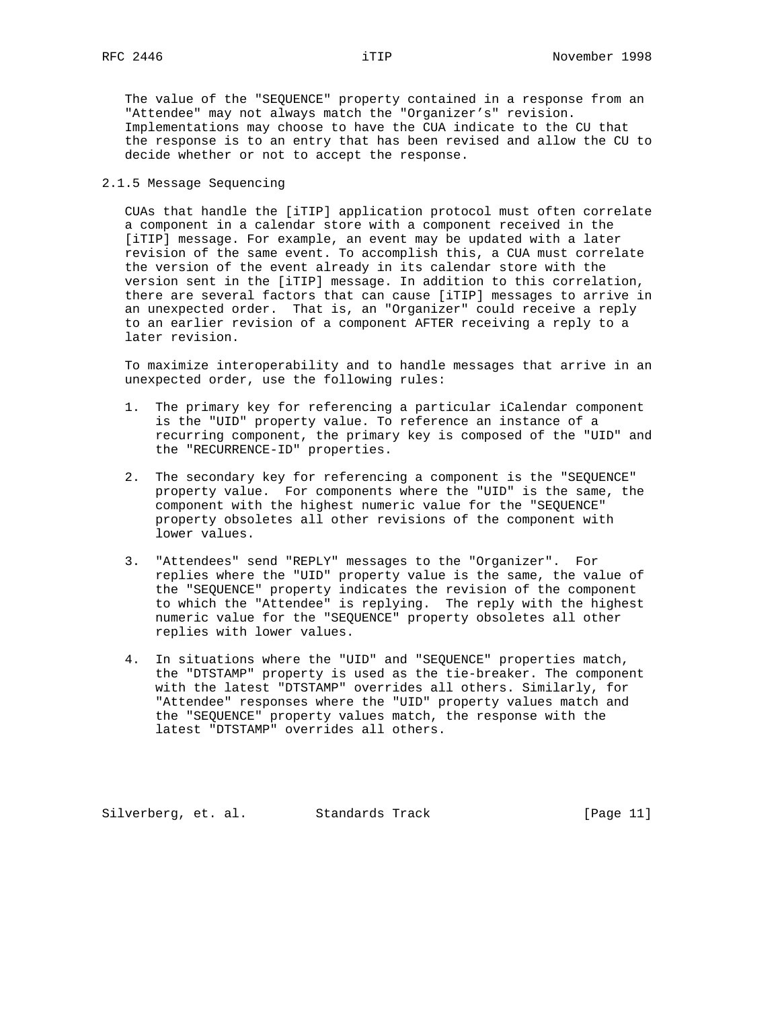The value of the "SEQUENCE" property contained in a response from an "Attendee" may not always match the "Organizer's" revision. Implementations may choose to have the CUA indicate to the CU that the response is to an entry that has been revised and allow the CU to decide whether or not to accept the response.

## 2.1.5 Message Sequencing

 CUAs that handle the [iTIP] application protocol must often correlate a component in a calendar store with a component received in the [iTIP] message. For example, an event may be updated with a later revision of the same event. To accomplish this, a CUA must correlate the version of the event already in its calendar store with the version sent in the [iTIP] message. In addition to this correlation, there are several factors that can cause [iTIP] messages to arrive in an unexpected order. That is, an "Organizer" could receive a reply to an earlier revision of a component AFTER receiving a reply to a later revision.

 To maximize interoperability and to handle messages that arrive in an unexpected order, use the following rules:

- 1. The primary key for referencing a particular iCalendar component is the "UID" property value. To reference an instance of a recurring component, the primary key is composed of the "UID" and the "RECURRENCE-ID" properties.
- 2. The secondary key for referencing a component is the "SEQUENCE" property value. For components where the "UID" is the same, the component with the highest numeric value for the "SEQUENCE" property obsoletes all other revisions of the component with lower values.
- 3. "Attendees" send "REPLY" messages to the "Organizer". For replies where the "UID" property value is the same, the value of the "SEQUENCE" property indicates the revision of the component to which the "Attendee" is replying. The reply with the highest numeric value for the "SEQUENCE" property obsoletes all other replies with lower values.
- 4. In situations where the "UID" and "SEQUENCE" properties match, the "DTSTAMP" property is used as the tie-breaker. The component with the latest "DTSTAMP" overrides all others. Similarly, for "Attendee" responses where the "UID" property values match and the "SEQUENCE" property values match, the response with the latest "DTSTAMP" overrides all others.

Silverberg, et. al. Standards Track [Page 11]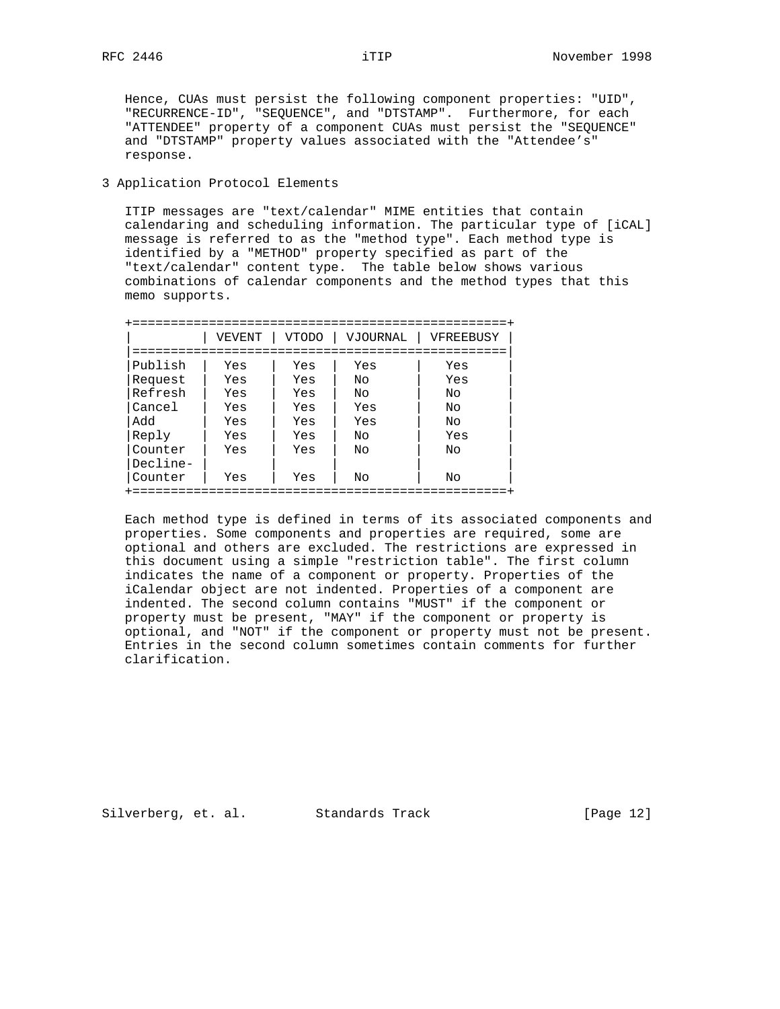Hence, CUAs must persist the following component properties: "UID", "RECURRENCE-ID", "SEQUENCE", and "DTSTAMP". Furthermore, for each "ATTENDEE" property of a component CUAs must persist the "SEQUENCE" and "DTSTAMP" property values associated with the "Attendee's" response.

3 Application Protocol Elements

 ITIP messages are "text/calendar" MIME entities that contain calendaring and scheduling information. The particular type of [iCAL] message is referred to as the "method type". Each method type is identified by a "METHOD" property specified as part of the "text/calendar" content type. The table below shows various combinations of calendar components and the method types that this memo supports.

|          | VEVENT | <b>VTODO</b> | VJOURNAL | VFREEBUSY |
|----------|--------|--------------|----------|-----------|
|          |        |              |          |           |
| Publish  | Yes    | Yes          | Yes      | Yes       |
| Request  | Yes    | Yes          | Nο       | Yes       |
| Refresh  | Yes    | Yes          | Nο       | Nο        |
| Cancel   | Yes    | Yes          | Yes      | Nο        |
| Add      | Yes    | Yes          | Yes      | Nο        |
| Reply    | Yes    | Yes          | Nο       | Yes       |
| Counter  | Yes    | Yes          | Nο       | Nο        |
| Decline- |        |              |          |           |
| Counter  | Yes    | Yes          | Nο       | Nο        |

 Each method type is defined in terms of its associated components and properties. Some components and properties are required, some are optional and others are excluded. The restrictions are expressed in this document using a simple "restriction table". The first column indicates the name of a component or property. Properties of the iCalendar object are not indented. Properties of a component are indented. The second column contains "MUST" if the component or property must be present, "MAY" if the component or property is optional, and "NOT" if the component or property must not be present. Entries in the second column sometimes contain comments for further clarification.

Silverberg, et. al. Standards Track [Page 12]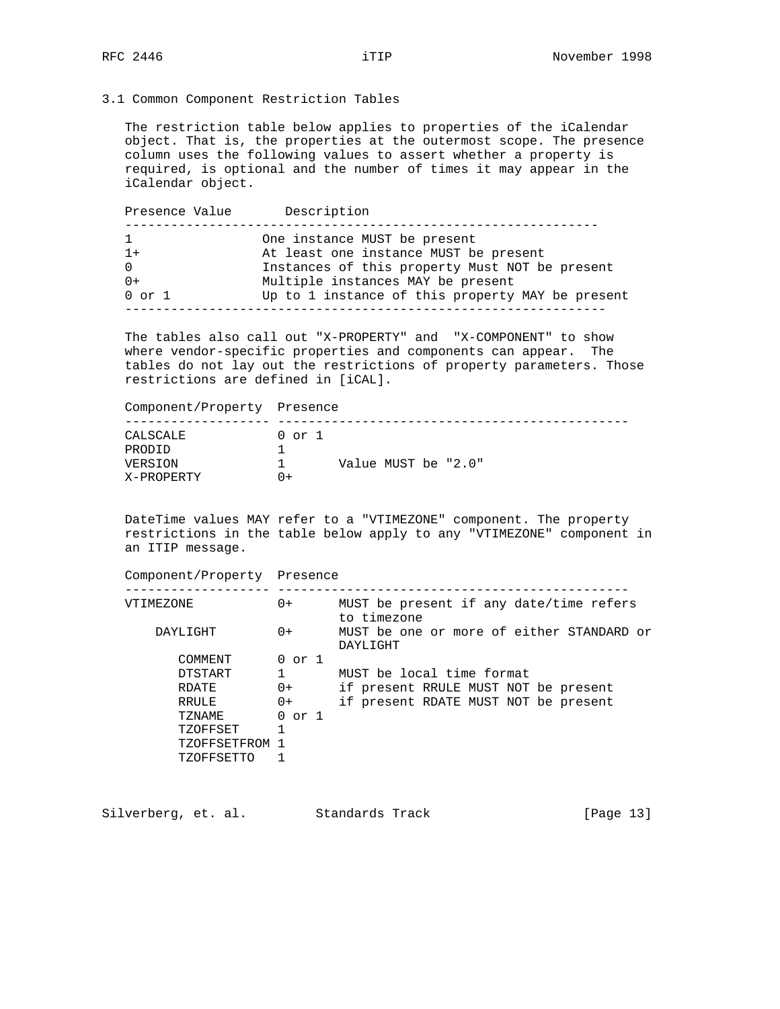3.1 Common Component Restriction Tables

 The restriction table below applies to properties of the iCalendar object. That is, the properties at the outermost scope. The presence column uses the following values to assert whether a property is required, is optional and the number of times it may appear in the iCalendar object.

Presence Value Description -------------------------------------------------------------- 1 One instance MUST be present 1+ At least one instance MUST be present 0 Instances of this property Must NOT be present<br>0+ Multiple instances MAY be present 0+ Multiple instances MAY be present 0 or 1 Up to 1 instance of this property MAY be present ---------------------------------------------------------------

 The tables also call out "X-PROPERTY" and "X-COMPONENT" to show where vendor-specific properties and components can appear. The tables do not lay out the restrictions of property parameters. Those restrictions are defined in [iCAL].

Component/Property Presence

| CALSCALE   | $0$ or $1$ |                     |
|------------|------------|---------------------|
| PRODID     |            |                     |
| VERSION    |            | Value MUST be "2.0" |
| X-PROPERTY | $+$        |                     |

 DateTime values MAY refer to a "VTIMEZONE" component. The property restrictions in the table below apply to any "VTIMEZONE" component in an ITIP message.

| Component/Property Presence |              |                                                        |
|-----------------------------|--------------|--------------------------------------------------------|
| VTIMEZONE                   | $0+$         | MUST be present if any date/time refers<br>to timezone |
| DAYLIGHT                    | $0+$         | MUST be one or more of either STANDARD or<br>DAYLIGHT  |
| COMMENT                     | $0$ or $1$   |                                                        |
| DTSTART                     | $\mathbf{1}$ | MUST be local time format                              |
| RDATE                       | $0+$         | if present RRULE MUST NOT be present                   |
| RRULE                       | $0+$         | if present RDATE MUST NOT be present                   |
| TZNAME                      | $0$ or $1$   |                                                        |
| TZOFFSET                    |              |                                                        |
| TZOFFSETFROM                | -1           |                                                        |
| TZOFFSETTO                  |              |                                                        |

Silverberg, et. al. Standards Track [Page 13]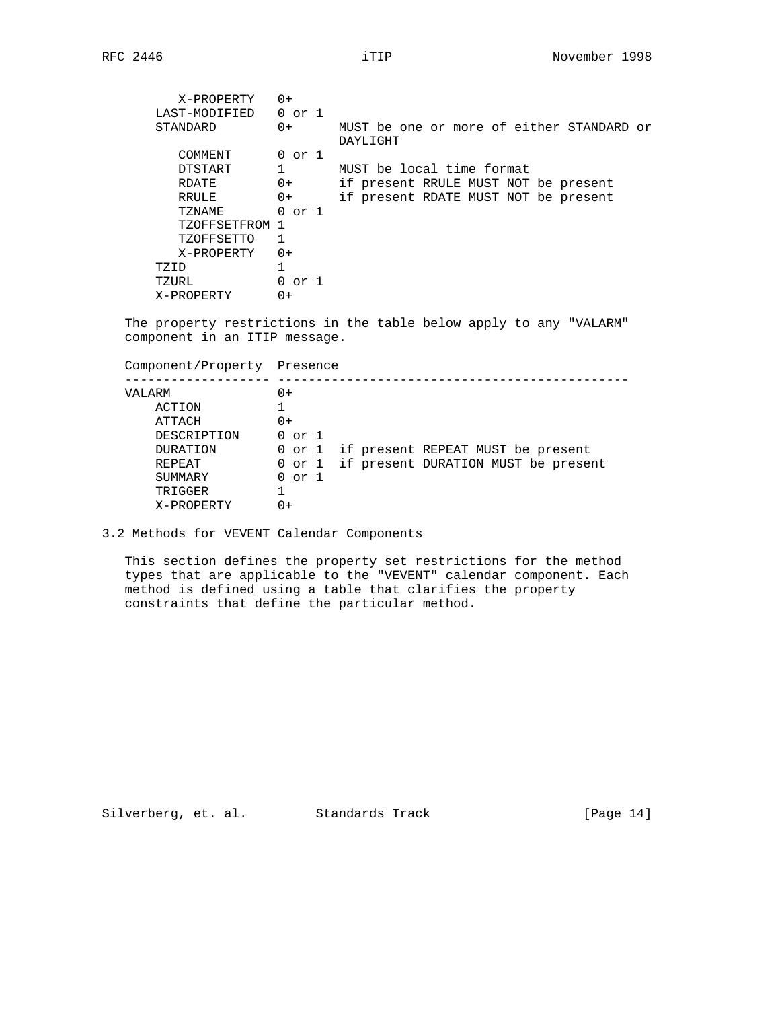| X-PROPERTY     | $0+$       |                                                       |
|----------------|------------|-------------------------------------------------------|
| LAST-MODIFIED  | $0$ or $1$ |                                                       |
| STANDARD       | $0+$       | MUST be one or more of either STANDARD or<br>DAYLIGHT |
| COMMENT        | $0$ or $1$ |                                                       |
| DTSTART        |            | MUST be local time format                             |
| RDATE          | $0+$       | if present RRULE MUST NOT be present                  |
| RRULE          | $0+$       | if present RDATE MUST NOT be present                  |
| TZNAME         | $0$ or $1$ |                                                       |
| TZOFFSETFROM 1 |            |                                                       |
| TZOFFSETTO     | 1          |                                                       |
| X-PROPERTY     | $0+$       |                                                       |
| TZID           |            |                                                       |
| TZURL          | 0 or 1     |                                                       |
| X-PROPERTY     | $0+$       |                                                       |

 The property restrictions in the table below apply to any "VALARM" component in an ITIP message.

 Component/Property Presence ------------------- ----------------------------------------------

| VALARM          | ()+                                        |
|-----------------|--------------------------------------------|
| ACTION          |                                            |
| ATTACH          | 0+                                         |
| DESCRIPTION     | $0$ or $1$                                 |
| <b>DURATION</b> | 0 or 1 if present REPEAT MUST be present   |
| REPEAT          | 0 or 1 if present DURATION MUST be present |
| SUMMARY         | $0$ or $1$                                 |
| TRIGGER         |                                            |
| X-PROPERTY      | ()+                                        |

3.2 Methods for VEVENT Calendar Components

 This section defines the property set restrictions for the method types that are applicable to the "VEVENT" calendar component. Each method is defined using a table that clarifies the property constraints that define the particular method.

Silverberg, et. al. Standards Track [Page 14]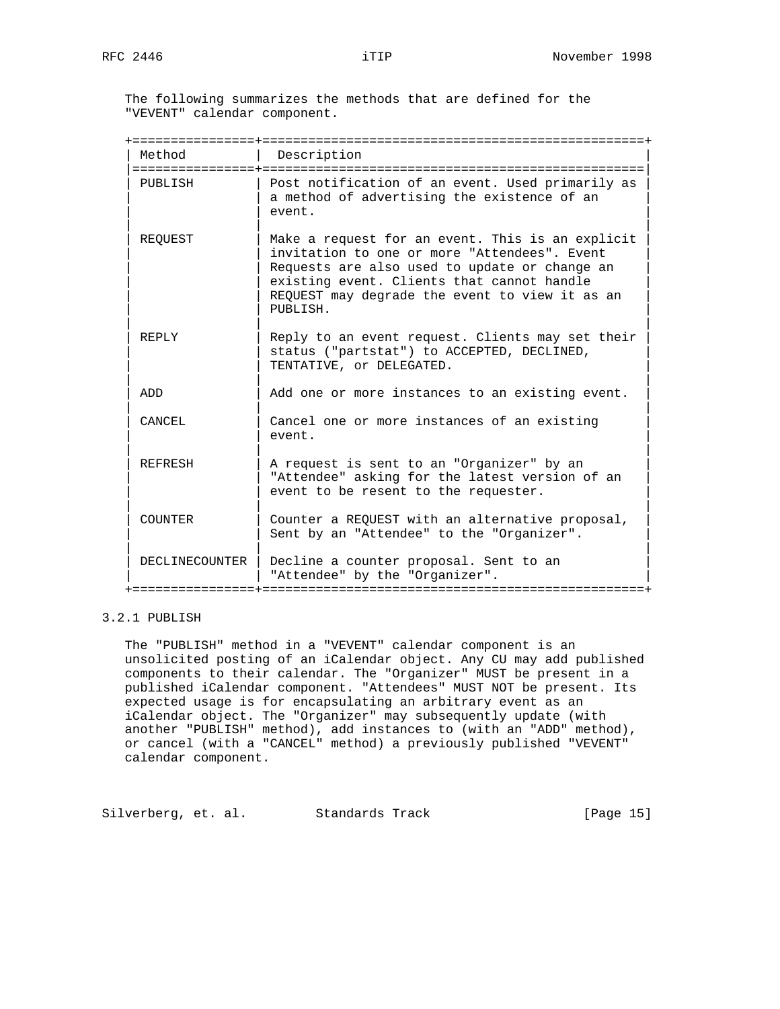The following summarizes the methods that are defined for the "VEVENT" calendar component.

| Method                      | Description                                                                                                                                                                                                                                                   |
|-----------------------------|---------------------------------------------------------------------------------------------------------------------------------------------------------------------------------------------------------------------------------------------------------------|
| ================<br>PUBLISH | Post notification of an event. Used primarily as<br>a method of advertising the existence of an<br>event.                                                                                                                                                     |
| REOUEST                     | Make a request for an event. This is an explicit<br>invitation to one or more "Attendees". Event<br>Requests are also used to update or change an<br>existing event. Clients that cannot handle<br>REQUEST may degrade the event to view it as an<br>PUBLISH. |
| REPLY                       | Reply to an event request. Clients may set their<br>status ("partstat") to ACCEPTED, DECLINED,<br>TENTATIVE, or DELEGATED.                                                                                                                                    |
| ADD                         | Add one or more instances to an existing event.                                                                                                                                                                                                               |
| CANCEL                      | Cancel one or more instances of an existing<br>event.                                                                                                                                                                                                         |
| <b>REFRESH</b>              | A request is sent to an "Organizer" by an<br>"Attendee" asking for the latest version of an<br>event to be resent to the requester.                                                                                                                           |
| COUNTER                     | Counter a REQUEST with an alternative proposal,<br>Sent by an "Attendee" to the "Organizer".                                                                                                                                                                  |
| DECLINECOUNTER              | Decline a counter proposal. Sent to an<br>"Attendee" by the "Organizer".                                                                                                                                                                                      |

# 3.2.1 PUBLISH

 The "PUBLISH" method in a "VEVENT" calendar component is an unsolicited posting of an iCalendar object. Any CU may add published components to their calendar. The "Organizer" MUST be present in a published iCalendar component. "Attendees" MUST NOT be present. Its expected usage is for encapsulating an arbitrary event as an iCalendar object. The "Organizer" may subsequently update (with another "PUBLISH" method), add instances to (with an "ADD" method), or cancel (with a "CANCEL" method) a previously published "VEVENT" calendar component.

Silverberg, et. al. Standards Track [Page 15]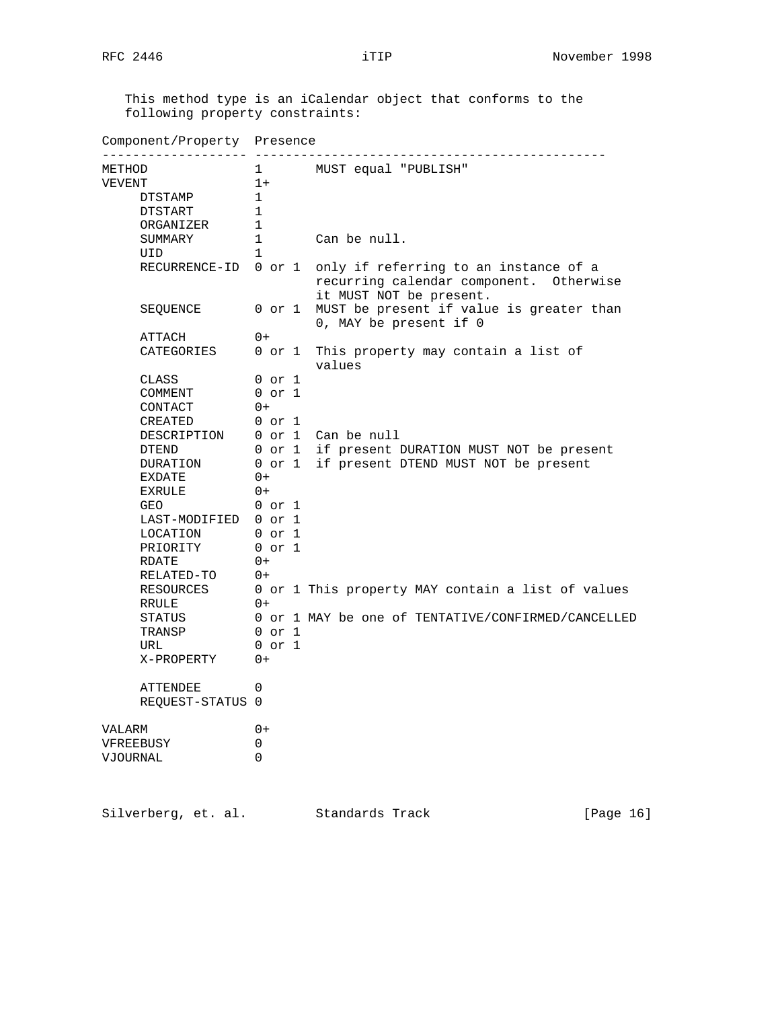This method type is an iCalendar object that conforms to the following property constraints:

| Component/Property Presence  |              |  |                                                                                                             |  |  |  |
|------------------------------|--------------|--|-------------------------------------------------------------------------------------------------------------|--|--|--|
| METHOD                       | 1            |  | MUST equal "PUBLISH"                                                                                        |  |  |  |
| VEVENT                       | $1+$         |  |                                                                                                             |  |  |  |
| <b>DTSTAMP</b>               | 1            |  |                                                                                                             |  |  |  |
| DTSTART                      | $\mathbf{1}$ |  |                                                                                                             |  |  |  |
| ORGANIZER                    | 1            |  |                                                                                                             |  |  |  |
| SUMMARY                      | 1            |  | Can be null.                                                                                                |  |  |  |
| UID                          | $\mathbf{1}$ |  |                                                                                                             |  |  |  |
| RECURRENCE-ID                | 0 or 1       |  | only if referring to an instance of a<br>recurring calendar component. Otherwise<br>it MUST NOT be present. |  |  |  |
| SEQUENCE                     | 0 or 1       |  | MUST be present if value is greater than<br>0, MAY be present if 0                                          |  |  |  |
| ATTACH                       | $0+$         |  |                                                                                                             |  |  |  |
| CATEGORIES                   | $0$ or $1$   |  | This property may contain a list of<br>values                                                               |  |  |  |
| CLASS                        | 0 or 1       |  |                                                                                                             |  |  |  |
| COMMENT                      | $0$ or $1$   |  |                                                                                                             |  |  |  |
| CONTACT                      | $0+$         |  |                                                                                                             |  |  |  |
| CREATED                      | $0$ or $1$   |  |                                                                                                             |  |  |  |
| DESCRIPTION                  | 0 or 1       |  | Can be null                                                                                                 |  |  |  |
| DTEND                        | 0 or 1       |  | if present DURATION MUST NOT be present                                                                     |  |  |  |
| DURATION                     | 0 or 1       |  | if present DTEND MUST NOT be present                                                                        |  |  |  |
| <b>EXDATE</b>                | $0+$         |  |                                                                                                             |  |  |  |
| <b>EXRULE</b>                | $0+$         |  |                                                                                                             |  |  |  |
| GEO                          | $0$ or $1$   |  |                                                                                                             |  |  |  |
| LAST-MODIFIED                | $0$ or $1$   |  |                                                                                                             |  |  |  |
| LOCATION                     | 0 or 1       |  |                                                                                                             |  |  |  |
| PRIORITY                     | $0$ or $1$   |  |                                                                                                             |  |  |  |
| RDATE                        | $0+$         |  |                                                                                                             |  |  |  |
| RELATED-TO                   | $0+$         |  |                                                                                                             |  |  |  |
| RESOURCES<br>RRULE           | $0+$         |  | 0 or 1 This property MAY contain a list of values                                                           |  |  |  |
| STATUS                       |              |  | 0 or 1 MAY be one of TENTATIVE/CONFIRMED/CANCELLED                                                          |  |  |  |
| TRANSP                       | $0$ or $1$   |  |                                                                                                             |  |  |  |
| URL                          | $0$ or $1$   |  |                                                                                                             |  |  |  |
| X-PROPERTY                   | $0+$         |  |                                                                                                             |  |  |  |
| ATTENDEE<br>REQUEST-STATUS 0 | 0            |  |                                                                                                             |  |  |  |
| VALARM                       | $0+$         |  |                                                                                                             |  |  |  |
| VFREEBUSY                    | 0            |  |                                                                                                             |  |  |  |
| VJOURNAL                     | $\Omega$     |  |                                                                                                             |  |  |  |
|                              |              |  |                                                                                                             |  |  |  |

Silverberg, et. al. Standards Track [Page 16]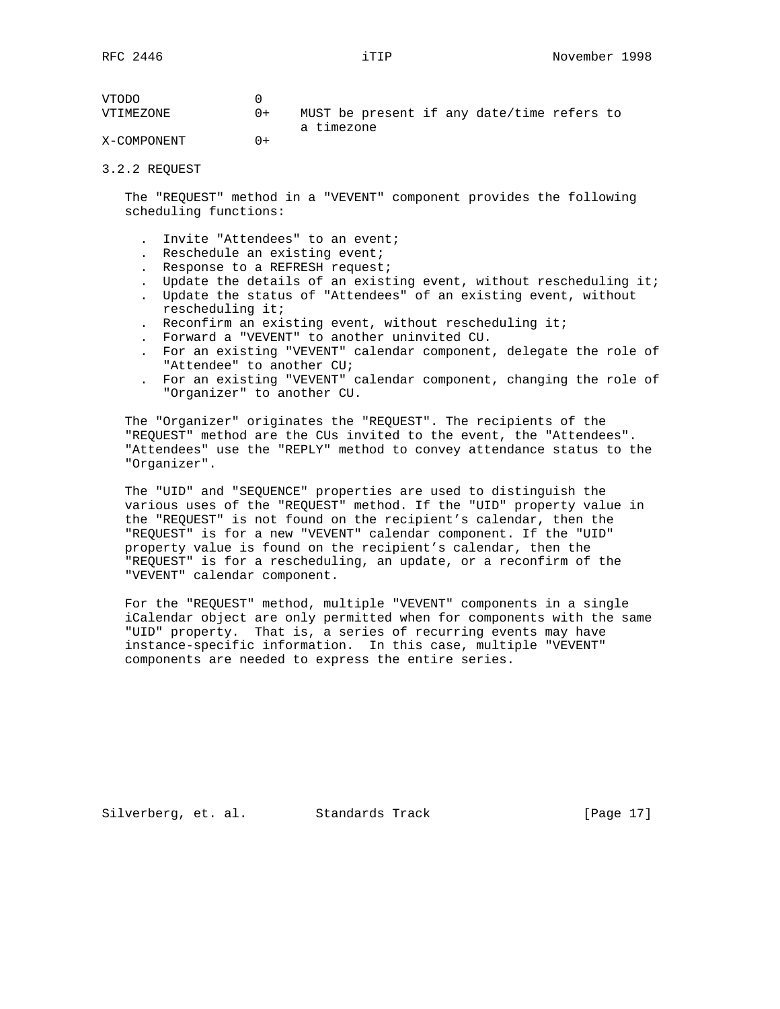| VTODO       |        |                                            |
|-------------|--------|--------------------------------------------|
| VTIMEZONE   | $() +$ | MUST be present if any date/time refers to |
|             |        | a timezone                                 |
| X-COMPONENT | $+$    |                                            |

#### 3.2.2 REQUEST

 The "REQUEST" method in a "VEVENT" component provides the following scheduling functions:

- . Invite "Attendees" to an event;
- . Reschedule an existing event;
- . Response to a REFRESH request;
- Update the details of an existing event, without rescheduling it;
- . Update the status of "Attendees" of an existing event, without rescheduling it;
- . Reconfirm an existing event, without rescheduling it;
- . Forward a "VEVENT" to another uninvited CU.
- . For an existing "VEVENT" calendar component, delegate the role of "Attendee" to another CU;
- . For an existing "VEVENT" calendar component, changing the role of "Organizer" to another CU.

 The "Organizer" originates the "REQUEST". The recipients of the "REQUEST" method are the CUs invited to the event, the "Attendees". "Attendees" use the "REPLY" method to convey attendance status to the "Organizer".

 The "UID" and "SEQUENCE" properties are used to distinguish the various uses of the "REQUEST" method. If the "UID" property value in the "REQUEST" is not found on the recipient's calendar, then the "REQUEST" is for a new "VEVENT" calendar component. If the "UID" property value is found on the recipient's calendar, then the "REQUEST" is for a rescheduling, an update, or a reconfirm of the "VEVENT" calendar component.

 For the "REQUEST" method, multiple "VEVENT" components in a single iCalendar object are only permitted when for components with the same "UID" property. That is, a series of recurring events may have instance-specific information. In this case, multiple "VEVENT" components are needed to express the entire series.

Silverberg, et. al. Standards Track [Page 17]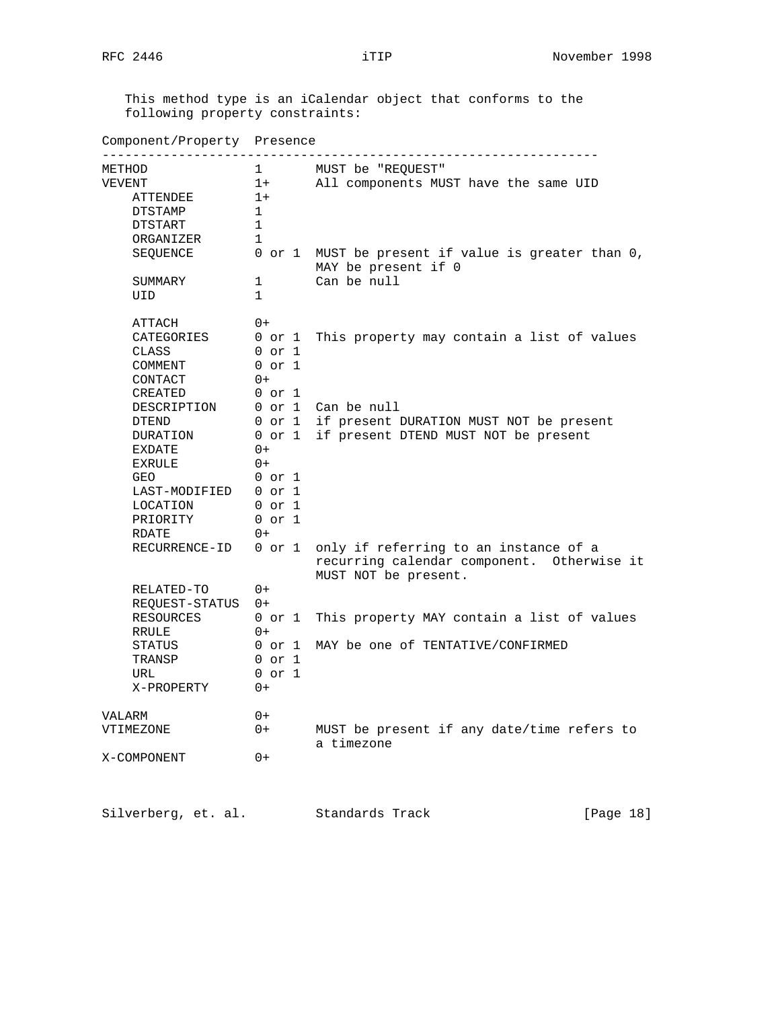This method type is an iCalendar object that conforms to the following property constraints:

| Component/Property Presence<br>.                                       |                                                                        |                                                                                                              |
|------------------------------------------------------------------------|------------------------------------------------------------------------|--------------------------------------------------------------------------------------------------------------|
| METHOD<br>VEVENT<br>ATTENDEE<br>DTSTAMP<br><b>DTSTART</b>              | $\mathbf{1}$<br>$1+$<br>$1+$<br>$\mathbf{1}$<br>$\mathbf{1}$           | MUST be "REQUEST"<br>All components MUST have the same UID                                                   |
| ORGANIZER<br>SEQUENCE<br>SUMMARY<br>UID                                | 1<br>$\mathbf{1}$<br>$\mathbf{1}$                                      | 0 or 1 MUST be present if value is greater than 0,<br>MAY be present if 0<br>Can be null                     |
| ATTACH<br>CATEGORIES<br>CLASS<br>COMMENT                               | $0+$<br>0 or 1<br>$0$ or $1$<br>$0$ or $1$                             | This property may contain a list of values                                                                   |
| CONTACT<br>CREATED<br>DESCRIPTION<br>DTEND<br>DURATION<br>EXDATE       | $0+$<br>$0$ or $1$<br>$0$ or $1$<br>$0+$                               | 0 or 1 Can be null<br>0 or 1 if present DURATION MUST NOT be present<br>if present DTEND MUST NOT be present |
| <b>EXRULE</b><br>GEO<br>LAST-MODIFIED<br>LOCATION<br>PRIORITY<br>RDATE | $() +$<br>$0$ or $1$<br>$0$ or $1$<br>$0$ or $1$<br>$0$ or $1$<br>$0+$ |                                                                                                              |
| RECURRENCE-ID                                                          | $0$ or $1$                                                             | only if referring to an instance of a<br>recurring calendar component. Otherwise it<br>MUST NOT be present.  |
| RELATED-TO<br>REQUEST-STATUS 0+<br>RESOURCES                           | $0+$<br>0 or 1                                                         | This property MAY contain a list of values                                                                   |
| RRULE<br>STATUS<br>TRANSP<br>URL<br>X-PROPERTY                         | $0+$<br>0 or 1<br>$0$ or $1$<br>$0$ or $1$<br>$0+$                     | MAY be one of TENTATIVE/CONFIRMED                                                                            |
| VALARM<br>VTIMEZONE                                                    | $0+$<br>$0+$                                                           | MUST be present if any date/time refers to<br>a timezone                                                     |
| X-COMPONENT                                                            | $0+$                                                                   |                                                                                                              |

Silverberg, et. al. Standards Track [Page 18]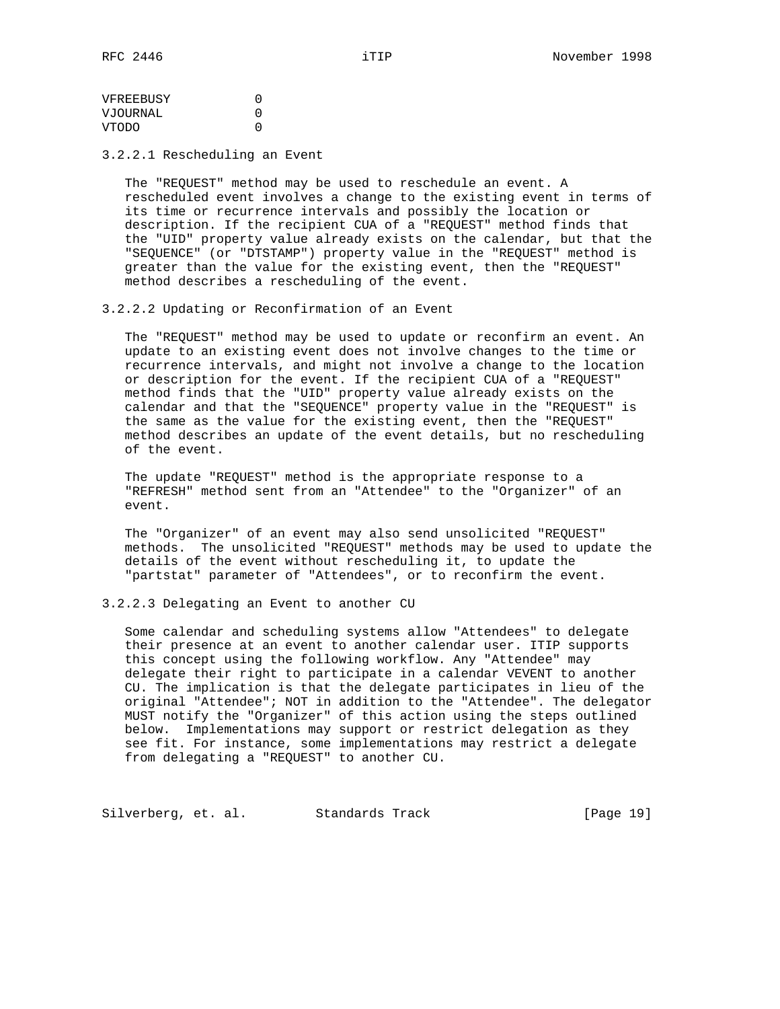VFREEBUSY 0 VJOURNAL 0 VTODO 0

3.2.2.1 Rescheduling an Event

 The "REQUEST" method may be used to reschedule an event. A rescheduled event involves a change to the existing event in terms of its time or recurrence intervals and possibly the location or description. If the recipient CUA of a "REQUEST" method finds that the "UID" property value already exists on the calendar, but that the "SEQUENCE" (or "DTSTAMP") property value in the "REQUEST" method is greater than the value for the existing event, then the "REQUEST" method describes a rescheduling of the event.

3.2.2.2 Updating or Reconfirmation of an Event

 The "REQUEST" method may be used to update or reconfirm an event. An update to an existing event does not involve changes to the time or recurrence intervals, and might not involve a change to the location or description for the event. If the recipient CUA of a "REQUEST" method finds that the "UID" property value already exists on the calendar and that the "SEQUENCE" property value in the "REQUEST" is the same as the value for the existing event, then the "REQUEST" method describes an update of the event details, but no rescheduling of the event.

 The update "REQUEST" method is the appropriate response to a "REFRESH" method sent from an "Attendee" to the "Organizer" of an event.

 The "Organizer" of an event may also send unsolicited "REQUEST" methods. The unsolicited "REQUEST" methods may be used to update the details of the event without rescheduling it, to update the "partstat" parameter of "Attendees", or to reconfirm the event.

## 3.2.2.3 Delegating an Event to another CU

 Some calendar and scheduling systems allow "Attendees" to delegate their presence at an event to another calendar user. ITIP supports this concept using the following workflow. Any "Attendee" may delegate their right to participate in a calendar VEVENT to another CU. The implication is that the delegate participates in lieu of the original "Attendee"; NOT in addition to the "Attendee". The delegator MUST notify the "Organizer" of this action using the steps outlined below. Implementations may support or restrict delegation as they see fit. For instance, some implementations may restrict a delegate from delegating a "REQUEST" to another CU.

Silverberg, et. al. Standards Track [Page 19]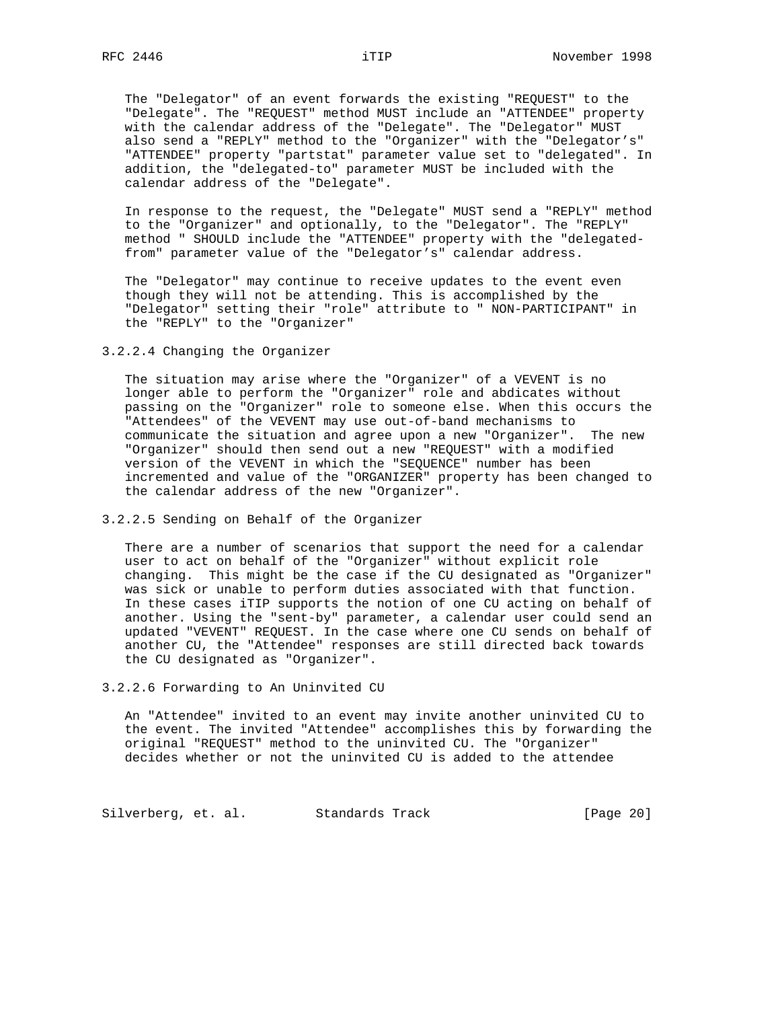The "Delegator" of an event forwards the existing "REQUEST" to the "Delegate". The "REQUEST" method MUST include an "ATTENDEE" property with the calendar address of the "Delegate". The "Delegator" MUST also send a "REPLY" method to the "Organizer" with the "Delegator's" "ATTENDEE" property "partstat" parameter value set to "delegated". In addition, the "delegated-to" parameter MUST be included with the calendar address of the "Delegate".

 In response to the request, the "Delegate" MUST send a "REPLY" method to the "Organizer" and optionally, to the "Delegator". The "REPLY" method " SHOULD include the "ATTENDEE" property with the "delegated from" parameter value of the "Delegator's" calendar address.

 The "Delegator" may continue to receive updates to the event even though they will not be attending. This is accomplished by the "Delegator" setting their "role" attribute to " NON-PARTICIPANT" in the "REPLY" to the "Organizer"

3.2.2.4 Changing the Organizer

 The situation may arise where the "Organizer" of a VEVENT is no longer able to perform the "Organizer" role and abdicates without passing on the "Organizer" role to someone else. When this occurs the "Attendees" of the VEVENT may use out-of-band mechanisms to communicate the situation and agree upon a new "Organizer". The new "Organizer" should then send out a new "REQUEST" with a modified version of the VEVENT in which the "SEQUENCE" number has been incremented and value of the "ORGANIZER" property has been changed to the calendar address of the new "Organizer".

3.2.2.5 Sending on Behalf of the Organizer

 There are a number of scenarios that support the need for a calendar user to act on behalf of the "Organizer" without explicit role changing. This might be the case if the CU designated as "Organizer" was sick or unable to perform duties associated with that function. In these cases iTIP supports the notion of one CU acting on behalf of another. Using the "sent-by" parameter, a calendar user could send an updated "VEVENT" REQUEST. In the case where one CU sends on behalf of another CU, the "Attendee" responses are still directed back towards the CU designated as "Organizer".

3.2.2.6 Forwarding to An Uninvited CU

 An "Attendee" invited to an event may invite another uninvited CU to the event. The invited "Attendee" accomplishes this by forwarding the original "REQUEST" method to the uninvited CU. The "Organizer" decides whether or not the uninvited CU is added to the attendee

Silverberg, et. al. Standards Track [Page 20]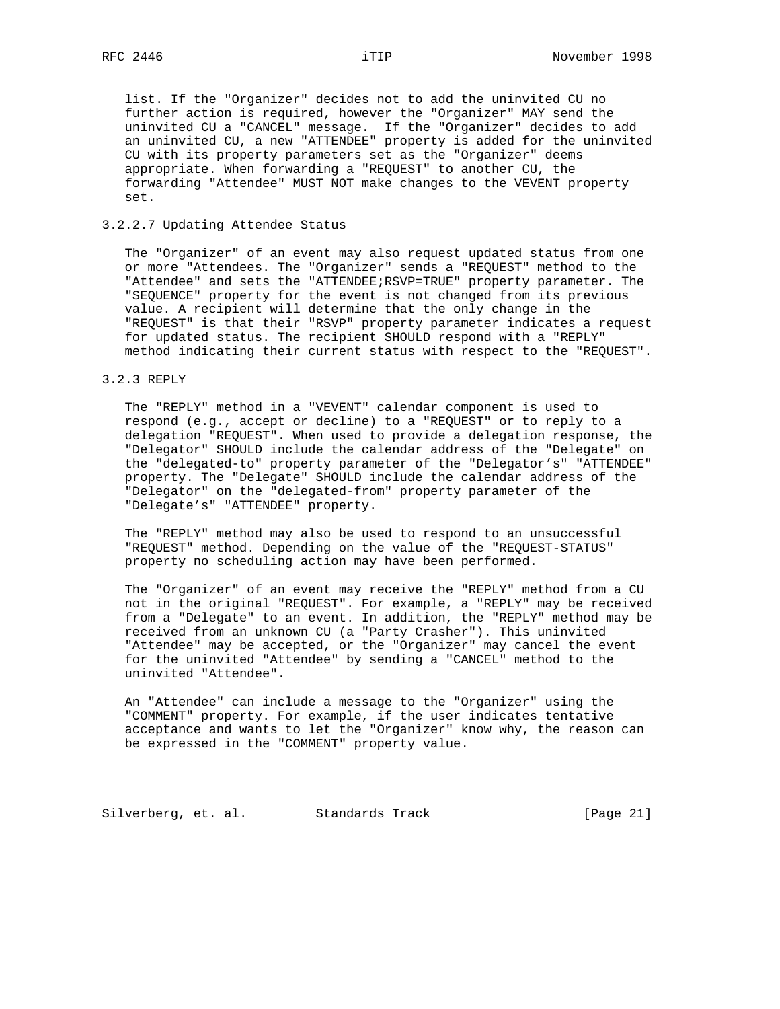list. If the "Organizer" decides not to add the uninvited CU no further action is required, however the "Organizer" MAY send the uninvited CU a "CANCEL" message. If the "Organizer" decides to add an uninvited CU, a new "ATTENDEE" property is added for the uninvited CU with its property parameters set as the "Organizer" deems appropriate. When forwarding a "REQUEST" to another CU, the forwarding "Attendee" MUST NOT make changes to the VEVENT property set.

## 3.2.2.7 Updating Attendee Status

 The "Organizer" of an event may also request updated status from one or more "Attendees. The "Organizer" sends a "REQUEST" method to the "Attendee" and sets the "ATTENDEE;RSVP=TRUE" property parameter. The "SEQUENCE" property for the event is not changed from its previous value. A recipient will determine that the only change in the "REQUEST" is that their "RSVP" property parameter indicates a request for updated status. The recipient SHOULD respond with a "REPLY" method indicating their current status with respect to the "REQUEST".

## 3.2.3 REPLY

 The "REPLY" method in a "VEVENT" calendar component is used to respond (e.g., accept or decline) to a "REQUEST" or to reply to a delegation "REQUEST". When used to provide a delegation response, the "Delegator" SHOULD include the calendar address of the "Delegate" on the "delegated-to" property parameter of the "Delegator's" "ATTENDEE" property. The "Delegate" SHOULD include the calendar address of the "Delegator" on the "delegated-from" property parameter of the "Delegate's" "ATTENDEE" property.

 The "REPLY" method may also be used to respond to an unsuccessful "REQUEST" method. Depending on the value of the "REQUEST-STATUS" property no scheduling action may have been performed.

 The "Organizer" of an event may receive the "REPLY" method from a CU not in the original "REQUEST". For example, a "REPLY" may be received from a "Delegate" to an event. In addition, the "REPLY" method may be received from an unknown CU (a "Party Crasher"). This uninvited "Attendee" may be accepted, or the "Organizer" may cancel the event for the uninvited "Attendee" by sending a "CANCEL" method to the uninvited "Attendee".

 An "Attendee" can include a message to the "Organizer" using the "COMMENT" property. For example, if the user indicates tentative acceptance and wants to let the "Organizer" know why, the reason can be expressed in the "COMMENT" property value.

Silverberg, et. al. Standards Track [Page 21]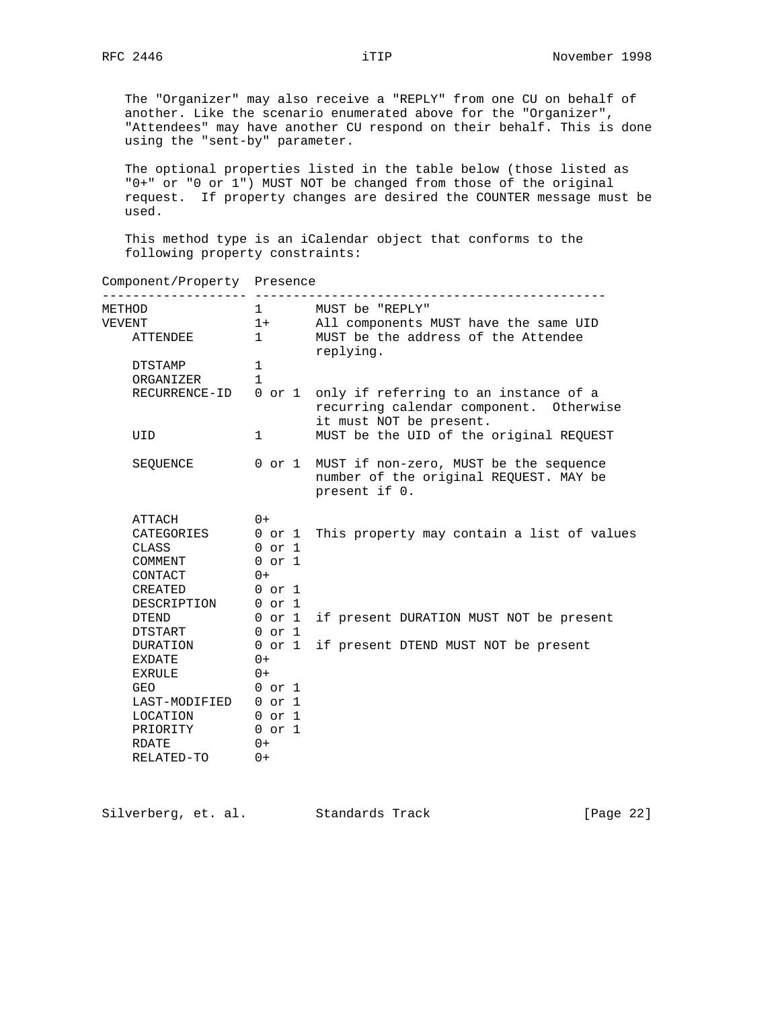Component/Property Presence

 The "Organizer" may also receive a "REPLY" from one CU on behalf of another. Like the scenario enumerated above for the "Organizer", "Attendees" may have another CU respond on their behalf. This is done using the "sent-by" parameter.

 The optional properties listed in the table below (those listed as "0+" or "0 or 1") MUST NOT be changed from those of the original request. If property changes are desired the COUNTER message must be used.

 This method type is an iCalendar object that conforms to the following property constraints:

| METHOD<br>VEVENT     | $1+$              | All components MUST have the same UID                                                                                            |
|----------------------|-------------------|----------------------------------------------------------------------------------------------------------------------------------|
| ATTENDEE             | $1 \quad$         | MUST be the address of the Attendee<br>replying.                                                                                 |
| DTSTAMP<br>ORGANIZER | 1<br>$\mathbf{1}$ |                                                                                                                                  |
|                      |                   | RECURRENCE-ID 0 or 1 only if referring to an instance of a<br>recurring calendar component. Otherwise<br>it must NOT be present. |
| UID                  | $1 \quad \cdots$  | MUST be the UID of the original REQUEST                                                                                          |
| SEQUENCE             | 0 or 1            | MUST if non-zero, MUST be the sequence<br>number of the original REQUEST. MAY be<br>present if 0.                                |
| ATTACH               | $0+$              |                                                                                                                                  |
|                      |                   | CATEGORIES 0 or 1 This property may contain a list of values                                                                     |
| CLASS                | $0$ or $1$        |                                                                                                                                  |
| COMMENT              | $0$ or $1$        |                                                                                                                                  |
| CONTACT              | $0 +$             |                                                                                                                                  |
| CREATED              | 0 or 1            |                                                                                                                                  |
| DESCRIPTION 0 or 1   |                   |                                                                                                                                  |
| DTEND                | 0 or 1            | if present DURATION MUST NOT be present                                                                                          |
| DTSTART              | 0 or 1            |                                                                                                                                  |
| DURATION 0 or 1      |                   | if present DTEND MUST NOT be present                                                                                             |
| EXDATE               | $0+$              |                                                                                                                                  |
| $EXRULE$ 0+          |                   |                                                                                                                                  |
| <b>GEO</b>           | $0$ or $1$        |                                                                                                                                  |
| LAST-MODIFIED 0 or 1 |                   |                                                                                                                                  |
| LOCATION 0 or 1      |                   |                                                                                                                                  |
| PRIORITY 0 or 1      |                   |                                                                                                                                  |
| RDATE                | $0 +$             |                                                                                                                                  |
| RELATED-TO           | $0+$              |                                                                                                                                  |

Silverberg, et. al. Standards Track [Page 22]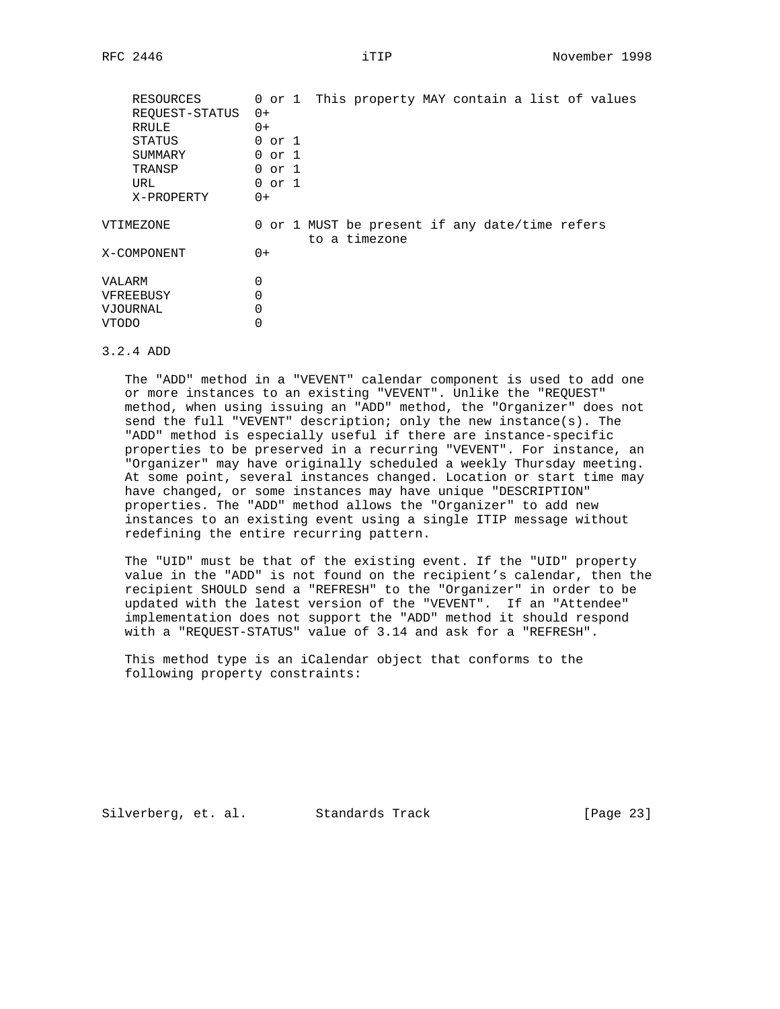| RESOURCES<br>REOUEST-STATUS<br>RRULE<br>STATUS<br>SUMMARY<br>TRANSP<br>URL<br>X-PROPERTY | $0+$<br>$0+$<br>0 or 1<br>0 or 1<br>$0$ or $1$<br>$0$ or $1$<br>$0+$ |  | 0 or 1 This property MAY contain a list of values               |  |  |  |  |
|------------------------------------------------------------------------------------------|----------------------------------------------------------------------|--|-----------------------------------------------------------------|--|--|--|--|
| VTIMEZONE                                                                                |                                                                      |  | 0 or 1 MUST be present if any date/time refers<br>to a timezone |  |  |  |  |
| X-COMPONENT                                                                              | $0+$                                                                 |  |                                                                 |  |  |  |  |
| VALARM                                                                                   | 0                                                                    |  |                                                                 |  |  |  |  |
| VFREEBUSY                                                                                | 0                                                                    |  |                                                                 |  |  |  |  |
| VJOURNAL                                                                                 | 0                                                                    |  |                                                                 |  |  |  |  |
| VTODO                                                                                    | 0                                                                    |  |                                                                 |  |  |  |  |

#### 3.2.4 ADD

 The "ADD" method in a "VEVENT" calendar component is used to add one or more instances to an existing "VEVENT". Unlike the "REQUEST" method, when using issuing an "ADD" method, the "Organizer" does not send the full "VEVENT" description; only the new instance(s). The "ADD" method is especially useful if there are instance-specific properties to be preserved in a recurring "VEVENT". For instance, an "Organizer" may have originally scheduled a weekly Thursday meeting. At some point, several instances changed. Location or start time may have changed, or some instances may have unique "DESCRIPTION" properties. The "ADD" method allows the "Organizer" to add new instances to an existing event using a single ITIP message without redefining the entire recurring pattern.

 The "UID" must be that of the existing event. If the "UID" property value in the "ADD" is not found on the recipient's calendar, then the recipient SHOULD send a "REFRESH" to the "Organizer" in order to be updated with the latest version of the "VEVENT". If an "Attendee" implementation does not support the "ADD" method it should respond with a "REQUEST-STATUS" value of 3.14 and ask for a "REFRESH".

 This method type is an iCalendar object that conforms to the following property constraints:

Silverberg, et. al. Standards Track [Page 23]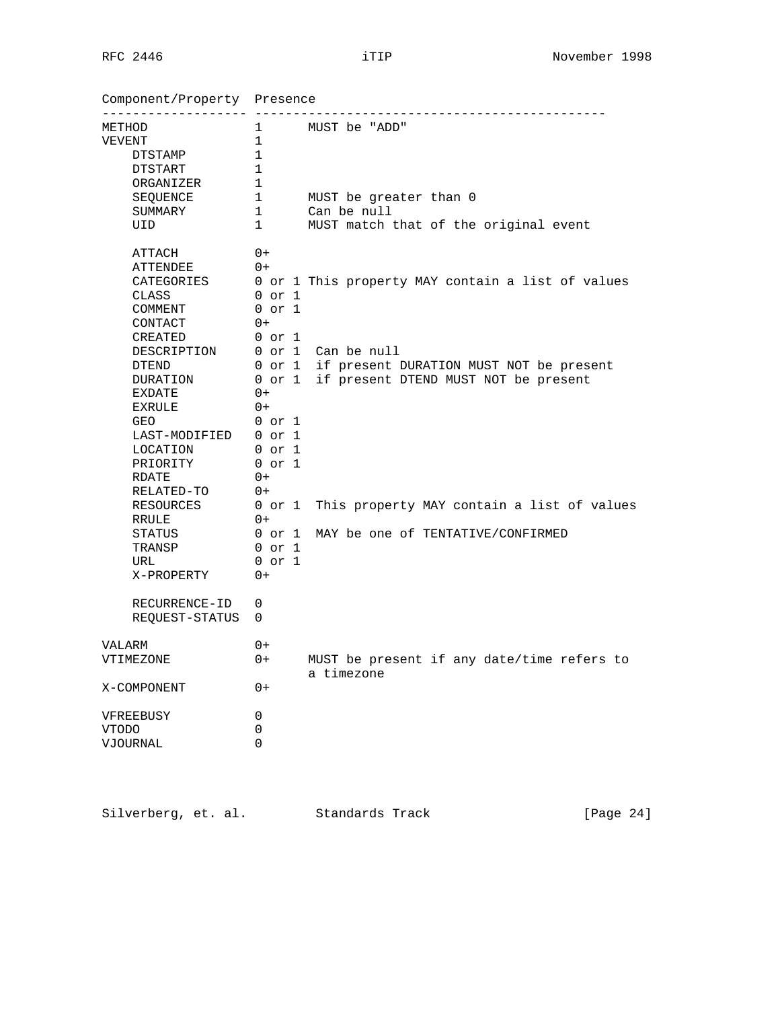Component/Property Presence

| METHOD                         |                | 1 MUST be "ADD"                                              |
|--------------------------------|----------------|--------------------------------------------------------------|
| VEVENT                         | $\mathbf{1}$   |                                                              |
| DTSTAMP                        | $\mathbf 1$    |                                                              |
| DTSTART                        | 1              |                                                              |
| ORGANIZER                      | $\mathbf 1$    |                                                              |
| SEQUENCE                       | $\overline{1}$ | MUST be greater than 0                                       |
| SUMMARY                        | 1              | Can be null                                                  |
| UID                            | 1              | MUST match that of the original event                        |
| ATTACH                         | $0+$           |                                                              |
| ATTENDEE                       | $0+$           |                                                              |
|                                |                | CATEGORIES 0 or 1 This property MAY contain a list of values |
| CLASS                          | $0$ or $1$     |                                                              |
| COMMENT                        | 0 or 1         |                                                              |
| CONTACT                        | $0+$           |                                                              |
| CREATED                        | $0$ or $1$     |                                                              |
| DESCRIPTION 0 or 1 Can be null |                |                                                              |
| DTEND                          |                | 0 or 1 if present DURATION MUST NOT be present               |
| DURATION                       |                | 0 or 1 if present DTEND MUST NOT be present                  |
| EXDATE                         | $0+$           |                                                              |
| EXRULE                         | $0+$           |                                                              |
| GEO                            | 0 or 1         |                                                              |
| LAST-MODIFIED 0 or 1           |                |                                                              |
| LOCATION                       | 0 or 1         |                                                              |
| PRIORITY 0 or 1                |                |                                                              |
| RDATE                          | $0+$           |                                                              |
| RELATED-TO                     | $0+$           |                                                              |
| RESOURCES                      |                | 0 or 1 This property MAY contain a list of values            |
| RRULE                          | $0+$           |                                                              |
| STATUS                         | 0 or 1         | MAY be one of TENTATIVE/CONFIRMED                            |
| TRANSP                         | 0 or 1         |                                                              |
| URL                            | $0$ or $1$     |                                                              |
| X-PROPERTY                     | $0+$           |                                                              |
| RECURRENCE-ID                  | 0              |                                                              |
| REQUEST-STATUS                 | $\Omega$       |                                                              |
| VALARM                         | $0+$           |                                                              |
| VTIMEZONE                      | $0+$           | MUST be present if any date/time refers to<br>a timezone     |
| X-COMPONENT                    | $0+$           |                                                              |
| VFREEBUSY                      | 0              |                                                              |
| VTODO                          | 0              |                                                              |
| VJOURNAL                       | 0              |                                                              |
|                                |                |                                                              |

| Silverberg, et. al. |  |  | Standards Track | [Page $24$ ] |
|---------------------|--|--|-----------------|--------------|
|---------------------|--|--|-----------------|--------------|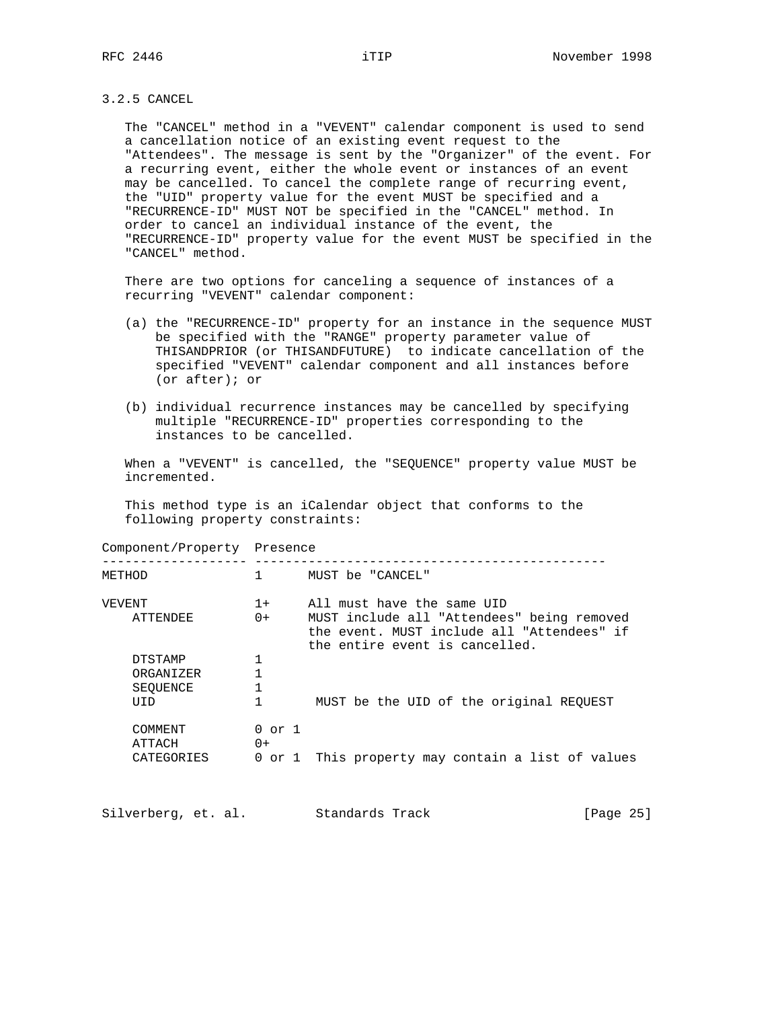## 3.2.5 CANCEL

 The "CANCEL" method in a "VEVENT" calendar component is used to send a cancellation notice of an existing event request to the "Attendees". The message is sent by the "Organizer" of the event. For a recurring event, either the whole event or instances of an event may be cancelled. To cancel the complete range of recurring event, the "UID" property value for the event MUST be specified and a "RECURRENCE-ID" MUST NOT be specified in the "CANCEL" method. In order to cancel an individual instance of the event, the "RECURRENCE-ID" property value for the event MUST be specified in the "CANCEL" method.

 There are two options for canceling a sequence of instances of a recurring "VEVENT" calendar component:

- (a) the "RECURRENCE-ID" property for an instance in the sequence MUST be specified with the "RANGE" property parameter value of THISANDPRIOR (or THISANDFUTURE) to indicate cancellation of the specified "VEVENT" calendar component and all instances before (or after); or
- (b) individual recurrence instances may be cancelled by specifying multiple "RECURRENCE-ID" properties corresponding to the instances to be cancelled.

 When a "VEVENT" is cancelled, the "SEQUENCE" property value MUST be incremented.

 This method type is an iCalendar object that conforms to the following property constraints:

Component/Property Presence

| METHOD                                    |                              | MUST be "CANCEL"                                                                                                                                         |
|-------------------------------------------|------------------------------|----------------------------------------------------------------------------------------------------------------------------------------------------------|
| VEVENT<br>ATTENDEE                        | $1 +$<br>$0+$                | All must have the same UID<br>MUST include all "Attendees" being removed<br>the event. MUST include all "Attendees" if<br>the entire event is cancelled. |
| DTSTAMP<br>ORGANIZER<br>SEOUENCE<br>TIT D |                              | MUST be the UID of the original REQUEST                                                                                                                  |
| COMMENT<br>ATTACH<br>CATEGORIES           | $0$ or $1$<br>$0+$<br>0 or 1 | This property may contain a list of values                                                                                                               |

| Silverberg, et. al. |  | Standards Track | [Page 25] |
|---------------------|--|-----------------|-----------|
|---------------------|--|-----------------|-----------|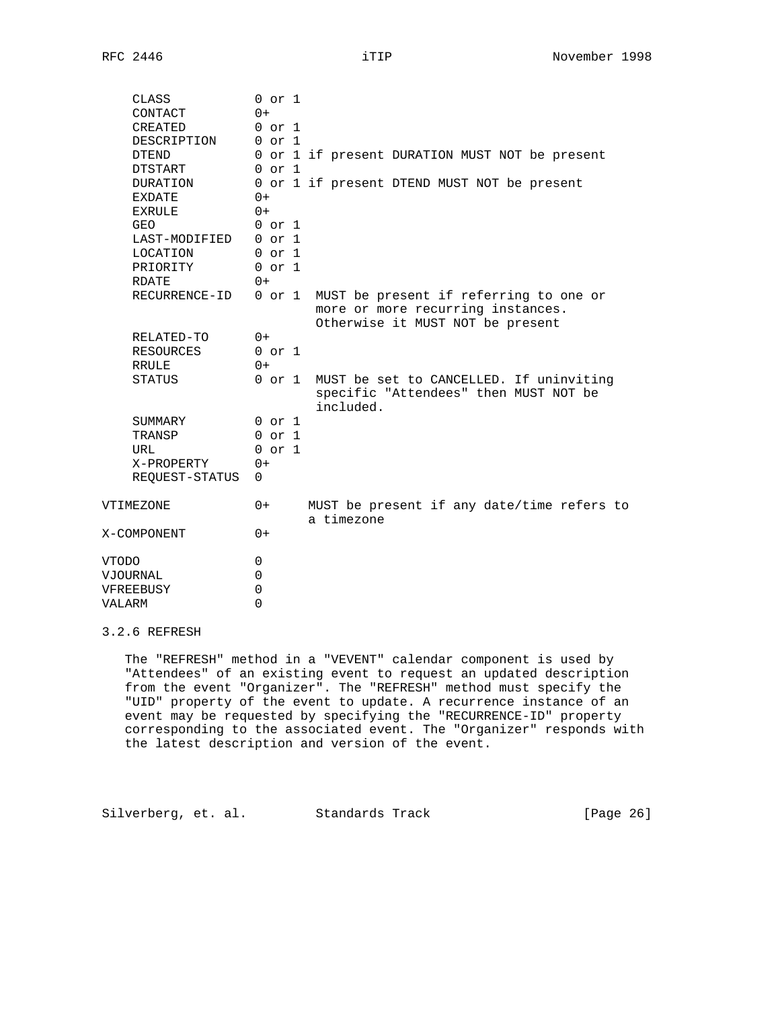| CLASS<br>CONTACT | $0$ or $1$<br>$0+$ |                                                                                                      |
|------------------|--------------------|------------------------------------------------------------------------------------------------------|
| CREATED          | $0$ or $1$         |                                                                                                      |
| DESCRIPTION      | $0$ or $1$         |                                                                                                      |
| <b>DTEND</b>     |                    | 0 or 1 if present DURATION MUST NOT be present                                                       |
| DTSTART          | $0$ or $1$         |                                                                                                      |
| DURATION         |                    | 0 or 1 if present DTEND MUST NOT be present                                                          |
| EXDATE           | $0+$               |                                                                                                      |
| EXRULE           | $0+$               |                                                                                                      |
| GEO              | $0$ or $1$         |                                                                                                      |
| LAST-MODIFIED    | $0$ or $1$         |                                                                                                      |
| LOCATION         | $0$ or $1$         |                                                                                                      |
| PRIORITY         | $0$ or $1$         |                                                                                                      |
| RDATE            | $0+$               |                                                                                                      |
| RECURRENCE-ID    | 0 or 1             | MUST be present if referring to one or                                                               |
|                  |                    | more or more recurring instances.<br>Otherwise it MUST NOT be present                                |
| RELATED-TO       | $0+$               |                                                                                                      |
| RESOURCES        | $0$ or $1$         |                                                                                                      |
| RRULE            | $0+$               |                                                                                                      |
| STATUS           |                    | 0 or 1 MUST be set to CANCELLED. If uninviting<br>specific "Attendees" then MUST NOT be<br>included. |
| SUMMARY          | $0$ or $1$         |                                                                                                      |
| TRANSP           | $0$ or $1$         |                                                                                                      |
| URL              | $0$ or $1$         |                                                                                                      |
| X-PROPERTY       | $0+$               |                                                                                                      |
| REQUEST-STATUS   | 0                  |                                                                                                      |
| VTIMEZONE        | $0+$               | MUST be present if any date/time refers to<br>a timezone                                             |
| X-COMPONENT      | $() +$             |                                                                                                      |
| <b>VTODO</b>     | $\mathbf 0$        |                                                                                                      |
| VJOURNAL         | 0                  |                                                                                                      |
| VFREEBUSY        | 0                  |                                                                                                      |
| <b>VALARM</b>    | $\Omega$           |                                                                                                      |

# 3.2.6 REFRESH

 The "REFRESH" method in a "VEVENT" calendar component is used by "Attendees" of an existing event to request an updated description from the event "Organizer". The "REFRESH" method must specify the "UID" property of the event to update. A recurrence instance of an event may be requested by specifying the "RECURRENCE-ID" property corresponding to the associated event. The "Organizer" responds with the latest description and version of the event.

Silverberg, et. al. Standards Track [Page 26]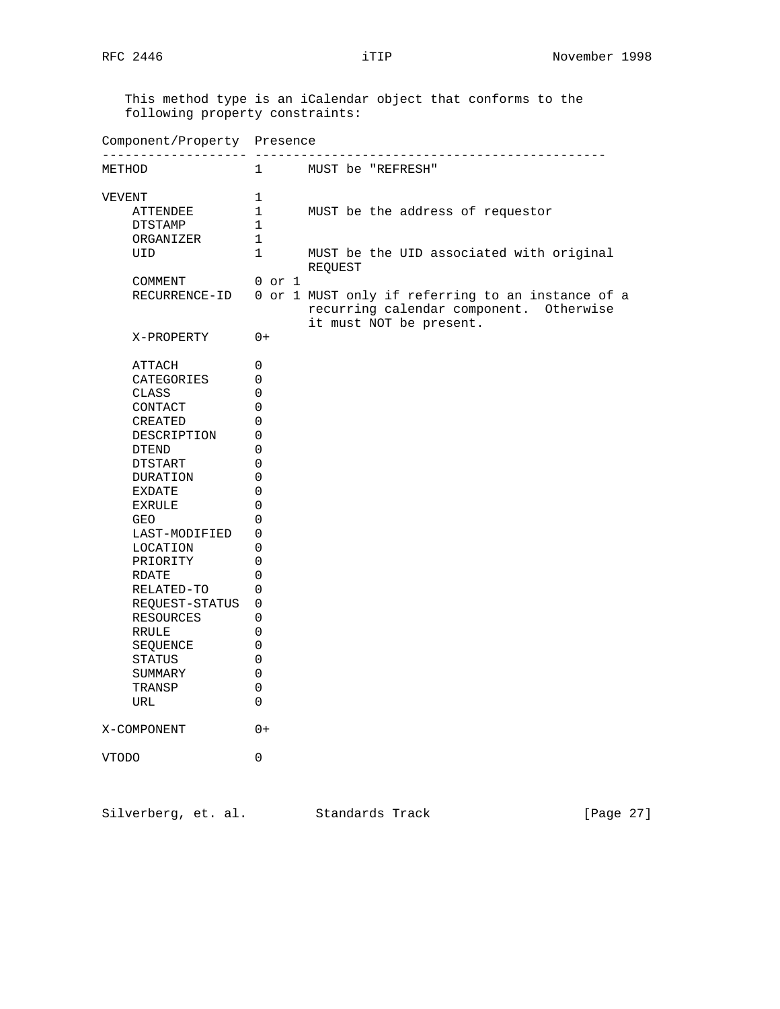This method type is an iCalendar object that conforms to the following property constraints: Component/Property Presence ------------------- ---------------------------------------------- METHOD 1 MUST be "REFRESH" VEVENT 1 ATTENDEE 1 MUST be the address of requestor DTSTAMP 1 ORGANIZER 1 UID 1 MUST be the UID associated with original **REQUEST**  COMMENT 0 or 1 RECURRENCE-ID 0 or 1 MUST only if referring to an instance of a recurring calendar component. Otherwise it must NOT be present. X-PROPERTY 0+ ATTACH 0 CATEGORIES 0 CLASS 0 CONTACT 0 CREATED 0 DESCRIPTION 0 DTEND 0 DTSTART 0 DURATION 0 EXDATE 0 EXRULE 0 GEO 0 LAST-MODIFIED 0 LOCATION 0 PRIORITY 0 RDATE 0 RELATED-TO 0 REQUEST-STATUS 0 RESOURCES 0 RRULE 0 SEQUENCE 0 STATUS 0 SUMMARY 0 TRANSP 0 SUMMARY 0<br>TRANSP 0<br>URL 0 X-COMPONENT 0+ VTODO 0

Silverberg, et. al. Standards Track [Page 27]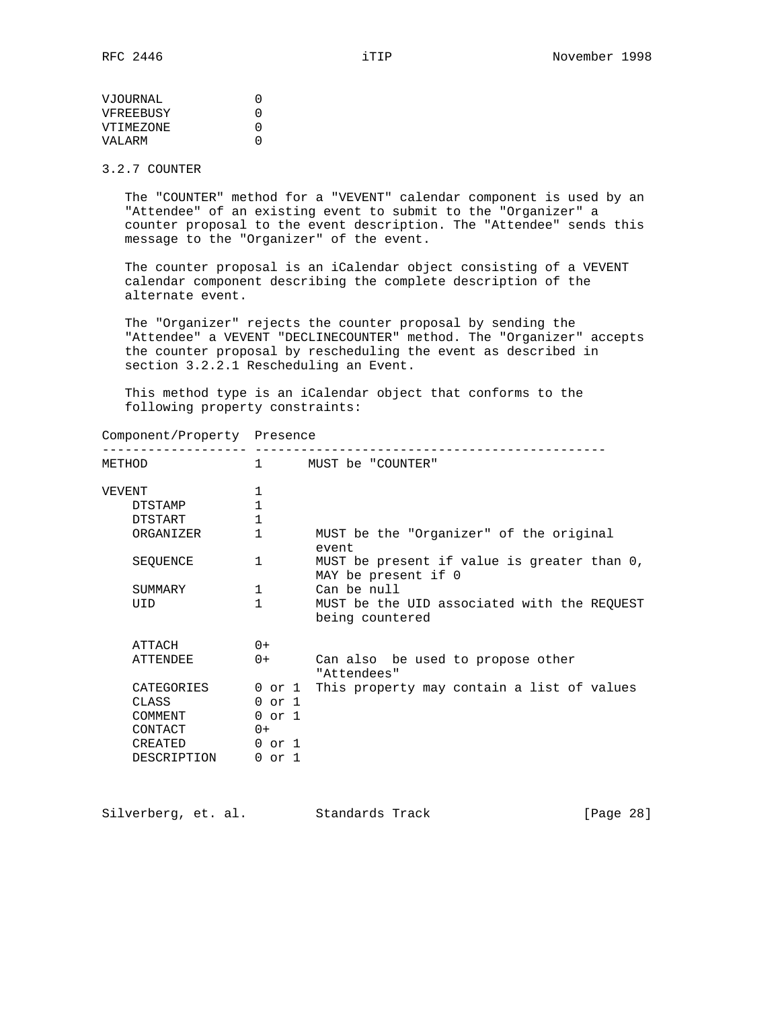# 3.2.7 COUNTER

 The "COUNTER" method for a "VEVENT" calendar component is used by an "Attendee" of an existing event to submit to the "Organizer" a counter proposal to the event description. The "Attendee" sends this message to the "Organizer" of the event.

 The counter proposal is an iCalendar object consisting of a VEVENT calendar component describing the complete description of the alternate event.

 The "Organizer" rejects the counter proposal by sending the "Attendee" a VEVENT "DECLINECOUNTER" method. The "Organizer" accepts the counter proposal by rescheduling the event as described in section 3.2.2.1 Rescheduling an Event.

 This method type is an iCalendar object that conforms to the following property constraints:

| Component/Property | Presence |
|--------------------|----------|
|--------------------|----------|

| METHOD          | $\mathbf{1}$ | MUST be "COUNTER"                                                  |
|-----------------|--------------|--------------------------------------------------------------------|
| VEVENT          | 1            |                                                                    |
| <b>DTSTAMP</b>  |              |                                                                    |
| DTSTART         | $\mathbf{1}$ |                                                                    |
| ORGANIZER       | 1            | MUST be the "Organizer" of the original<br>event                   |
| SEOUENCE        | 1            | MUST be present if value is greater than 0,<br>MAY be present if 0 |
| SUMMARY         | 1            | Can be null                                                        |
| UID             | 1            | MUST be the UID associated with the REQUEST<br>being countered     |
| ATTACH          | $() +$       |                                                                    |
| <b>ATTENDEE</b> | $0+$         | Can also be used to propose other<br>"Attendees"                   |
| CATEGORIES      |              | 0 or 1 This property may contain a list of values                  |
| CLASS           | $0$ or $1$   |                                                                    |
| COMMENT         | $0$ or $1$   |                                                                    |
| CONTACT         | $() +$       |                                                                    |
| CREATED         | $0$ or $1$   |                                                                    |
| DESCRIPTION     | 0 or 1       |                                                                    |

| Silverberg, et. al. |  | Standards Track | [Page 28] |
|---------------------|--|-----------------|-----------|
|---------------------|--|-----------------|-----------|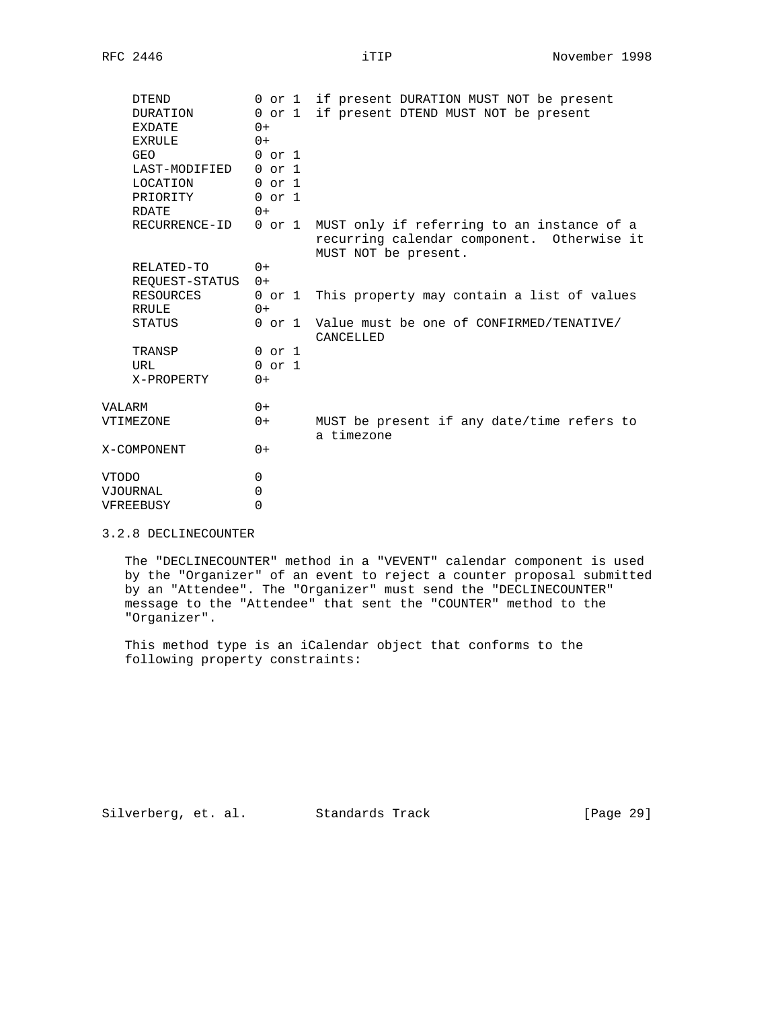| <b>DTEND</b><br>DURATION<br>EXDATE<br>EXRULE<br>GEO<br>LAST-MODIFIED 0 or 1<br>LOCATION<br>PRIORITY | 0 or 1<br>$0$ or $1$<br>$0+$<br>$0+$<br>$0$ or $1$<br>$0$ or $1$<br>$0$ or $1$ | if present DURATION MUST NOT be present<br>if present DTEND MUST NOT be present                                  |
|-----------------------------------------------------------------------------------------------------|--------------------------------------------------------------------------------|------------------------------------------------------------------------------------------------------------------|
| <b>RDATE</b><br>RECURRENCE-ID                                                                       | $0+$<br>0 or 1                                                                 | MUST only if referring to an instance of a<br>recurring calendar component. Otherwise it<br>MUST NOT be present. |
| RELATED-TO                                                                                          | $0+$                                                                           |                                                                                                                  |
| REOUEST-STATUS 0+<br>RESOURCES<br>RRULE                                                             | $0+$                                                                           | 0 or 1 This property may contain a list of values                                                                |
| STATUS                                                                                              |                                                                                | 0 or 1 Value must be one of CONFIRMED/TENATIVE/<br>CANCELLED                                                     |
| TRANSP<br>URL<br>X-PROPERTY                                                                         | $0$ or $1$<br>$0$ or $1$<br>$0+$                                               |                                                                                                                  |
| VALARM                                                                                              | $0+$                                                                           |                                                                                                                  |
| VTIMEZONE                                                                                           | $0+$                                                                           | MUST be present if any date/time refers to<br>a timezone                                                         |
| X-COMPONENT                                                                                         | $0+$                                                                           |                                                                                                                  |
| <b>VTODO</b><br>VJOURNAL<br>VFREEBUSY                                                               | $\Omega$<br>$\Omega$<br>$\Omega$                                               |                                                                                                                  |

## 3.2.8 DECLINECOUNTER

 The "DECLINECOUNTER" method in a "VEVENT" calendar component is used by the "Organizer" of an event to reject a counter proposal submitted by an "Attendee". The "Organizer" must send the "DECLINECOUNTER" message to the "Attendee" that sent the "COUNTER" method to the "Organizer".

 This method type is an iCalendar object that conforms to the following property constraints:

Silverberg, et. al. Standards Track [Page 29]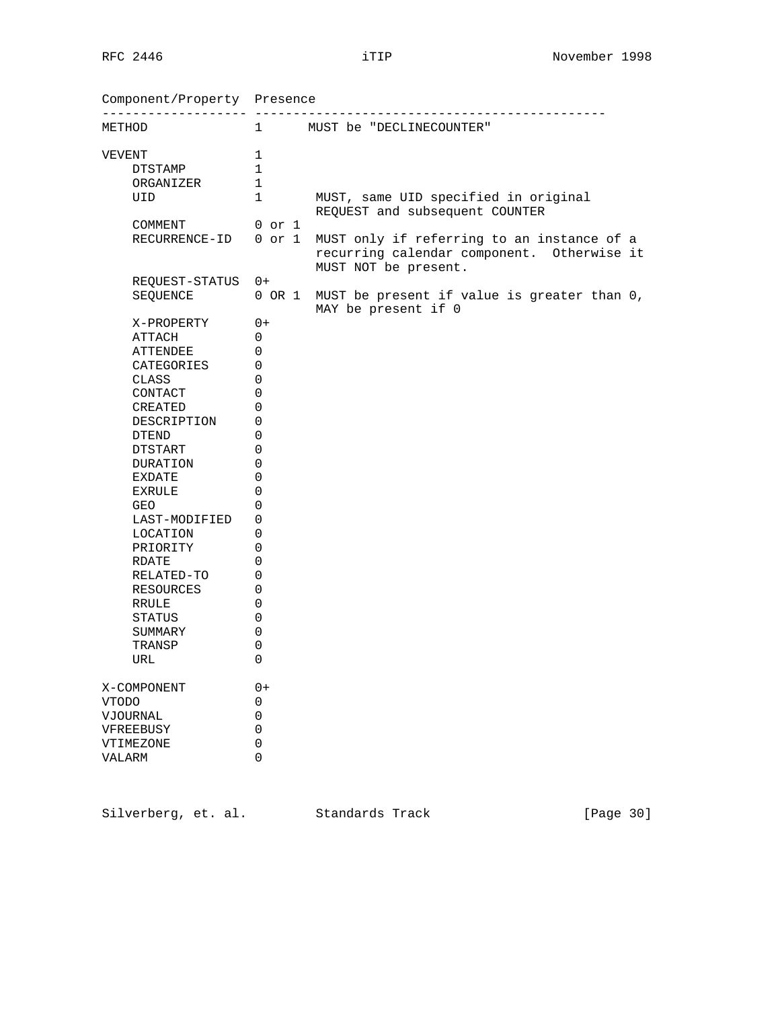Component/Property Presence ------------------- ---------------------------------------------- METHOD 1 MUST be "DECLINECOUNTER"  $\begin{tabular}{cc} VEVENT & & 1 \\ & DTSTAMP & & 1 \\ \end{tabular}$ DTSTAMP 1 ORGANIZER 1 UID 1 MUST, same UID specified in original REQUEST and subsequent COUNTER COMMENT 0 or 1 RECURRENCE-ID 0 or 1 MUST only if referring to an instance of a recurring calendar component. Otherwise it MUST NOT be present. REQUEST-STATUS 0+ SEQUENCE 0 OR 1 MUST be present if value is greater than 0, MAY be present if 0 X-PROPERTY 0+ ATTACH 0 ATTENDEE 0 CATEGORIES 0 CLASS 0 CONTACT 0 CREATED 0 DESCRIPTION 0 DTEND 0 DTSTART 0 DURATION 0 EXDATE 0 EXRULE 0 GEO 0 LAST-MODIFIED 0 LOCATION 0 PRIORITY 0 RDATE 0 RELATED-TO 0 RESOURCES 0 RRULE 0 STATUS 0 SUMMARY 0 TRANSP 0 TRANSP 0<br>URL 0 X-COMPONENT 0+ VTODO 0 VJOURNAL 0<br>
VFREEBUSY 0 VFREEBUSY 0<br>
VTIMEZONE 0<br>
VALARM VIREEBOOT<br>
VTIMEZONE 0<br>
VALARM 0 VALARM 0

Silverberg, et. al. Standards Track [Page 30]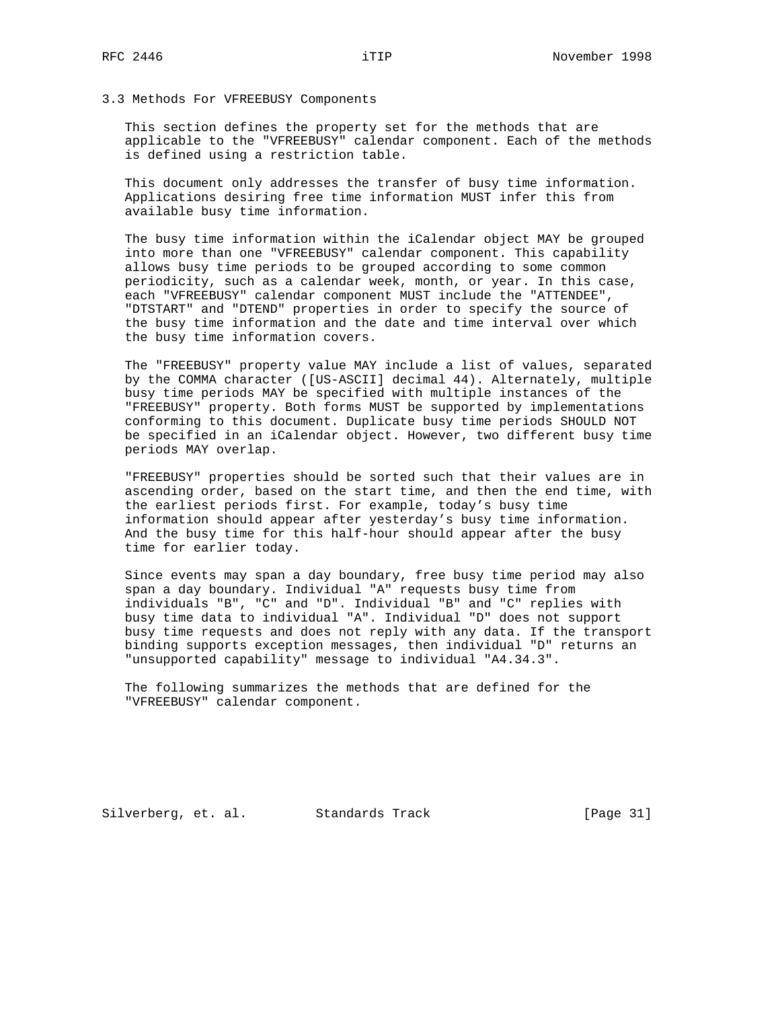### 3.3 Methods For VFREEBUSY Components

 This section defines the property set for the methods that are applicable to the "VFREEBUSY" calendar component. Each of the methods is defined using a restriction table.

 This document only addresses the transfer of busy time information. Applications desiring free time information MUST infer this from available busy time information.

 The busy time information within the iCalendar object MAY be grouped into more than one "VFREEBUSY" calendar component. This capability allows busy time periods to be grouped according to some common periodicity, such as a calendar week, month, or year. In this case, each "VFREEBUSY" calendar component MUST include the "ATTENDEE", "DTSTART" and "DTEND" properties in order to specify the source of the busy time information and the date and time interval over which the busy time information covers.

 The "FREEBUSY" property value MAY include a list of values, separated by the COMMA character ([US-ASCII] decimal 44). Alternately, multiple busy time periods MAY be specified with multiple instances of the "FREEBUSY" property. Both forms MUST be supported by implementations conforming to this document. Duplicate busy time periods SHOULD NOT be specified in an iCalendar object. However, two different busy time periods MAY overlap.

 "FREEBUSY" properties should be sorted such that their values are in ascending order, based on the start time, and then the end time, with the earliest periods first. For example, today's busy time information should appear after yesterday's busy time information. And the busy time for this half-hour should appear after the busy time for earlier today.

 Since events may span a day boundary, free busy time period may also span a day boundary. Individual "A" requests busy time from individuals "B", "C" and "D". Individual "B" and "C" replies with busy time data to individual "A". Individual "D" does not support busy time requests and does not reply with any data. If the transport binding supports exception messages, then individual "D" returns an "unsupported capability" message to individual "A4.34.3".

 The following summarizes the methods that are defined for the "VFREEBUSY" calendar component.

Silverberg, et. al. Standards Track [Page 31]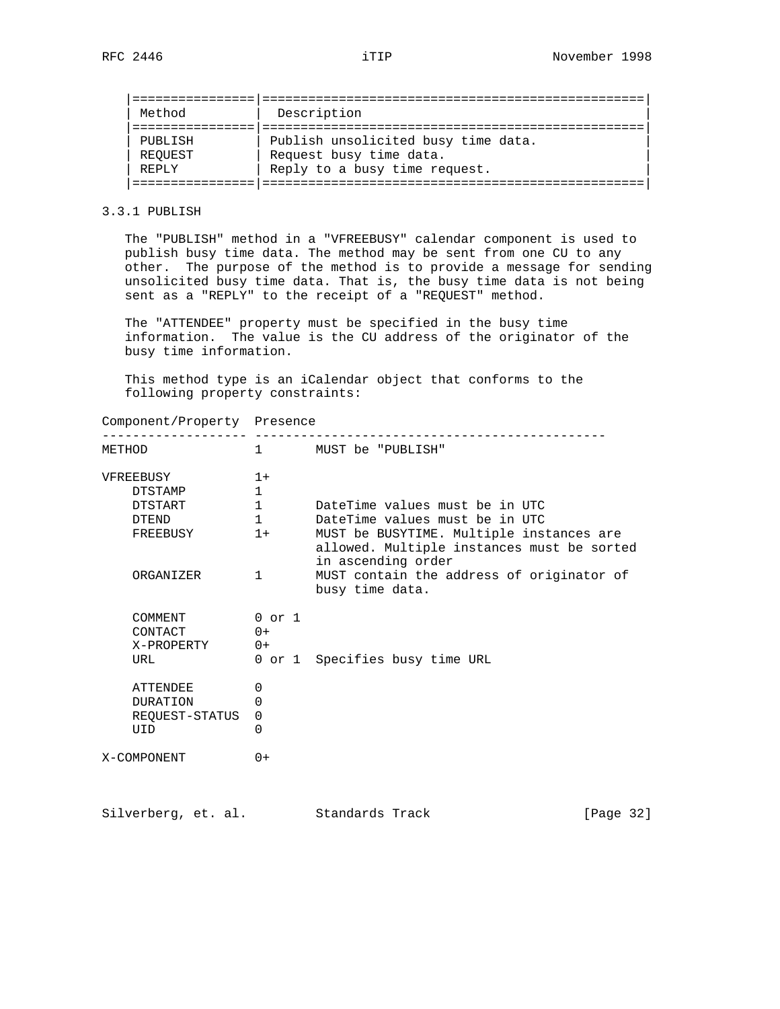| Method  | Description                         |  |
|---------|-------------------------------------|--|
|         |                                     |  |
| PUBLISH | Publish unsolicited busy time data. |  |
| REOUEST | Request busy time data.             |  |
| REPLY   | Reply to a busy time request.       |  |
|         |                                     |  |

# 3.3.1 PUBLISH

 The "PUBLISH" method in a "VFREEBUSY" calendar component is used to publish busy time data. The method may be sent from one CU to any other. The purpose of the method is to provide a message for sending unsolicited busy time data. That is, the busy time data is not being sent as a "REPLY" to the receipt of a "REQUEST" method.

 The "ATTENDEE" property must be specified in the busy time information. The value is the CU address of the originator of the busy time information.

 This method type is an iCalendar object that conforms to the following property constraints:

Component/Property Presence

| METHOD                                                                          | $1 \quad$                                                                    | MUST be "PUBLISH"                                                                                                                                                                                                                                |
|---------------------------------------------------------------------------------|------------------------------------------------------------------------------|--------------------------------------------------------------------------------------------------------------------------------------------------------------------------------------------------------------------------------------------------|
| VFREEBUSY<br><b>DTSTAMP</b><br>DTSTART<br><b>DTEND</b><br>FREEBUSY<br>ORGANIZER | $1+$<br>$\mathbf{1}$<br>$\mathbf{1}$<br>$\mathbf{1}$<br>$1+$<br>$\mathbf{1}$ | DateTime values must be in UTC<br>DateTime values must be in UTC<br>MUST be BUSYTIME. Multiple instances are<br>allowed. Multiple instances must be sorted<br>in ascending order<br>MUST contain the address of originator of<br>busy time data. |
| COMMENT<br>CONTACT<br>X-PROPERTY<br>URL                                         | $0$ or $1$<br>$() +$<br>$0+$                                                 | 0 or 1 Specifies busy time URL                                                                                                                                                                                                                   |
| <b>ATTENDEE</b><br><b>DURATION</b><br>REQUEST-STATUS<br>UID                     | 0<br>0<br>0<br>0                                                             |                                                                                                                                                                                                                                                  |
| X-COMPONENT                                                                     | $0+$                                                                         |                                                                                                                                                                                                                                                  |

Silverberg, et. al. Standards Track [Page 32]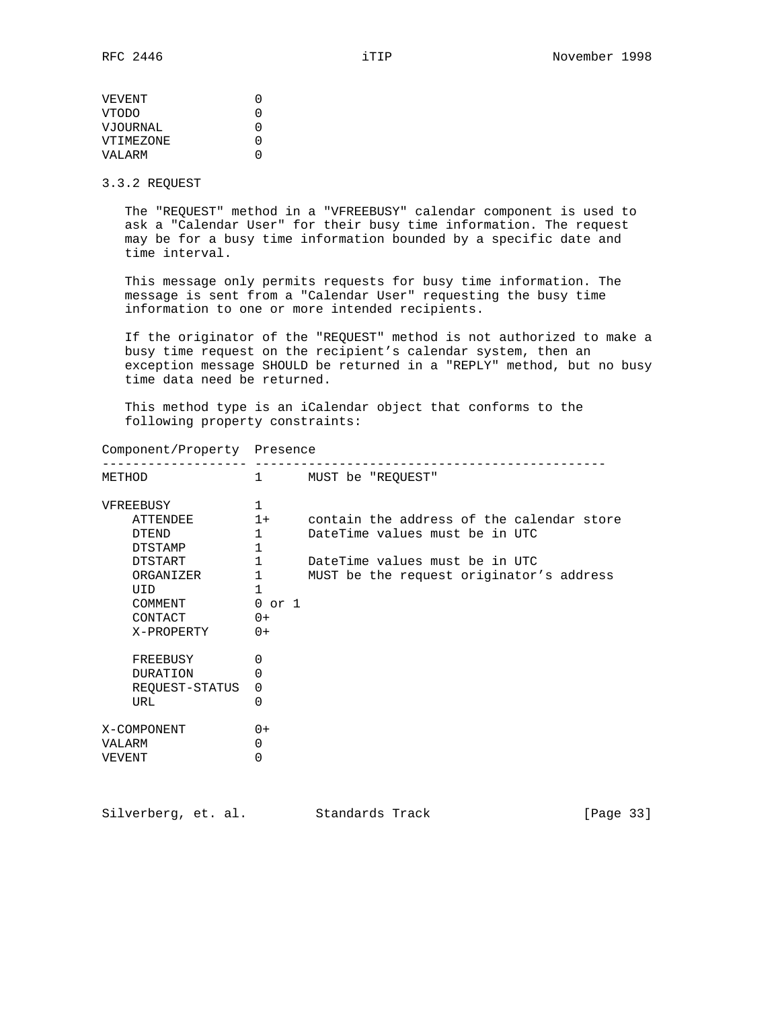| O |
|---|
| U |
| U |
| U |
| U |
|   |

3.3.2 REQUEST

 The "REQUEST" method in a "VFREEBUSY" calendar component is used to ask a "Calendar User" for their busy time information. The request may be for a busy time information bounded by a specific date and time interval.

 This message only permits requests for busy time information. The message is sent from a "Calendar User" requesting the busy time information to one or more intended recipients.

 If the originator of the "REQUEST" method is not authorized to make a busy time request on the recipient's calendar system, then an exception message SHOULD be returned in a "REPLY" method, but no busy time data need be returned.

 This method type is an iCalendar object that conforms to the following property constraints:

| Component/Property Presence                                                                                                                                                 |                                                                                                                              |                                                                                                                                                           |
|-----------------------------------------------------------------------------------------------------------------------------------------------------------------------------|------------------------------------------------------------------------------------------------------------------------------|-----------------------------------------------------------------------------------------------------------------------------------------------------------|
| METHOD                                                                                                                                                                      | $1 \quad$                                                                                                                    | MUST be "REQUEST"                                                                                                                                         |
| VFREEBUSY<br>ATTENDEE<br><b>OTEND</b><br>DTSTAMP<br>DTSTART<br>ORGANIZER<br>UID<br>COMMENT<br>CONTACT<br>X-PROPERTY<br>FREEBUSY<br><b>DURATION</b><br>REQUEST-STATUS<br>URL | 1<br>$1+$<br>$\mathbf{1}$<br>1<br>$\mathbf{1}$<br>$\mathbf{1}$<br>1<br>$0$ or $1$<br>$0+$<br>$0+$<br>$\Omega$<br>0<br>0<br>0 | contain the address of the calendar store<br>DateTime values must be in UTC<br>DateTime values must be in UTC<br>MUST be the request originator's address |
| X-COMPONENT<br>VALARM<br>VEVENT                                                                                                                                             | $0+$<br>0<br>0                                                                                                               |                                                                                                                                                           |

Silverberg, et. al. Standards Track [Page 33]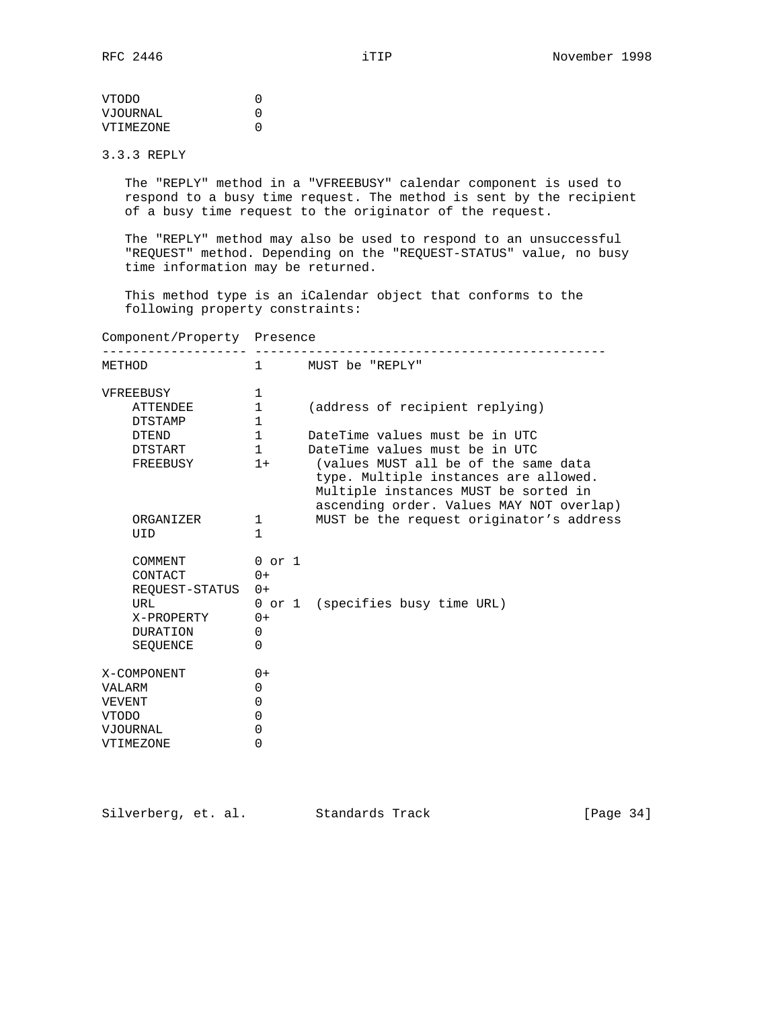VTODO 0 VJOURNAL 0 VTIMEZONE 0

3.3.3 REPLY

 The "REPLY" method in a "VFREEBUSY" calendar component is used to respond to a busy time request. The method is sent by the recipient of a busy time request to the originator of the request.

 The "REPLY" method may also be used to respond to an unsuccessful "REQUEST" method. Depending on the "REQUEST-STATUS" value, no busy time information may be returned.

 This method type is an iCalendar object that conforms to the following property constraints:

Component/Property Presence

| METHOD                                                                                   | $1 \quad$                                                  | MUST be "REPLY"                                                                                                                                                   |
|------------------------------------------------------------------------------------------|------------------------------------------------------------|-------------------------------------------------------------------------------------------------------------------------------------------------------------------|
| VFREEBUSY                                                                                | 1                                                          |                                                                                                                                                                   |
| ATTENDEE                                                                                 | 1                                                          | (address of recipient replying)                                                                                                                                   |
| DTSTAMP                                                                                  | $\mathbf{1}$                                               |                                                                                                                                                                   |
| <b>DTEND</b>                                                                             | $\mathbf{1}$                                               | DateTime values must be in UTC                                                                                                                                    |
| DTSTART                                                                                  | $\mathbf{1}$                                               | DateTime values must be in UTC                                                                                                                                    |
| FREEBUSY                                                                                 | $1+$                                                       | (values MUST all be of the same data<br>type. Multiple instances are allowed.<br>Multiple instances MUST be sorted in<br>ascending order. Values MAY NOT overlap) |
| ORGANIZER                                                                                | 1                                                          | MUST be the request originator's address                                                                                                                          |
| UID                                                                                      | 1                                                          |                                                                                                                                                                   |
| COMMENT<br>CONTACT<br>REOUEST-STATUS<br>URL<br>X-PROPERTY<br><b>DURATION</b><br>SEOUENCE | $0$ or $1$<br>$0+$<br>$0+$<br>$0+$<br>$\Omega$<br>$\Omega$ | 0 or 1 (specifies busy time URL)                                                                                                                                  |
| X-COMPONENT<br><b>VALARM</b>                                                             | $0+$<br>0                                                  |                                                                                                                                                                   |
| VEVENT                                                                                   | 0                                                          |                                                                                                                                                                   |
| <b>VTODO</b>                                                                             | $\Omega$                                                   |                                                                                                                                                                   |
| <b>VJOURNAL</b>                                                                          | $\Omega$                                                   |                                                                                                                                                                   |
| VTIMEZONE                                                                                | $\mathbf 0$                                                |                                                                                                                                                                   |

Silverberg, et. al. Standards Track [Page 34]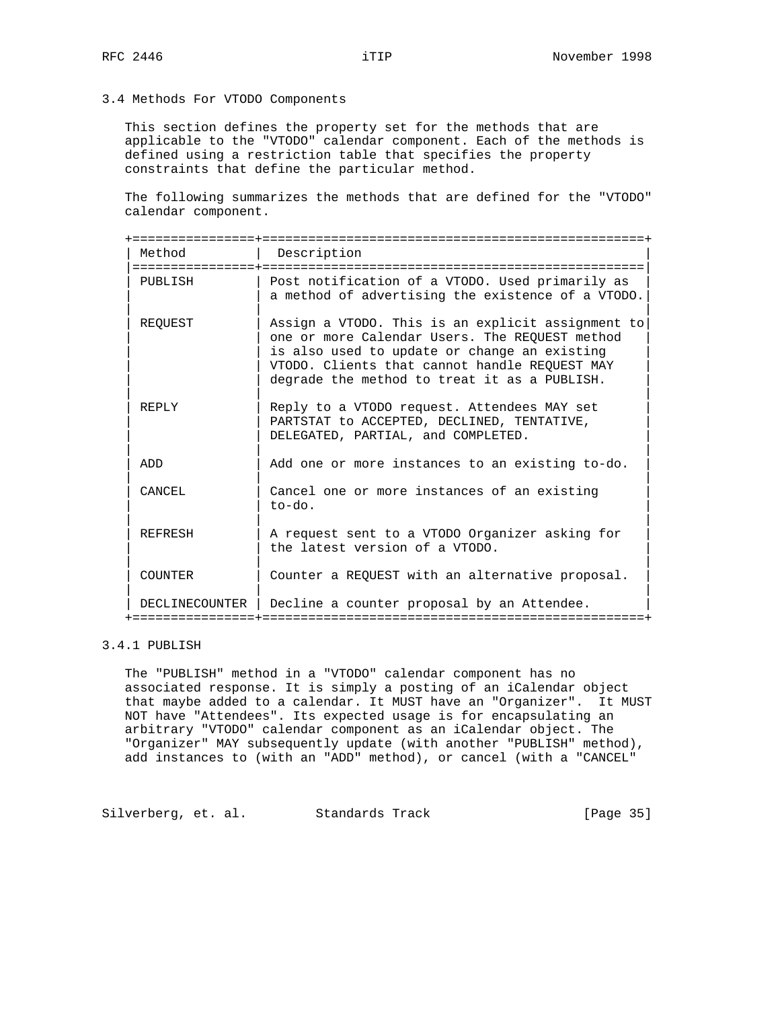3.4 Methods For VTODO Components

 This section defines the property set for the methods that are applicable to the "VTODO" calendar component. Each of the methods is defined using a restriction table that specifies the property constraints that define the particular method.

 The following summarizes the methods that are defined for the "VTODO" calendar component.

| Method         | Description<br>================                                                                                                                                                                                                                      |
|----------------|------------------------------------------------------------------------------------------------------------------------------------------------------------------------------------------------------------------------------------------------------|
| PUBLISH        | Post notification of a VTODO. Used primarily as<br>a method of advertising the existence of a VTODO.                                                                                                                                                 |
| REOUEST        | Assign a VTODO. This is an explicit assignment to<br>one or more Calendar Users. The REOUEST method<br>is also used to update or change an existing<br>VTODO. Clients that cannot handle REQUEST MAY<br>degrade the method to treat it as a PUBLISH. |
| REPLY          | Reply to a VTODO request. Attendees MAY set<br>PARTSTAT to ACCEPTED, DECLINED, TENTATIVE,<br>DELEGATED, PARTIAL, and COMPLETED.                                                                                                                      |
| ADD            | Add one or more instances to an existing to-do.                                                                                                                                                                                                      |
| CANCEL         | Cancel one or more instances of an existing<br>to-do.                                                                                                                                                                                                |
| <b>REFRESH</b> | A request sent to a VTODO Organizer asking for<br>the latest version of a VTODO.                                                                                                                                                                     |
| <b>COUNTER</b> | Counter a REQUEST with an alternative proposal.                                                                                                                                                                                                      |
| DECLINECOUNTER | Decline a counter proposal by an Attendee.                                                                                                                                                                                                           |

## 3.4.1 PUBLISH

 The "PUBLISH" method in a "VTODO" calendar component has no associated response. It is simply a posting of an iCalendar object that maybe added to a calendar. It MUST have an "Organizer". It MUST NOT have "Attendees". Its expected usage is for encapsulating an arbitrary "VTODO" calendar component as an iCalendar object. The "Organizer" MAY subsequently update (with another "PUBLISH" method), add instances to (with an "ADD" method), or cancel (with a "CANCEL"

Silverberg, et. al. Standards Track [Page 35]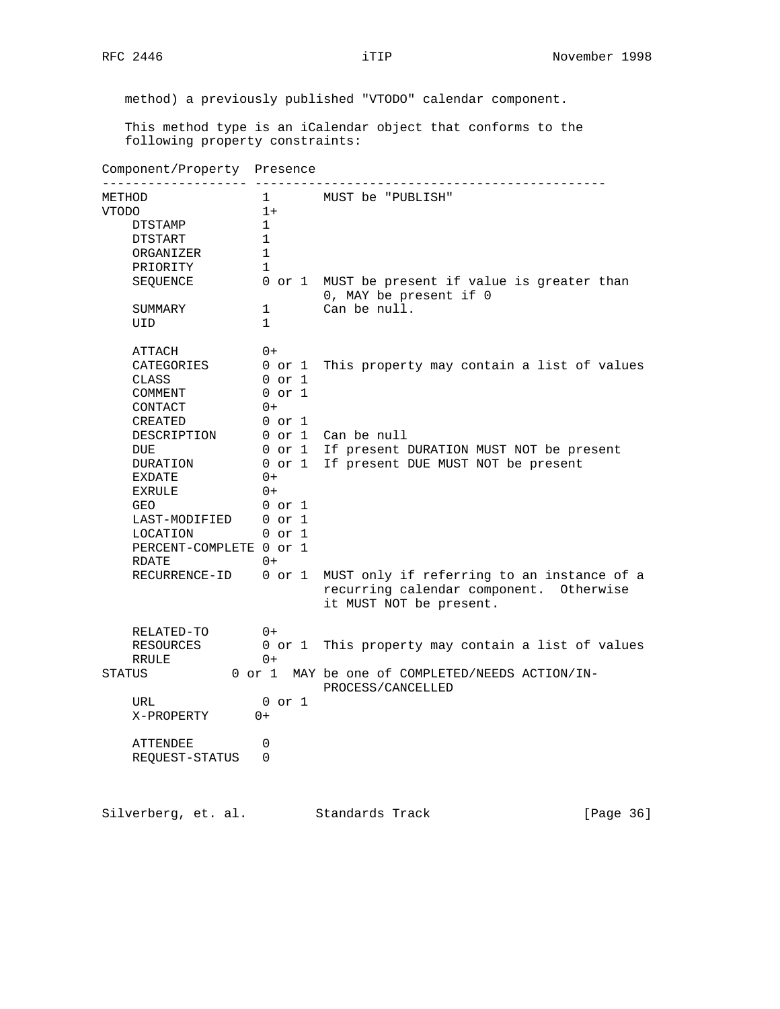method) a previously published "VTODO" calendar component.

 This method type is an iCalendar object that conforms to the following property constraints:

Component/Property Presence ------------------- ---------------------------------------------- METHOD 1 MUST be "PUBLISH" VTODO 1+ DTSTAMP 1 DTSTART 1 ORGANIZER 1 PRIORITY 1 SEQUENCE 0 or 1 MUST be present if value is greater than 0, MAY be present if 0 SUMMARY 1 Can be null. SUMMARY 1<br>UID 1 ATTACH 0+ ATTACH 0+<br>CATEGORIES 0 or 1 This property may contain a list of values<br>CLASS 0 or 1 CLASS 0 or 1 COMMENT 0 or 1 CONTACT 0+ CREATED 0 or 1 DESCRIPTION 0 or 1 Can be null DUE 0 or 1 If present DURATION MUST NOT be present DURATION 0 or 1 If present DUE MUST NOT be present EXDATE 0+ EXRULE 0+ GEO 0 or 1 LAST-MODIFIED 0 or 1 LAST-MODIFIED 0 or 1<br>LOCATION 0 or 1 PERCENT-COMPLETE 0 or 1  $R$ DATE  $0+$ RECURRENCE-ID 0 or 1 MUST only if referring to an instance of a recurring calendar component. Otherwise it MUST NOT be present. RELATED-TO 0+ RESOURCES 0 or 1 This property may contain a list of values RRULE 0+ STATUS 0 or 1 MAY be one of COMPLETED/NEEDS ACTION/IN- PROCESS/CANCELLED URL 0 or 1 X-PROPERTY 0+ ATTENDEE 0 REQUEST-STATUS 0 Silverberg, et. al. Standards Track [Page 36]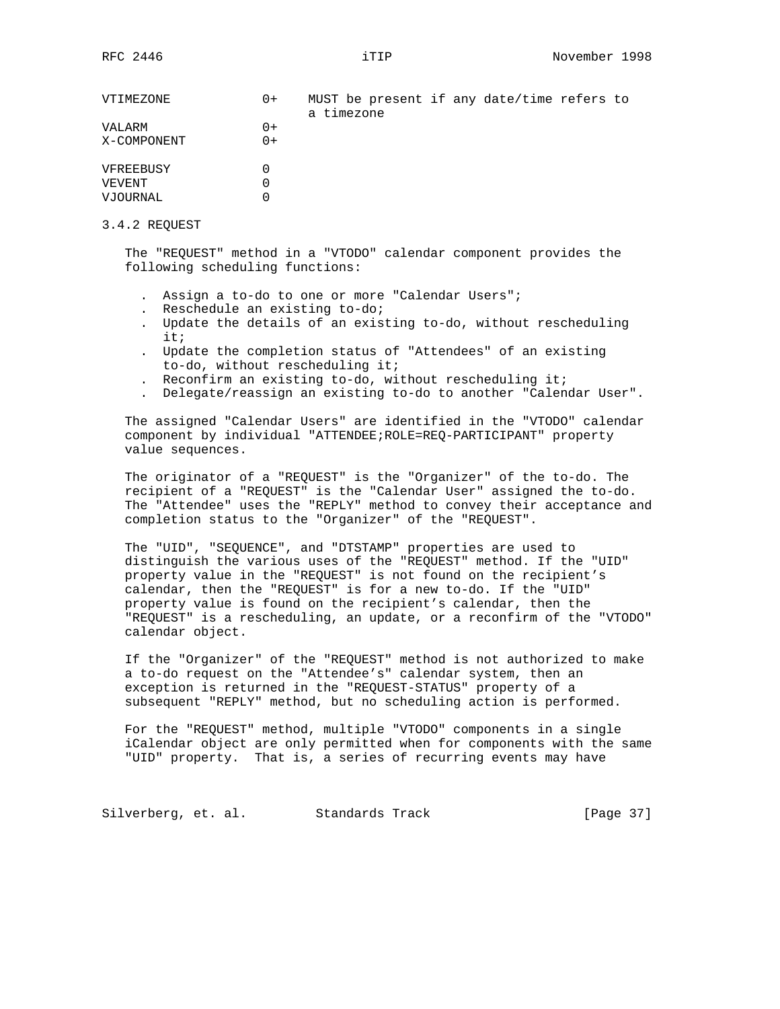| VTIMEZONE   | $0+$ | MUST be present if any date/time refers to<br>a timezone |  |  |  |
|-------------|------|----------------------------------------------------------|--|--|--|
| VALARM      | $0+$ |                                                          |  |  |  |
| X-COMPONENT | $0+$ |                                                          |  |  |  |
| VFREEBUSY   |      |                                                          |  |  |  |
| VEVENT      |      |                                                          |  |  |  |
| VJOURNAL    |      |                                                          |  |  |  |

#### 3.4.2 REQUEST

 The "REQUEST" method in a "VTODO" calendar component provides the following scheduling functions:

- . Assign a to-do to one or more "Calendar Users";
- . Reschedule an existing to-do;
- . Update the details of an existing to-do, without rescheduling it;
- . Update the completion status of "Attendees" of an existing to-do, without rescheduling it;
- . Reconfirm an existing to-do, without rescheduling it;
- . Delegate/reassign an existing to-do to another "Calendar User".

 The assigned "Calendar Users" are identified in the "VTODO" calendar component by individual "ATTENDEE;ROLE=REQ-PARTICIPANT" property value sequences.

 The originator of a "REQUEST" is the "Organizer" of the to-do. The recipient of a "REQUEST" is the "Calendar User" assigned the to-do. The "Attendee" uses the "REPLY" method to convey their acceptance and completion status to the "Organizer" of the "REQUEST".

 The "UID", "SEQUENCE", and "DTSTAMP" properties are used to distinguish the various uses of the "REQUEST" method. If the "UID" property value in the "REQUEST" is not found on the recipient's calendar, then the "REQUEST" is for a new to-do. If the "UID" property value is found on the recipient's calendar, then the "REQUEST" is a rescheduling, an update, or a reconfirm of the "VTODO" calendar object.

 If the "Organizer" of the "REQUEST" method is not authorized to make a to-do request on the "Attendee's" calendar system, then an exception is returned in the "REQUEST-STATUS" property of a subsequent "REPLY" method, but no scheduling action is performed.

 For the "REQUEST" method, multiple "VTODO" components in a single iCalendar object are only permitted when for components with the same "UID" property. That is, a series of recurring events may have

Silverberg, et. al. Standards Track [Page 37]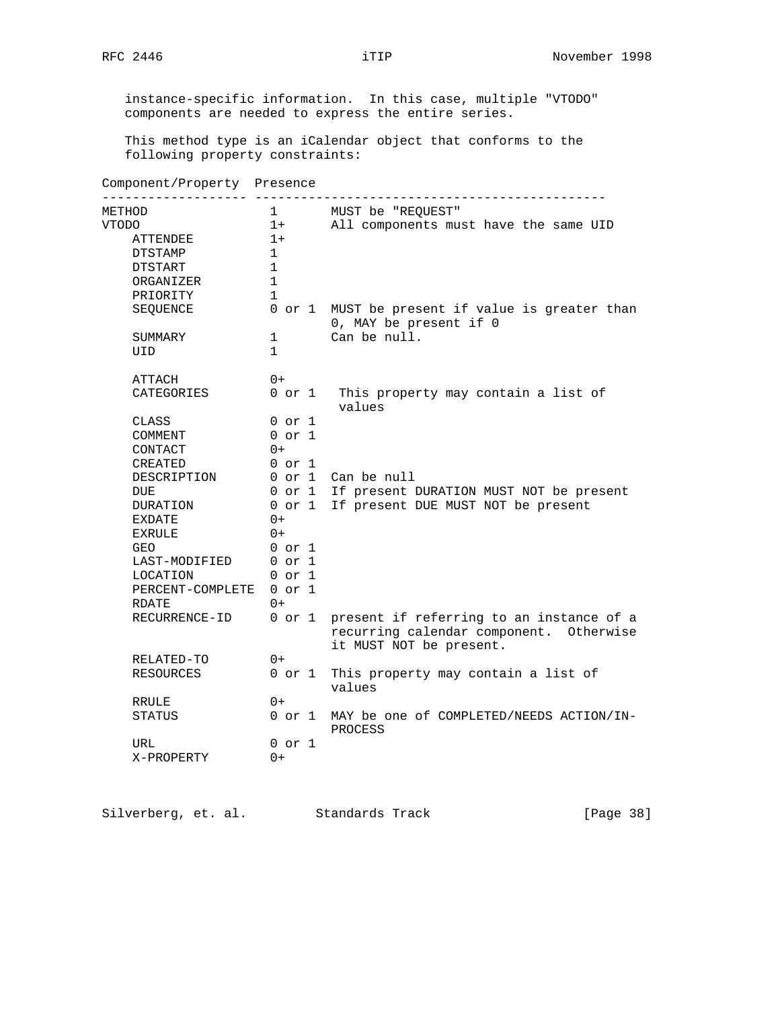instance-specific information. In this case, multiple "VTODO" components are needed to express the entire series.

 This method type is an iCalendar object that conforms to the following property constraints:

# Component/Property Presence

| -------- --------------- |              |                                                                                                                |
|--------------------------|--------------|----------------------------------------------------------------------------------------------------------------|
| METHOD                   |              | 1 MUST be "REOUEST"                                                                                            |
| VTODO                    | $1+$         | All components must have the same UID                                                                          |
| ATTENDEE                 | $1+$         |                                                                                                                |
| DTSTAMP                  | 1            |                                                                                                                |
| DTSTART                  | $\mathbf{1}$ |                                                                                                                |
| ORGANIZER                | 1            |                                                                                                                |
| PRIORITY                 | $\mathbf{1}$ |                                                                                                                |
| SEQUENCE                 |              | 0 or 1 MUST be present if value is greater than<br>0, MAY be present if 0                                      |
| SUMMARY                  | $\mathbf{1}$ | Can be null.                                                                                                   |
| UID                      | $\mathbf{1}$ |                                                                                                                |
| ATTACH                   | $0+$         |                                                                                                                |
| CATEGORIES               |              | 0 or 1 This property may contain a list of<br>values                                                           |
| CLASS                    | $0$ or $1$   |                                                                                                                |
| COMMENT                  | $0$ or $1$   |                                                                                                                |
| CONTACT                  | $0+$         |                                                                                                                |
| CREATED                  | 0 or 1       |                                                                                                                |
| DESCRIPTION              |              | 0 or 1 Can be null                                                                                             |
| DUE                      |              | 0 or 1 If present DURATION MUST NOT be present                                                                 |
| DURATION                 |              | 0 or 1 If present DUE MUST NOT be present                                                                      |
| EXDATE                   | $0+$         |                                                                                                                |
| EXRULE                   | $0+$         |                                                                                                                |
| GEO                      | $0$ or $1$   |                                                                                                                |
| LAST-MODIFIED 0 or 1     |              |                                                                                                                |
| LOCATION                 | 0 or 1       |                                                                                                                |
| PERCENT-COMPLETE 0 or 1  |              |                                                                                                                |
| RDATE                    | $0+$         |                                                                                                                |
| RECURRENCE-ID            | 0 or 1       | present if referring to an instance of a<br>recurring calendar component. Otherwise<br>it MUST NOT be present. |
| RELATED-TO               | $0+$         |                                                                                                                |
| RESOURCES                | 0 or 1       | This property may contain a list of<br>values                                                                  |
| RRULE                    | $0+$         |                                                                                                                |
| STATUS                   |              | 0 or 1 MAY be one of COMPLETED/NEEDS ACTION/IN-<br>PROCESS                                                     |
| URL                      | 0 or 1       |                                                                                                                |
| X-PROPERTY               | 0+           |                                                                                                                |

Silverberg, et. al. Standards Track [Page 38]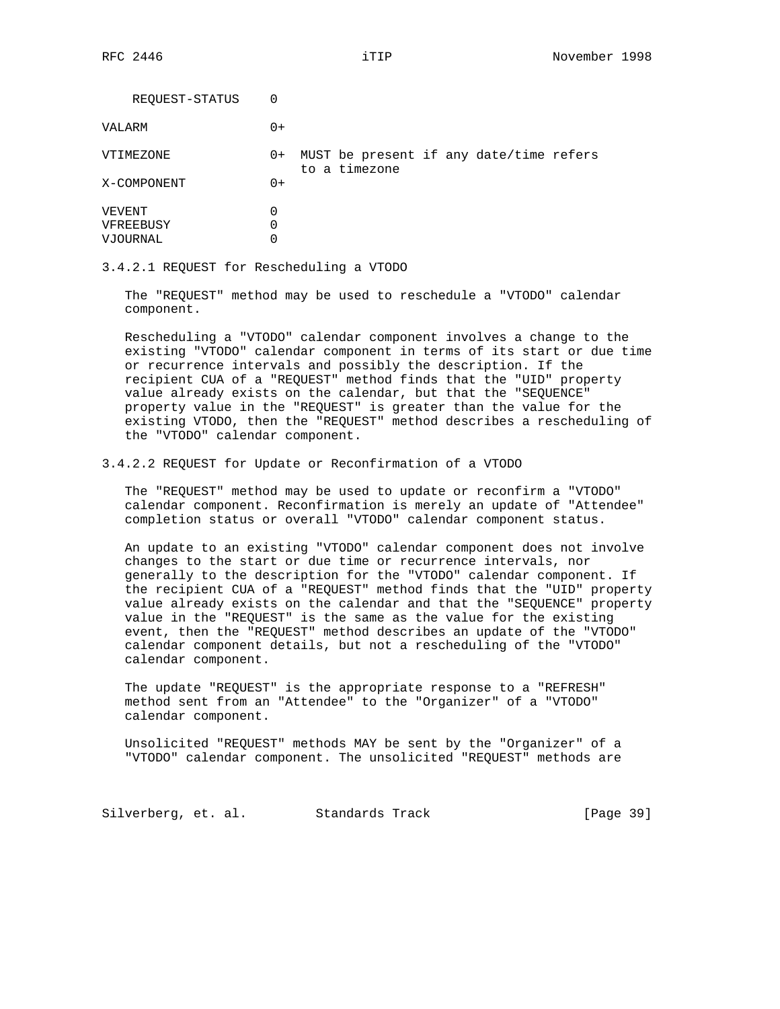| REQUEST-STATUS                  | 0           |                                                          |
|---------------------------------|-------------|----------------------------------------------------------|
| VALARM                          | $0+$        |                                                          |
| VTIMEZONE                       | $0+$        | MUST be present if any date/time refers<br>to a timezone |
| X-COMPONENT                     | $0+$        |                                                          |
| VEVENT<br>VFREEBUSY<br>VJOURNAL | 0<br>0<br>0 |                                                          |

3.4.2.1 REQUEST for Rescheduling a VTODO

 The "REQUEST" method may be used to reschedule a "VTODO" calendar component.

 Rescheduling a "VTODO" calendar component involves a change to the existing "VTODO" calendar component in terms of its start or due time or recurrence intervals and possibly the description. If the recipient CUA of a "REQUEST" method finds that the "UID" property value already exists on the calendar, but that the "SEQUENCE" property value in the "REQUEST" is greater than the value for the existing VTODO, then the "REQUEST" method describes a rescheduling of the "VTODO" calendar component.

#### 3.4.2.2 REQUEST for Update or Reconfirmation of a VTODO

 The "REQUEST" method may be used to update or reconfirm a "VTODO" calendar component. Reconfirmation is merely an update of "Attendee" completion status or overall "VTODO" calendar component status.

 An update to an existing "VTODO" calendar component does not involve changes to the start or due time or recurrence intervals, nor generally to the description for the "VTODO" calendar component. If the recipient CUA of a "REQUEST" method finds that the "UID" property value already exists on the calendar and that the "SEQUENCE" property value in the "REQUEST" is the same as the value for the existing event, then the "REQUEST" method describes an update of the "VTODO" calendar component details, but not a rescheduling of the "VTODO" calendar component.

 The update "REQUEST" is the appropriate response to a "REFRESH" method sent from an "Attendee" to the "Organizer" of a "VTODO" calendar component.

 Unsolicited "REQUEST" methods MAY be sent by the "Organizer" of a "VTODO" calendar component. The unsolicited "REQUEST" methods are

Silverberg, et. al. Standards Track [Page 39]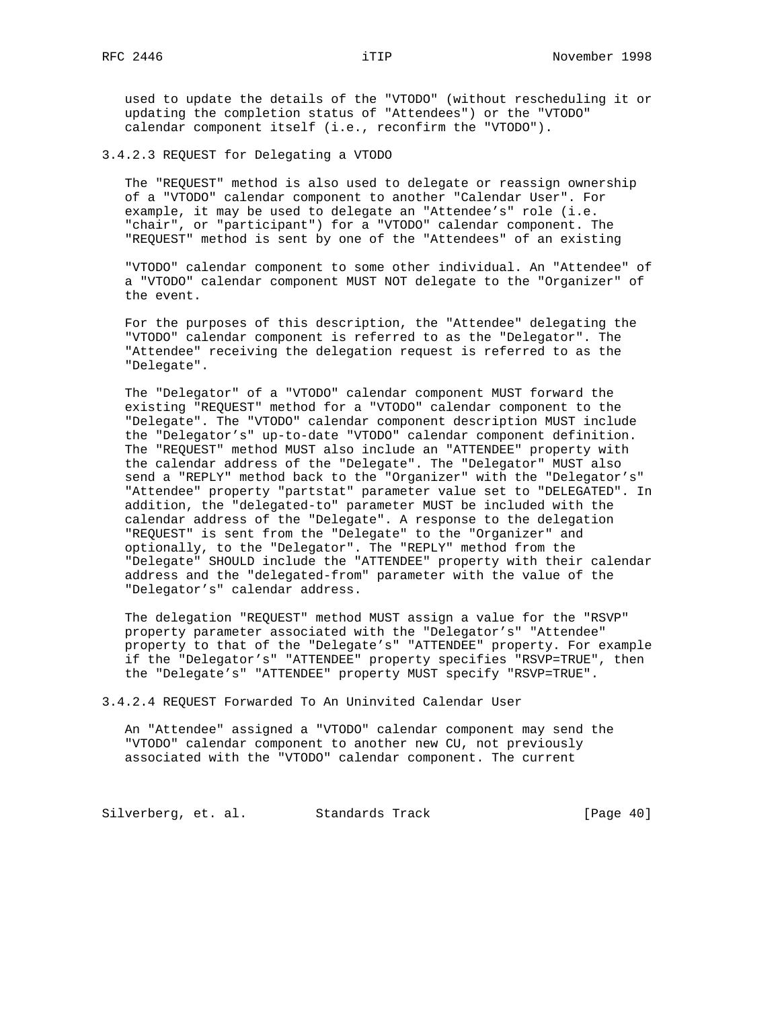used to update the details of the "VTODO" (without rescheduling it or updating the completion status of "Attendees") or the "VTODO" calendar component itself (i.e., reconfirm the "VTODO").

3.4.2.3 REQUEST for Delegating a VTODO

 The "REQUEST" method is also used to delegate or reassign ownership of a "VTODO" calendar component to another "Calendar User". For example, it may be used to delegate an "Attendee's" role (i.e. "chair", or "participant") for a "VTODO" calendar component. The "REQUEST" method is sent by one of the "Attendees" of an existing

 "VTODO" calendar component to some other individual. An "Attendee" of a "VTODO" calendar component MUST NOT delegate to the "Organizer" of the event.

 For the purposes of this description, the "Attendee" delegating the "VTODO" calendar component is referred to as the "Delegator". The "Attendee" receiving the delegation request is referred to as the "Delegate".

 The "Delegator" of a "VTODO" calendar component MUST forward the existing "REQUEST" method for a "VTODO" calendar component to the "Delegate". The "VTODO" calendar component description MUST include the "Delegator's" up-to-date "VTODO" calendar component definition. The "REQUEST" method MUST also include an "ATTENDEE" property with the calendar address of the "Delegate". The "Delegator" MUST also send a "REPLY" method back to the "Organizer" with the "Delegator's" "Attendee" property "partstat" parameter value set to "DELEGATED". In addition, the "delegated-to" parameter MUST be included with the calendar address of the "Delegate". A response to the delegation "REQUEST" is sent from the "Delegate" to the "Organizer" and optionally, to the "Delegator". The "REPLY" method from the "Delegate" SHOULD include the "ATTENDEE" property with their calendar address and the "delegated-from" parameter with the value of the "Delegator's" calendar address.

 The delegation "REQUEST" method MUST assign a value for the "RSVP" property parameter associated with the "Delegator's" "Attendee" property to that of the "Delegate's" "ATTENDEE" property. For example if the "Delegator's" "ATTENDEE" property specifies "RSVP=TRUE", then the "Delegate's" "ATTENDEE" property MUST specify "RSVP=TRUE".

3.4.2.4 REQUEST Forwarded To An Uninvited Calendar User

 An "Attendee" assigned a "VTODO" calendar component may send the "VTODO" calendar component to another new CU, not previously associated with the "VTODO" calendar component. The current

Silverberg, et. al. Standards Track [Page 40]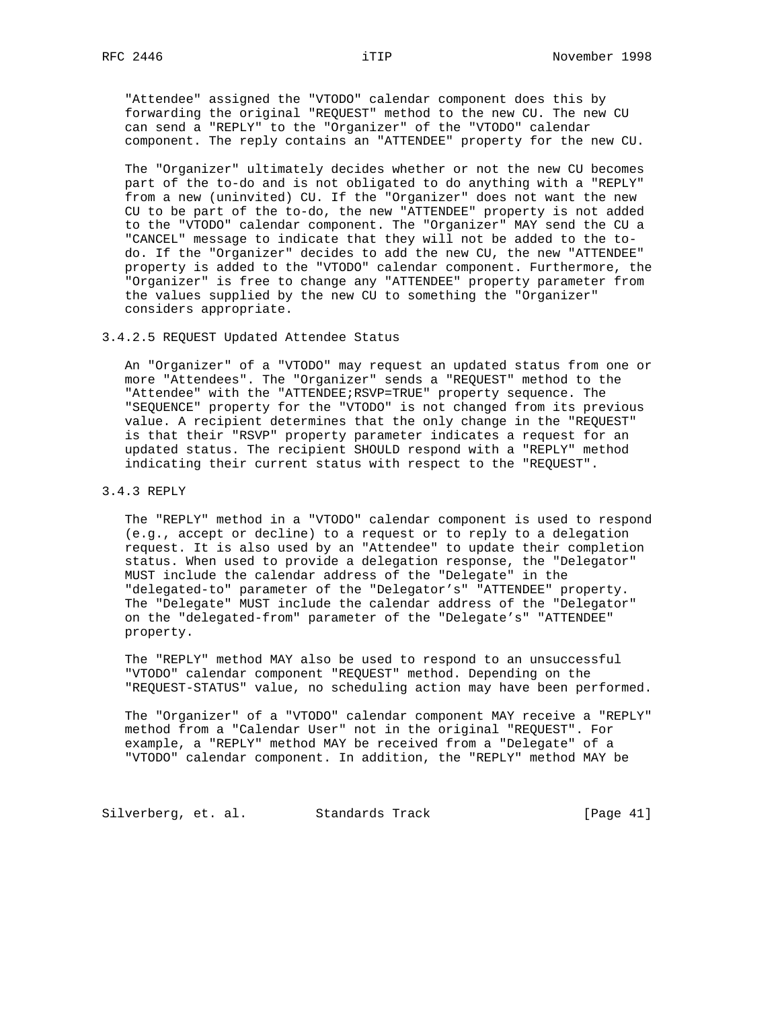"Attendee" assigned the "VTODO" calendar component does this by forwarding the original "REQUEST" method to the new CU. The new CU can send a "REPLY" to the "Organizer" of the "VTODO" calendar component. The reply contains an "ATTENDEE" property for the new CU.

 The "Organizer" ultimately decides whether or not the new CU becomes part of the to-do and is not obligated to do anything with a "REPLY" from a new (uninvited) CU. If the "Organizer" does not want the new CU to be part of the to-do, the new "ATTENDEE" property is not added to the "VTODO" calendar component. The "Organizer" MAY send the CU a "CANCEL" message to indicate that they will not be added to the to do. If the "Organizer" decides to add the new CU, the new "ATTENDEE" property is added to the "VTODO" calendar component. Furthermore, the "Organizer" is free to change any "ATTENDEE" property parameter from the values supplied by the new CU to something the "Organizer" considers appropriate.

#### 3.4.2.5 REQUEST Updated Attendee Status

 An "Organizer" of a "VTODO" may request an updated status from one or more "Attendees". The "Organizer" sends a "REQUEST" method to the "Attendee" with the "ATTENDEE;RSVP=TRUE" property sequence. The "SEQUENCE" property for the "VTODO" is not changed from its previous value. A recipient determines that the only change in the "REQUEST" is that their "RSVP" property parameter indicates a request for an updated status. The recipient SHOULD respond with a "REPLY" method indicating their current status with respect to the "REQUEST".

## 3.4.3 REPLY

 The "REPLY" method in a "VTODO" calendar component is used to respond (e.g., accept or decline) to a request or to reply to a delegation request. It is also used by an "Attendee" to update their completion status. When used to provide a delegation response, the "Delegator" MUST include the calendar address of the "Delegate" in the "delegated-to" parameter of the "Delegator's" "ATTENDEE" property. The "Delegate" MUST include the calendar address of the "Delegator" on the "delegated-from" parameter of the "Delegate's" "ATTENDEE" property.

 The "REPLY" method MAY also be used to respond to an unsuccessful "VTODO" calendar component "REQUEST" method. Depending on the "REQUEST-STATUS" value, no scheduling action may have been performed.

 The "Organizer" of a "VTODO" calendar component MAY receive a "REPLY" method from a "Calendar User" not in the original "REQUEST". For example, a "REPLY" method MAY be received from a "Delegate" of a "VTODO" calendar component. In addition, the "REPLY" method MAY be

Silverberg, et. al. Standards Track [Page 41]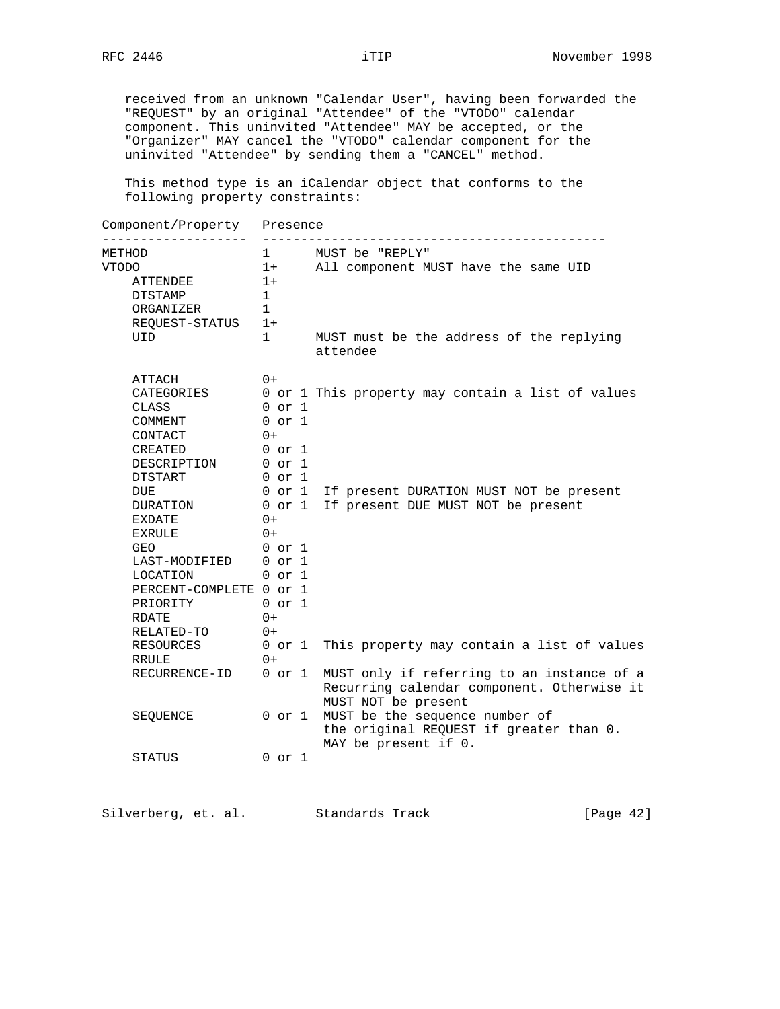received from an unknown "Calendar User", having been forwarded the "REQUEST" by an original "Attendee" of the "VTODO" calendar component. This uninvited "Attendee" MAY be accepted, or the "Organizer" MAY cancel the "VTODO" calendar component for the uninvited "Attendee" by sending them a "CANCEL" method.

 This method type is an iCalendar object that conforms to the following property constraints:

| Component/Property                                                                                                                                                                                                                              | Presence                                                                                                                                                                           |                                                                                                                                                   |  |  |
|-------------------------------------------------------------------------------------------------------------------------------------------------------------------------------------------------------------------------------------------------|------------------------------------------------------------------------------------------------------------------------------------------------------------------------------------|---------------------------------------------------------------------------------------------------------------------------------------------------|--|--|
| METHOD<br><b>VTODO</b><br>ATTENDEE<br>DTSTAMP<br>ORGANIZER<br>REQUEST-STATUS<br>UID                                                                                                                                                             | $\mathbf{1}$<br>1+<br>1+<br>$\mathbf 1$<br>1<br>$1+$<br>1                                                                                                                          | MUST be "REPLY"<br>All component MUST have the same UID<br>MUST must be the address of the replying<br>attendee                                   |  |  |
| ATTACH<br>CATEGORIES<br>CLASS<br>COMMENT<br>CONTACT<br><b>CREATED</b><br>DESCRIPTION<br><b>DTSTART</b><br>DUE<br>DURATION<br>EXDATE<br><b>EXRULE</b><br><b>GEO</b><br>LAST-MODIFIED<br>LOCATION<br>PERCENT-COMPLETE 0 or 1<br>PRIORITY<br>RDATE | $0+$<br>$0$ or $1$<br>$0$ or $1$<br>$0+$<br>0 or 1<br>$0$ or $1$<br>$0$ or $1$<br>0 or 1<br>0 or 1<br>$0+$<br>$0+$<br>$0$ or $1$<br>$0$ or $1$<br>$0$ or $1$<br>$0$ or $1$<br>$0+$ | 0 or 1 This property may contain a list of values<br>If present DURATION MUST NOT be present<br>If present DUE MUST NOT be present                |  |  |
| RELATED-TO<br>RESOURCES<br>RRULE                                                                                                                                                                                                                | $0+$<br>$0$ or $1$<br>$0+$                                                                                                                                                         | This property may contain a list of values                                                                                                        |  |  |
| RECURRENCE-ID<br>SEQUENCE                                                                                                                                                                                                                       | $0$ or $1$<br>0 or 1                                                                                                                                                               | MUST only if referring to an instance of a<br>Recurring calendar component. Otherwise it<br>MUST NOT be present<br>MUST be the sequence number of |  |  |
| STATUS                                                                                                                                                                                                                                          | $0$ or $1$                                                                                                                                                                         | the original REQUEST if greater than 0.<br>MAY be present if 0.                                                                                   |  |  |

Silverberg, et. al. Standards Track [Page 42]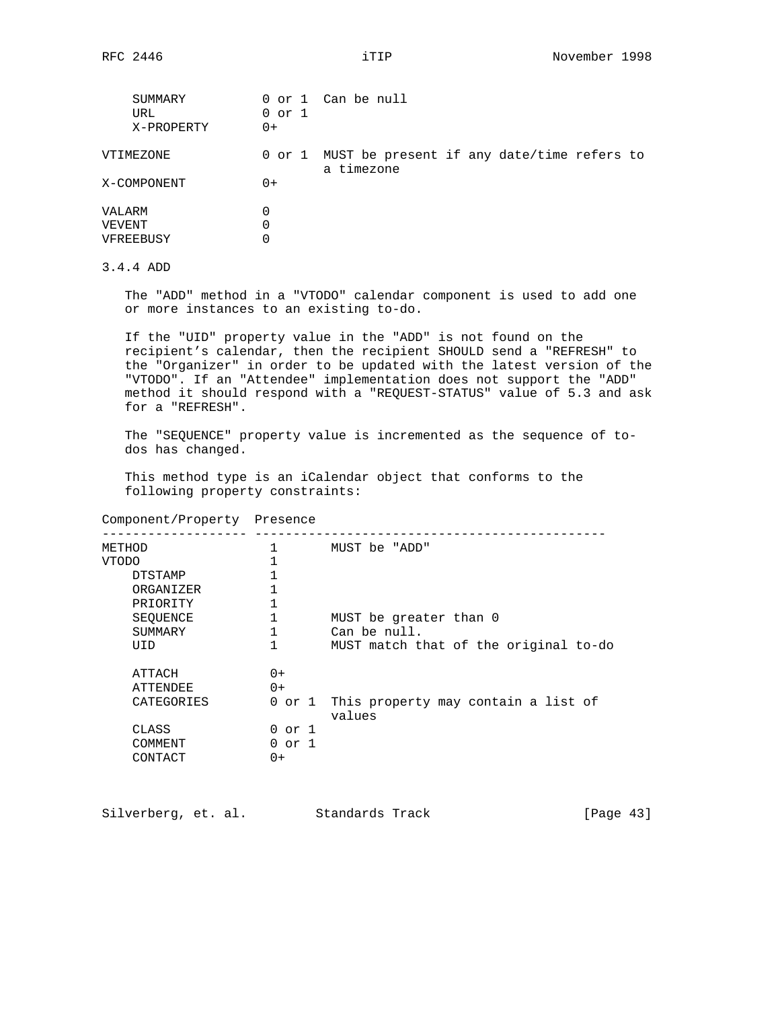| SUMMARY<br>URL<br>X-PROPERTY | $0$ or $1$<br>$0+$ | 0 or 1 Can be null                                              |
|------------------------------|--------------------|-----------------------------------------------------------------|
| VTIMEZONE                    |                    | 0 or 1 MUST be present if any date/time refers to<br>a timezone |
| X-COMPONENT                  | $0+$               |                                                                 |
| VALARM                       | 0                  |                                                                 |
| VEVENT                       | 0                  |                                                                 |
| VFREEBUSY                    | 0                  |                                                                 |

# 3.4.4 ADD

 The "ADD" method in a "VTODO" calendar component is used to add one or more instances to an existing to-do.

 If the "UID" property value in the "ADD" is not found on the recipient's calendar, then the recipient SHOULD send a "REFRESH" to the "Organizer" in order to be updated with the latest version of the "VTODO". If an "Attendee" implementation does not support the "ADD" method it should respond with a "REQUEST-STATUS" value of 5.3 and ask for a "REFRESH".

 The "SEQUENCE" property value is incremented as the sequence of to dos has changed.

 This method type is an iCalendar object that conforms to the following property constraints:

## Component/Property Presence

| METHOD     |            | MUST be "ADD"                                 |
|------------|------------|-----------------------------------------------|
| VTODO      |            |                                               |
| DTSTAMP    |            |                                               |
| ORGANIZER  |            |                                               |
| PRIORITY   |            |                                               |
| SEQUENCE   |            | MUST be greater than 0                        |
| SUMMARY    |            | Can be null.                                  |
| UID        |            | MUST match that of the original to-do         |
| ATTACH     | $0+$       |                                               |
| ATTENDEE   | $() +$     |                                               |
| CATEGORIES | 0 or 1     | This property may contain a list of<br>values |
| CLASS      | $0$ or $1$ |                                               |
| COMMENT    | $0$ or $1$ |                                               |
| CONTACT    | $0+$       |                                               |

| Silverberg, et. al. |  | Standards Track | [Page $43$ ] |
|---------------------|--|-----------------|--------------|
|---------------------|--|-----------------|--------------|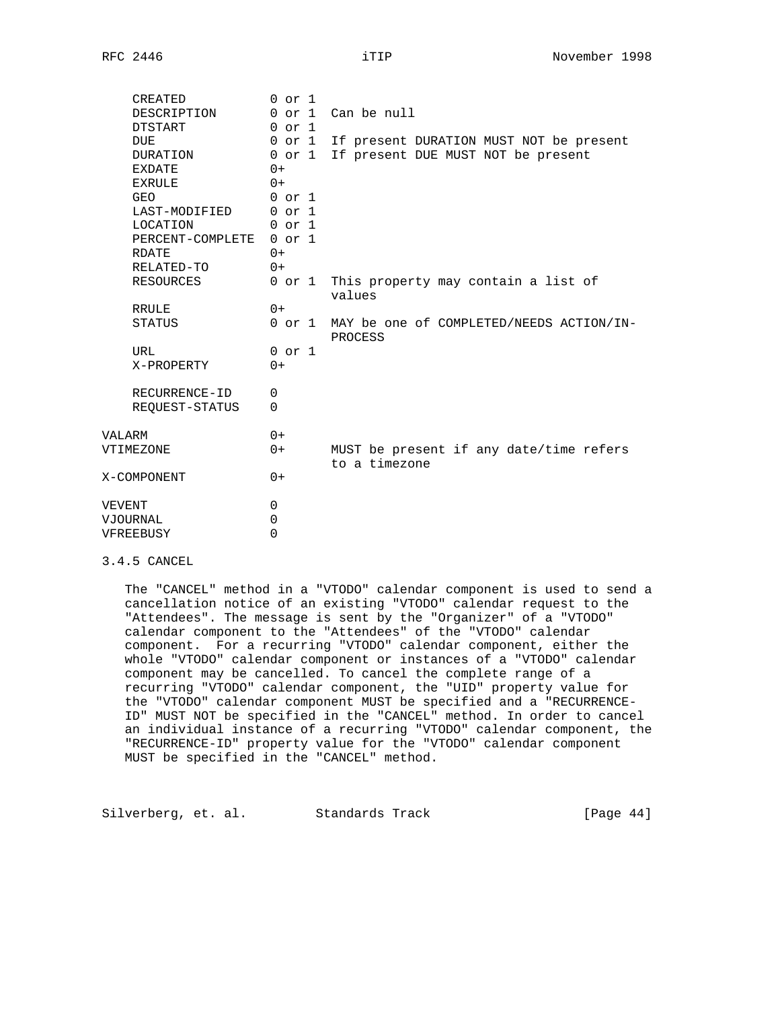| CREATED                 | $0$ or $1$ |                                                            |
|-------------------------|------------|------------------------------------------------------------|
| DESCRIPTION             |            | 0 or 1 Can be null                                         |
| DTSTART                 | $0$ or $1$ |                                                            |
| <b>DUE</b>              | 0 or 1     | If present DURATION MUST NOT be present                    |
| DURATION                | 0 or 1     | If present DUE MUST NOT be present                         |
| EXDATE                  | $0+$       |                                                            |
| EXRULE                  | $0+$       |                                                            |
| <b>GEO</b>              | $0$ or $1$ |                                                            |
| LAST-MODIFIED 0 or 1    |            |                                                            |
| LOCATION                | 0 or 1     |                                                            |
| PERCENT-COMPLETE 0 or 1 |            |                                                            |
| RDATE                   | $() +$     |                                                            |
| RELATED-TO              | $0+$       |                                                            |
| RESOURCES               |            | 0 or 1 This property may contain a list of<br>values       |
| RRULE                   | $0+$       |                                                            |
| STATUS                  |            | 0 or 1 MAY be one of COMPLETED/NEEDS ACTION/IN-<br>PROCESS |
| URL                     | $0$ or $1$ |                                                            |
| X-PROPERTY              | $0+$       |                                                            |
| RECURRENCE-ID           | $\Omega$   |                                                            |
| REQUEST-STATUS          | $\Omega$   |                                                            |
| VALARM                  | $0+$       |                                                            |
| VTIMEZONE               | $0+$       | MUST be present if any date/time refers<br>to a timezone   |
| X-COMPONENT             | $0+$       |                                                            |
| VEVENT                  | 0          |                                                            |
| VJOURNAL                | $\Omega$   |                                                            |
| VFREEBUSY               | $\Omega$   |                                                            |
|                         |            |                                                            |

#### 3.4.5 CANCEL

 The "CANCEL" method in a "VTODO" calendar component is used to send a cancellation notice of an existing "VTODO" calendar request to the "Attendees". The message is sent by the "Organizer" of a "VTODO" calendar component to the "Attendees" of the "VTODO" calendar component. For a recurring "VTODO" calendar component, either the whole "VTODO" calendar component or instances of a "VTODO" calendar component may be cancelled. To cancel the complete range of a recurring "VTODO" calendar component, the "UID" property value for the "VTODO" calendar component MUST be specified and a "RECURRENCE- ID" MUST NOT be specified in the "CANCEL" method. In order to cancel an individual instance of a recurring "VTODO" calendar component, the "RECURRENCE-ID" property value for the "VTODO" calendar component MUST be specified in the "CANCEL" method.

Silverberg, et. al. Standards Track [Page 44]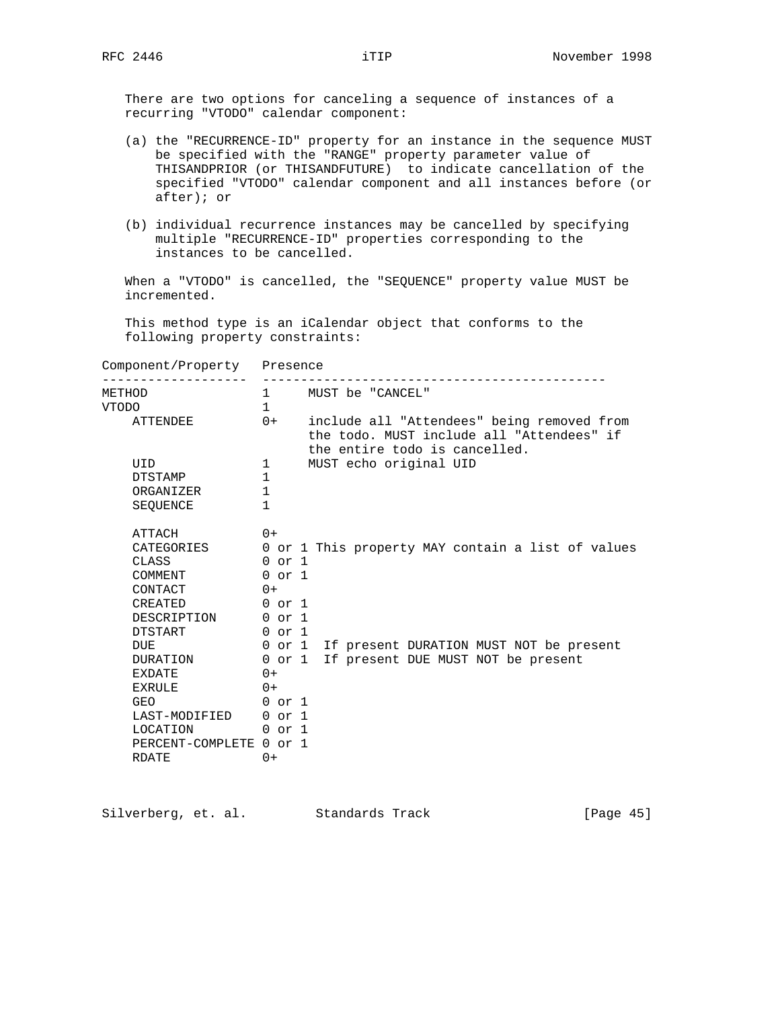There are two options for canceling a sequence of instances of a recurring "VTODO" calendar component:

- (a) the "RECURRENCE-ID" property for an instance in the sequence MUST be specified with the "RANGE" property parameter value of THISANDPRIOR (or THISANDFUTURE) to indicate cancellation of the specified "VTODO" calendar component and all instances before (or after); or
- (b) individual recurrence instances may be cancelled by specifying multiple "RECURRENCE-ID" properties corresponding to the instances to be cancelled.

 When a "VTODO" is cancelled, the "SEQUENCE" property value MUST be incremented.

 This method type is an iCalendar object that conforms to the following property constraints:

| Component/Property Presence   |              |                                                                                                                          |  |
|-------------------------------|--------------|--------------------------------------------------------------------------------------------------------------------------|--|
| METHOD<br><b>VTODO</b>        | $\mathbf{1}$ | 1 MUST be "CANCEL"                                                                                                       |  |
| ATTENDEE                      | $0+$         | include all "Attendees" being removed from<br>the todo. MUST include all "Attendees" if<br>the entire todo is cancelled. |  |
| UID                           | $1 \quad$    | MUST echo original UID                                                                                                   |  |
| <b>DTSTAMP</b>                | 1            |                                                                                                                          |  |
| ORGANIZER                     | $\mathbf{1}$ |                                                                                                                          |  |
| SEOUENCE                      | $\mathbf{1}$ |                                                                                                                          |  |
| ATTACH                        | $() +$       |                                                                                                                          |  |
| CATEGORIES                    |              | 0 or 1 This property MAY contain a list of values                                                                        |  |
| CLASS                         | $0$ or $1$   |                                                                                                                          |  |
| COMMENT                       | $0$ or $1$   |                                                                                                                          |  |
| CONTACT                       | $0+$         |                                                                                                                          |  |
| CREATED 0 or 1                |              |                                                                                                                          |  |
| DESCRIPTION 0 or 1            |              |                                                                                                                          |  |
| DTSTART                       | 0 or 1       |                                                                                                                          |  |
| <b>DUE</b>                    |              | 0 or 1 If present DURATION MUST NOT be present                                                                           |  |
| DURATION                      |              | 0 or 1 If present DUE MUST NOT be present                                                                                |  |
| <b>EXDATE</b>                 | $() +$       |                                                                                                                          |  |
| EXRULE                        | $0+$         |                                                                                                                          |  |
| 0 or 1<br>GEO                 |              |                                                                                                                          |  |
| LAST-MODIFIED 0 or 1          |              |                                                                                                                          |  |
| LOCATION<br>$0 \text{ or } 1$ |              |                                                                                                                          |  |
| PERCENT-COMPLETE 0 or 1       |              |                                                                                                                          |  |
| <b>RDATE</b>                  | $0+$         |                                                                                                                          |  |

| Silverberg, et. al. | Standards Track | [Page $45$ ] |
|---------------------|-----------------|--------------|
|---------------------|-----------------|--------------|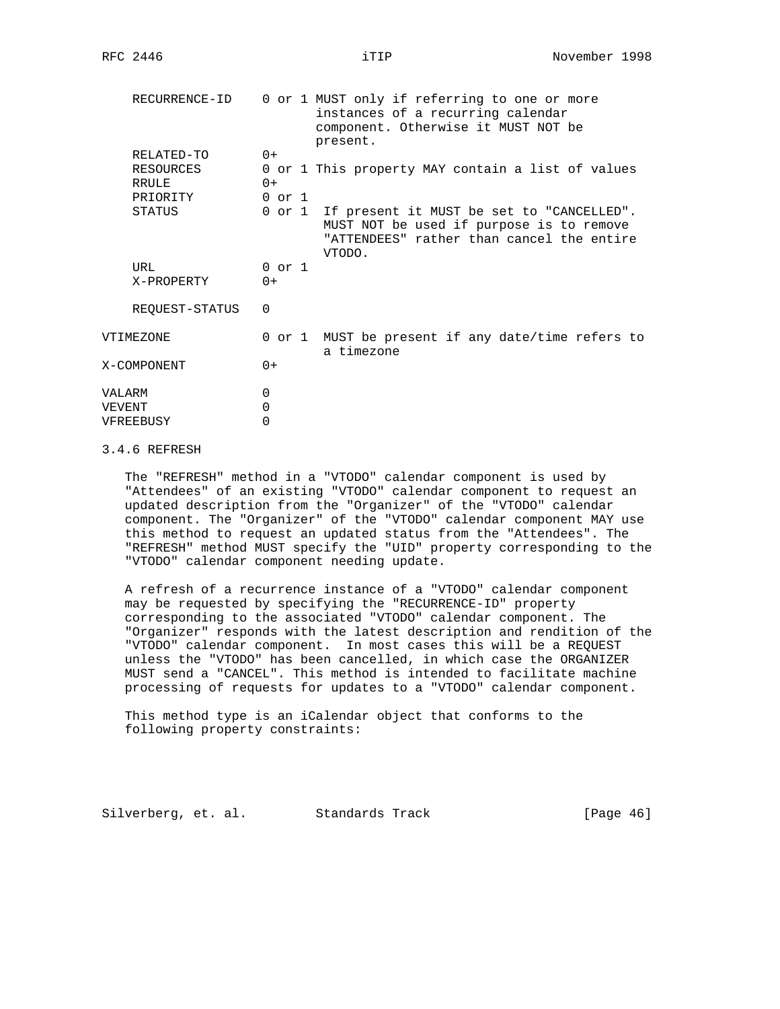|        | RECURRENCE-ID  |            | 0 or 1 MUST only if referring to one or more<br>instances of a recurring calendar<br>component. Otherwise it MUST NOT be<br>present.                |
|--------|----------------|------------|-----------------------------------------------------------------------------------------------------------------------------------------------------|
|        | RELATED-TO     | $0+$       |                                                                                                                                                     |
|        | RESOURCES      |            | 0 or 1 This property MAY contain a list of values                                                                                                   |
|        | RRULE          | $0+$       |                                                                                                                                                     |
|        | PRIORITY       | $0$ or $1$ |                                                                                                                                                     |
|        | STATUS         |            | 0 or 1 If present it MUST be set to "CANCELLED".<br>MUST NOT be used if purpose is to remove<br>"ATTENDEES" rather than cancel the entire<br>VTODO. |
|        | URL            | $0$ or $1$ |                                                                                                                                                     |
|        | X-PROPERTY     | $0+$       |                                                                                                                                                     |
|        | REQUEST-STATUS | 0          |                                                                                                                                                     |
|        | VTIMEZONE      |            | 0 or 1 MUST be present if any date/time refers to<br>a timezone                                                                                     |
|        | X-COMPONENT    | $0+$       |                                                                                                                                                     |
| VALARM |                | 0          |                                                                                                                                                     |
| VEVENT |                | 0          |                                                                                                                                                     |
|        | VFREEBUSY      | 0          |                                                                                                                                                     |
|        |                |            |                                                                                                                                                     |

### 3.4.6 REFRESH

 The "REFRESH" method in a "VTODO" calendar component is used by "Attendees" of an existing "VTODO" calendar component to request an updated description from the "Organizer" of the "VTODO" calendar component. The "Organizer" of the "VTODO" calendar component MAY use this method to request an updated status from the "Attendees". The "REFRESH" method MUST specify the "UID" property corresponding to the "VTODO" calendar component needing update.

 A refresh of a recurrence instance of a "VTODO" calendar component may be requested by specifying the "RECURRENCE-ID" property corresponding to the associated "VTODO" calendar component. The "Organizer" responds with the latest description and rendition of the "VTODO" calendar component. In most cases this will be a REQUEST unless the "VTODO" has been cancelled, in which case the ORGANIZER MUST send a "CANCEL". This method is intended to facilitate machine processing of requests for updates to a "VTODO" calendar component.

 This method type is an iCalendar object that conforms to the following property constraints:

Silverberg, et. al. Standards Track [Page 46]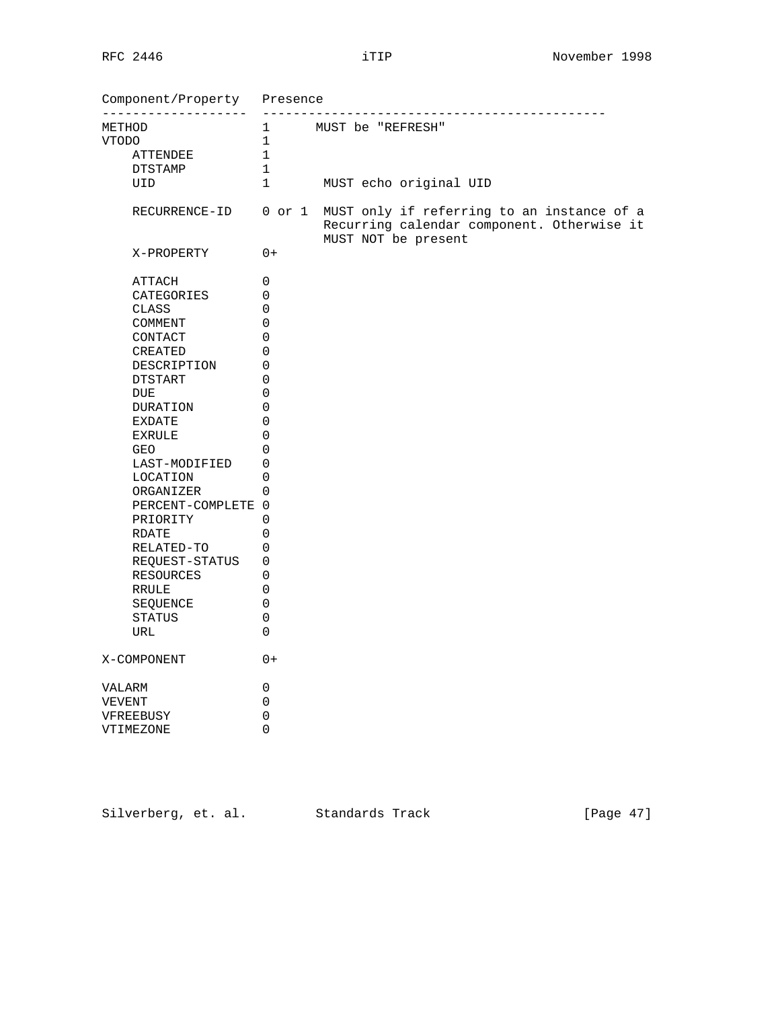| Component/Property Presence     |                                      |                                                                                                                                      |  |  |
|---------------------------------|--------------------------------------|--------------------------------------------------------------------------------------------------------------------------------------|--|--|
| ---------------------<br>METHOD | -------------<br>1 MUST be "REFRESH" |                                                                                                                                      |  |  |
| VTODO                           | $\mathbf{1}$                         |                                                                                                                                      |  |  |
| ATTENDEE                        | $\mathbf 1$                          |                                                                                                                                      |  |  |
| DTSTAMP                         | $\mathbf{1}$                         |                                                                                                                                      |  |  |
| UID                             | $\mathbf{1}$                         | MUST echo original UID                                                                                                               |  |  |
|                                 |                                      | RECURRENCE-ID 0 or 1 MUST only if referring to an instance of a<br>Recurring calendar component. Otherwise it<br>MUST NOT be present |  |  |
| X-PROPERTY                      | $0+$                                 |                                                                                                                                      |  |  |
| ATTACH                          | 0                                    |                                                                                                                                      |  |  |
| CATEGORIES                      | 0                                    |                                                                                                                                      |  |  |
| CLASS                           | 0                                    |                                                                                                                                      |  |  |
| COMMENT                         | $\mathbf 0$                          |                                                                                                                                      |  |  |
| CONTACT                         | $\Omega$                             |                                                                                                                                      |  |  |
| CREATED                         | 0                                    |                                                                                                                                      |  |  |
| DESCRIPTION                     | 0                                    |                                                                                                                                      |  |  |
| DTSTART                         | $\mathbf 0$                          |                                                                                                                                      |  |  |
| <b>DUE</b>                      | $\mathbf 0$                          |                                                                                                                                      |  |  |
| DURATION                        | 0                                    |                                                                                                                                      |  |  |
| EXDATE                          | $\mathbf 0$                          |                                                                                                                                      |  |  |
| EXRULE                          | $\mathbf 0$                          |                                                                                                                                      |  |  |
| <b>GEO</b>                      | $\Omega$                             |                                                                                                                                      |  |  |
| LAST-MODIFIED                   | 0                                    |                                                                                                                                      |  |  |
| LOCATION                        | 0                                    |                                                                                                                                      |  |  |
| ORGANIZER                       | 0                                    |                                                                                                                                      |  |  |
| PERCENT-COMPLETE 0              |                                      |                                                                                                                                      |  |  |
| PRIORITY                        | $\Omega$                             |                                                                                                                                      |  |  |
| RDATE                           | 0                                    |                                                                                                                                      |  |  |
| RELATED-TO                      | $\mathbf 0$                          |                                                                                                                                      |  |  |
| REQUEST-STATUS                  | 0                                    |                                                                                                                                      |  |  |
| RESOURCES                       | 0                                    |                                                                                                                                      |  |  |
| RRULE                           | 0                                    |                                                                                                                                      |  |  |
| SEQUENCE                        | 0                                    |                                                                                                                                      |  |  |
| STATUS                          | 0                                    |                                                                                                                                      |  |  |
| URL                             | $\Omega$                             |                                                                                                                                      |  |  |
| X-COMPONENT                     | $0+$                                 |                                                                                                                                      |  |  |
| VALARM                          | 0                                    |                                                                                                                                      |  |  |
| VEVENT                          | 0                                    |                                                                                                                                      |  |  |
| VFREEBUSY                       | $\mathsf{O}\xspace$                  |                                                                                                                                      |  |  |
| VTIMEZONE                       | 0                                    |                                                                                                                                      |  |  |

Silverberg, et. al. Standards Track [Page 47]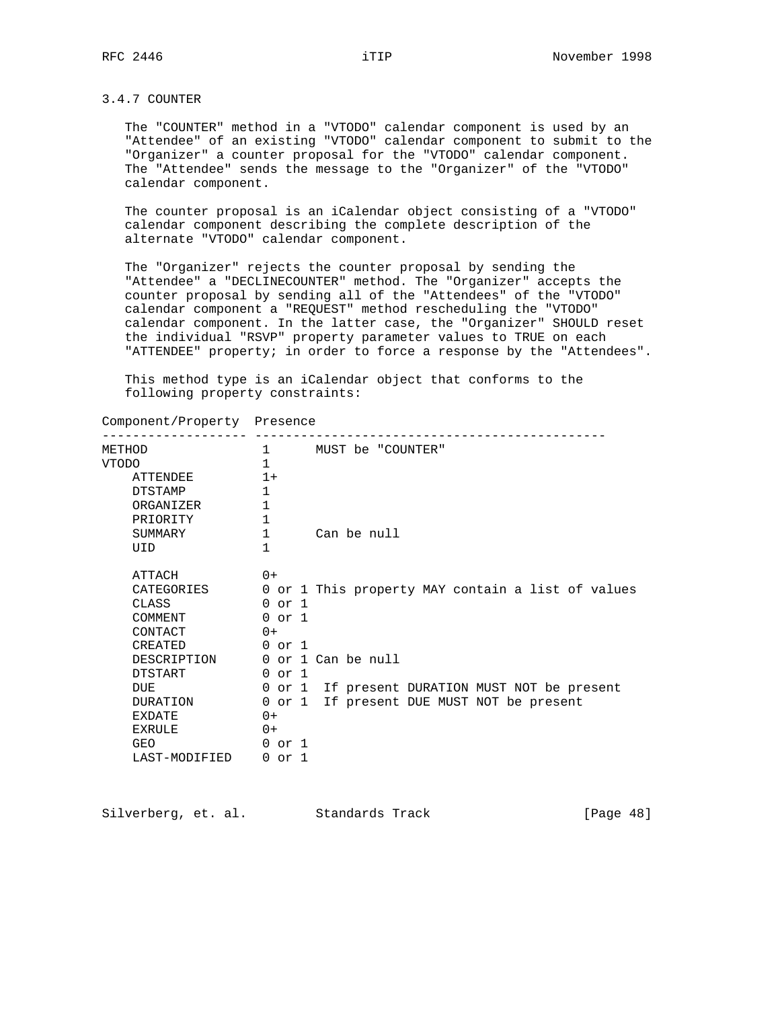## 3.4.7 COUNTER

 The "COUNTER" method in a "VTODO" calendar component is used by an "Attendee" of an existing "VTODO" calendar component to submit to the "Organizer" a counter proposal for the "VTODO" calendar component. The "Attendee" sends the message to the "Organizer" of the "VTODO" calendar component.

 The counter proposal is an iCalendar object consisting of a "VTODO" calendar component describing the complete description of the alternate "VTODO" calendar component.

 The "Organizer" rejects the counter proposal by sending the "Attendee" a "DECLINECOUNTER" method. The "Organizer" accepts the counter proposal by sending all of the "Attendees" of the "VTODO" calendar component a "REQUEST" method rescheduling the "VTODO" calendar component. In the latter case, the "Organizer" SHOULD reset the individual "RSVP" property parameter values to TRUE on each "ATTENDEE" property; in order to force a response by the "Attendees".

 This method type is an iCalendar object that conforms to the following property constraints:

| Component/Property | Presence |
|--------------------|----------|
|--------------------|----------|

| METHOD         | $\mathbf{1}$ | MUST be "COUNTER"                                 |
|----------------|--------------|---------------------------------------------------|
| <b>VTODO</b>   | $\mathbf{1}$ |                                                   |
| ATTENDEE       | $1+$         |                                                   |
| <b>DTSTAMP</b> | $\mathbf{1}$ |                                                   |
| ORGANIZER      | $\mathbf{1}$ |                                                   |
| PRIORITY       | $\mathbf 1$  |                                                   |
| SUMMARY        | $\mathbf{1}$ | Can be null                                       |
| UID            | $\mathbf{1}$ |                                                   |
| ATTACH         | $() +$       |                                                   |
| CATEGORIES     |              | 0 or 1 This property MAY contain a list of values |
| CLASS          | $0$ or $1$   |                                                   |
| COMMENT        | $0$ or $1$   |                                                   |
| CONTACT        | $() +$       |                                                   |
| <b>CREATED</b> | $0$ or $1$   |                                                   |
| DESCRIPTION    |              | 0 or 1 Can be null                                |
| <b>DTSTART</b> | $0$ or $1$   |                                                   |
| <b>DUE</b>     |              | 0 or 1 If present DURATION MUST NOT be present    |
| DURATION       |              | 0 or 1 If present DUE MUST NOT be present         |
| EXDATE         | $0+$         |                                                   |
| <b>EXRULE</b>  | $0+$         |                                                   |
| GEO            | 0 or 1       |                                                   |
| LAST-MODIFIED  | 0 or 1       |                                                   |

Silverberg, et. al. Standards Track [Page 48]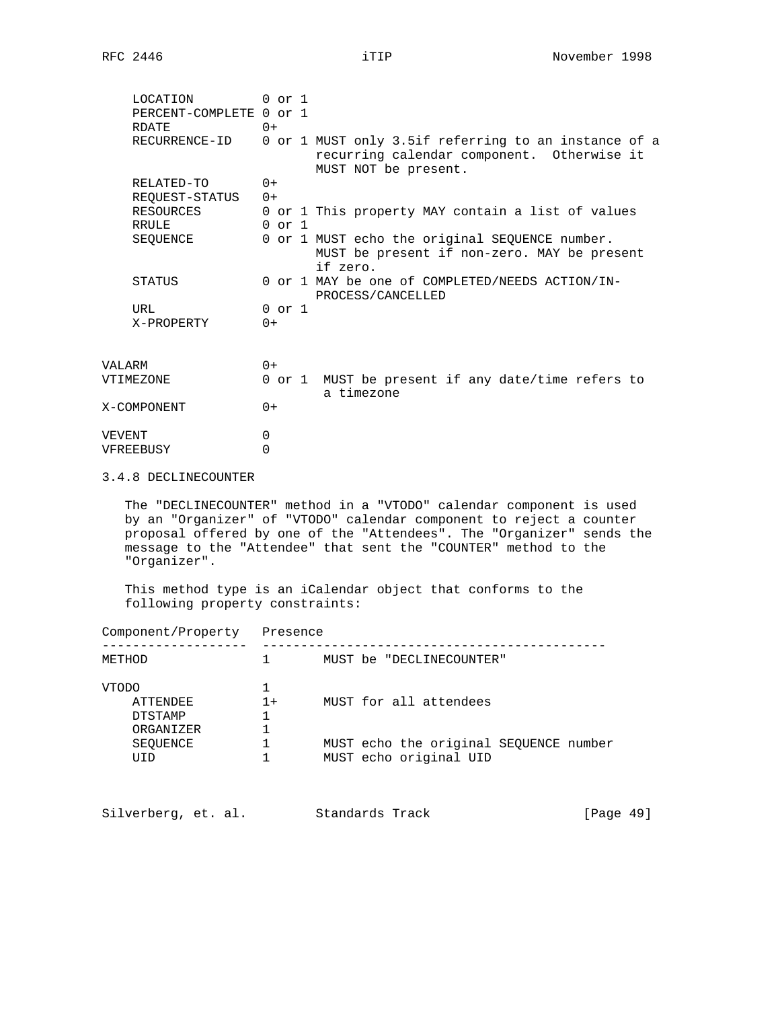|        | LOCATION<br>PERCENT-COMPLETE 0 or 1<br>RDATE | $0$ or $1$<br>$0+$ |                                                                                                                            |
|--------|----------------------------------------------|--------------------|----------------------------------------------------------------------------------------------------------------------------|
|        | RECURRENCE-ID                                |                    | 0 or 1 MUST only 3.5if referring to an instance of a<br>recurring calendar component. Otherwise it<br>MUST NOT be present. |
|        | RELATED-TO                                   | $0+$               |                                                                                                                            |
|        | REQUEST-STATUS                               | $0+$               |                                                                                                                            |
|        | RESOURCES                                    |                    | 0 or 1 This property MAY contain a list of values                                                                          |
|        | RRULE                                        | $0 \text{ or } 1$  |                                                                                                                            |
|        | SEQUENCE                                     |                    | 0 or 1 MUST echo the original SEQUENCE number.<br>MUST be present if non-zero. MAY be present<br>if zero.                  |
|        | STATUS                                       |                    | 0 or 1 MAY be one of COMPLETED/NEEDS ACTION/IN-<br>PROCESS/CANCELLED                                                       |
|        | URL                                          | $0$ or $1$         |                                                                                                                            |
|        | X-PROPERTY                                   | $0+$               |                                                                                                                            |
| VALARM |                                              | $() +$             |                                                                                                                            |
|        | VTIMEZONE                                    |                    | 0 or 1 MUST be present if any date/time refers to<br>a timezone                                                            |
|        | X-COMPONENT                                  | $0+$               |                                                                                                                            |
| VEVENT |                                              | $\mathbf 0$        |                                                                                                                            |
|        | VFREEBUSY                                    | 0                  |                                                                                                                            |

### 3.4.8 DECLINECOUNTER

 The "DECLINECOUNTER" method in a "VTODO" calendar component is used by an "Organizer" of "VTODO" calendar component to reject a counter proposal offered by one of the "Attendees". The "Organizer" sends the message to the "Attendee" that sent the "COUNTER" method to the "Organizer".

 This method type is an iCalendar object that conforms to the following property constraints:

| Component/Property                                      | Presence |                                                                  |
|---------------------------------------------------------|----------|------------------------------------------------------------------|
| METHOD                                                  |          | MUST be "DECLINECOUNTER"                                         |
| <b>VTODO</b><br>ATTENDEE<br><b>DTSTAMP</b><br>ORGANIZER | $1+$     | MUST for all attendees                                           |
| SEOUENCE<br><b>TITD</b>                                 |          | MUST echo the original SEOUENCE number<br>MUST echo original UID |
|                                                         |          |                                                                  |

| Silverberg, et. al.<br>Standards Track | [Page 49] |
|----------------------------------------|-----------|
|----------------------------------------|-----------|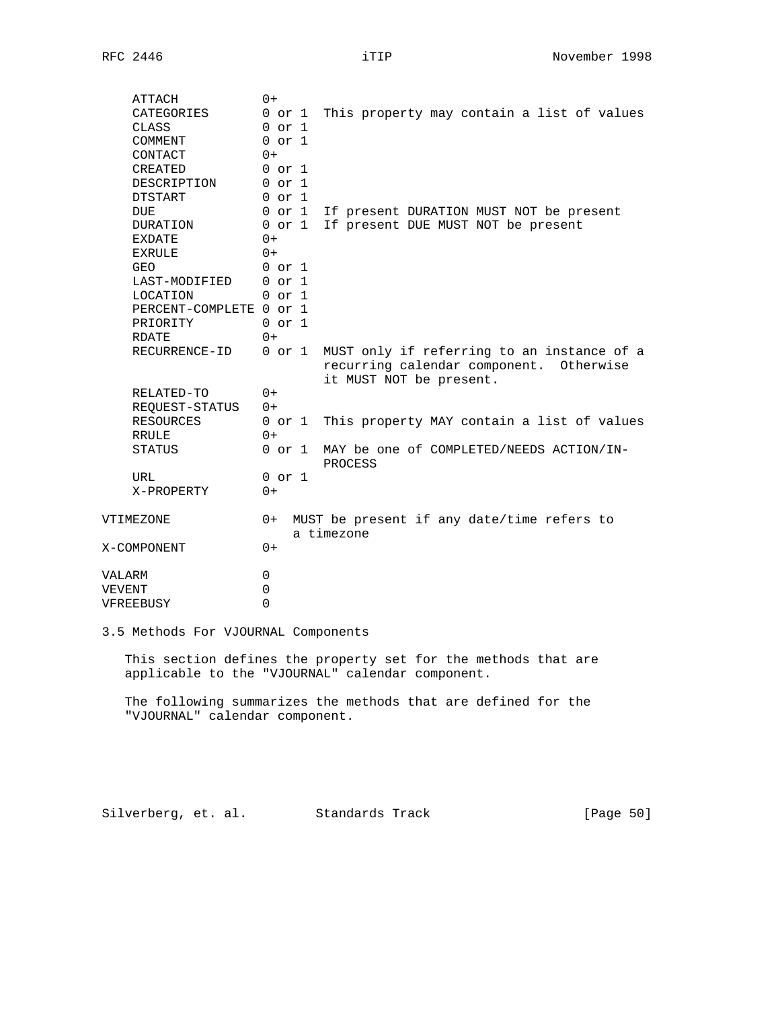| ATTACH                  | $0+$        |                                                     |
|-------------------------|-------------|-----------------------------------------------------|
| CATEGORIES              | 0 or 1      | This property may contain a list of values          |
| CLASS                   | $0$ or $1$  |                                                     |
| COMMENT                 | $0$ or $1$  |                                                     |
| CONTACT                 | $0+$        |                                                     |
| CREATED                 | $0$ or $1$  |                                                     |
| DESCRIPTION             | $0$ or $1$  |                                                     |
| <b>DTSTART</b>          | $0$ or $1$  |                                                     |
| <b>DUE</b>              | $0$ or $1$  | If present DURATION MUST NOT be present             |
| DURATION                | $0$ or $1$  | If present DUE MUST NOT be present                  |
| <b>EXDATE</b>           | $0+$        |                                                     |
| <b>EXRULE</b>           | $() +$      |                                                     |
| <b>GEO</b>              | $0$ or $1$  |                                                     |
| LAST-MODIFIED           | $0$ or $1$  |                                                     |
| <b>LOCATION</b>         | $0$ or $1$  |                                                     |
| PERCENT-COMPLETE 0 or 1 |             |                                                     |
| PRIORITY                | $0$ or $1$  |                                                     |
| <b>RDATE</b>            | $0+$        |                                                     |
| RECURRENCE-ID           | $0$ or $1$  | MUST only if referring to an instance of a          |
|                         |             | recurring calendar component. Otherwise             |
|                         |             | it MUST NOT be present.                             |
| RELATED-TO              | $0+$        |                                                     |
| REQUEST-STATUS          | $0+$        |                                                     |
| <b>RESOURCES</b>        | $0$ or $1$  | This property MAY contain a list of values          |
| <b>RRULE</b>            | $0+$        |                                                     |
| STATUS                  | $0$ or $1$  | MAY be one of COMPLETED/NEEDS ACTION/IN-<br>PROCESS |
| URL                     | $0$ or $1$  |                                                     |
| X-PROPERTY              | $0+$        |                                                     |
|                         |             |                                                     |
| VTIMEZONE               | $0+$        | MUST be present if any date/time refers to          |
|                         |             | a timezone                                          |
| X-COMPONENT             | $0+$        |                                                     |
|                         |             |                                                     |
| VALARM                  | $\mathbf 0$ |                                                     |
| VEVENT                  | $\mathbf 0$ |                                                     |
| VFREEBUSY               | $\Omega$    |                                                     |

3.5 Methods For VJOURNAL Components

 This section defines the property set for the methods that are applicable to the "VJOURNAL" calendar component.

 The following summarizes the methods that are defined for the "VJOURNAL" calendar component.

Silverberg, et. al. Standards Track [Page 50]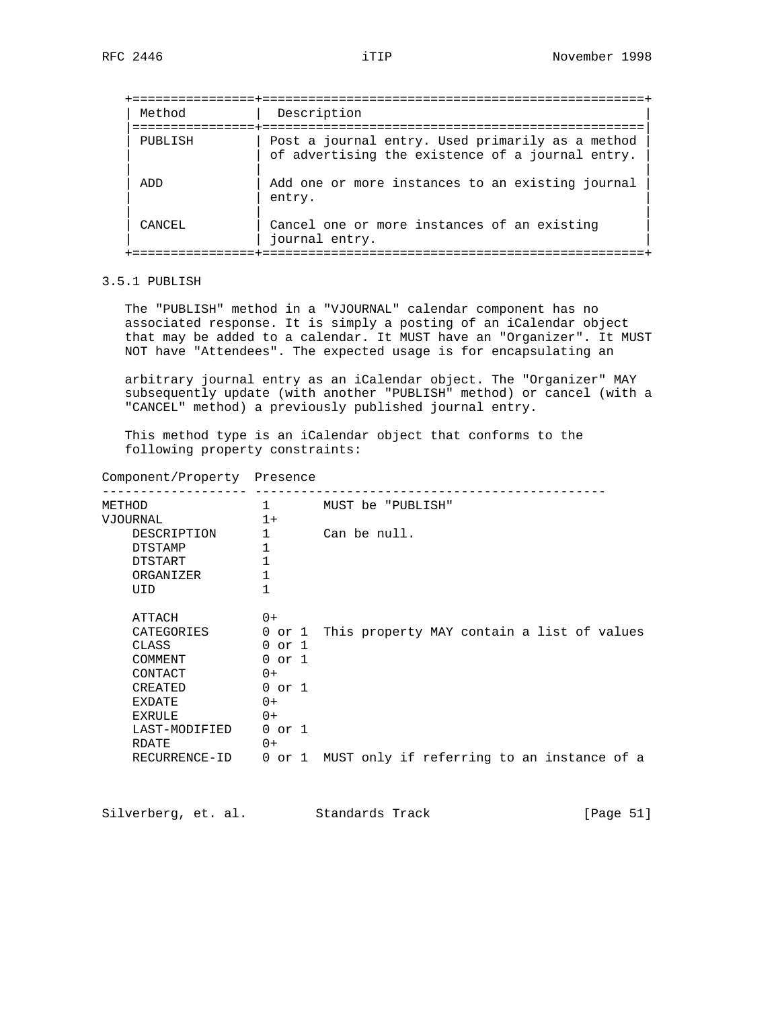| Method  | Description                                                                                          |
|---------|------------------------------------------------------------------------------------------------------|
| PUBLISH | Post a journal entry. Used primarily as a method<br>of advertising the existence of a journal entry. |
| ADD     | Add one or more instances to an existing journal<br>entry.                                           |
| CANCEL  | Cancel one or more instances of an existing<br>journal entry.                                        |

# 3.5.1 PUBLISH

 The "PUBLISH" method in a "VJOURNAL" calendar component has no associated response. It is simply a posting of an iCalendar object that may be added to a calendar. It MUST have an "Organizer". It MUST NOT have "Attendees". The expected usage is for encapsulating an

 arbitrary journal entry as an iCalendar object. The "Organizer" MAY subsequently update (with another "PUBLISH" method) or cancel (with a "CANCEL" method) a previously published journal entry.

 This method type is an iCalendar object that conforms to the following property constraints:

| Component/Property Presence |  |
|-----------------------------|--|
|                             |  |

| METHOD         | 1            | MUST be "PUBLISH"                          |
|----------------|--------------|--------------------------------------------|
| VJOURNAL       | $1+$         |                                            |
| DESCRIPTION    | 1            | Can be null.                               |
| <b>DTSTAMP</b> | 1            |                                            |
| DTSTART        | $\mathbf{1}$ |                                            |
| ORGANIZER      | 1            |                                            |
| UID            | $\mathbf{1}$ |                                            |
|                |              |                                            |
| ATTACH         | $0+$         |                                            |
| CATEGORIES     | 0 or 1       | This property MAY contain a list of values |
| CLASS          | $0$ or $1$   |                                            |
| COMMENT        | $0$ or $1$   |                                            |
| CONTACT        | $0+$         |                                            |
| CREATED        | $0$ or $1$   |                                            |
| <b>EXDATE</b>  | $0+$         |                                            |
| <b>EXRULE</b>  | $0+$         |                                            |
| LAST-MODIFIED  | $0$ or $1$   |                                            |
| RDATE.         | $0+$         |                                            |
| RECURRENCE-ID  | $0$ or $1$   | MUST only if referring to an instance of a |

Silverberg, et. al. Standards Track [Page 51]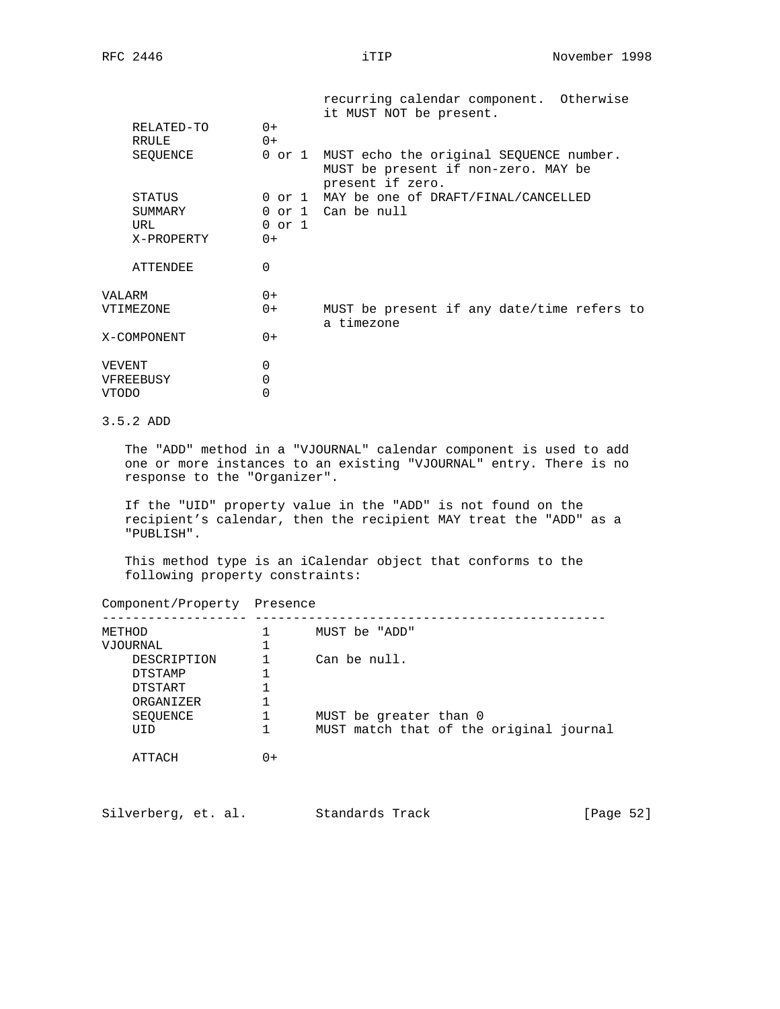|             |            | recurring calendar component. Otherwise<br>it MUST NOT be present.                                        |
|-------------|------------|-----------------------------------------------------------------------------------------------------------|
| RELATED-TO  | $0+$       |                                                                                                           |
| RRULE       | $0+$       |                                                                                                           |
| SEQUENCE    |            | 0 or 1 MUST echo the original SEQUENCE number.<br>MUST be present if non-zero. MAY be<br>present if zero. |
| STATUS      |            | 0 or 1 MAY be one of DRAFT/FINAL/CANCELLED                                                                |
| SUMMARY     |            | 0 or 1 Can be null                                                                                        |
| URL         | $0$ or $1$ |                                                                                                           |
| X-PROPERTY  | $0+$       |                                                                                                           |
| ATTENDEE    | 0          |                                                                                                           |
| VALARM      | $0+$       |                                                                                                           |
| VTIMEZONE   | $0+$       | MUST be present if any date/time refers to<br>a timezone                                                  |
| X-COMPONENT | $0+$       |                                                                                                           |
| VEVENT      | 0          |                                                                                                           |
| VFREEBUSY   | 0          |                                                                                                           |
| VTODO       | 0          |                                                                                                           |
|             |            |                                                                                                           |

# 3.5.2 ADD

 The "ADD" method in a "VJOURNAL" calendar component is used to add one or more instances to an existing "VJOURNAL" entry. There is no response to the "Organizer".

 If the "UID" property value in the "ADD" is not found on the recipient's calendar, then the recipient MAY treat the "ADD" as a "PUBLISH".

 This method type is an iCalendar object that conforms to the following property constraints:

Component/Property Presence

| METHOD         |        | MUST be "ADD"                           |
|----------------|--------|-----------------------------------------|
| VJOURNAL       |        |                                         |
| DESCRIPTION    |        | Can be null.                            |
| <b>DTSTAMP</b> |        |                                         |
| DTSTART        |        |                                         |
| ORGANIZER      |        |                                         |
| SEOUENCE       |        | MUST be greater than 0                  |
| <b>TITD</b>    |        | MUST match that of the original journal |
| ATTACH         | $() +$ |                                         |

| Silverberg, et. al. |  | Standards Track | [Page 52] |
|---------------------|--|-----------------|-----------|
|---------------------|--|-----------------|-----------|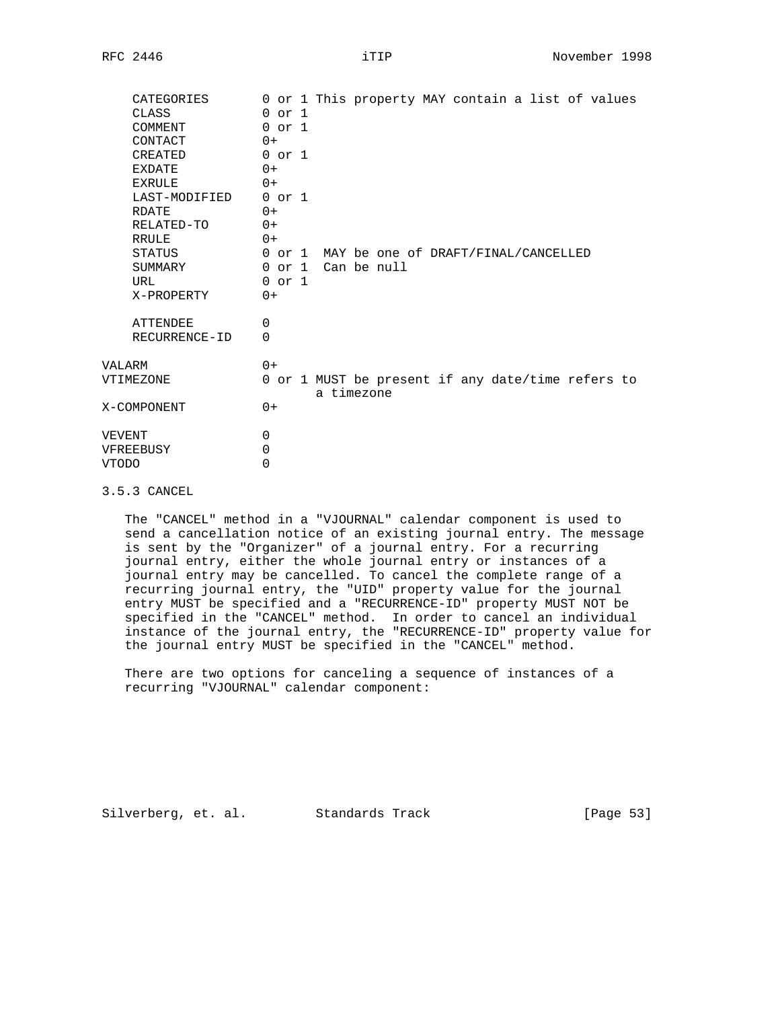|       | CATEGORIES      | 0 or 1 This property MAY contain a list of values               |
|-------|-----------------|-----------------------------------------------------------------|
|       | CLASS           | $0$ or $1$                                                      |
|       | COMMENT         | $0$ or $1$                                                      |
|       | CONTACT         | $0+$                                                            |
|       | CREATED         | $0$ or $1$                                                      |
|       | EXDATE          | $0+$                                                            |
|       | EXRULE          | $0+$                                                            |
|       | LAST-MODIFIED   | $0$ or $1$                                                      |
|       | RDATE           | $0+$                                                            |
|       | RELATED-TO      | $0+$                                                            |
|       | RRULE           | $0+$                                                            |
|       | STATUS          | 0 or 1 MAY be one of DRAFT/FINAL/CANCELLED                      |
|       | SUMMARY         | 0 or 1 Can be null                                              |
|       | URL             | $0$ or $1$                                                      |
|       | X-PROPERTY      | $0+$                                                            |
|       | <b>ATTENDEE</b> | 0                                                               |
|       | RECURRENCE-ID   | $\Omega$                                                        |
|       | VALARM          | $0+$                                                            |
|       | VTIMEZONE       | 0 or 1 MUST be present if any date/time refers to<br>a timezone |
|       | X-COMPONENT     | $0+$                                                            |
|       | VEVENT          | 0                                                               |
|       | VFREEBUSY       | 0                                                               |
| VTODO |                 | 0                                                               |
|       |                 |                                                                 |

3.5.3 CANCEL

 The "CANCEL" method in a "VJOURNAL" calendar component is used to send a cancellation notice of an existing journal entry. The message is sent by the "Organizer" of a journal entry. For a recurring journal entry, either the whole journal entry or instances of a journal entry may be cancelled. To cancel the complete range of a recurring journal entry, the "UID" property value for the journal entry MUST be specified and a "RECURRENCE-ID" property MUST NOT be specified in the "CANCEL" method. In order to cancel an individual instance of the journal entry, the "RECURRENCE-ID" property value for the journal entry MUST be specified in the "CANCEL" method.

 There are two options for canceling a sequence of instances of a recurring "VJOURNAL" calendar component:

Silverberg, et. al. Standards Track [Page 53]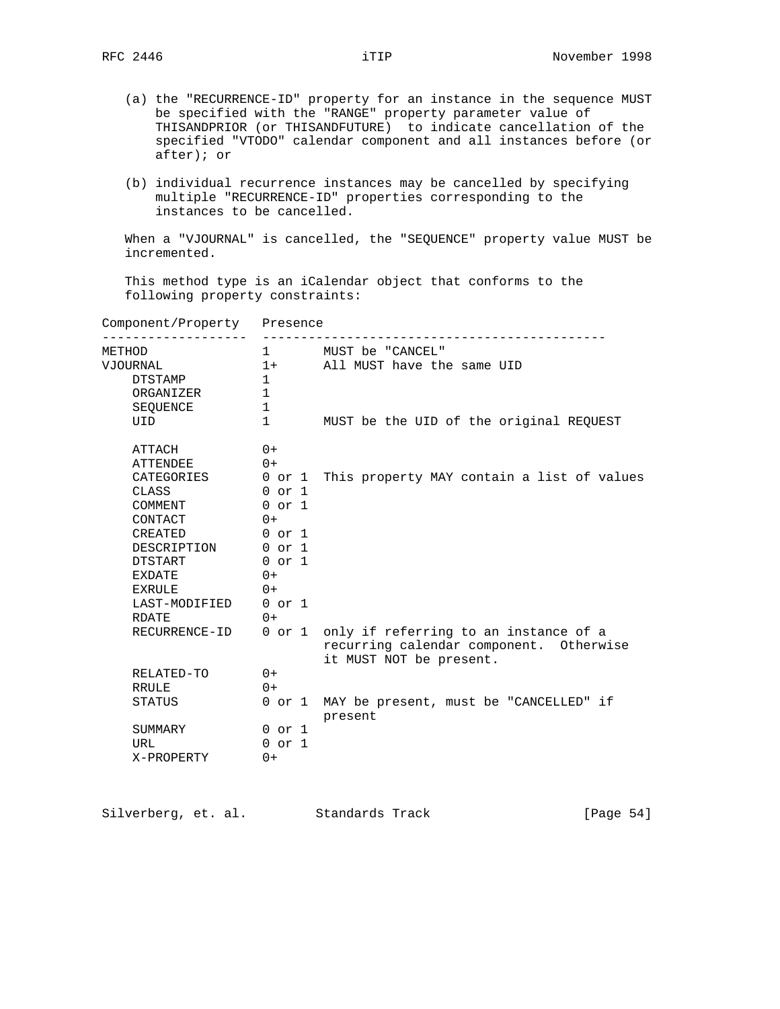- (a) the "RECURRENCE-ID" property for an instance in the sequence MUST be specified with the "RANGE" property parameter value of THISANDPRIOR (or THISANDFUTURE) to indicate cancellation of the specified "VTODO" calendar component and all instances before (or after); or
- (b) individual recurrence instances may be cancelled by specifying multiple "RECURRENCE-ID" properties corresponding to the instances to be cancelled.

 When a "VJOURNAL" is cancelled, the "SEQUENCE" property value MUST be incremented.

 This method type is an iCalendar object that conforms to the following property constraints:

| Component/Property Presence |                |                                                                                                                    |  |  |  |
|-----------------------------|----------------|--------------------------------------------------------------------------------------------------------------------|--|--|--|
| METHOD                      | $1 \quad \Box$ | MUST be "CANCEL"                                                                                                   |  |  |  |
| VJOURNAL                    |                | 1+ All MUST have the same UID                                                                                      |  |  |  |
| DTSTAMP                     | $\mathbf{1}$   |                                                                                                                    |  |  |  |
| ORGANIZER                   | $\mathbf{1}$   |                                                                                                                    |  |  |  |
| SEOUENCE                    | $\mathbf{1}$   |                                                                                                                    |  |  |  |
| UID                         | $\mathbf{1}$   | MUST be the UID of the original REQUEST                                                                            |  |  |  |
| ATTACH                      | $0+$           |                                                                                                                    |  |  |  |
| <b>ATTENDEE</b>             | $() +$         |                                                                                                                    |  |  |  |
|                             |                | CATEGORIES 0 or 1 This property MAY contain a list of values                                                       |  |  |  |
| CLASS                       | 0 or 1         |                                                                                                                    |  |  |  |
| COMMENT                     | $0$ or $1$     |                                                                                                                    |  |  |  |
| CONTACT                     | $0+$           |                                                                                                                    |  |  |  |
| 0 or 1<br>CREATED           |                |                                                                                                                    |  |  |  |
| DESCRIPTION 0 or 1          |                |                                                                                                                    |  |  |  |
| DTSTART                     | $0$ or $1$     |                                                                                                                    |  |  |  |
| <b>EXDATE</b>               | $0+$           |                                                                                                                    |  |  |  |
| EXRULE                      | $0+$           |                                                                                                                    |  |  |  |
| LAST-MODIFIED 0 or 1        |                |                                                                                                                    |  |  |  |
| RDATE                       | $0+$           |                                                                                                                    |  |  |  |
| RECURRENCE-ID               |                | 0 or 1 only if referring to an instance of a<br>recurring calendar component. Otherwise<br>it MUST NOT be present. |  |  |  |
| RELATED-TO                  | $0+$           |                                                                                                                    |  |  |  |
| RRULE                       | $() +$         |                                                                                                                    |  |  |  |
| STATUS                      |                | 0 or 1 MAY be present, must be "CANCELLED" if<br>present                                                           |  |  |  |
| SUMMARY                     | $0$ or $1$     |                                                                                                                    |  |  |  |
| URL                         | $0$ or $1$     |                                                                                                                    |  |  |  |
| X-PROPERTY                  | $0+$           |                                                                                                                    |  |  |  |

Silverberg, et. al. Standards Track [Page 54]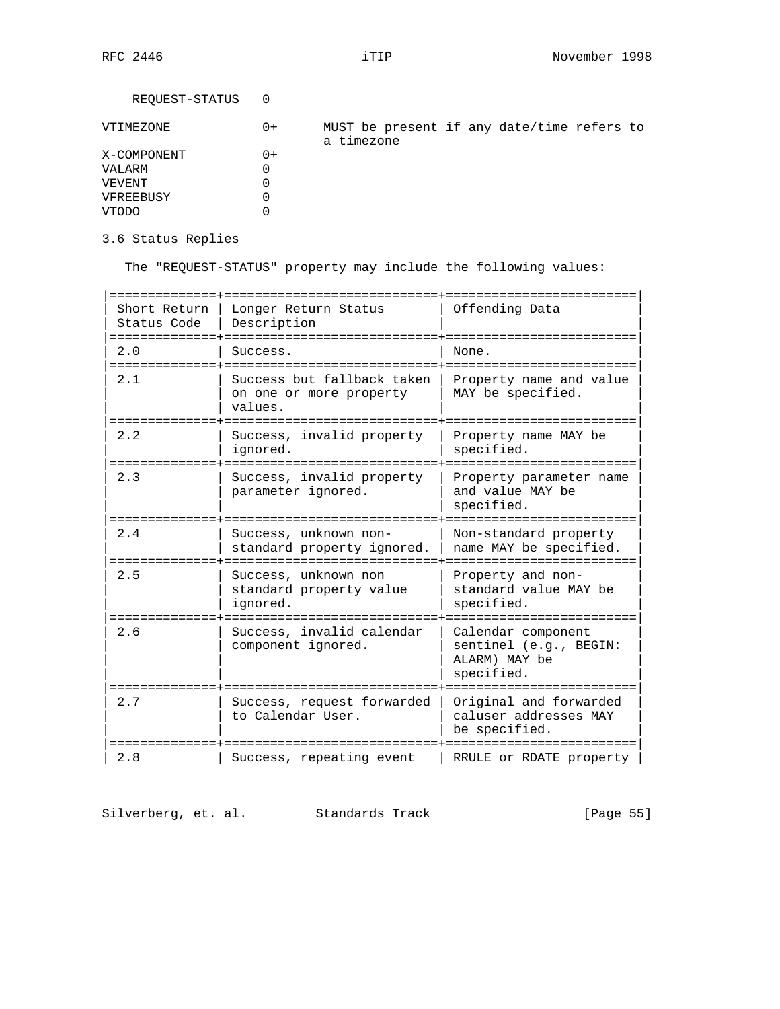REQUEST-STATUS 0

| VTIMEZONE   | $0+$ | a timezone |  |  | MUST be present if any date/time refers to |  |
|-------------|------|------------|--|--|--------------------------------------------|--|
| X-COMPONENT | 0+   |            |  |  |                                            |  |
| VALARM      |      |            |  |  |                                            |  |
| VEVENT      |      |            |  |  |                                            |  |
| VFREEBUSY   |      |            |  |  |                                            |  |
| VTODO       |      |            |  |  |                                            |  |
|             |      |            |  |  |                                            |  |

3.6 Status Replies

The "REQUEST-STATUS" property may include the following values:

| Short Return<br>Status Code<br>=========== | Longer Return Status<br>Description                              | Offending Data                                                              |  |  |  |
|--------------------------------------------|------------------------------------------------------------------|-----------------------------------------------------------------------------|--|--|--|
| 2.0<br>-------                             | Success.                                                         | None.                                                                       |  |  |  |
| 2.1                                        | Success but fallback taken<br>on one or more property<br>values. | Property name and value<br>MAY be specified.                                |  |  |  |
| 2.2                                        | Success, invalid property<br>ignored.                            | Property name MAY be<br>specified.                                          |  |  |  |
| 2.3                                        | Success, invalid property<br>parameter ignored.                  | Property parameter name<br>and value MAY be<br>specified.                   |  |  |  |
| 2.4                                        | Success, unknown non-<br>standard property ignored.              | Non-standard property<br>name MAY be specified.                             |  |  |  |
| 2.5                                        | Success, unknown non<br>standard property value<br>ignored.      | Property and non-<br>standard value MAY be<br>specified.                    |  |  |  |
| 2.6                                        | Success, invalid calendar<br>component ignored.                  | Calendar component<br>sentinel (e.g., BEGIN:<br>ALARM) MAY be<br>specified. |  |  |  |
| 2.7                                        | Success, request forwarded<br>to Calendar User.                  | Original and forwarded<br>caluser addresses MAY<br>be specified.            |  |  |  |
| 2.8                                        | Success, repeating event                                         | RRULE or RDATE property                                                     |  |  |  |

Silverberg, et. al. Standards Track [Page 55]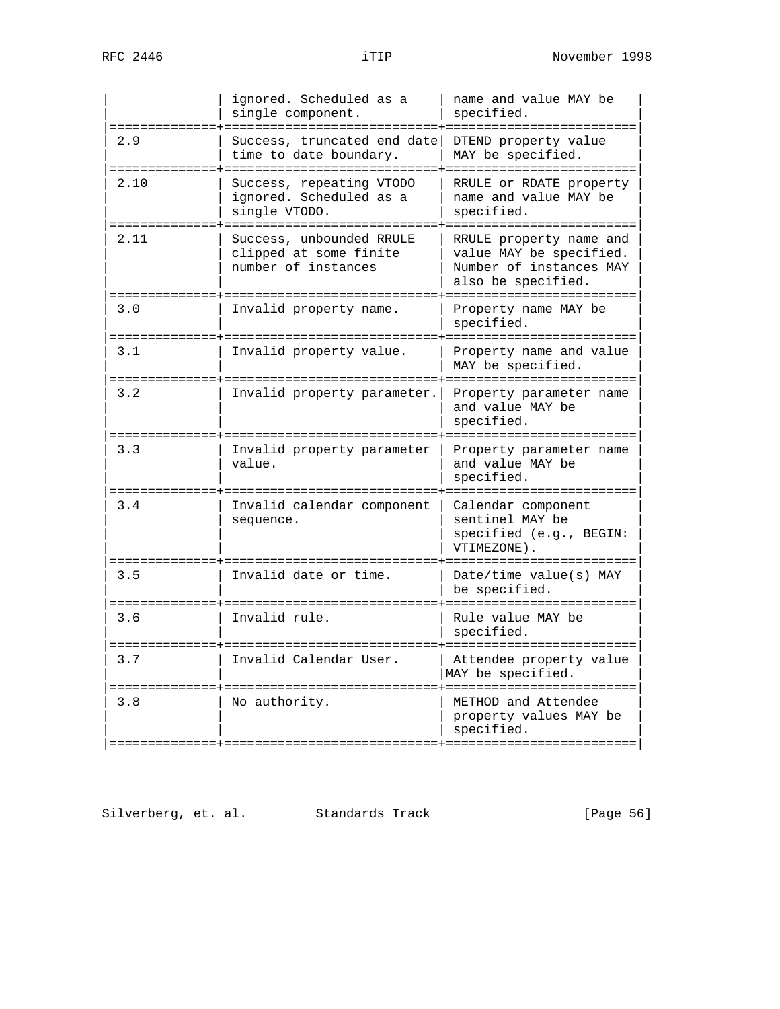|                        | ignored. Scheduled as a<br>single component.                                                 | name and value MAY be<br>specified.                                                                                                |
|------------------------|----------------------------------------------------------------------------------------------|------------------------------------------------------------------------------------------------------------------------------------|
| 2.9                    | Success, truncated end date<br>time to date boundary.<br>===============                     | DTEND property value<br>MAY be specified.<br>:================                                                                     |
| 2.10                   | Success, repeating VTODO<br>ignored. Scheduled as a<br>single VTODO.<br>==================== | RRULE or RDATE property<br>name and value MAY be<br>specified.<br>:=====================                                           |
| 2.11<br>====           | Success, unbounded RRULE<br>clipped at some finite<br>number of instances                    | RRULE property name and<br>value MAY be specified.<br>Number of instances MAY<br>also be specified.<br>======================      |
| 3.0                    | Invalid property name.                                                                       | Property name MAY be<br>specified.                                                                                                 |
| 3.1<br>$=$ $=$ $=$ $=$ | Invalid property value.                                                                      | Property name and value<br>MAY be specified.<br>.============                                                                      |
| 3.2<br>$=$ $=$ $=$ $=$ | Invalid property parameter.                                                                  | Property parameter name<br>and value MAY be<br>specified.                                                                          |
| 3.3                    | Invalid property parameter<br>value.                                                         | :====================<br>Property parameter name<br>and value MAY be<br>specified.                                                 |
| ---------<br>3.4       | Invalid calendar component<br>sequence.                                                      | --------------------<br>Calendar component<br>sentinel MAY be<br>specified (e.g., BEGIN:<br>VTIMEZONE).<br>======================= |
| 3.5                    | Invalid date or time.                                                                        | Date/time value(s) MAY<br>be specified.                                                                                            |
| 3.6<br>====            | Invalid rule.                                                                                | Rule value MAY be<br>specified.<br>:============                                                                                   |
| 3.7                    | Invalid Calendar User.                                                                       | Attendee property value<br>MAY be specified.<br>============                                                                       |
| 3.8                    | No authority.                                                                                | METHOD and Attendee<br>property values MAY be<br>specified.                                                                        |

Silverberg, et. al. Standards Track [Page 56]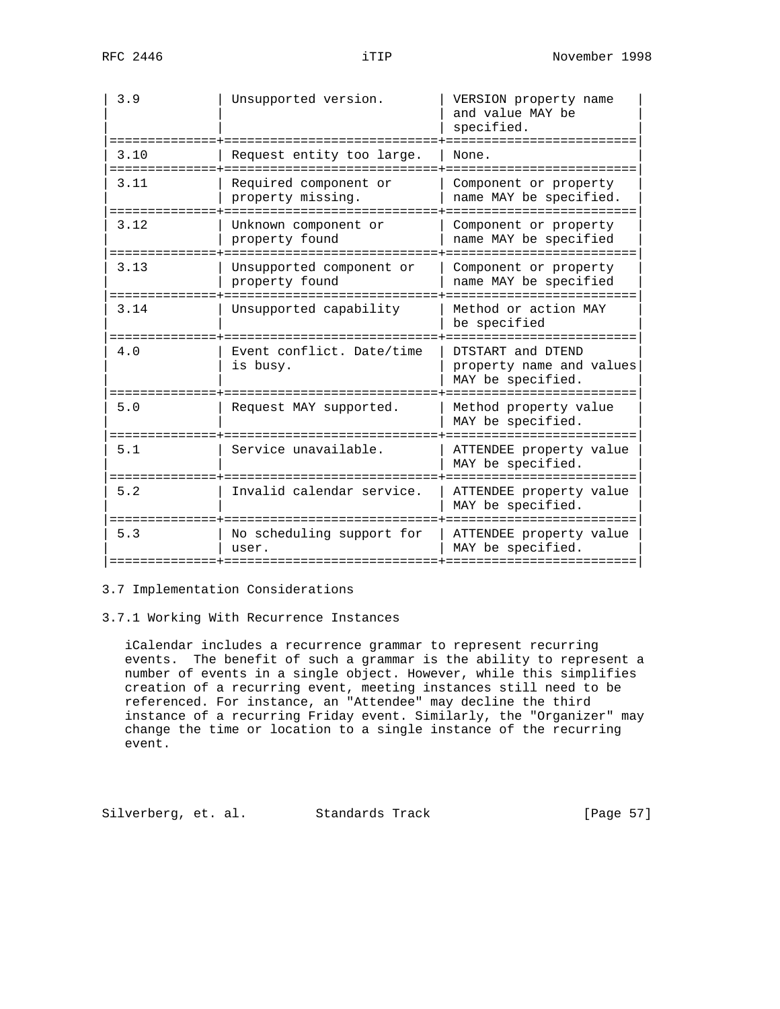| 3.9  | Unsupported version.                       | VERSION property name<br>and value MAY be<br>specified.                  |
|------|--------------------------------------------|--------------------------------------------------------------------------|
| 3.10 | Request entity too large.                  | None.                                                                    |
| 3.11 | Required component or<br>property missing. | Component or property<br>name MAY be specified.                          |
| 3.12 | Unknown component or<br>property found     | Component or property<br>name MAY be specified<br>:===================== |
| 3.13 | Unsupported component or<br>property found | Component or property<br>name MAY be specified                           |
| 3.14 | Unsupported capability                     | Method or action MAY<br>be specified                                     |
| 4.0  | Event conflict. Date/time<br>is busy.      | DTSTART and DTEND<br>property name and values<br>MAY be specified.       |
| 5.0  | Request MAY supported.                     | Method property value<br>MAY be specified.                               |
| 5.1  | Service unavailable.                       | ATTENDEE property value<br>MAY be specified.                             |
| 5.2  | Invalid calendar service.                  | ATTENDEE property value<br>MAY be specified.                             |
| 5.3  | No scheduling support for<br>user.         | ATTENDEE property value<br>MAY be specified.                             |

# 3.7 Implementation Considerations

### 3.7.1 Working With Recurrence Instances

 iCalendar includes a recurrence grammar to represent recurring events. The benefit of such a grammar is the ability to represent a number of events in a single object. However, while this simplifies creation of a recurring event, meeting instances still need to be referenced. For instance, an "Attendee" may decline the third instance of a recurring Friday event. Similarly, the "Organizer" may change the time or location to a single instance of the recurring event.

Silverberg, et. al. Standards Track [Page 57]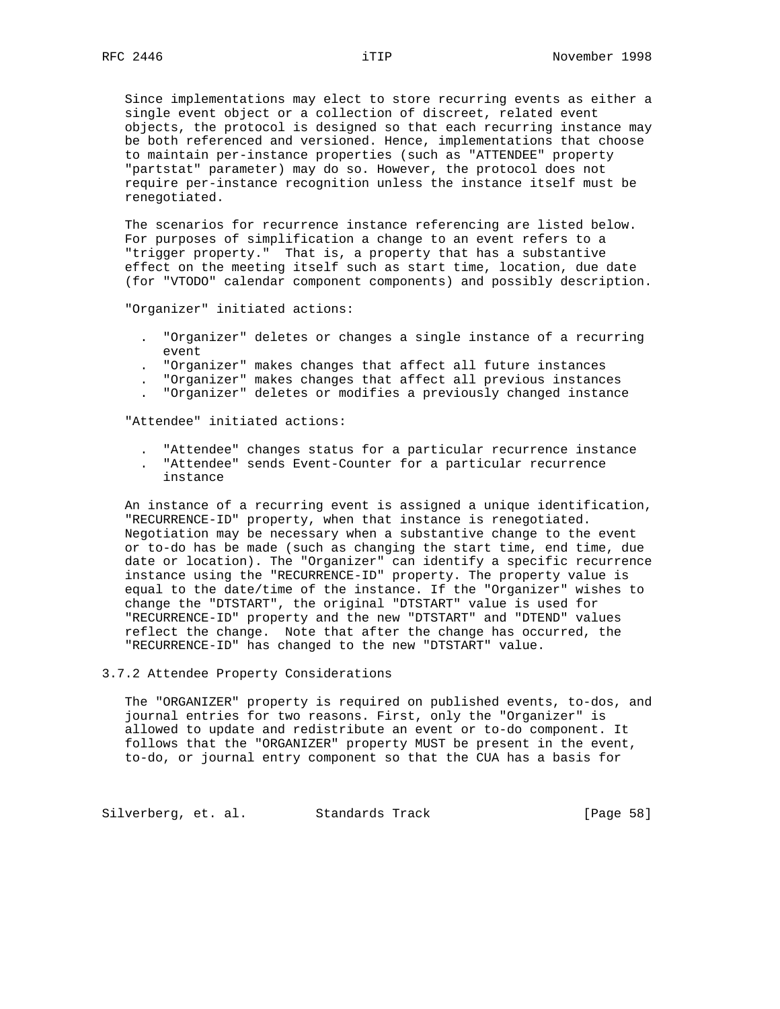Since implementations may elect to store recurring events as either a single event object or a collection of discreet, related event objects, the protocol is designed so that each recurring instance may be both referenced and versioned. Hence, implementations that choose to maintain per-instance properties (such as "ATTENDEE" property "partstat" parameter) may do so. However, the protocol does not require per-instance recognition unless the instance itself must be renegotiated.

 The scenarios for recurrence instance referencing are listed below. For purposes of simplification a change to an event refers to a "trigger property." That is, a property that has a substantive effect on the meeting itself such as start time, location, due date (for "VTODO" calendar component components) and possibly description.

"Organizer" initiated actions:

- . "Organizer" deletes or changes a single instance of a recurring event
- . "Organizer" makes changes that affect all future instances
- . "Organizer" makes changes that affect all previous instances
- . "Organizer" deletes or modifies a previously changed instance

"Attendee" initiated actions:

- . "Attendee" changes status for a particular recurrence instance
- . "Attendee" sends Event-Counter for a particular recurrence instance

 An instance of a recurring event is assigned a unique identification, "RECURRENCE-ID" property, when that instance is renegotiated. Negotiation may be necessary when a substantive change to the event or to-do has be made (such as changing the start time, end time, due date or location). The "Organizer" can identify a specific recurrence instance using the "RECURRENCE-ID" property. The property value is equal to the date/time of the instance. If the "Organizer" wishes to change the "DTSTART", the original "DTSTART" value is used for "RECURRENCE-ID" property and the new "DTSTART" and "DTEND" values reflect the change. Note that after the change has occurred, the "RECURRENCE-ID" has changed to the new "DTSTART" value.

### 3.7.2 Attendee Property Considerations

 The "ORGANIZER" property is required on published events, to-dos, and journal entries for two reasons. First, only the "Organizer" is allowed to update and redistribute an event or to-do component. It follows that the "ORGANIZER" property MUST be present in the event, to-do, or journal entry component so that the CUA has a basis for

Silverberg, et. al. Standards Track [Page 58]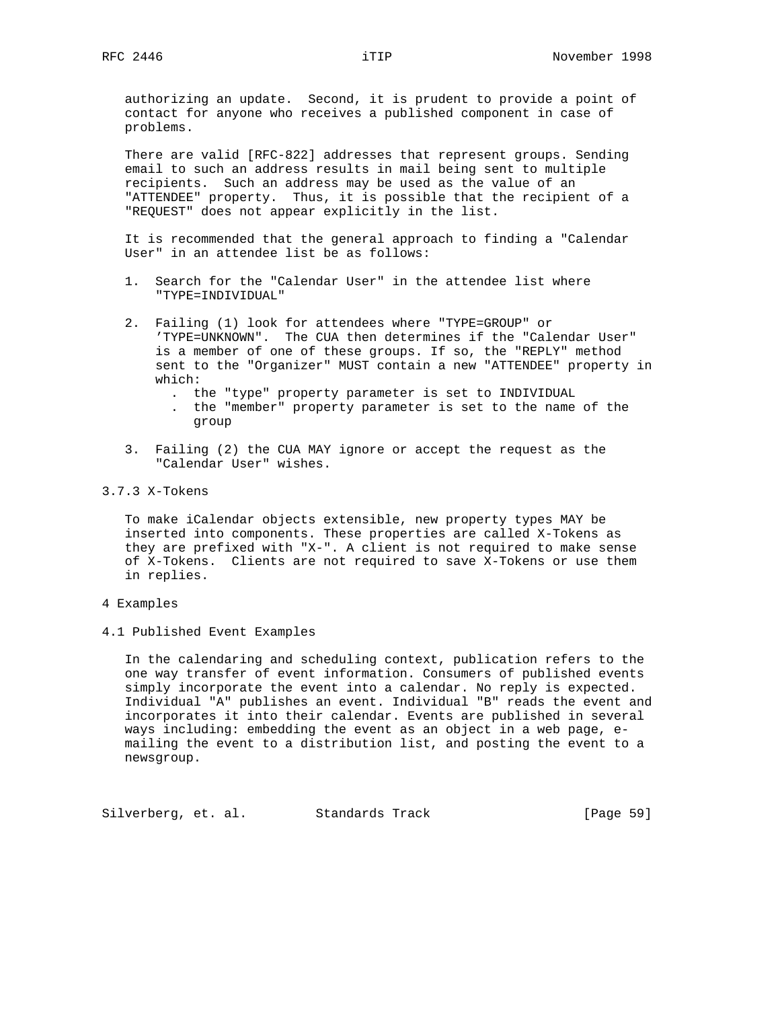authorizing an update. Second, it is prudent to provide a point of contact for anyone who receives a published component in case of problems.

 There are valid [RFC-822] addresses that represent groups. Sending email to such an address results in mail being sent to multiple recipients. Such an address may be used as the value of an "ATTENDEE" property. Thus, it is possible that the recipient of a "REQUEST" does not appear explicitly in the list.

 It is recommended that the general approach to finding a "Calendar User" in an attendee list be as follows:

- 1. Search for the "Calendar User" in the attendee list where "TYPE=INDIVIDUAL"
- 2. Failing (1) look for attendees where "TYPE=GROUP" or 'TYPE=UNKNOWN". The CUA then determines if the "Calendar User" is a member of one of these groups. If so, the "REPLY" method sent to the "Organizer" MUST contain a new "ATTENDEE" property in which:
	- . the "type" property parameter is set to INDIVIDUAL
	- . the "member" property parameter is set to the name of the group
- 3. Failing (2) the CUA MAY ignore or accept the request as the "Calendar User" wishes.

#### 3.7.3 X-Tokens

 To make iCalendar objects extensible, new property types MAY be inserted into components. These properties are called X-Tokens as they are prefixed with "X-". A client is not required to make sense of X-Tokens. Clients are not required to save X-Tokens or use them in replies.

- 4 Examples
- 4.1 Published Event Examples

 In the calendaring and scheduling context, publication refers to the one way transfer of event information. Consumers of published events simply incorporate the event into a calendar. No reply is expected. Individual "A" publishes an event. Individual "B" reads the event and incorporates it into their calendar. Events are published in several ways including: embedding the event as an object in a web page, e mailing the event to a distribution list, and posting the event to a newsgroup.

Silverberg, et. al. Standards Track [Page 59]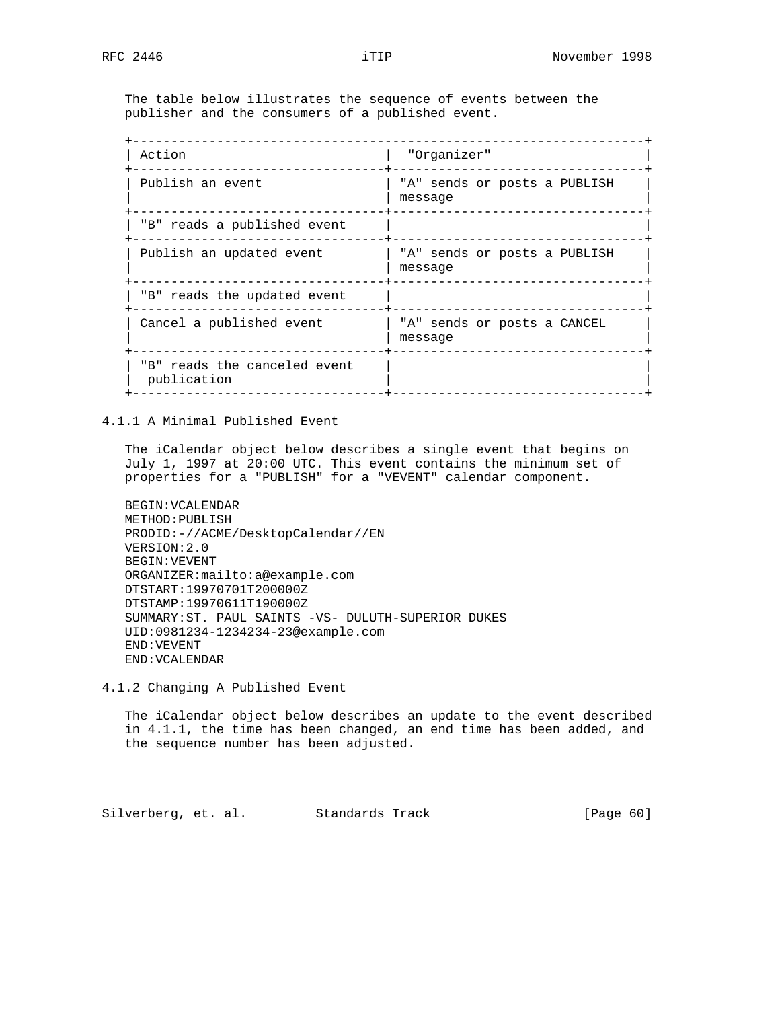The table below illustrates the sequence of events between the publisher and the consumers of a published event.

| Action                                      | "Organizer"                             |
|---------------------------------------------|-----------------------------------------|
| Publish an event                            | "A" sends or posts a PUBLISH<br>message |
| "B" reads a published event                 |                                         |
| Publish an updated event                    | "A" sends or posts a PUBLISH<br>message |
| "B" reads the updated event                 |                                         |
| Cancel a published event                    | "A" sends or posts a CANCEL<br>message  |
| "B" reads the canceled event<br>publication |                                         |

4.1.1 A Minimal Published Event

 The iCalendar object below describes a single event that begins on July 1, 1997 at 20:00 UTC. This event contains the minimum set of properties for a "PUBLISH" for a "VEVENT" calendar component.

 BEGIN:VCALENDAR METHOD:PUBLISH PRODID:-//ACME/DesktopCalendar//EN VERSION:2.0 BEGIN:VEVENT ORGANIZER:mailto:a@example.com DTSTART:19970701T200000Z DTSTAMP:19970611T190000Z SUMMARY:ST. PAUL SAINTS -VS- DULUTH-SUPERIOR DUKES UID:0981234-1234234-23@example.com END:VEVENT END:VCALENDAR

4.1.2 Changing A Published Event

 The iCalendar object below describes an update to the event described in 4.1.1, the time has been changed, an end time has been added, and the sequence number has been adjusted.

Silverberg, et. al. Standards Track [Page 60]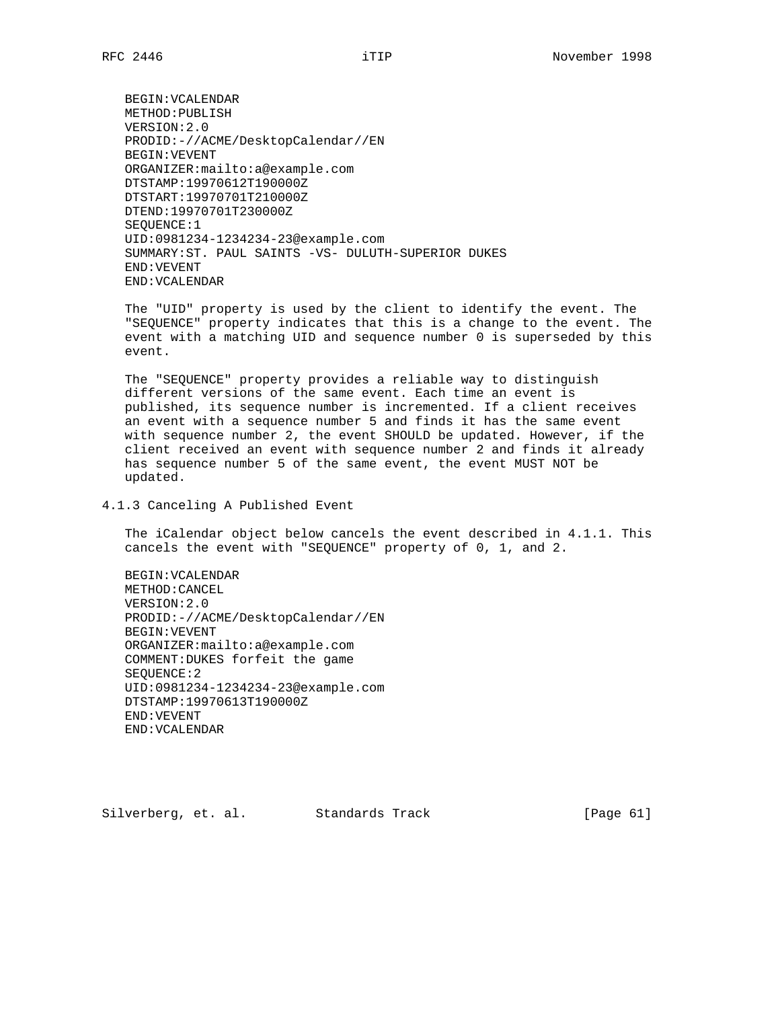BEGIN:VCALENDAR METHOD:PUBLISH VERSION:2.0 PRODID:-//ACME/DesktopCalendar//EN BEGIN:VEVENT ORGANIZER:mailto:a@example.com DTSTAMP:19970612T190000Z DTSTART:19970701T210000Z DTEND:19970701T230000Z SEQUENCE:1 UID:0981234-1234234-23@example.com SUMMARY:ST. PAUL SAINTS -VS- DULUTH-SUPERIOR DUKES END:VEVENT END:VCALENDAR

 The "UID" property is used by the client to identify the event. The "SEQUENCE" property indicates that this is a change to the event. The event with a matching UID and sequence number 0 is superseded by this event.

 The "SEQUENCE" property provides a reliable way to distinguish different versions of the same event. Each time an event is published, its sequence number is incremented. If a client receives an event with a sequence number 5 and finds it has the same event with sequence number 2, the event SHOULD be updated. However, if the client received an event with sequence number 2 and finds it already has sequence number 5 of the same event, the event MUST NOT be updated.

4.1.3 Canceling A Published Event

 The iCalendar object below cancels the event described in 4.1.1. This cancels the event with "SEQUENCE" property of 0, 1, and 2.

 BEGIN:VCALENDAR METHOD:CANCEL VERSION:2.0 PRODID:-//ACME/DesktopCalendar//EN BEGIN:VEVENT ORGANIZER:mailto:a@example.com COMMENT:DUKES forfeit the game SEQUENCE:2 UID:0981234-1234234-23@example.com DTSTAMP:19970613T190000Z END:VEVENT END:VCALENDAR

Silverberg, et. al. Standards Track [Page 61]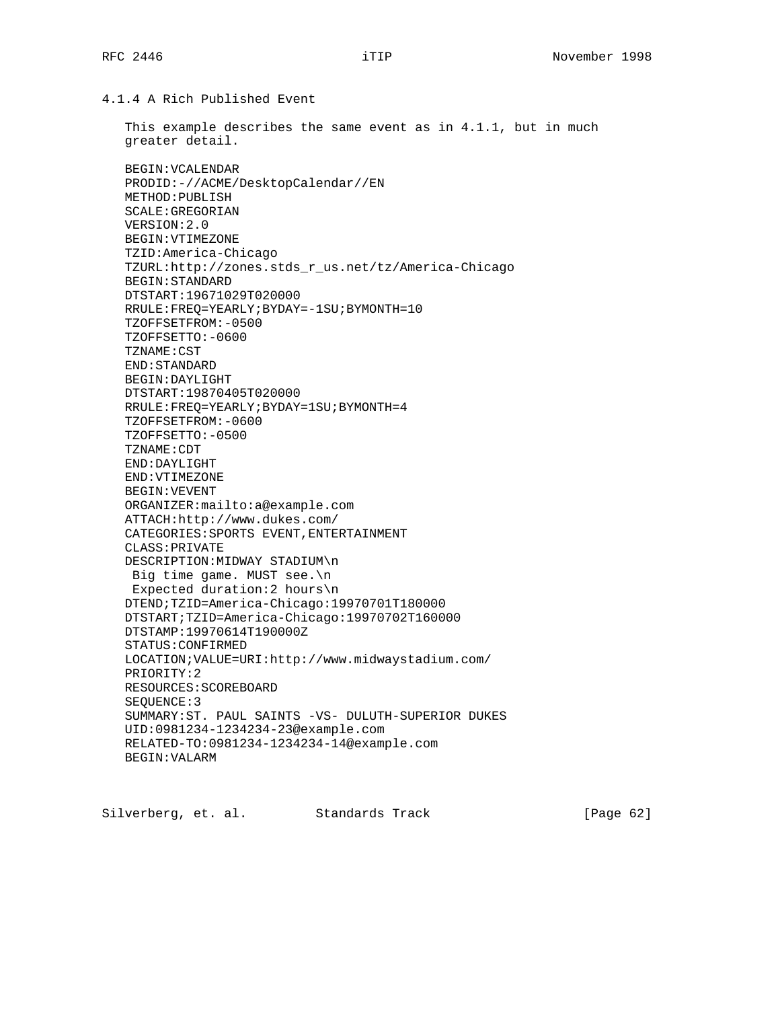4.1.4 A Rich Published Event

 This example describes the same event as in 4.1.1, but in much greater detail.

 BEGIN:VCALENDAR PRODID:-//ACME/DesktopCalendar//EN METHOD:PUBLISH SCALE:GREGORIAN VERSION:2.0 BEGIN:VTIMEZONE TZID:America-Chicago TZURL:http://zones.stds\_r\_us.net/tz/America-Chicago BEGIN:STANDARD DTSTART:19671029T020000 RRULE:FREQ=YEARLY;BYDAY=-1SU;BYMONTH=10 TZOFFSETFROM:-0500 TZOFFSETTO:-0600 TZNAME:CST END:STANDARD BEGIN:DAYLIGHT DTSTART:19870405T020000 RRULE:FREQ=YEARLY;BYDAY=1SU;BYMONTH=4 TZOFFSETFROM:-0600 TZOFFSETTO:-0500 TZNAME:CDT END:DAYLIGHT END:VTIMEZONE BEGIN:VEVENT ORGANIZER:mailto:a@example.com ATTACH:http://www.dukes.com/ CATEGORIES:SPORTS EVENT,ENTERTAINMENT CLASS:PRIVATE DESCRIPTION:MIDWAY STADIUM\n Big time game. MUST see.\n Expected duration:2 hours\n DTEND;TZID=America-Chicago:19970701T180000 DTSTART;TZID=America-Chicago:19970702T160000 DTSTAMP:19970614T190000Z STATUS:CONFIRMED LOCATION;VALUE=URI:http://www.midwaystadium.com/ PRIORITY:2 RESOURCES:SCOREBOARD SEQUENCE:3 SUMMARY:ST. PAUL SAINTS -VS- DULUTH-SUPERIOR DUKES UID:0981234-1234234-23@example.com RELATED-TO:0981234-1234234-14@example.com BEGIN:VALARM

Silverberg, et. al. Standards Track [Page 62]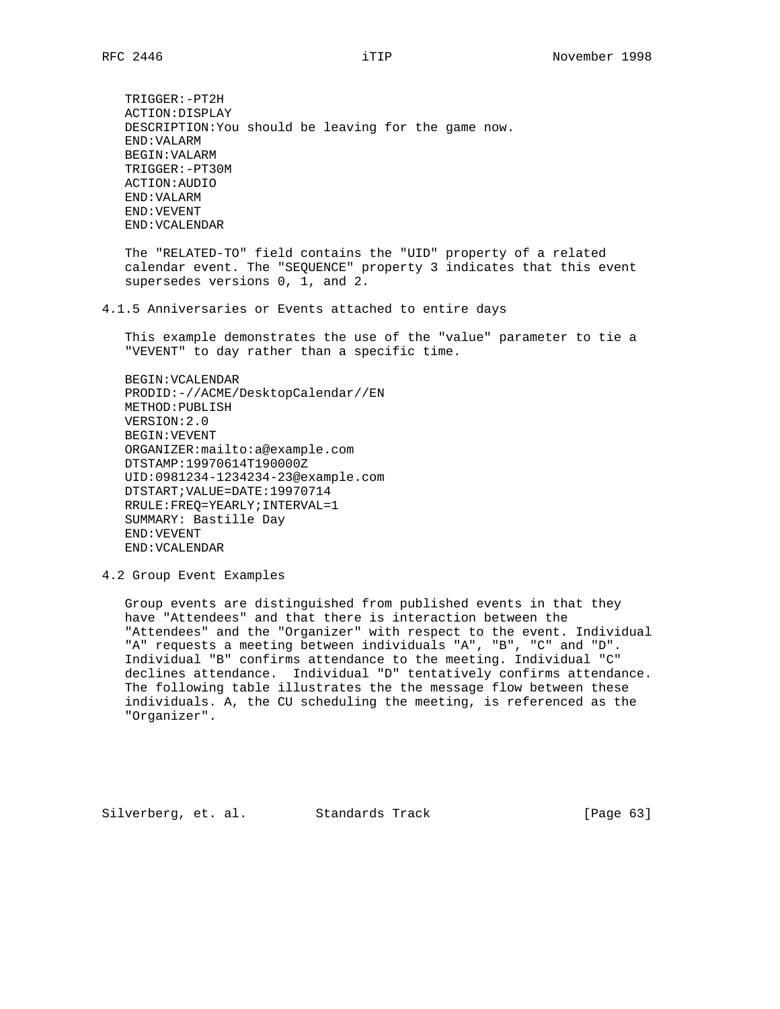TRIGGER:-PT2H ACTION:DISPLAY DESCRIPTION:You should be leaving for the game now. END:VALARM BEGIN:VALARM TRIGGER:-PT30M ACTION:AUDIO END:VALARM END:VEVENT END:VCALENDAR

 The "RELATED-TO" field contains the "UID" property of a related calendar event. The "SEQUENCE" property 3 indicates that this event supersedes versions 0, 1, and 2.

4.1.5 Anniversaries or Events attached to entire days

 This example demonstrates the use of the "value" parameter to tie a "VEVENT" to day rather than a specific time.

 BEGIN:VCALENDAR PRODID:-//ACME/DesktopCalendar//EN METHOD:PUBLISH VERSION:2.0 BEGIN:VEVENT ORGANIZER:mailto:a@example.com DTSTAMP:19970614T190000Z UID:0981234-1234234-23@example.com DTSTART;VALUE=DATE:19970714 RRULE:FREQ=YEARLY;INTERVAL=1 SUMMARY: Bastille Day END:VEVENT END:VCALENDAR

4.2 Group Event Examples

 Group events are distinguished from published events in that they have "Attendees" and that there is interaction between the "Attendees" and the "Organizer" with respect to the event. Individual "A" requests a meeting between individuals "A", "B", "C" and "D". Individual "B" confirms attendance to the meeting. Individual "C" declines attendance. Individual "D" tentatively confirms attendance. The following table illustrates the the message flow between these individuals. A, the CU scheduling the meeting, is referenced as the "Organizer".

Silverberg, et. al. Standards Track [Page 63]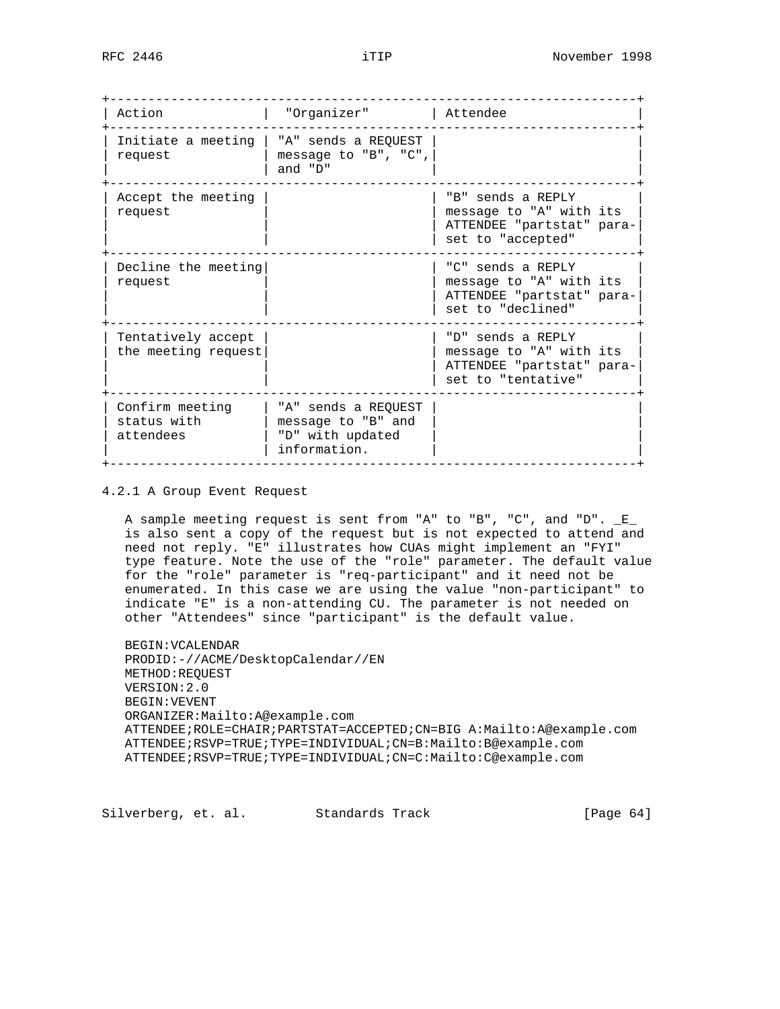| Action                                      | "Organizer"                                                                   | Attendee                                                                                        |
|---------------------------------------------|-------------------------------------------------------------------------------|-------------------------------------------------------------------------------------------------|
| Initiate a meeting<br>request               | "A" sends a REQUEST<br>message to "B", "C",<br>and "D"                        |                                                                                                 |
| Accept the meeting<br>request               |                                                                               | "B" sends a REPLY<br>message to "A" with its<br>ATTENDEE "partstat" para-<br>set to "accepted"  |
| Decline the meeting<br>request              |                                                                               | "C" sends a REPLY<br>message to "A" with its<br>ATTENDEE "partstat" para-<br>set to "declined"  |
| Tentatively accept<br>the meeting request   |                                                                               | "D" sends a REPLY<br>message to "A" with its<br>ATTENDEE "partstat" para-<br>set to "tentative" |
| Confirm meeting<br>status with<br>attendees | "A" sends a REQUEST<br>message to "B" and<br>"D" with updated<br>information. |                                                                                                 |

4.2.1 A Group Event Request

 A sample meeting request is sent from "A" to "B", "C", and "D". \_E\_ is also sent a copy of the request but is not expected to attend and need not reply. "E" illustrates how CUAs might implement an "FYI" type feature. Note the use of the "role" parameter. The default value for the "role" parameter is "req-participant" and it need not be enumerated. In this case we are using the value "non-participant" to indicate "E" is a non-attending CU. The parameter is not needed on other "Attendees" since "participant" is the default value.

 BEGIN:VCALENDAR PRODID:-//ACME/DesktopCalendar//EN METHOD:REQUEST VERSION:2.0 BEGIN:VEVENT ORGANIZER:Mailto:A@example.com ATTENDEE;ROLE=CHAIR;PARTSTAT=ACCEPTED;CN=BIG A:Mailto:A@example.com ATTENDEE;RSVP=TRUE;TYPE=INDIVIDUAL;CN=B:Mailto:B@example.com ATTENDEE;RSVP=TRUE;TYPE=INDIVIDUAL;CN=C:Mailto:C@example.com

Silverberg, et. al. Standards Track [Page 64]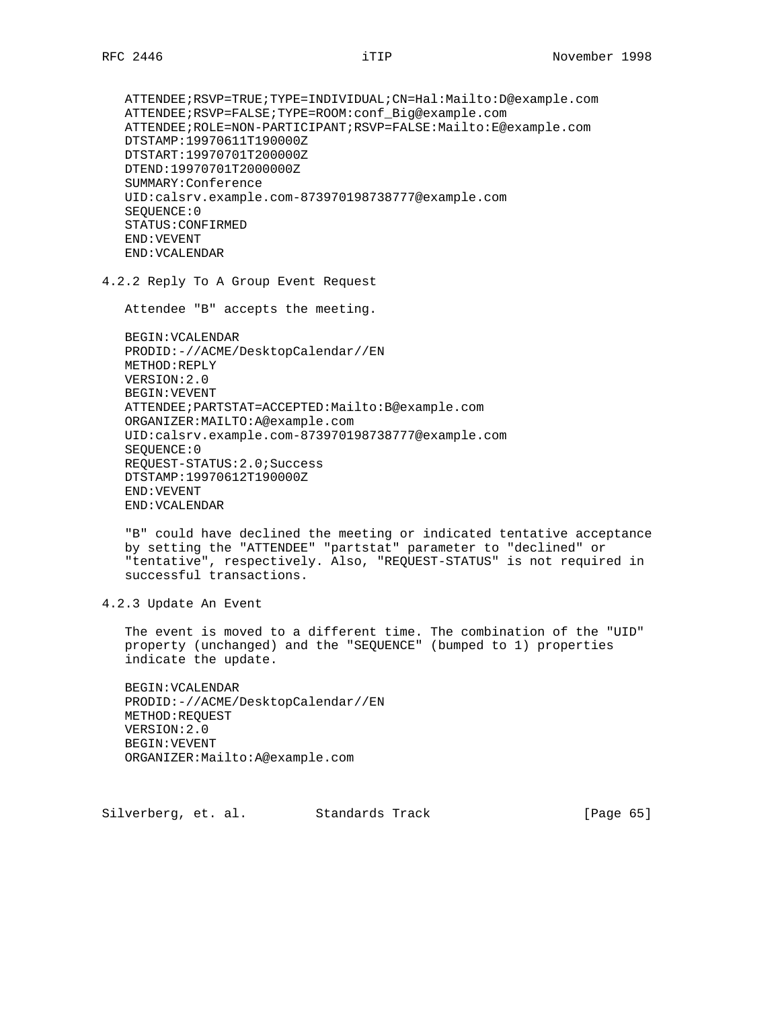ATTENDEE;RSVP=TRUE;TYPE=INDIVIDUAL;CN=Hal:Mailto:D@example.com ATTENDEE;RSVP=FALSE;TYPE=ROOM:conf\_Big@example.com ATTENDEE;ROLE=NON-PARTICIPANT;RSVP=FALSE:Mailto:E@example.com DTSTAMP:19970611T190000Z DTSTART:19970701T200000Z DTEND:19970701T2000000Z SUMMARY:Conference UID:calsrv.example.com-873970198738777@example.com SEQUENCE:0 STATUS:CONFIRMED END:VEVENT END:VCALENDAR

4.2.2 Reply To A Group Event Request

Attendee "B" accepts the meeting.

 BEGIN:VCALENDAR PRODID:-//ACME/DesktopCalendar//EN METHOD:REPLY VERSION:2.0 BEGIN:VEVENT ATTENDEE;PARTSTAT=ACCEPTED:Mailto:B@example.com ORGANIZER:MAILTO:A@example.com UID:calsrv.example.com-873970198738777@example.com SEQUENCE:0 REQUEST-STATUS:2.0;Success DTSTAMP:19970612T190000Z END:VEVENT END:VCALENDAR

 "B" could have declined the meeting or indicated tentative acceptance by setting the "ATTENDEE" "partstat" parameter to "declined" or "tentative", respectively. Also, "REQUEST-STATUS" is not required in successful transactions.

4.2.3 Update An Event

 The event is moved to a different time. The combination of the "UID" property (unchanged) and the "SEQUENCE" (bumped to 1) properties indicate the update.

 BEGIN:VCALENDAR PRODID:-//ACME/DesktopCalendar//EN METHOD:REQUEST VERSION:2.0 BEGIN:VEVENT ORGANIZER:Mailto:A@example.com

Silverberg, et. al. Standards Track [Page 65]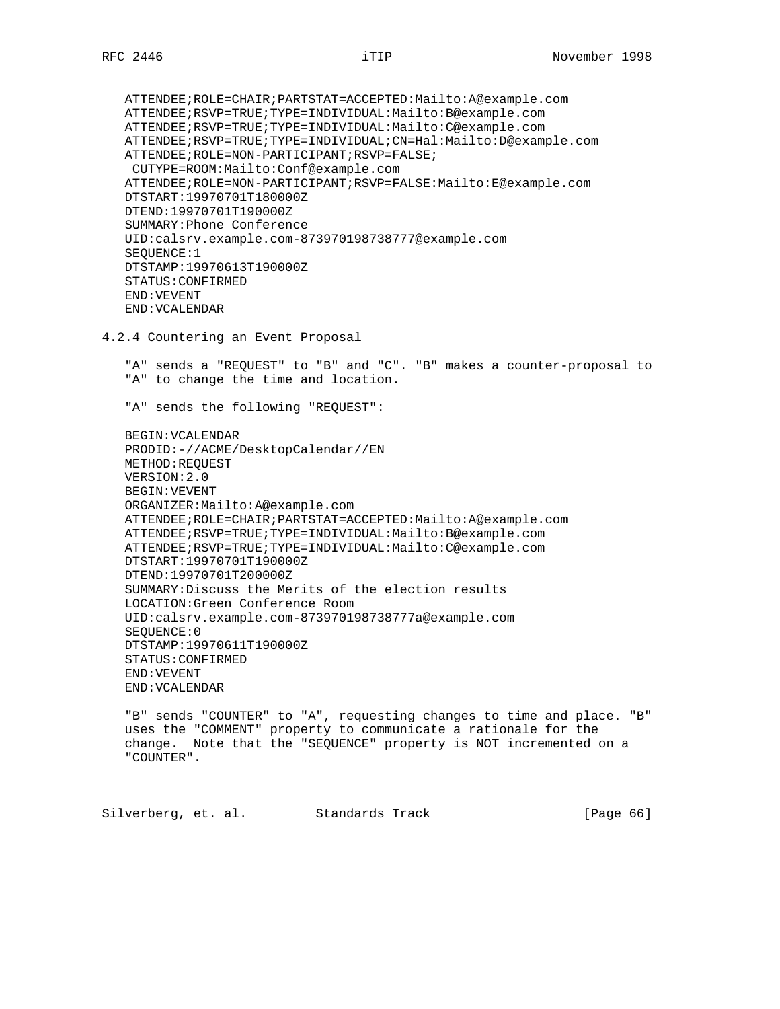ATTENDEE;ROLE=CHAIR;PARTSTAT=ACCEPTED:Mailto:A@example.com ATTENDEE;RSVP=TRUE;TYPE=INDIVIDUAL:Mailto:B@example.com ATTENDEE;RSVP=TRUE;TYPE=INDIVIDUAL:Mailto:C@example.com ATTENDEE;RSVP=TRUE;TYPE=INDIVIDUAL;CN=Hal:Mailto:D@example.com ATTENDEE;ROLE=NON-PARTICIPANT;RSVP=FALSE; CUTYPE=ROOM:Mailto:Conf@example.com ATTENDEE;ROLE=NON-PARTICIPANT;RSVP=FALSE:Mailto:E@example.com DTSTART:19970701T180000Z DTEND:19970701T190000Z SUMMARY:Phone Conference UID:calsrv.example.com-873970198738777@example.com SEQUENCE:1 DTSTAMP:19970613T190000Z STATUS:CONFIRMED END:VEVENT END:VCALENDAR

4.2.4 Countering an Event Proposal

 "A" sends a "REQUEST" to "B" and "C". "B" makes a counter-proposal to "A" to change the time and location.

"A" sends the following "REQUEST":

 BEGIN:VCALENDAR PRODID:-//ACME/DesktopCalendar//EN METHOD:REQUEST VERSION:2.0 BEGIN:VEVENT ORGANIZER:Mailto:A@example.com ATTENDEE;ROLE=CHAIR;PARTSTAT=ACCEPTED:Mailto:A@example.com ATTENDEE;RSVP=TRUE;TYPE=INDIVIDUAL:Mailto:B@example.com ATTENDEE;RSVP=TRUE;TYPE=INDIVIDUAL:Mailto:C@example.com DTSTART:19970701T190000Z DTEND:19970701T200000Z SUMMARY:Discuss the Merits of the election results LOCATION:Green Conference Room UID:calsrv.example.com-873970198738777a@example.com SEQUENCE:0 DTSTAMP:19970611T190000Z STATUS:CONFIRMED END:VEVENT END:VCALENDAR

 "B" sends "COUNTER" to "A", requesting changes to time and place. "B" uses the "COMMENT" property to communicate a rationale for the change. Note that the "SEQUENCE" property is NOT incremented on a "COUNTER".

Silverberg, et. al. Standards Track [Page 66]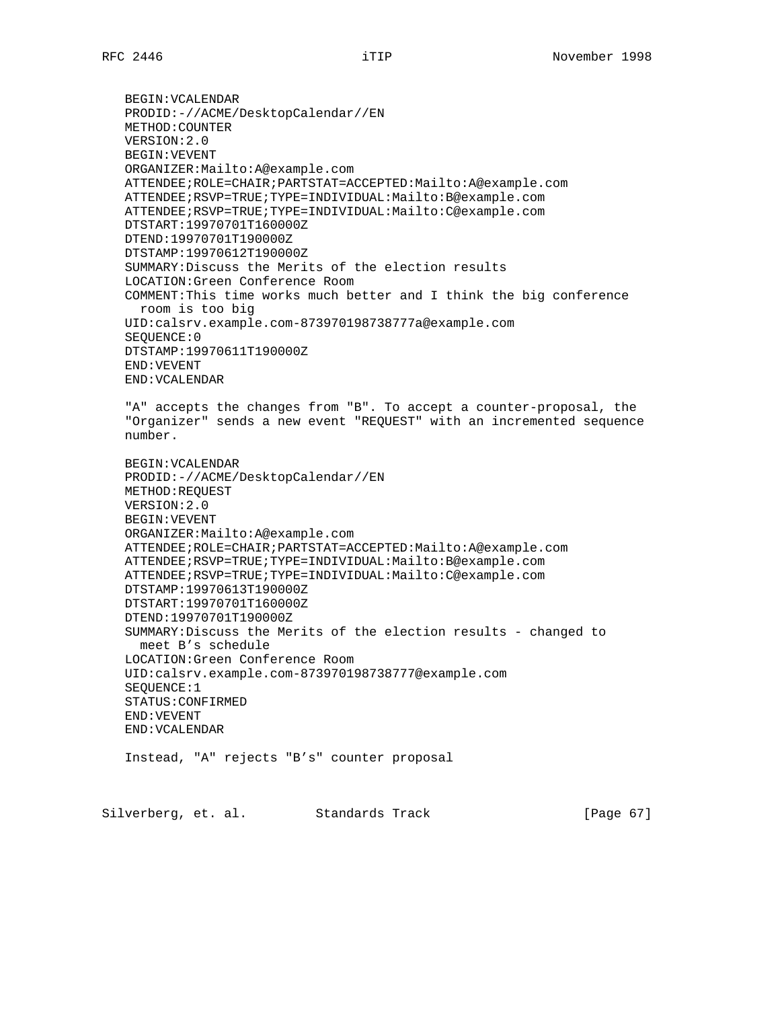BEGIN:VCALENDAR PRODID:-//ACME/DesktopCalendar//EN METHOD:COUNTER VERSION:2.0 BEGIN:VEVENT ORGANIZER:Mailto:A@example.com ATTENDEE;ROLE=CHAIR;PARTSTAT=ACCEPTED:Mailto:A@example.com ATTENDEE;RSVP=TRUE;TYPE=INDIVIDUAL:Mailto:B@example.com ATTENDEE;RSVP=TRUE;TYPE=INDIVIDUAL:Mailto:C@example.com DTSTART:19970701T160000Z DTEND:19970701T190000Z DTSTAMP:19970612T190000Z SUMMARY:Discuss the Merits of the election results LOCATION:Green Conference Room COMMENT:This time works much better and I think the big conference room is too big UID:calsrv.example.com-873970198738777a@example.com SEQUENCE:0 DTSTAMP:19970611T190000Z END:VEVENT END:VCALENDAR "A" accepts the changes from "B". To accept a counter-proposal, the "Organizer" sends a new event "REQUEST" with an incremented sequence number. BEGIN:VCALENDAR PRODID:-//ACME/DesktopCalendar//EN METHOD:REQUEST VERSION:2.0 BEGIN:VEVENT ORGANIZER:Mailto:A@example.com ATTENDEE;ROLE=CHAIR;PARTSTAT=ACCEPTED:Mailto:A@example.com ATTENDEE;RSVP=TRUE;TYPE=INDIVIDUAL:Mailto:B@example.com ATTENDEE;RSVP=TRUE;TYPE=INDIVIDUAL:Mailto:C@example.com DTSTAMP:19970613T190000Z DTSTART:19970701T160000Z DTEND:19970701T190000Z SUMMARY:Discuss the Merits of the election results - changed to meet B's schedule LOCATION:Green Conference Room UID:calsrv.example.com-873970198738777@example.com SEQUENCE:1 STATUS:CONFIRMED END:VEVENT END:VCALENDAR Instead, "A" rejects "B's" counter proposal

Silverberg, et. al. Standards Track [Page 67]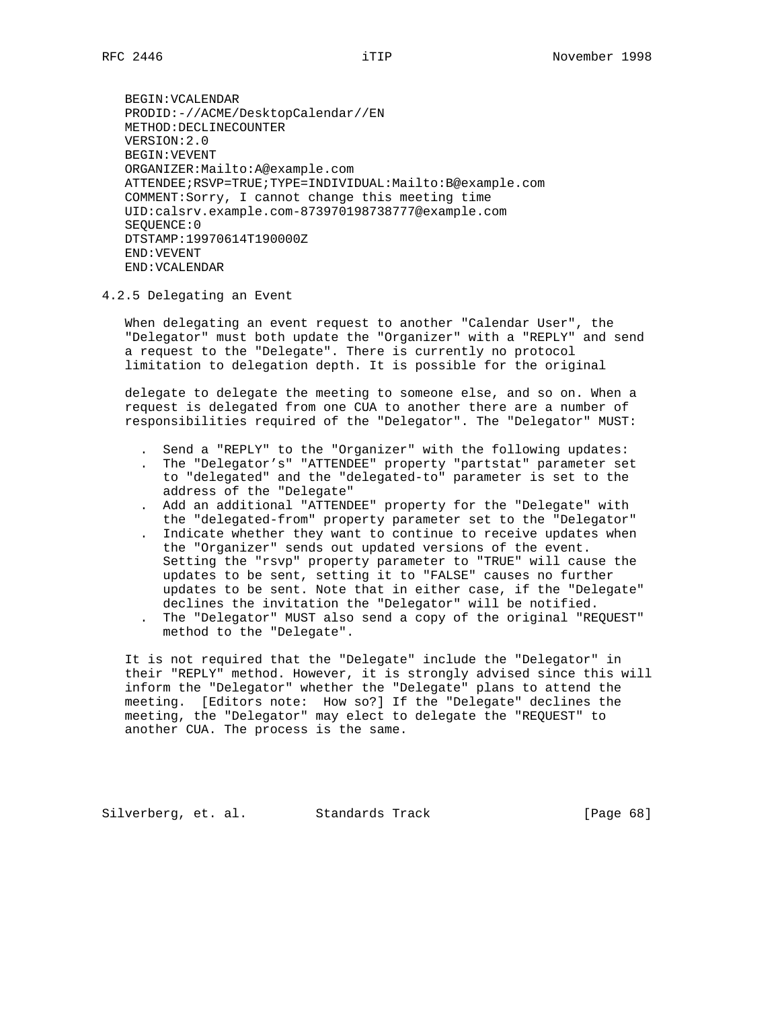BEGIN:VCALENDAR PRODID:-//ACME/DesktopCalendar//EN METHOD:DECLINECOUNTER VERSION:2.0 BEGIN:VEVENT ORGANIZER:Mailto:A@example.com ATTENDEE;RSVP=TRUE;TYPE=INDIVIDUAL:Mailto:B@example.com COMMENT:Sorry, I cannot change this meeting time UID:calsrv.example.com-873970198738777@example.com SEQUENCE:0 DTSTAMP:19970614T190000Z END:VEVENT END:VCALENDAR

#### 4.2.5 Delegating an Event

 When delegating an event request to another "Calendar User", the "Delegator" must both update the "Organizer" with a "REPLY" and send a request to the "Delegate". There is currently no protocol limitation to delegation depth. It is possible for the original

 delegate to delegate the meeting to someone else, and so on. When a request is delegated from one CUA to another there are a number of responsibilities required of the "Delegator". The "Delegator" MUST:

- . Send a "REPLY" to the "Organizer" with the following updates:
- . The "Delegator's" "ATTENDEE" property "partstat" parameter set to "delegated" and the "delegated-to" parameter is set to the address of the "Delegate"
- . Add an additional "ATTENDEE" property for the "Delegate" with the "delegated-from" property parameter set to the "Delegator"
- . Indicate whether they want to continue to receive updates when the "Organizer" sends out updated versions of the event. Setting the "rsvp" property parameter to "TRUE" will cause the updates to be sent, setting it to "FALSE" causes no further updates to be sent. Note that in either case, if the "Delegate" declines the invitation the "Delegator" will be notified.
- . The "Delegator" MUST also send a copy of the original "REQUEST" method to the "Delegate".

 It is not required that the "Delegate" include the "Delegator" in their "REPLY" method. However, it is strongly advised since this will inform the "Delegator" whether the "Delegate" plans to attend the meeting. [Editors note: How so?] If the "Delegate" declines the meeting, the "Delegator" may elect to delegate the "REQUEST" to another CUA. The process is the same.

Silverberg, et. al. Standards Track [Page 68]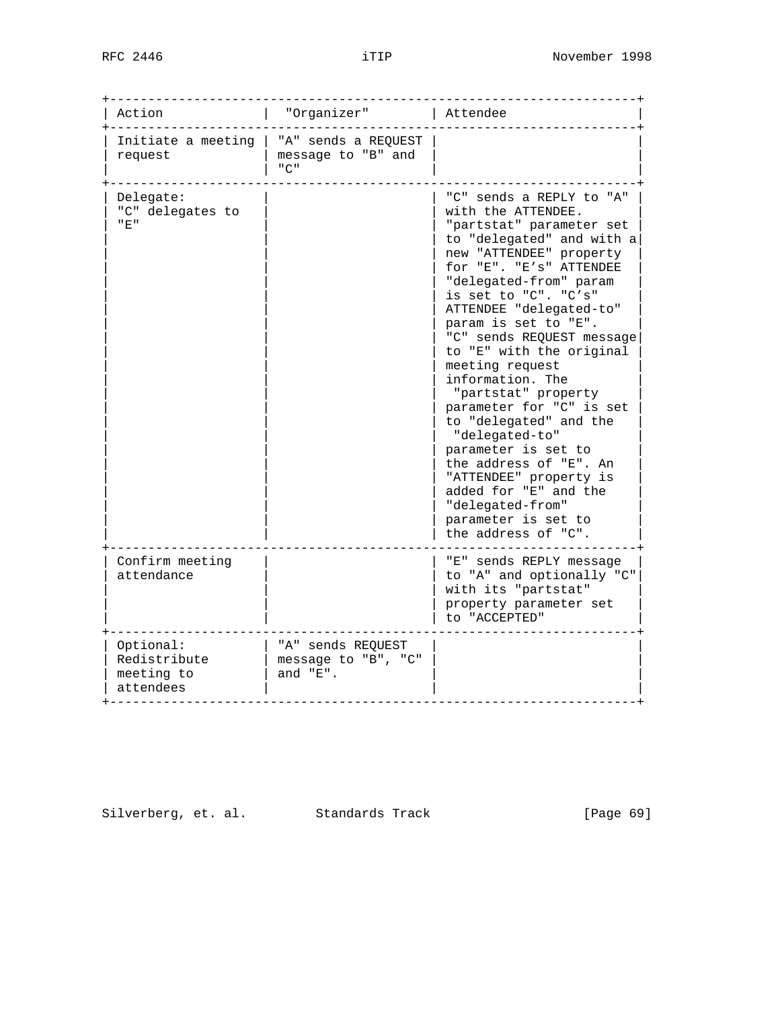| Action                                               | "Organizer"                                             | Attendee                                                                                                                                                                                                                                                                                                                                                                                                                                                                                                                                                                                                                                |
|------------------------------------------------------|---------------------------------------------------------|-----------------------------------------------------------------------------------------------------------------------------------------------------------------------------------------------------------------------------------------------------------------------------------------------------------------------------------------------------------------------------------------------------------------------------------------------------------------------------------------------------------------------------------------------------------------------------------------------------------------------------------------|
| Initiate a meeting<br>request                        | "A" sends a REQUEST<br>message to "B" and<br>"C"        |                                                                                                                                                                                                                                                                                                                                                                                                                                                                                                                                                                                                                                         |
| Delegate:<br>"C" delegates to<br>" E "               |                                                         | "C" sends a REPLY to "A"<br>with the ATTENDEE.<br>"partstat" parameter set<br>to "delegated" and with a<br>new "ATTENDEE" property<br>for "E". "E's" ATTENDEE<br>"delegated-from" param<br>is set to "C". "C's"<br>ATTENDEE "delegated-to"<br>param is set to "E".<br>"C" sends REQUEST message<br>to "E" with the original<br>meeting request<br>information. The<br>"partstat" property<br>parameter for "C" is set<br>to "delegated" and the<br>"delegated-to"<br>parameter is set to<br>the address of "E". An<br>"ATTENDEE" property is<br>added for "E" and the<br>"delegated-from"<br>parameter is set to<br>the address of "C". |
| Confirm meeting<br>attendance                        |                                                         | "E" sends REPLY message<br>to "A" and optionally "C"<br>with its "partstat"<br>property parameter set<br>to "ACCEPTED"                                                                                                                                                                                                                                                                                                                                                                                                                                                                                                                  |
| Optional:<br>Redistribute<br>meeting to<br>attendees | "A" sends REQUEST<br>message to "B", "C"<br>and $"E"$ . |                                                                                                                                                                                                                                                                                                                                                                                                                                                                                                                                                                                                                                         |

Silverberg, et. al. Standards Track [Page 69]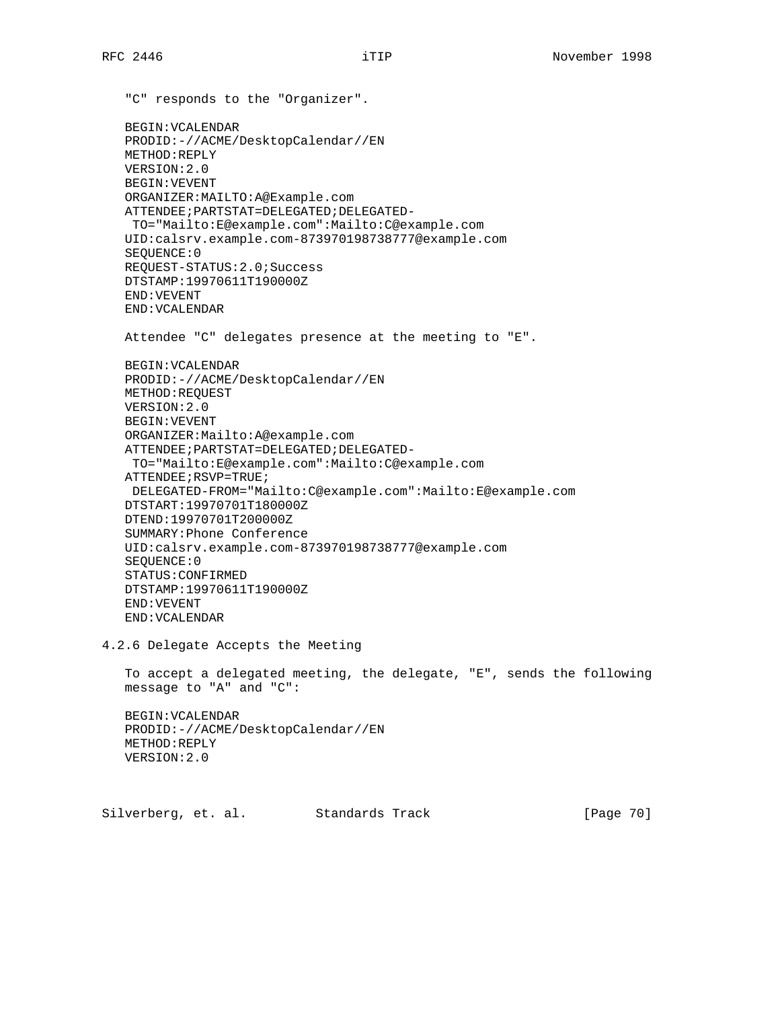"C" responds to the "Organizer". BEGIN:VCALENDAR PRODID:-//ACME/DesktopCalendar//EN METHOD:REPLY VERSION:2.0 BEGIN:VEVENT ORGANIZER:MAILTO:A@Example.com ATTENDEE;PARTSTAT=DELEGATED;DELEGATED- TO="Mailto:E@example.com":Mailto:C@example.com UID:calsrv.example.com-873970198738777@example.com SEQUENCE:0 REQUEST-STATUS:2.0;Success DTSTAMP:19970611T190000Z END:VEVENT END:VCALENDAR Attendee "C" delegates presence at the meeting to "E". BEGIN:VCALENDAR PRODID:-//ACME/DesktopCalendar//EN METHOD:REQUEST VERSION:2.0 BEGIN:VEVENT ORGANIZER:Mailto:A@example.com ATTENDEE;PARTSTAT=DELEGATED;DELEGATED- TO="Mailto:E@example.com":Mailto:C@example.com ATTENDEE;RSVP=TRUE; DELEGATED-FROM="Mailto:C@example.com":Mailto:E@example.com DTSTART:19970701T180000Z DTEND:19970701T200000Z SUMMARY:Phone Conference UID:calsrv.example.com-873970198738777@example.com SEQUENCE:0 STATUS:CONFIRMED DTSTAMP:19970611T190000Z END:VEVENT END:VCALENDAR 4.2.6 Delegate Accepts the Meeting To accept a delegated meeting, the delegate, "E", sends the following message to "A" and "C": BEGIN:VCALENDAR PRODID:-//ACME/DesktopCalendar//EN METHOD:REPLY VERSION:2.0 Silverberg, et. al. Standards Track [Page 70]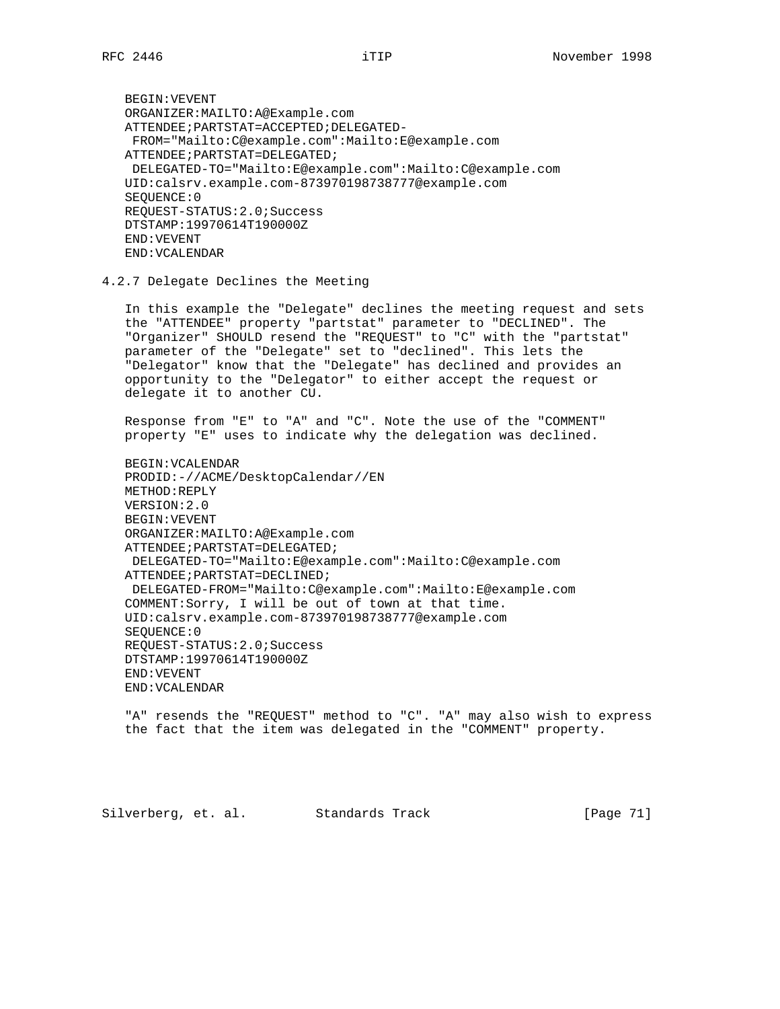BEGIN:VEVENT ORGANIZER:MAILTO:A@Example.com ATTENDEE;PARTSTAT=ACCEPTED;DELEGATED- FROM="Mailto:C@example.com":Mailto:E@example.com ATTENDEE;PARTSTAT=DELEGATED; DELEGATED-TO="Mailto:E@example.com":Mailto:C@example.com UID:calsrv.example.com-873970198738777@example.com SEQUENCE:0 REQUEST-STATUS:2.0;Success DTSTAMP:19970614T190000Z END:VEVENT END:VCALENDAR

4.2.7 Delegate Declines the Meeting

 In this example the "Delegate" declines the meeting request and sets the "ATTENDEE" property "partstat" parameter to "DECLINED". The "Organizer" SHOULD resend the "REQUEST" to "C" with the "partstat" parameter of the "Delegate" set to "declined". This lets the "Delegator" know that the "Delegate" has declined and provides an opportunity to the "Delegator" to either accept the request or delegate it to another CU.

 Response from "E" to "A" and "C". Note the use of the "COMMENT" property "E" uses to indicate why the delegation was declined.

 BEGIN:VCALENDAR PRODID:-//ACME/DesktopCalendar//EN METHOD:REPLY VERSION:2.0 BEGIN:VEVENT ORGANIZER:MAILTO:A@Example.com ATTENDEE;PARTSTAT=DELEGATED; DELEGATED-TO="Mailto:E@example.com":Mailto:C@example.com ATTENDEE;PARTSTAT=DECLINED; DELEGATED-FROM="Mailto:C@example.com":Mailto:E@example.com COMMENT:Sorry, I will be out of town at that time. UID:calsrv.example.com-873970198738777@example.com SEQUENCE:0 REQUEST-STATUS:2.0;Success DTSTAMP:19970614T190000Z END:VEVENT END:VCALENDAR

 "A" resends the "REQUEST" method to "C". "A" may also wish to express the fact that the item was delegated in the "COMMENT" property.

Silverberg, et. al. Standards Track [Page 71]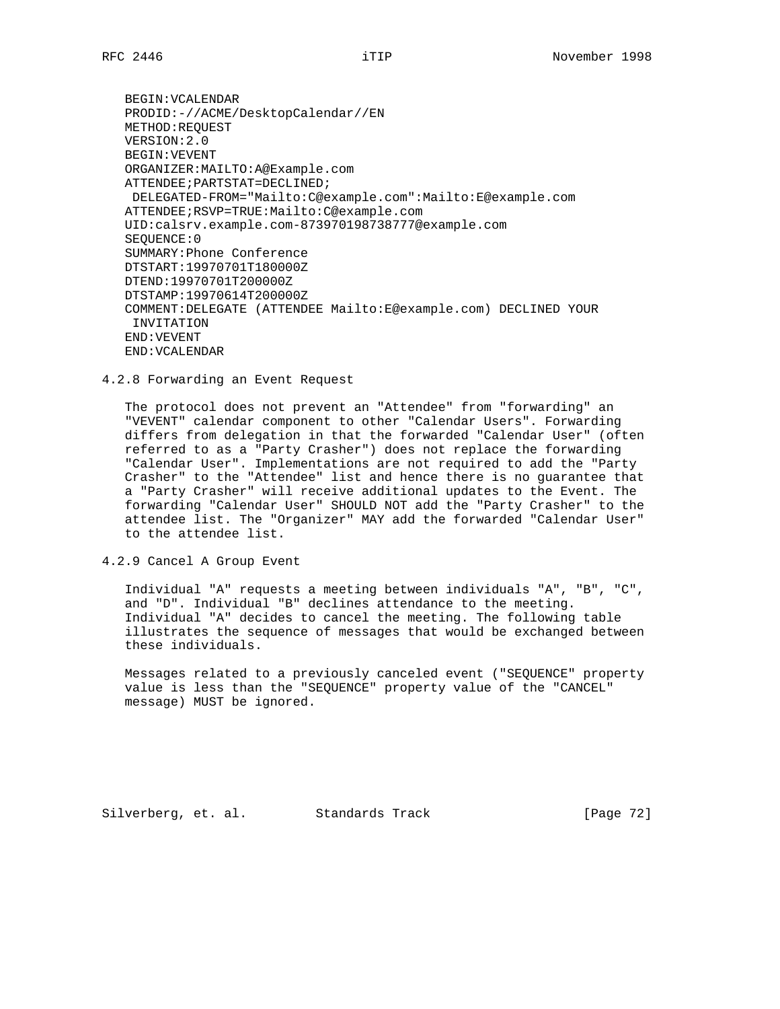BEGIN:VCALENDAR PRODID:-//ACME/DesktopCalendar//EN METHOD:REQUEST VERSION:2.0 BEGIN:VEVENT ORGANIZER:MAILTO:A@Example.com ATTENDEE;PARTSTAT=DECLINED; DELEGATED-FROM="Mailto:C@example.com":Mailto:E@example.com ATTENDEE;RSVP=TRUE:Mailto:C@example.com UID:calsrv.example.com-873970198738777@example.com SEQUENCE:0 SUMMARY:Phone Conference DTSTART:19970701T180000Z DTEND:19970701T200000Z DTSTAMP:19970614T200000Z COMMENT:DELEGATE (ATTENDEE Mailto:E@example.com) DECLINED YOUR INVITATION END:VEVENT END:VCALENDAR

4.2.8 Forwarding an Event Request

 The protocol does not prevent an "Attendee" from "forwarding" an "VEVENT" calendar component to other "Calendar Users". Forwarding differs from delegation in that the forwarded "Calendar User" (often referred to as a "Party Crasher") does not replace the forwarding "Calendar User". Implementations are not required to add the "Party Crasher" to the "Attendee" list and hence there is no guarantee that a "Party Crasher" will receive additional updates to the Event. The forwarding "Calendar User" SHOULD NOT add the "Party Crasher" to the attendee list. The "Organizer" MAY add the forwarded "Calendar User" to the attendee list.

4.2.9 Cancel A Group Event

 Individual "A" requests a meeting between individuals "A", "B", "C", and "D". Individual "B" declines attendance to the meeting. Individual "A" decides to cancel the meeting. The following table illustrates the sequence of messages that would be exchanged between these individuals.

 Messages related to a previously canceled event ("SEQUENCE" property value is less than the "SEQUENCE" property value of the "CANCEL" message) MUST be ignored.

Silverberg, et. al. Standards Track [Page 72]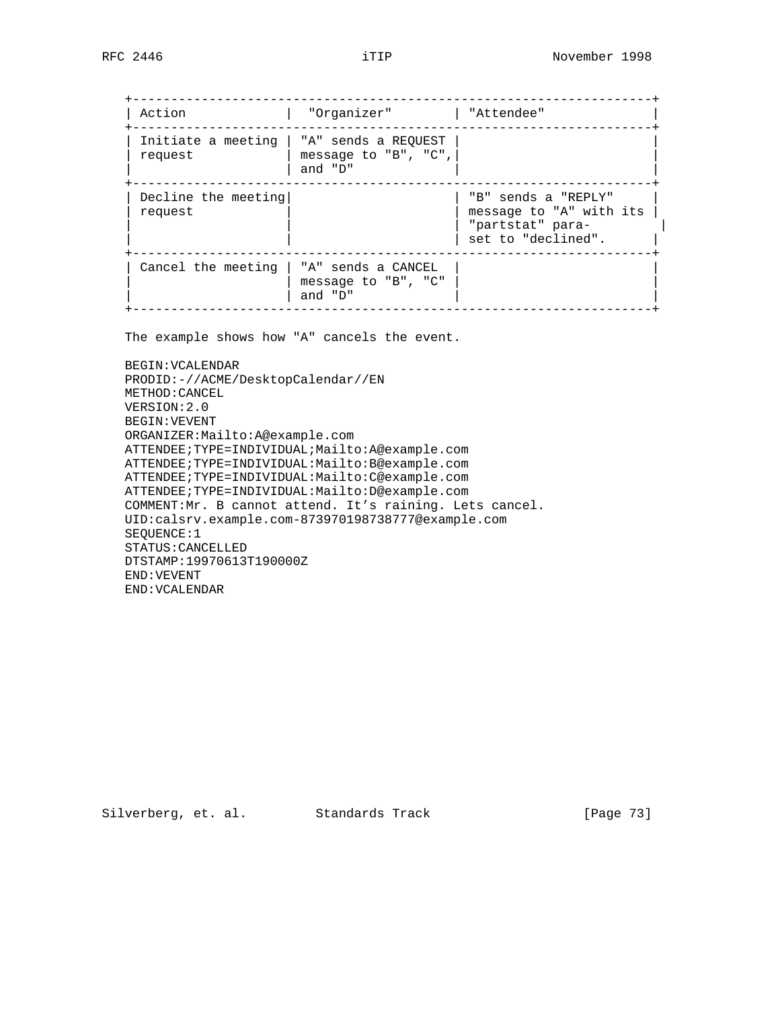| Action                         | "Organizer"                                            | "Attendee"                                                                               |
|--------------------------------|--------------------------------------------------------|------------------------------------------------------------------------------------------|
| Initiate a meeting<br>request  | "A" sends a REOUEST<br>message to "B", "C",<br>and "D" |                                                                                          |
| Decline the meeting<br>request |                                                        | "B" sends a "REPLY"<br>message to "A" with its<br>"partstat" para-<br>set to "declined". |
| Cancel the meeting             | "A" sends a CANCEL<br>message to "B", "C"<br>and "D"   |                                                                                          |

The example shows how "A" cancels the event.

 BEGIN:VCALENDAR PRODID:-//ACME/DesktopCalendar//EN METHOD:CANCEL VERSION:2.0 BEGIN:VEVENT ORGANIZER:Mailto:A@example.com ATTENDEE;TYPE=INDIVIDUAL;Mailto:A@example.com ATTENDEE;TYPE=INDIVIDUAL:Mailto:B@example.com ATTENDEE;TYPE=INDIVIDUAL:Mailto:C@example.com ATTENDEE;TYPE=INDIVIDUAL:Mailto:D@example.com COMMENT:Mr. B cannot attend. It's raining. Lets cancel. UID:calsrv.example.com-873970198738777@example.com SEQUENCE:1 STATUS:CANCELLED DTSTAMP:19970613T190000Z END:VEVENT END:VCALENDAR

Silverberg, et. al. Standards Track [Page 73]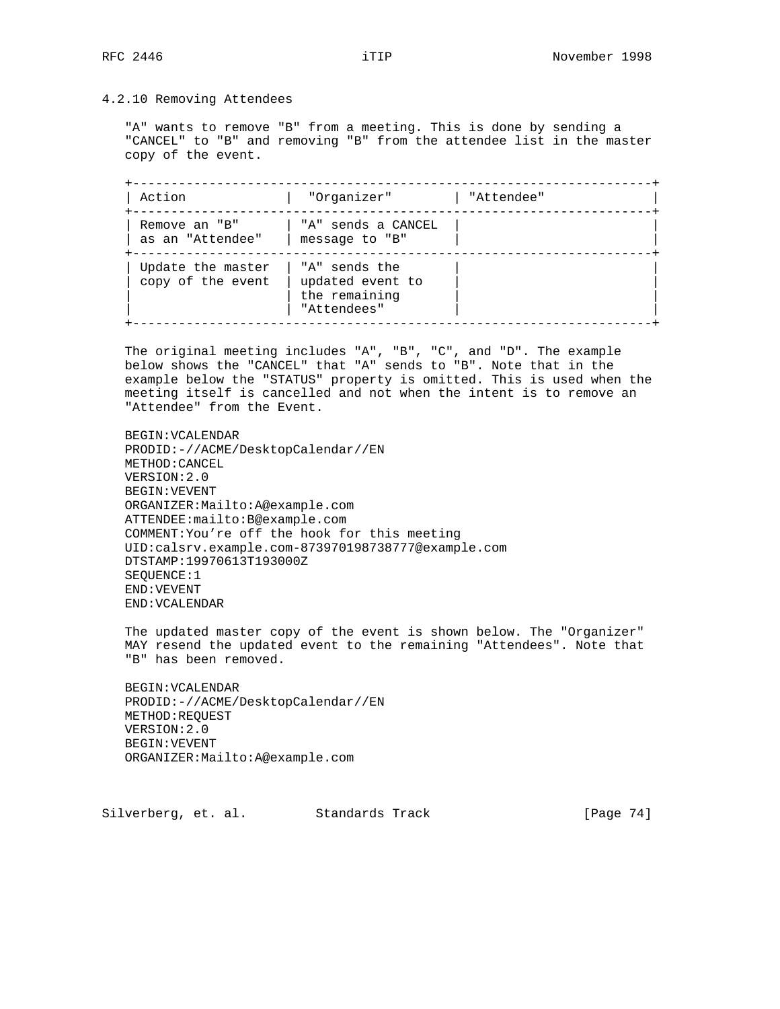# 4.2.10 Removing Attendees

 "A" wants to remove "B" from a meeting. This is done by sending a "CANCEL" to "B" and removing "B" from the attendee list in the master copy of the event.

 +--------------------------------------------------------------------+ | Action | "Organizer" | "Attendee" +--------------------------------------------------------------------+ | Remove an "B" | "A" sends a CANCEL | |  $|$  as an "Attendee"  $|$  message to "B"  $|$  +--------------------------------------------------------------------+  $|$  Update the master  $|$  "A" sends the | copy of the event | updated event to | |  $\vert$   $\vert$  the remaining  $\vert$   $\vert$ | "Attendees" +--------------------------------------------------------------------+

 The original meeting includes "A", "B", "C", and "D". The example below shows the "CANCEL" that "A" sends to "B". Note that in the example below the "STATUS" property is omitted. This is used when the meeting itself is cancelled and not when the intent is to remove an "Attendee" from the Event.

 BEGIN:VCALENDAR PRODID:-//ACME/DesktopCalendar//EN METHOD:CANCEL VERSION:2.0 BEGIN:VEVENT ORGANIZER:Mailto:A@example.com ATTENDEE:mailto:B@example.com COMMENT:You're off the hook for this meeting UID:calsrv.example.com-873970198738777@example.com DTSTAMP:19970613T193000Z SEQUENCE:1 END:VEVENT END:VCALENDAR

 The updated master copy of the event is shown below. The "Organizer" MAY resend the updated event to the remaining "Attendees". Note that "B" has been removed.

 BEGIN:VCALENDAR PRODID:-//ACME/DesktopCalendar//EN METHOD:REQUEST VERSION:2.0 BEGIN:VEVENT ORGANIZER:Mailto:A@example.com

Silverberg, et. al. Standards Track [Page 74]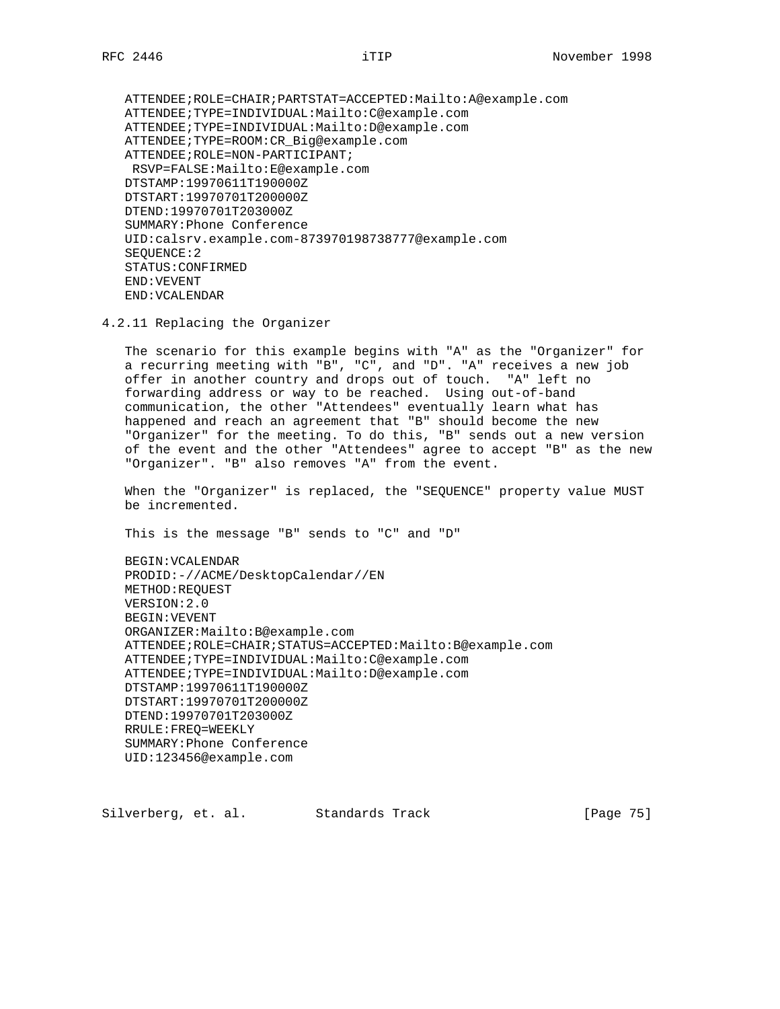ATTENDEE;ROLE=CHAIR;PARTSTAT=ACCEPTED:Mailto:A@example.com ATTENDEE;TYPE=INDIVIDUAL:Mailto:C@example.com ATTENDEE;TYPE=INDIVIDUAL:Mailto:D@example.com ATTENDEE;TYPE=ROOM:CR\_Big@example.com ATTENDEE; ROLE=NON-PARTICIPANT; RSVP=FALSE:Mailto:E@example.com DTSTAMP:19970611T190000Z DTSTART:19970701T200000Z DTEND:19970701T203000Z SUMMARY:Phone Conference UID:calsrv.example.com-873970198738777@example.com SEQUENCE:2 STATUS:CONFIRMED END:VEVENT END:VCALENDAR

4.2.11 Replacing the Organizer

 The scenario for this example begins with "A" as the "Organizer" for a recurring meeting with "B", "C", and "D". "A" receives a new job offer in another country and drops out of touch. "A" left no forwarding address or way to be reached. Using out-of-band communication, the other "Attendees" eventually learn what has happened and reach an agreement that "B" should become the new "Organizer" for the meeting. To do this, "B" sends out a new version of the event and the other "Attendees" agree to accept "B" as the new "Organizer". "B" also removes "A" from the event.

 When the "Organizer" is replaced, the "SEQUENCE" property value MUST be incremented.

This is the message "B" sends to "C" and "D"

 BEGIN:VCALENDAR PRODID:-//ACME/DesktopCalendar//EN METHOD:REQUEST VERSION:2.0 BEGIN:VEVENT ORGANIZER:Mailto:B@example.com ATTENDEE;ROLE=CHAIR;STATUS=ACCEPTED:Mailto:B@example.com ATTENDEE;TYPE=INDIVIDUAL:Mailto:C@example.com ATTENDEE;TYPE=INDIVIDUAL:Mailto:D@example.com DTSTAMP:19970611T190000Z DTSTART:19970701T200000Z DTEND:19970701T203000Z RRULE:FREQ=WEEKLY SUMMARY:Phone Conference UID:123456@example.com

Silverberg, et. al. Standards Track [Page 75]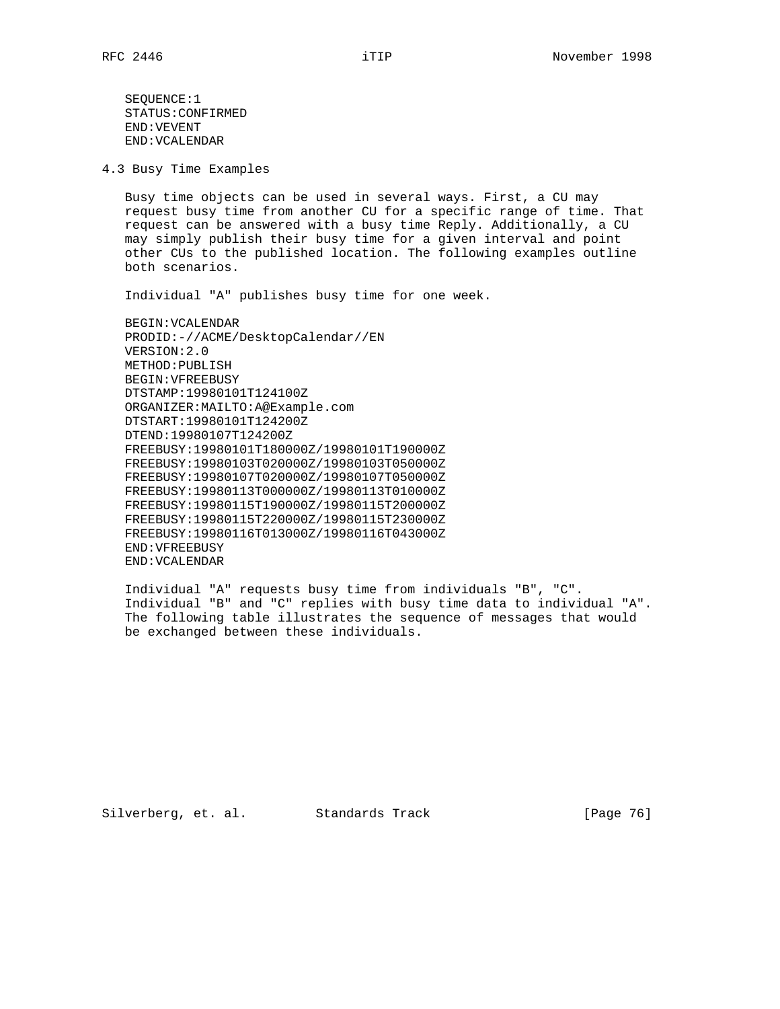SEQUENCE:1 STATUS:CONFIRMED END:VEVENT END:VCALENDAR

4.3 Busy Time Examples

 Busy time objects can be used in several ways. First, a CU may request busy time from another CU for a specific range of time. That request can be answered with a busy time Reply. Additionally, a CU may simply publish their busy time for a given interval and point other CUs to the published location. The following examples outline both scenarios.

Individual "A" publishes busy time for one week.

 BEGIN:VCALENDAR PRODID:-//ACME/DesktopCalendar//EN VERSION:2.0 METHOD:PUBLISH BEGIN:VFREEBUSY DTSTAMP:19980101T124100Z ORGANIZER:MAILTO:A@Example.com DTSTART:19980101T124200Z DTEND:19980107T124200Z FREEBUSY:19980101T180000Z/19980101T190000Z FREEBUSY:19980103T020000Z/19980103T050000Z FREEBUSY:19980107T020000Z/19980107T050000Z FREEBUSY:19980113T000000Z/19980113T010000Z FREEBUSY:19980115T190000Z/19980115T200000Z FREEBUSY:19980115T220000Z/19980115T230000Z FREEBUSY:19980116T013000Z/19980116T043000Z END:VFREEBUSY END:VCALENDAR

 Individual "A" requests busy time from individuals "B", "C". Individual "B" and "C" replies with busy time data to individual "A". The following table illustrates the sequence of messages that would be exchanged between these individuals.

Silverberg, et. al. Standards Track [Page 76]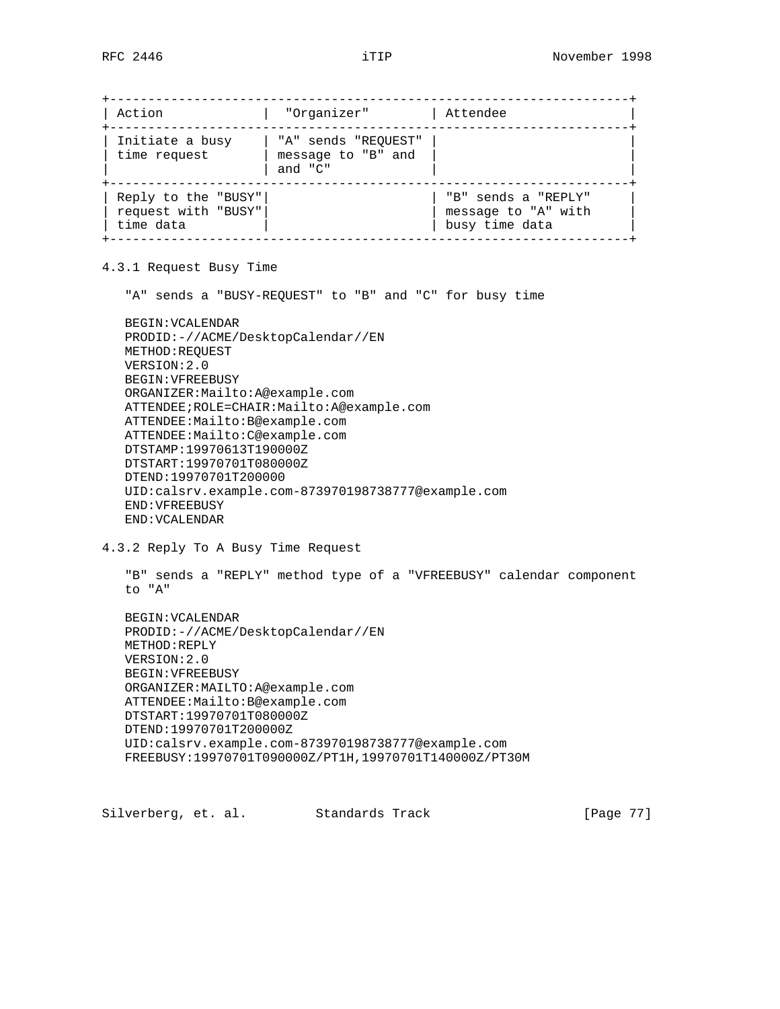+--------------------------------------------------------------------+ | Action | "Organizer" | Attendee +--------------------------------------------------------------------+ | Initiate a busy | "A" sends "REQUEST" | | | time request | message to "B" and | | | | and "C" | | +--------------------------------------------------------------------+ | Reply to the "BUSY"| | "B" sends a "REPLY" | | request with "BUSY"| | message to "A" with | | time data | | busy time data | +--------------------------------------------------------------------+

4.3.1 Request Busy Time

"A" sends a "BUSY-REQUEST" to "B" and "C" for busy time

 BEGIN:VCALENDAR PRODID:-//ACME/DesktopCalendar//EN METHOD:REQUEST VERSION:2.0 BEGIN:VFREEBUSY ORGANIZER:Mailto:A@example.com ATTENDEE;ROLE=CHAIR:Mailto:A@example.com ATTENDEE:Mailto:B@example.com ATTENDEE:Mailto:C@example.com DTSTAMP:19970613T190000Z DTSTART:19970701T080000Z DTEND:19970701T200000 UID:calsrv.example.com-873970198738777@example.com END:VFREEBUSY END:VCALENDAR

4.3.2 Reply To A Busy Time Request

 "B" sends a "REPLY" method type of a "VFREEBUSY" calendar component to "A"

```
 BEGIN:VCALENDAR
PRODID:-//ACME/DesktopCalendar//EN
METHOD:REPLY
VERSION:2.0
BEGIN:VFREEBUSY
ORGANIZER:MAILTO:A@example.com
ATTENDEE:Mailto:B@example.com
DTSTART:19970701T080000Z
DTEND:19970701T200000Z
UID:calsrv.example.com-873970198738777@example.com
FREEBUSY:19970701T090000Z/PT1H,19970701T140000Z/PT30M
```
Silverberg, et. al. Standards Track [Page 77]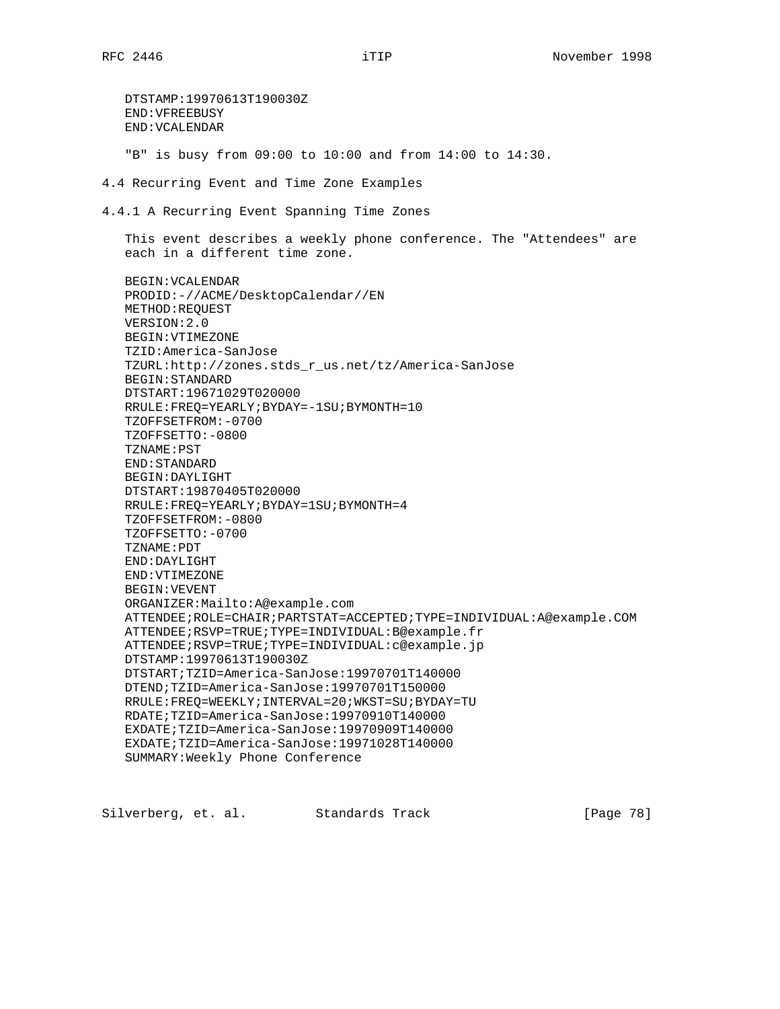DTSTAMP:19970613T190030Z END:VFREEBUSY END:VCALENDAR "B" is busy from 09:00 to 10:00 and from 14:00 to 14:30. 4.4 Recurring Event and Time Zone Examples 4.4.1 A Recurring Event Spanning Time Zones This event describes a weekly phone conference. The "Attendees" are each in a different time zone. BEGIN:VCALENDAR PRODID:-//ACME/DesktopCalendar//EN METHOD:REQUEST VERSION:2.0 BEGIN:VTIMEZONE TZID:America-SanJose TZURL:http://zones.stds\_r\_us.net/tz/America-SanJose BEGIN:STANDARD DTSTART:19671029T020000 RRULE:FREQ=YEARLY;BYDAY=-1SU;BYMONTH=10 TZOFFSETFROM:-0700 TZOFFSETTO:-0800 TZNAME:PST END:STANDARD BEGIN:DAYLIGHT DTSTART:19870405T020000 RRULE:FREQ=YEARLY;BYDAY=1SU;BYMONTH=4 TZOFFSETFROM:-0800 TZOFFSETTO:-0700 TZNAME:PDT END:DAYLIGHT END:VTIMEZONE BEGIN:VEVENT ORGANIZER:Mailto:A@example.com ATTENDEE;ROLE=CHAIR;PARTSTAT=ACCEPTED;TYPE=INDIVIDUAL:A@example.COM ATTENDEE;RSVP=TRUE;TYPE=INDIVIDUAL:B@example.fr ATTENDEE;RSVP=TRUE;TYPE=INDIVIDUAL:c@example.jp DTSTAMP:19970613T190030Z DTSTART;TZID=America-SanJose:19970701T140000 DTEND;TZID=America-SanJose:19970701T150000 RRULE:FREQ=WEEKLY;INTERVAL=20;WKST=SU;BYDAY=TU RDATE;TZID=America-SanJose:19970910T140000 EXDATE;TZID=America-SanJose:19970909T140000 EXDATE;TZID=America-SanJose:19971028T140000 SUMMARY:Weekly Phone Conference

Silverberg, et. al. Standards Track [Page 78]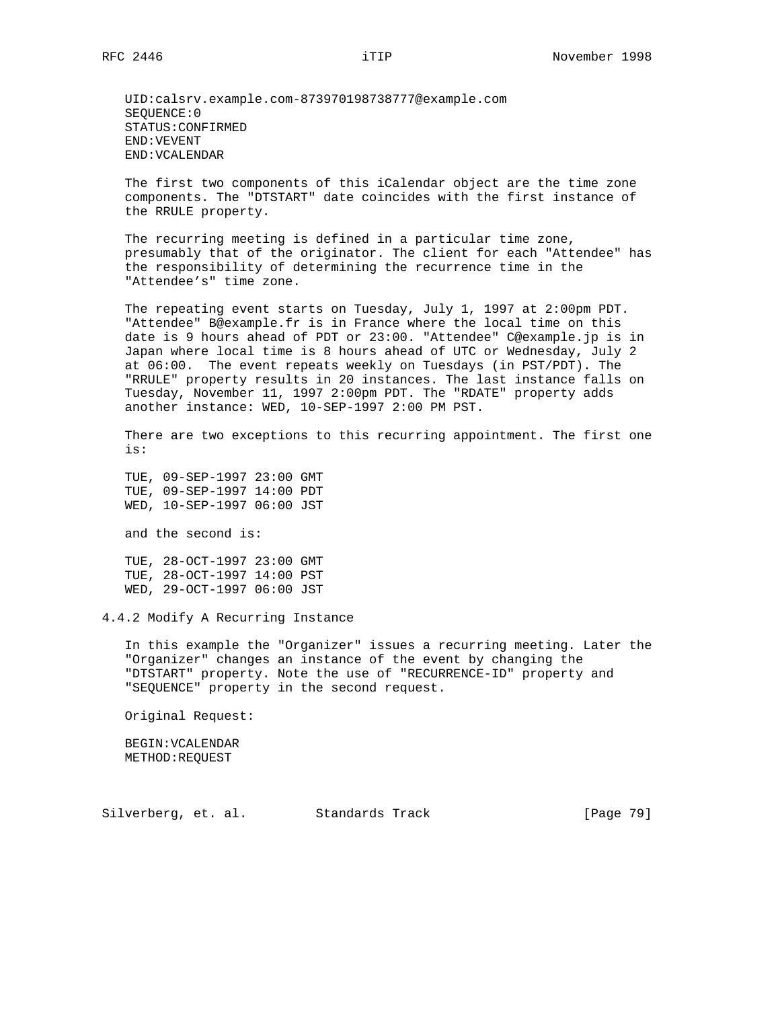UID:calsrv.example.com-873970198738777@example.com SEQUENCE:0 STATUS:CONFIRMED END:VEVENT END:VCALENDAR

 The first two components of this iCalendar object are the time zone components. The "DTSTART" date coincides with the first instance of the RRULE property.

 The recurring meeting is defined in a particular time zone, presumably that of the originator. The client for each "Attendee" has the responsibility of determining the recurrence time in the "Attendee's" time zone.

The repeating event starts on Tuesday, July 1, 1997 at 2:00pm PDT. "Attendee" B@example.fr is in France where the local time on this date is 9 hours ahead of PDT or 23:00. "Attendee" C@example.jp is in Japan where local time is 8 hours ahead of UTC or Wednesday, July 2 at 06:00. The event repeats weekly on Tuesdays (in PST/PDT). The "RRULE" property results in 20 instances. The last instance falls on Tuesday, November 11, 1997 2:00pm PDT. The "RDATE" property adds another instance: WED, 10-SEP-1997 2:00 PM PST.

 There are two exceptions to this recurring appointment. The first one is:

 TUE, 09-SEP-1997 23:00 GMT TUE, 09-SEP-1997 14:00 PDT WED, 10-SEP-1997 06:00 JST

and the second is:

 TUE, 28-OCT-1997 23:00 GMT TUE, 28-OCT-1997 14:00 PST WED, 29-OCT-1997 06:00 JST

4.4.2 Modify A Recurring Instance

 In this example the "Organizer" issues a recurring meeting. Later the "Organizer" changes an instance of the event by changing the "DTSTART" property. Note the use of "RECURRENCE-ID" property and "SEQUENCE" property in the second request.

Original Request:

 BEGIN:VCALENDAR METHOD:REQUEST

Silverberg, et. al. Standards Track [Page 79]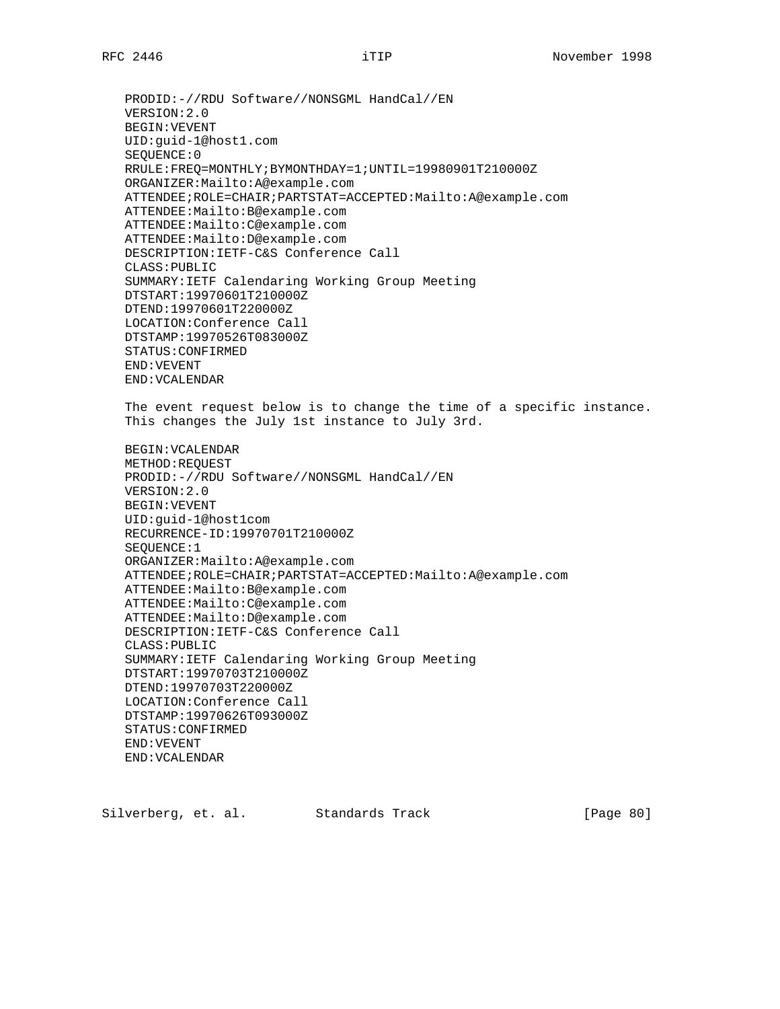PRODID:-//RDU Software//NONSGML HandCal//EN VERSION:2.0 BEGIN:VEVENT UID:guid-1@host1.com SEQUENCE:0 RRULE:FREQ=MONTHLY;BYMONTHDAY=1;UNTIL=19980901T210000Z ORGANIZER:Mailto:A@example.com ATTENDEE;ROLE=CHAIR;PARTSTAT=ACCEPTED:Mailto:A@example.com ATTENDEE:Mailto:B@example.com ATTENDEE:Mailto:C@example.com ATTENDEE:Mailto:D@example.com DESCRIPTION:IETF-C&S Conference Call CLASS:PUBLIC SUMMARY:IETF Calendaring Working Group Meeting DTSTART:19970601T210000Z DTEND:19970601T220000Z LOCATION:Conference Call DTSTAMP:19970526T083000Z STATUS:CONFIRMED END:VEVENT END:VCALENDAR The event request below is to change the time of a specific instance. This changes the July 1st instance to July 3rd. BEGIN:VCALENDAR METHOD:REQUEST PRODID:-//RDU Software//NONSGML HandCal//EN VERSION:2.0 BEGIN:VEVENT UID:guid-1@host1com RECURRENCE-ID:19970701T210000Z SEQUENCE:1 ORGANIZER:Mailto:A@example.com ATTENDEE;ROLE=CHAIR;PARTSTAT=ACCEPTED:Mailto:A@example.com ATTENDEE:Mailto:B@example.com ATTENDEE:Mailto:C@example.com ATTENDEE:Mailto:D@example.com DESCRIPTION:IETF-C&S Conference Call CLASS:PUBLIC SUMMARY:IETF Calendaring Working Group Meeting DTSTART:19970703T210000Z DTEND:19970703T220000Z LOCATION:Conference Call DTSTAMP:19970626T093000Z STATUS:CONFIRMED END:VEVENT END:VCALENDAR

Silverberg, et. al. Standards Track [Page 80]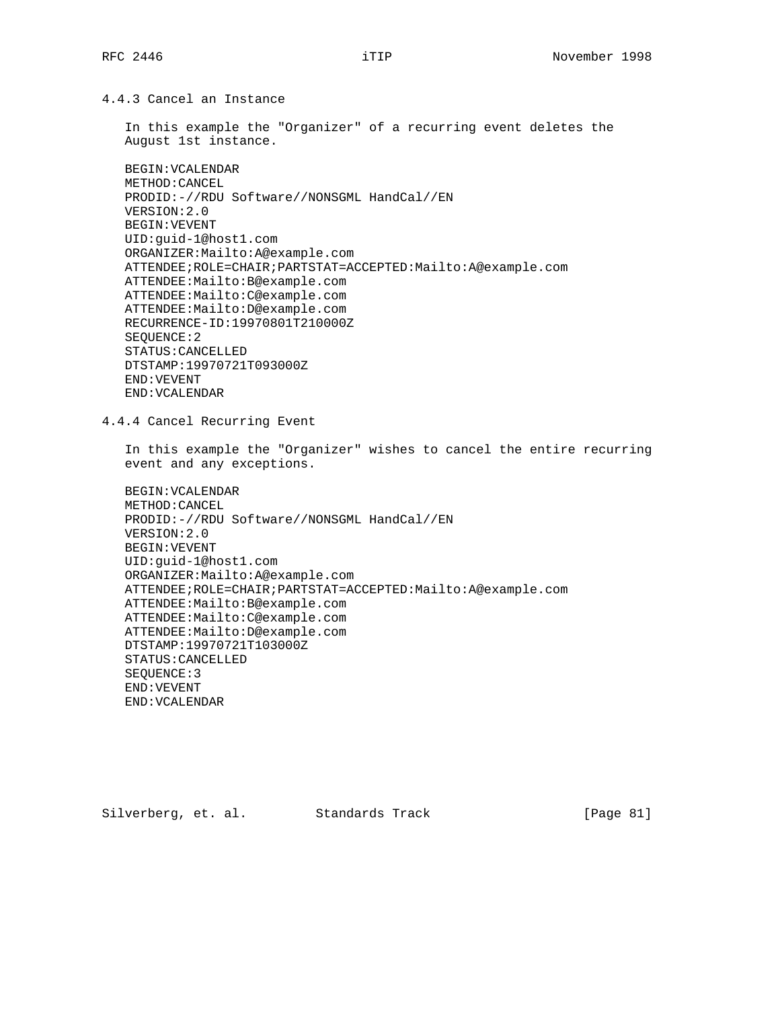4.4.3 Cancel an Instance

 In this example the "Organizer" of a recurring event deletes the August 1st instance.

 BEGIN:VCALENDAR METHOD:CANCEL PRODID:-//RDU Software//NONSGML HandCal//EN VERSION:2.0 BEGIN:VEVENT UID:guid-1@host1.com ORGANIZER:Mailto:A@example.com ATTENDEE;ROLE=CHAIR;PARTSTAT=ACCEPTED:Mailto:A@example.com ATTENDEE:Mailto:B@example.com ATTENDEE:Mailto:C@example.com ATTENDEE:Mailto:D@example.com RECURRENCE-ID:19970801T210000Z SEQUENCE:2 STATUS:CANCELLED DTSTAMP:19970721T093000Z END:VEVENT END:VCALENDAR

4.4.4 Cancel Recurring Event

 In this example the "Organizer" wishes to cancel the entire recurring event and any exceptions.

```
 BEGIN:VCALENDAR
METHOD:CANCEL
PRODID:-//RDU Software//NONSGML HandCal//EN
VERSION:2.0
BEGIN:VEVENT
UID:guid-1@host1.com
ORGANIZER:Mailto:A@example.com
ATTENDEE;ROLE=CHAIR;PARTSTAT=ACCEPTED:Mailto:A@example.com
ATTENDEE:Mailto:B@example.com
ATTENDEE:Mailto:C@example.com
ATTENDEE:Mailto:D@example.com
DTSTAMP:19970721T103000Z
STATUS:CANCELLED
SEQUENCE:3
END:VEVENT
END:VCALENDAR
```
Silverberg, et. al. Standards Track [Page 81]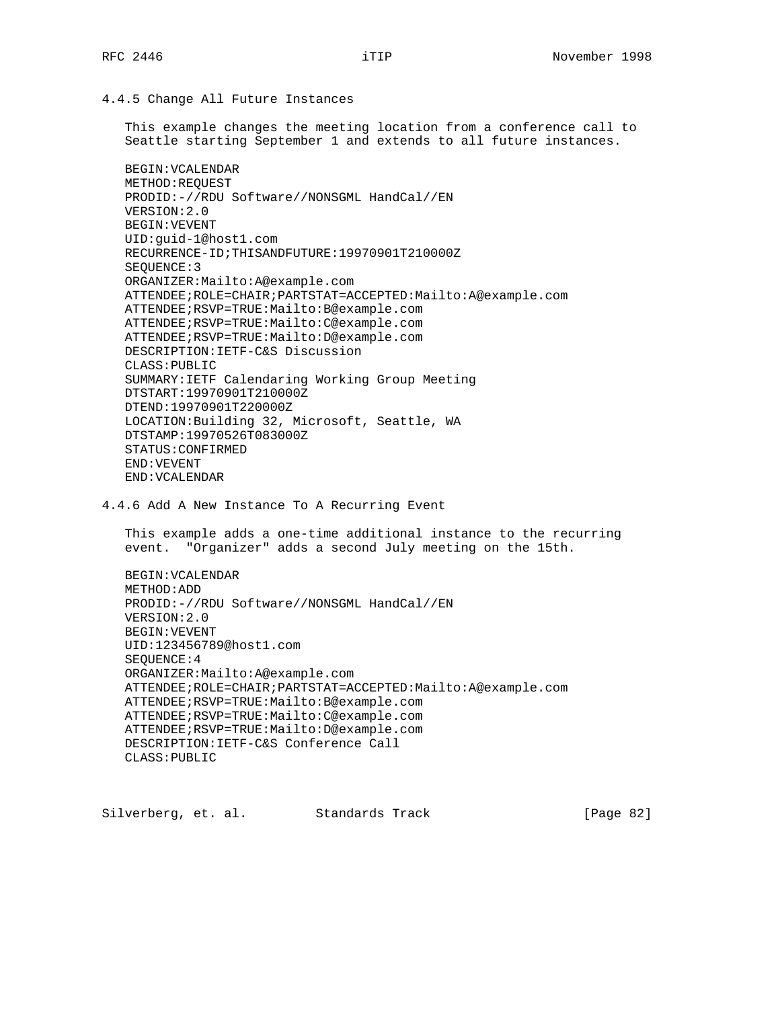4.4.5 Change All Future Instances

 This example changes the meeting location from a conference call to Seattle starting September 1 and extends to all future instances.

```
 BEGIN:VCALENDAR
METHOD:REQUEST
PRODID:-//RDU Software//NONSGML HandCal//EN
VERSION:2.0
BEGIN:VEVENT
UID:guid-1@host1.com
RECURRENCE-ID;THISANDFUTURE:19970901T210000Z
SEQUENCE:3
ORGANIZER:Mailto:A@example.com
ATTENDEE;ROLE=CHAIR;PARTSTAT=ACCEPTED:Mailto:A@example.com
ATTENDEE;RSVP=TRUE:Mailto:B@example.com
ATTENDEE;RSVP=TRUE:Mailto:C@example.com
ATTENDEE;RSVP=TRUE:Mailto:D@example.com
DESCRIPTION:IETF-C&S Discussion
CLASS:PUBLIC
SUMMARY:IETF Calendaring Working Group Meeting
DTSTART:19970901T210000Z
DTEND:19970901T220000Z
LOCATION:Building 32, Microsoft, Seattle, WA
DTSTAMP:19970526T083000Z
STATUS:CONFIRMED
END:VEVENT
END:VCALENDAR
```
4.4.6 Add A New Instance To A Recurring Event

 This example adds a one-time additional instance to the recurring event. "Organizer" adds a second July meeting on the 15th.

 BEGIN:VCALENDAR METHOD:ADD PRODID:-//RDU Software//NONSGML HandCal//EN VERSION:2.0 BEGIN:VEVENT UID:123456789@host1.com SEQUENCE:4 ORGANIZER:Mailto:A@example.com ATTENDEE;ROLE=CHAIR;PARTSTAT=ACCEPTED:Mailto:A@example.com ATTENDEE;RSVP=TRUE:Mailto:B@example.com ATTENDEE;RSVP=TRUE:Mailto:C@example.com ATTENDEE;RSVP=TRUE:Mailto:D@example.com DESCRIPTION:IETF-C&S Conference Call CLASS:PUBLIC

Silverberg, et. al. Standards Track [Page 82]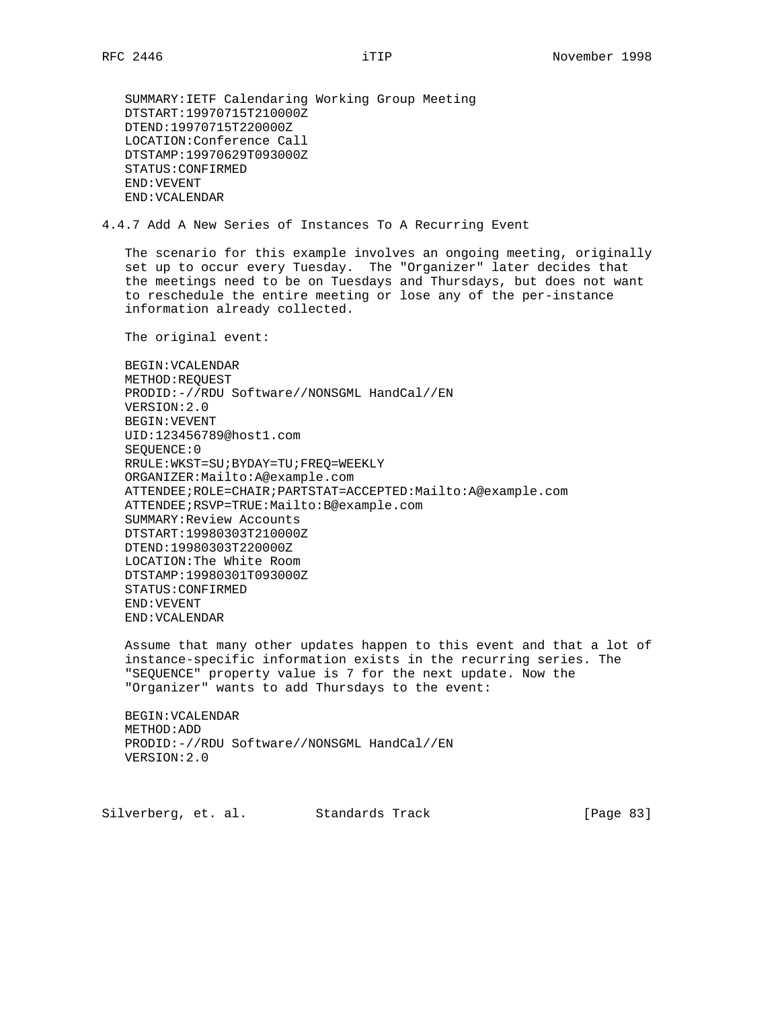SUMMARY:IETF Calendaring Working Group Meeting DTSTART:19970715T210000Z DTEND:19970715T220000Z LOCATION:Conference Call DTSTAMP:19970629T093000Z STATUS:CONFIRMED END:VEVENT END:VCALENDAR

4.4.7 Add A New Series of Instances To A Recurring Event

 The scenario for this example involves an ongoing meeting, originally set up to occur every Tuesday. The "Organizer" later decides that the meetings need to be on Tuesdays and Thursdays, but does not want to reschedule the entire meeting or lose any of the per-instance information already collected.

The original event:

 BEGIN:VCALENDAR METHOD:REQUEST PRODID:-//RDU Software//NONSGML HandCal//EN VERSION:2.0 BEGIN:VEVENT UID:123456789@host1.com SEQUENCE:0 RRULE:WKST=SU;BYDAY=TU;FREQ=WEEKLY ORGANIZER:Mailto:A@example.com ATTENDEE;ROLE=CHAIR;PARTSTAT=ACCEPTED:Mailto:A@example.com ATTENDEE;RSVP=TRUE:Mailto:B@example.com SUMMARY:Review Accounts DTSTART:19980303T210000Z DTEND:19980303T220000Z LOCATION:The White Room DTSTAMP:19980301T093000Z STATUS:CONFIRMED END:VEVENT END:VCALENDAR

 Assume that many other updates happen to this event and that a lot of instance-specific information exists in the recurring series. The "SEQUENCE" property value is 7 for the next update. Now the "Organizer" wants to add Thursdays to the event:

 BEGIN:VCALENDAR METHOD:ADD PRODID:-//RDU Software//NONSGML HandCal//EN VERSION:2.0

Silverberg, et. al. Standards Track [Page 83]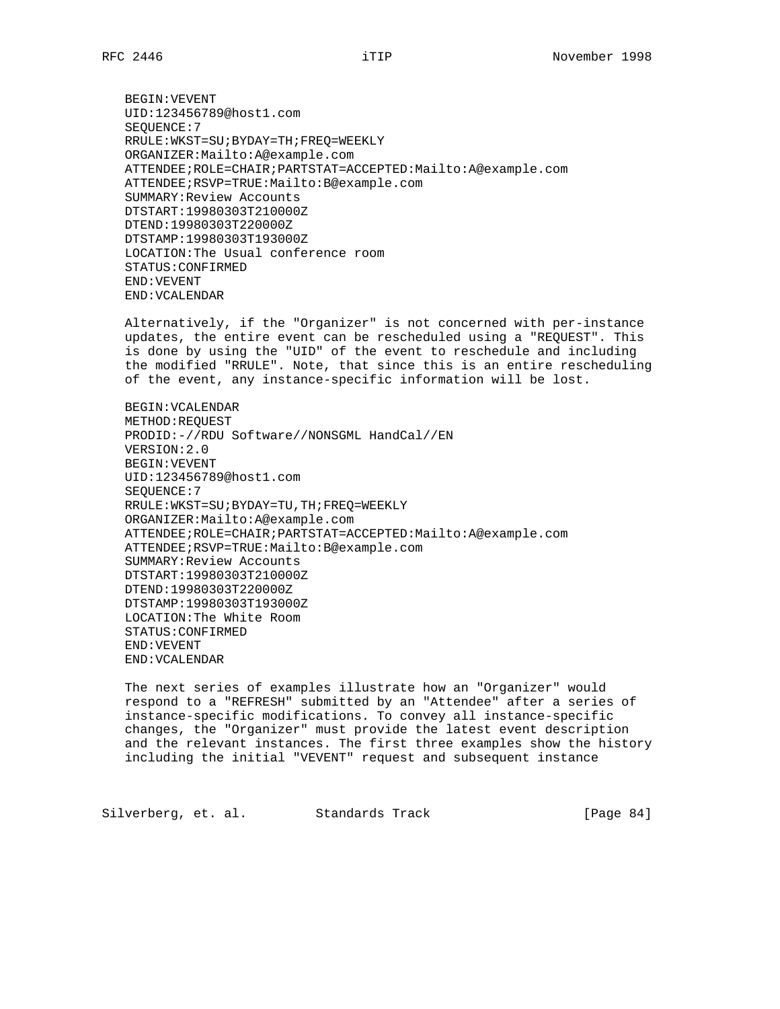BEGIN:VEVENT UID:123456789@host1.com SEQUENCE:7 RRULE:WKST=SU;BYDAY=TH;FREQ=WEEKLY ORGANIZER:Mailto:A@example.com ATTENDEE;ROLE=CHAIR;PARTSTAT=ACCEPTED:Mailto:A@example.com ATTENDEE;RSVP=TRUE:Mailto:B@example.com SUMMARY:Review Accounts DTSTART:19980303T210000Z DTEND:19980303T220000Z DTSTAMP:19980303T193000Z LOCATION:The Usual conference room STATUS:CONFIRMED END:VEVENT END:VCALENDAR

 Alternatively, if the "Organizer" is not concerned with per-instance updates, the entire event can be rescheduled using a "REQUEST". This is done by using the "UID" of the event to reschedule and including the modified "RRULE". Note, that since this is an entire rescheduling of the event, any instance-specific information will be lost.

 BEGIN:VCALENDAR METHOD:REQUEST PRODID:-//RDU Software//NONSGML HandCal//EN VERSION:2.0 BEGIN:VEVENT UID:123456789@host1.com SEQUENCE:7 RRULE:WKST=SU;BYDAY=TU,TH;FREQ=WEEKLY ORGANIZER:Mailto:A@example.com ATTENDEE;ROLE=CHAIR;PARTSTAT=ACCEPTED:Mailto:A@example.com ATTENDEE;RSVP=TRUE:Mailto:B@example.com SUMMARY:Review Accounts DTSTART:19980303T210000Z DTEND:19980303T220000Z DTSTAMP:19980303T193000Z LOCATION:The White Room STATUS:CONFIRMED END:VEVENT END:VCALENDAR

 The next series of examples illustrate how an "Organizer" would respond to a "REFRESH" submitted by an "Attendee" after a series of instance-specific modifications. To convey all instance-specific changes, the "Organizer" must provide the latest event description and the relevant instances. The first three examples show the history including the initial "VEVENT" request and subsequent instance

Silverberg, et. al. Standards Track [Page 84]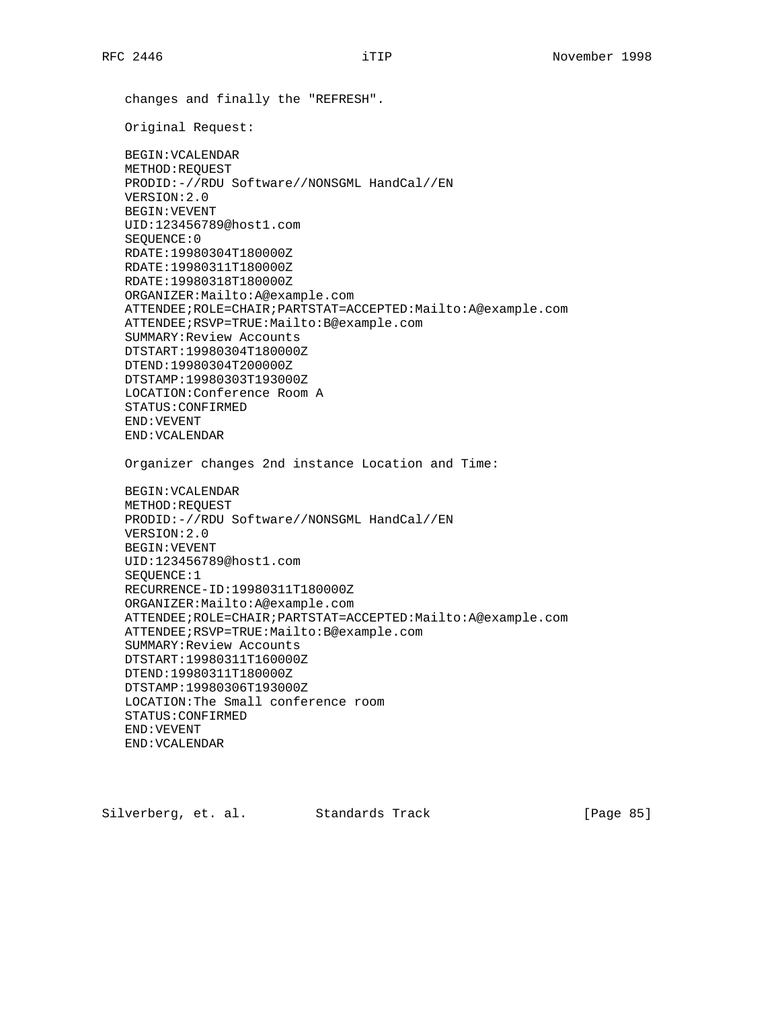changes and finally the "REFRESH". Original Request: BEGIN:VCALENDAR METHOD:REQUEST PRODID:-//RDU Software//NONSGML HandCal//EN VERSION:2.0 BEGIN:VEVENT UID:123456789@host1.com SEQUENCE:0 RDATE:19980304T180000Z RDATE:19980311T180000Z RDATE:19980318T180000Z ORGANIZER:Mailto:A@example.com ATTENDEE;ROLE=CHAIR;PARTSTAT=ACCEPTED:Mailto:A@example.com ATTENDEE;RSVP=TRUE:Mailto:B@example.com SUMMARY:Review Accounts DTSTART:19980304T180000Z DTEND:19980304T200000Z DTSTAMP:19980303T193000Z LOCATION:Conference Room A STATUS:CONFIRMED END:VEVENT END:VCALENDAR Organizer changes 2nd instance Location and Time: BEGIN:VCALENDAR METHOD:REQUEST PRODID:-//RDU Software//NONSGML HandCal//EN VERSION:2.0 BEGIN:VEVENT UID:123456789@host1.com SEQUENCE:1 RECURRENCE-ID:19980311T180000Z ORGANIZER:Mailto:A@example.com ATTENDEE;ROLE=CHAIR;PARTSTAT=ACCEPTED:Mailto:A@example.com ATTENDEE;RSVP=TRUE:Mailto:B@example.com SUMMARY:Review Accounts DTSTART:19980311T160000Z DTEND:19980311T180000Z DTSTAMP:19980306T193000Z LOCATION:The Small conference room STATUS:CONFIRMED END:VEVENT END:VCALENDAR

Silverberg, et. al. Standards Track [Page 85]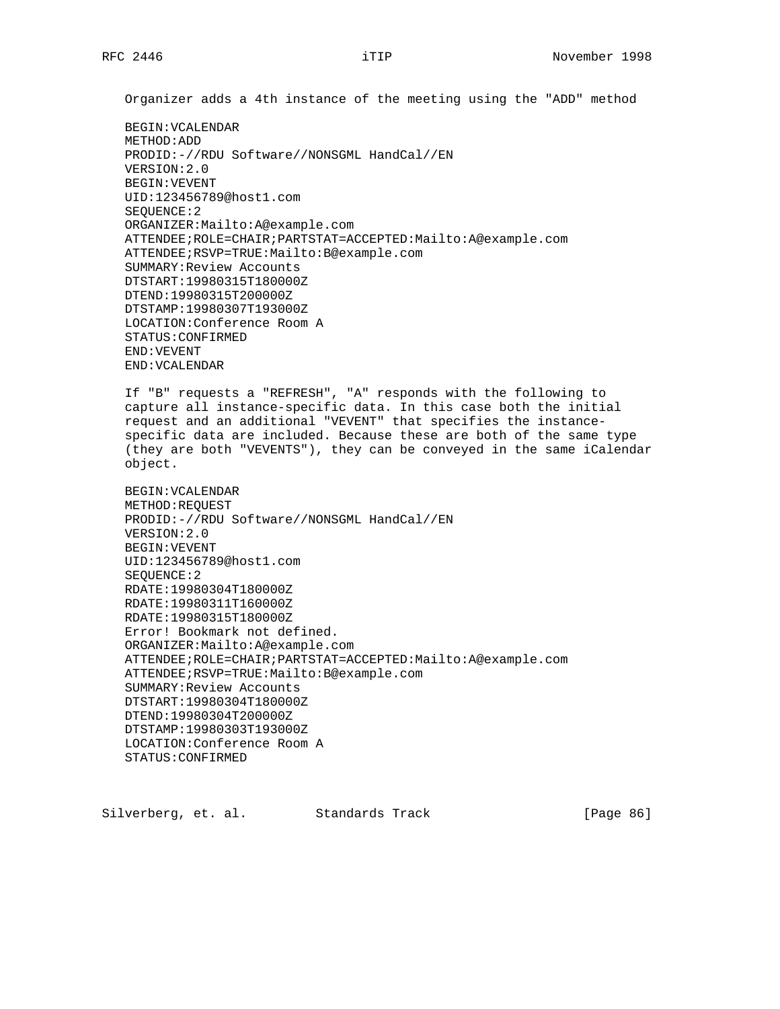Organizer adds a 4th instance of the meeting using the "ADD" method

 BEGIN:VCALENDAR METHOD:ADD PRODID:-//RDU Software//NONSGML HandCal//EN VERSION:2.0 BEGIN:VEVENT UID:123456789@host1.com SEQUENCE:2 ORGANIZER:Mailto:A@example.com ATTENDEE;ROLE=CHAIR;PARTSTAT=ACCEPTED:Mailto:A@example.com ATTENDEE;RSVP=TRUE:Mailto:B@example.com SUMMARY:Review Accounts DTSTART:19980315T180000Z DTEND:19980315T200000Z DTSTAMP:19980307T193000Z LOCATION:Conference Room A STATUS:CONFIRMED END:VEVENT END:VCALENDAR

 If "B" requests a "REFRESH", "A" responds with the following to capture all instance-specific data. In this case both the initial request and an additional "VEVENT" that specifies the instance specific data are included. Because these are both of the same type (they are both "VEVENTS"), they can be conveyed in the same iCalendar object.

```
 BEGIN:VCALENDAR
METHOD:REQUEST
PRODID:-//RDU Software//NONSGML HandCal//EN
VERSION:2.0
BEGIN:VEVENT
UID:123456789@host1.com
SEQUENCE:2
RDATE:19980304T180000Z
RDATE:19980311T160000Z
RDATE:19980315T180000Z
Error! Bookmark not defined.
ORGANIZER:Mailto:A@example.com
ATTENDEE;ROLE=CHAIR;PARTSTAT=ACCEPTED:Mailto:A@example.com
ATTENDEE;RSVP=TRUE:Mailto:B@example.com
SUMMARY:Review Accounts
DTSTART:19980304T180000Z
DTEND:19980304T200000Z
DTSTAMP:19980303T193000Z
LOCATION:Conference Room A
STATUS:CONFIRMED
```
Silverberg, et. al. Standards Track [Page 86]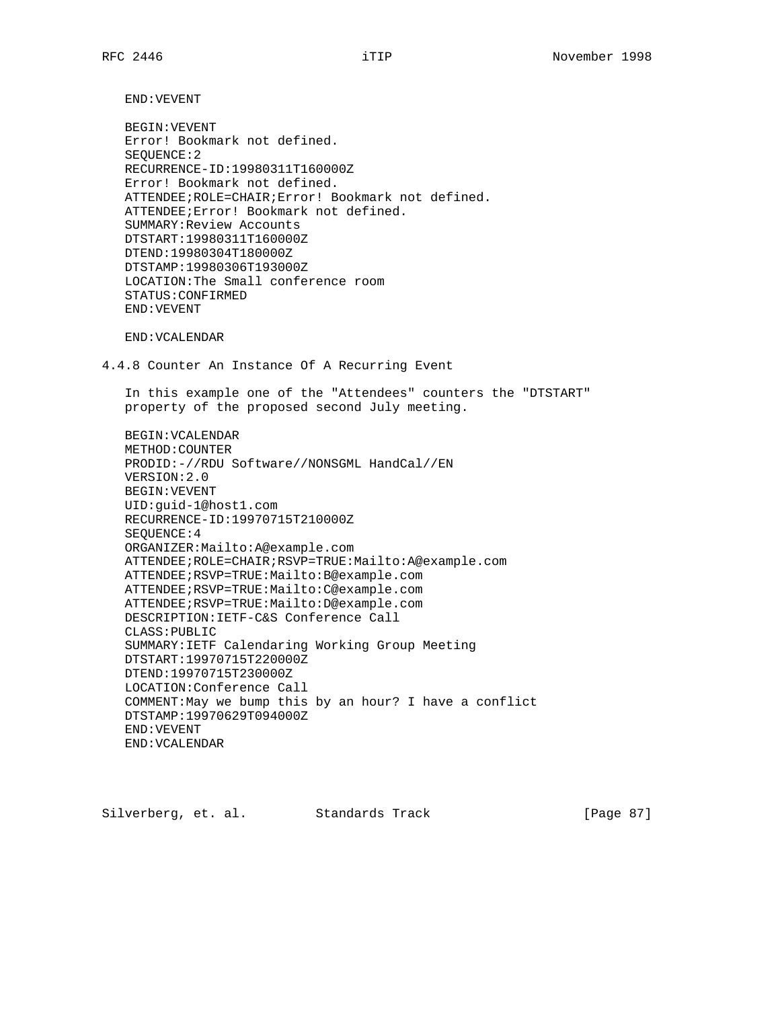END:VEVENT

 BEGIN:VEVENT Error! Bookmark not defined. SEQUENCE:2 RECURRENCE-ID:19980311T160000Z Error! Bookmark not defined. ATTENDEE;ROLE=CHAIR;Error! Bookmark not defined. ATTENDEE;Error! Bookmark not defined. SUMMARY:Review Accounts DTSTART:19980311T160000Z DTEND:19980304T180000Z DTSTAMP:19980306T193000Z LOCATION:The Small conference room STATUS:CONFIRMED END:VEVENT

END:VCALENDAR

4.4.8 Counter An Instance Of A Recurring Event

 In this example one of the "Attendees" counters the "DTSTART" property of the proposed second July meeting.

 BEGIN:VCALENDAR METHOD:COUNTER PRODID:-//RDU Software//NONSGML HandCal//EN VERSION:2.0 BEGIN:VEVENT UID:guid-1@host1.com RECURRENCE-ID:19970715T210000Z SEQUENCE:4 ORGANIZER:Mailto:A@example.com ATTENDEE;ROLE=CHAIR;RSVP=TRUE:Mailto:A@example.com ATTENDEE;RSVP=TRUE:Mailto:B@example.com ATTENDEE;RSVP=TRUE:Mailto:C@example.com ATTENDEE;RSVP=TRUE:Mailto:D@example.com DESCRIPTION:IETF-C&S Conference Call CLASS:PUBLIC SUMMARY:IETF Calendaring Working Group Meeting DTSTART:19970715T220000Z DTEND:19970715T230000Z LOCATION:Conference Call COMMENT:May we bump this by an hour? I have a conflict DTSTAMP:19970629T094000Z END:VEVENT END:VCALENDAR

Silverberg, et. al. Standards Track [Page 87]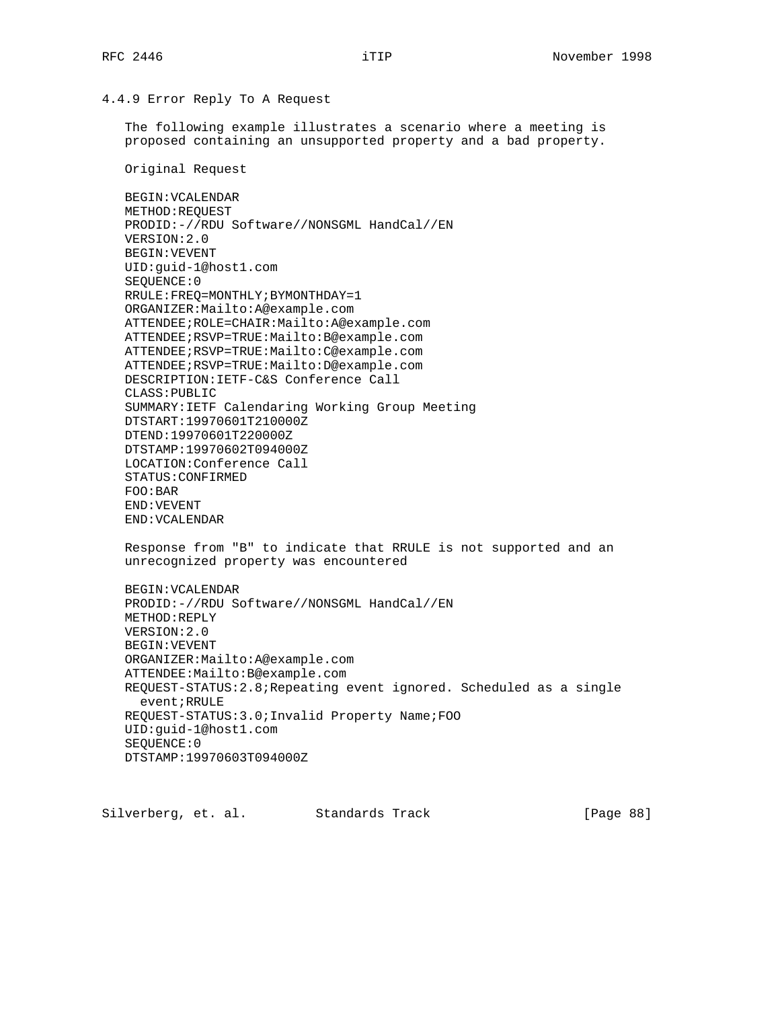# 4.4.9 Error Reply To A Request

 The following example illustrates a scenario where a meeting is proposed containing an unsupported property and a bad property.

Original Request

 BEGIN:VCALENDAR METHOD:REQUEST PRODID:-//RDU Software//NONSGML HandCal//EN VERSION:2.0 BEGIN:VEVENT UID:guid-1@host1.com SEQUENCE:0 RRULE:FREQ=MONTHLY;BYMONTHDAY=1 ORGANIZER:Mailto:A@example.com ATTENDEE;ROLE=CHAIR:Mailto:A@example.com ATTENDEE;RSVP=TRUE:Mailto:B@example.com ATTENDEE;RSVP=TRUE:Mailto:C@example.com ATTENDEE;RSVP=TRUE:Mailto:D@example.com DESCRIPTION:IETF-C&S Conference Call CLASS:PUBLIC SUMMARY:IETF Calendaring Working Group Meeting DTSTART:19970601T210000Z DTEND:19970601T220000Z DTSTAMP:19970602T094000Z LOCATION:Conference Call STATUS:CONFIRMED FOO:BAR END:VEVENT END:VCALENDAR

 Response from "B" to indicate that RRULE is not supported and an unrecognized property was encountered

 BEGIN:VCALENDAR PRODID:-//RDU Software//NONSGML HandCal//EN METHOD:REPLY VERSION:2.0 BEGIN:VEVENT ORGANIZER:Mailto:A@example.com ATTENDEE:Mailto:B@example.com REQUEST-STATUS:2.8;Repeating event ignored. Scheduled as a single event;RRULE REQUEST-STATUS:3.0;Invalid Property Name;FOO UID:guid-1@host1.com SEQUENCE:0 DTSTAMP:19970603T094000Z

Silverberg, et. al. Standards Track [Page 88]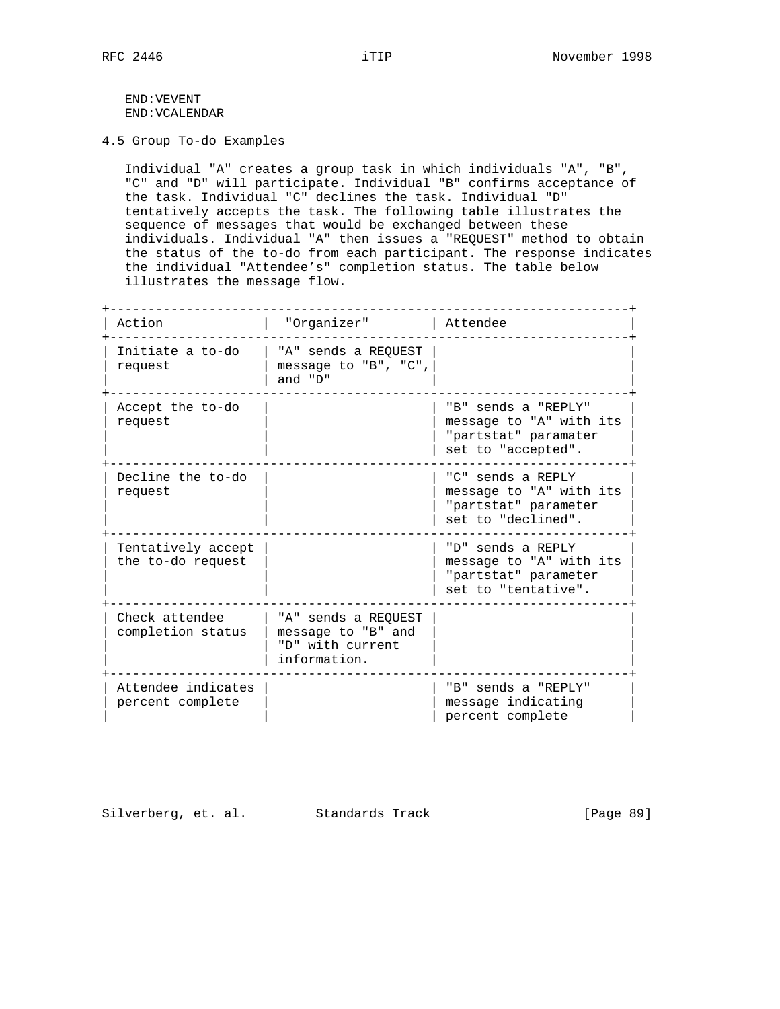END:VEVENT END:VCALENDAR

4.5 Group To-do Examples

 Individual "A" creates a group task in which individuals "A", "B", "C" and "D" will participate. Individual "B" confirms acceptance of the task. Individual "C" declines the task. Individual "D" tentatively accepts the task. The following table illustrates the sequence of messages that would be exchanged between these individuals. Individual "A" then issues a "REQUEST" method to obtain the status of the to-do from each participant. The response indicates the individual "Attendee's" completion status. The table below illustrates the message flow.

+--------------------------------------------------------------------+ | Action | "Organizer" | Attendee +--------------------------------------------------------------------+ | Initiate a to-do | "A" sends a REQUEST | |  $\vert$  request  $\vert$  message to "B", "C",  $\vert$ | | and "D" | | +--------------------------------------------------------------------+ |  $\texttt{Accept the to-do}$  |  $\texttt{[B" sends a "REPLY"]}$ | request | | message to "A" with its | | | | "partstat" paramater |  $|$  set to "accepted". -------------------------<br>| "C" sends a REPLY Decline the to-do  $|$ request  $|$  | message to "A" with its | | | | "partstat" parameter | | set to "declined". +--------------------------------------------------------------------+ | Tentatively accept | | "D" sends a REPLY | | the to-do request | | message to "A" with its | | "partstat" parameter  $|$  set to "tentative". +--------------------------------------------------------------------+ | Check attendee | "A" sends a REQUEST | | | completion status | message to "B" and | | | | "D" with current | | | information. +--------------------------------------------------------------------+ | Attendee indicates | | "B" sends a "REPLY" | percent complete | | message indicating | | percent complete

Silverberg, et. al. Standards Track [Page 89]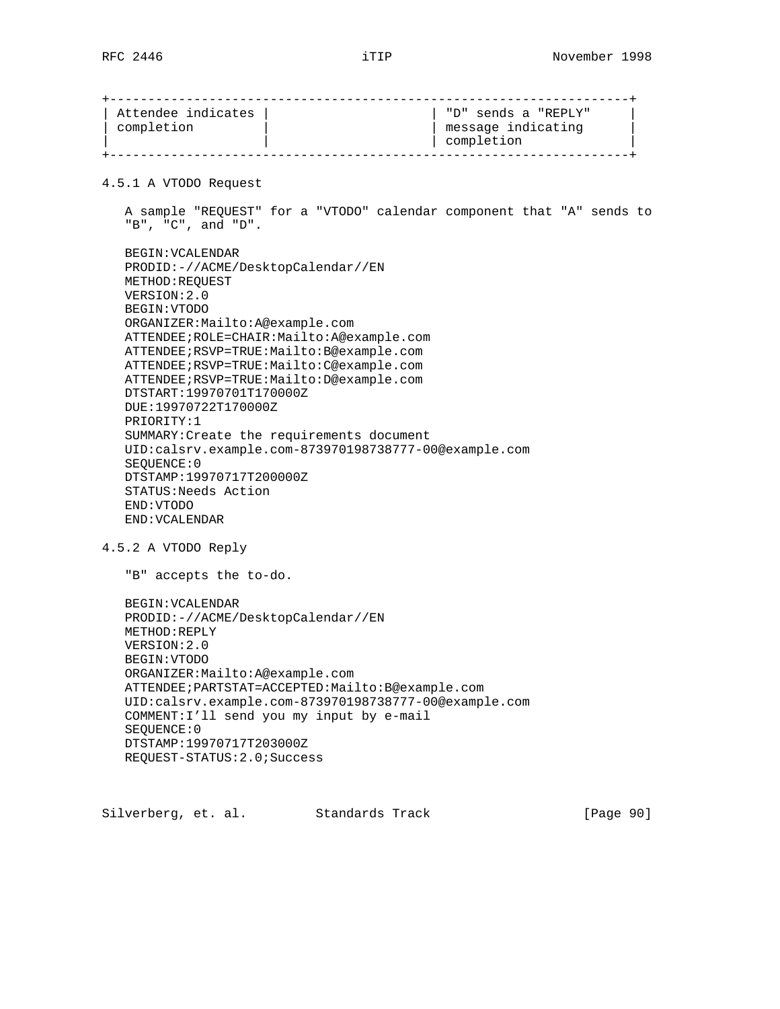+--------------------------------------------------------------------+ | Attendee indicates |  $|$  | "D" sends a "REPLY" | | completion | | message indicating | | | | completion | +--------------------------------------------------------------------+ 4.5.1 A VTODO Request A sample "REQUEST" for a "VTODO" calendar component that "A" sends to "B", "C", and "D". BEGIN:VCALENDAR PRODID:-//ACME/DesktopCalendar//EN METHOD:REQUEST VERSION:2.0 BEGIN:VTODO ORGANIZER:Mailto:A@example.com ATTENDEE;ROLE=CHAIR:Mailto:A@example.com ATTENDEE;RSVP=TRUE:Mailto:B@example.com ATTENDEE;RSVP=TRUE:Mailto:C@example.com ATTENDEE;RSVP=TRUE:Mailto:D@example.com DTSTART:19970701T170000Z DUE:19970722T170000Z PRIORITY:1 SUMMARY:Create the requirements document UID:calsrv.example.com-873970198738777-00@example.com SEQUENCE:0 DTSTAMP:19970717T200000Z STATUS:Needs Action END:VTODO END:VCALENDAR 4.5.2 A VTODO Reply "B" accepts the to-do. BEGIN:VCALENDAR PRODID:-//ACME/DesktopCalendar//EN METHOD:REPLY VERSION:2.0 BEGIN:VTODO ORGANIZER:Mailto:A@example.com ATTENDEE;PARTSTAT=ACCEPTED:Mailto:B@example.com UID:calsrv.example.com-873970198738777-00@example.com COMMENT:I'll send you my input by e-mail SEQUENCE:0 DTSTAMP:19970717T203000Z REQUEST-STATUS:2.0;Success

Silverberg, et. al. Standards Track [Page 90]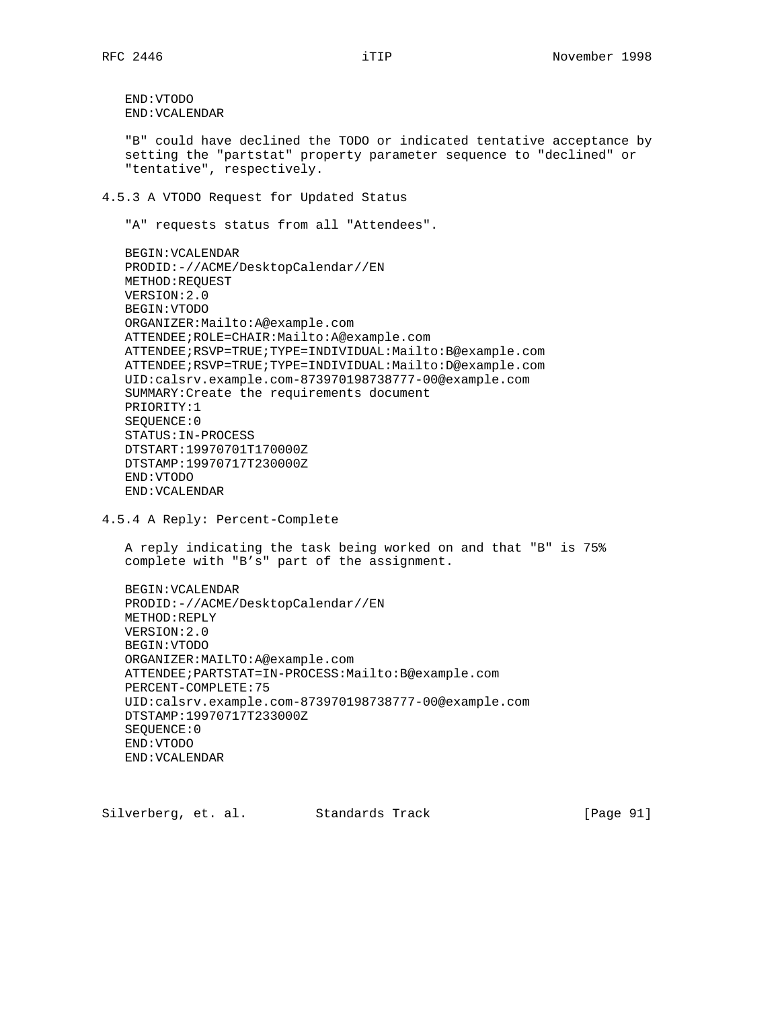END:VTODO END:VCALENDAR

 "B" could have declined the TODO or indicated tentative acceptance by setting the "partstat" property parameter sequence to "declined" or "tentative", respectively.

4.5.3 A VTODO Request for Updated Status

"A" requests status from all "Attendees".

 BEGIN:VCALENDAR PRODID:-//ACME/DesktopCalendar//EN METHOD:REQUEST VERSION:2.0 BEGIN:VTODO ORGANIZER:Mailto:A@example.com ATTENDEE;ROLE=CHAIR:Mailto:A@example.com ATTENDEE;RSVP=TRUE;TYPE=INDIVIDUAL:Mailto:B@example.com ATTENDEE;RSVP=TRUE;TYPE=INDIVIDUAL:Mailto:D@example.com UID:calsrv.example.com-873970198738777-00@example.com SUMMARY:Create the requirements document PRIORITY:1 SEQUENCE:0 STATUS:IN-PROCESS DTSTART:19970701T170000Z DTSTAMP:19970717T230000Z END:VTODO END:VCALENDAR

4.5.4 A Reply: Percent-Complete

 A reply indicating the task being worked on and that "B" is 75% complete with "B's" part of the assignment.

 BEGIN:VCALENDAR PRODID:-//ACME/DesktopCalendar//EN METHOD:REPLY VERSION:2.0 BEGIN:VTODO ORGANIZER:MAILTO:A@example.com ATTENDEE;PARTSTAT=IN-PROCESS:Mailto:B@example.com PERCENT-COMPLETE:75 UID:calsrv.example.com-873970198738777-00@example.com DTSTAMP:19970717T233000Z SEQUENCE:0 END:VTODO END:VCALENDAR

Silverberg, et. al. Standards Track [Page 91]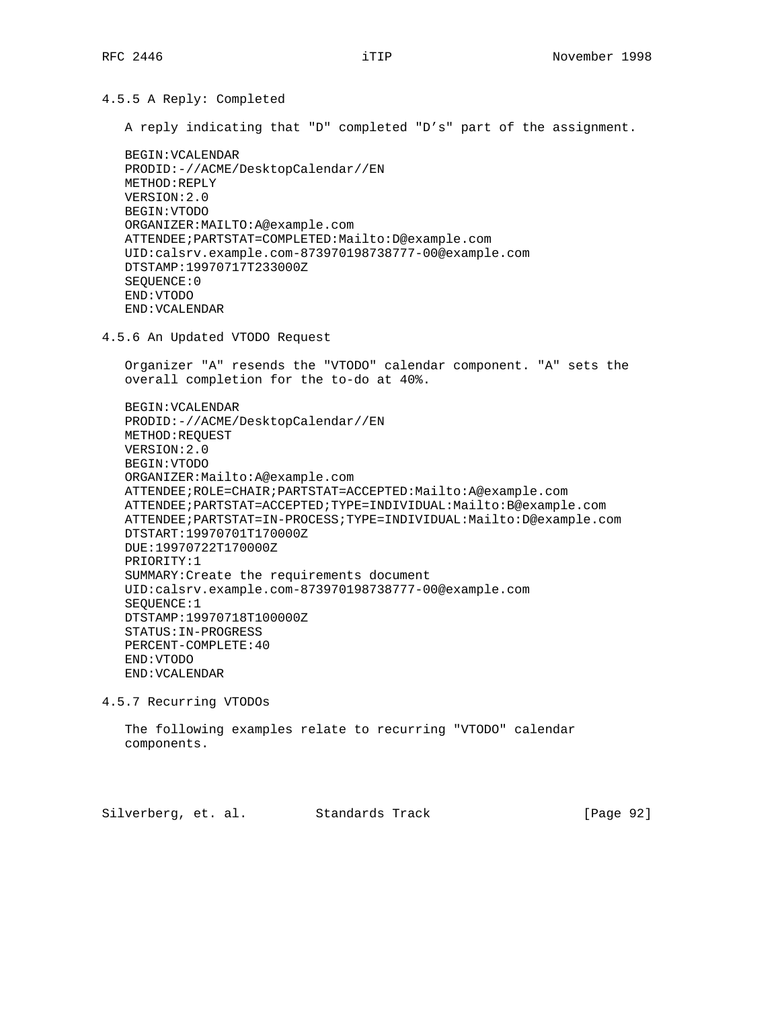4.5.5 A Reply: Completed

A reply indicating that "D" completed "D's" part of the assignment.

```
 BEGIN:VCALENDAR
PRODID:-//ACME/DesktopCalendar//EN
METHOD:REPLY
VERSION:2.0
BEGIN:VTODO
ORGANIZER:MAILTO:A@example.com
ATTENDEE;PARTSTAT=COMPLETED:Mailto:D@example.com
UID:calsrv.example.com-873970198738777-00@example.com
DTSTAMP:19970717T233000Z
SEQUENCE:0
END:VTODO
END:VCALENDAR
```
4.5.6 An Updated VTODO Request

 Organizer "A" resends the "VTODO" calendar component. "A" sets the overall completion for the to-do at 40%.

 BEGIN:VCALENDAR PRODID:-//ACME/DesktopCalendar//EN METHOD:REQUEST VERSION:2.0 BEGIN:VTODO ORGANIZER:Mailto:A@example.com ATTENDEE;ROLE=CHAIR;PARTSTAT=ACCEPTED:Mailto:A@example.com ATTENDEE;PARTSTAT=ACCEPTED;TYPE=INDIVIDUAL:Mailto:B@example.com ATTENDEE;PARTSTAT=IN-PROCESS;TYPE=INDIVIDUAL:Mailto:D@example.com DTSTART:19970701T170000Z DUE:19970722T170000Z PRIORITY:1 SUMMARY:Create the requirements document UID:calsrv.example.com-873970198738777-00@example.com SEQUENCE:1 DTSTAMP:19970718T100000Z STATUS:IN-PROGRESS PERCENT-COMPLETE:40 END:VTODO END:VCALENDAR

4.5.7 Recurring VTODOs

 The following examples relate to recurring "VTODO" calendar components.

Silverberg, et. al. Standards Track [Page 92]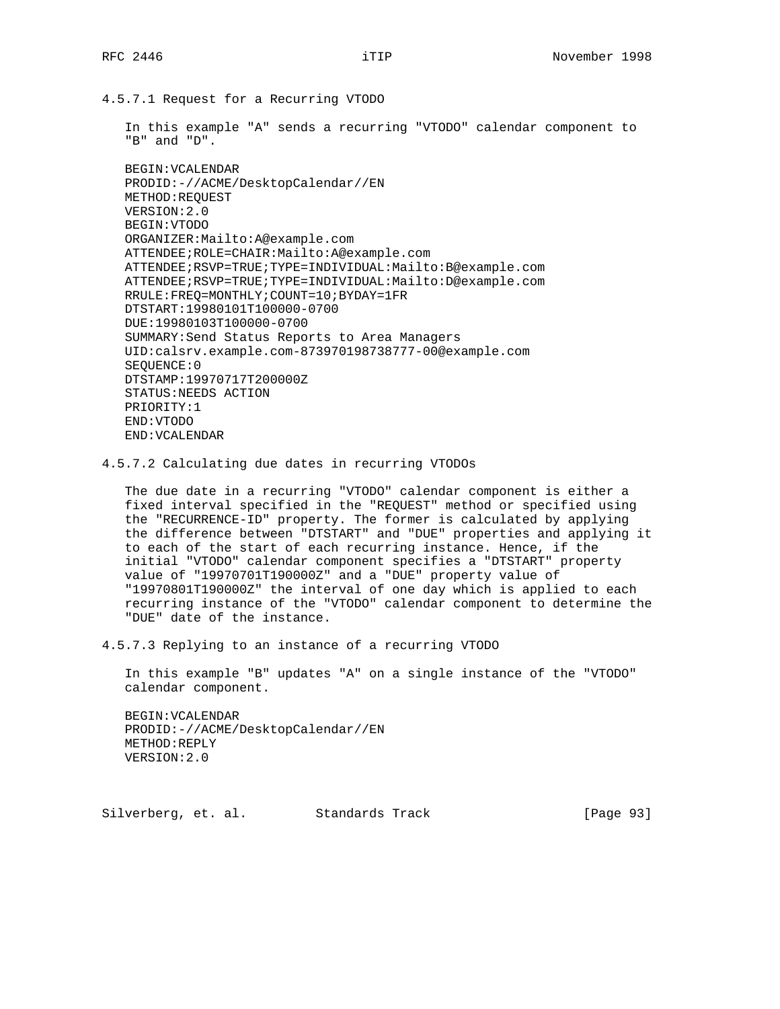4.5.7.1 Request for a Recurring VTODO

 In this example "A" sends a recurring "VTODO" calendar component to "B" and "D".

 BEGIN:VCALENDAR PRODID:-//ACME/DesktopCalendar//EN METHOD:REQUEST VERSION:2.0 BEGIN:VTODO ORGANIZER:Mailto:A@example.com ATTENDEE;ROLE=CHAIR:Mailto:A@example.com ATTENDEE;RSVP=TRUE;TYPE=INDIVIDUAL:Mailto:B@example.com ATTENDEE;RSVP=TRUE;TYPE=INDIVIDUAL:Mailto:D@example.com RRULE:FREQ=MONTHLY;COUNT=10;BYDAY=1FR DTSTART:19980101T100000-0700 DUE:19980103T100000-0700 SUMMARY:Send Status Reports to Area Managers UID:calsrv.example.com-873970198738777-00@example.com SEQUENCE:0 DTSTAMP:19970717T200000Z STATUS:NEEDS ACTION PRIORITY:1 END:VTODO END:VCALENDAR

4.5.7.2 Calculating due dates in recurring VTODOs

 The due date in a recurring "VTODO" calendar component is either a fixed interval specified in the "REQUEST" method or specified using the "RECURRENCE-ID" property. The former is calculated by applying the difference between "DTSTART" and "DUE" properties and applying it to each of the start of each recurring instance. Hence, if the initial "VTODO" calendar component specifies a "DTSTART" property value of "19970701T190000Z" and a "DUE" property value of "19970801T190000Z" the interval of one day which is applied to each recurring instance of the "VTODO" calendar component to determine the "DUE" date of the instance.

4.5.7.3 Replying to an instance of a recurring VTODO

 In this example "B" updates "A" on a single instance of the "VTODO" calendar component.

 BEGIN:VCALENDAR PRODID:-//ACME/DesktopCalendar//EN METHOD:REPLY VERSION:2.0

Silverberg, et. al. Standards Track [Page 93]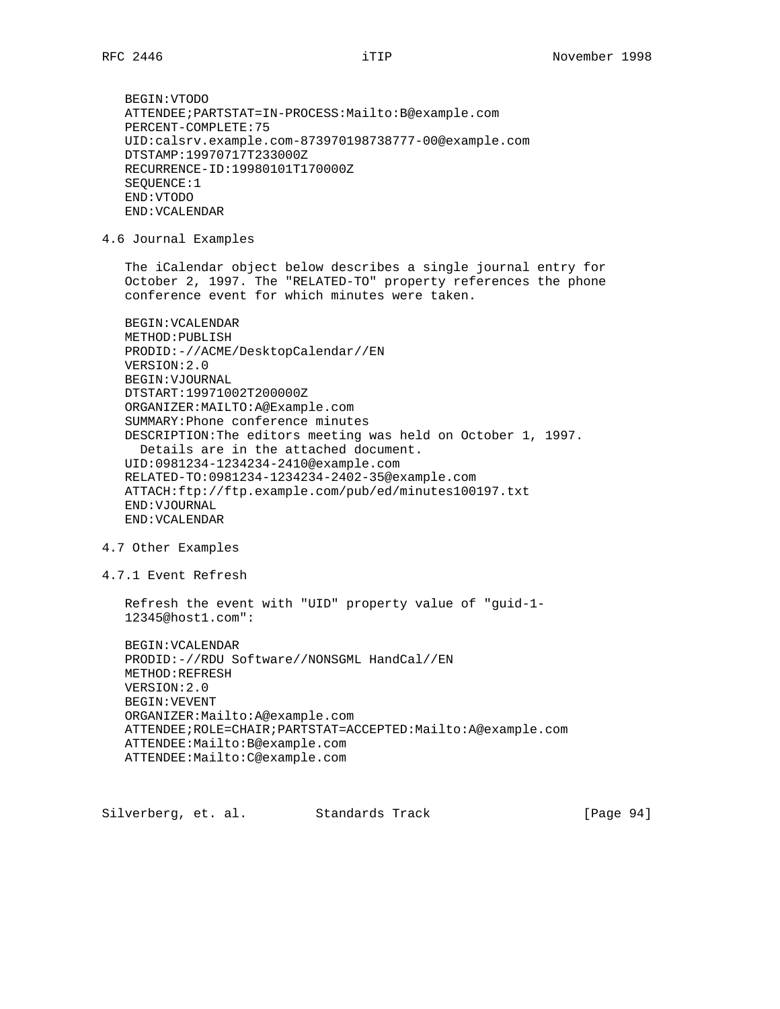BEGIN:VTODO ATTENDEE;PARTSTAT=IN-PROCESS:Mailto:B@example.com PERCENT-COMPLETE:75 UID:calsrv.example.com-873970198738777-00@example.com DTSTAMP:19970717T233000Z RECURRENCE-ID:19980101T170000Z SEQUENCE:1 END:VTODO END:VCALENDAR

4.6 Journal Examples

 The iCalendar object below describes a single journal entry for October 2, 1997. The "RELATED-TO" property references the phone conference event for which minutes were taken.

```
 BEGIN:VCALENDAR
METHOD:PUBLISH
PRODID:-//ACME/DesktopCalendar//EN
VERSION:2.0
BEGIN:VJOURNAL
DTSTART:19971002T200000Z
ORGANIZER:MAILTO:A@Example.com
SUMMARY:Phone conference minutes
DESCRIPTION:The editors meeting was held on October 1, 1997.
  Details are in the attached document.
UID:0981234-1234234-2410@example.com
RELATED-TO:0981234-1234234-2402-35@example.com
ATTACH:ftp://ftp.example.com/pub/ed/minutes100197.txt
END:VJOURNAL
END:VCALENDAR
```
#### 4.7 Other Examples

4.7.1 Event Refresh

 Refresh the event with "UID" property value of "guid-1- 12345@host1.com":

```
 BEGIN:VCALENDAR
PRODID:-//RDU Software//NONSGML HandCal//EN
METHOD:REFRESH
VERSION:2.0
BEGIN:VEVENT
ORGANIZER:Mailto:A@example.com
ATTENDEE;ROLE=CHAIR;PARTSTAT=ACCEPTED:Mailto:A@example.com
ATTENDEE:Mailto:B@example.com
ATTENDEE:Mailto:C@example.com
```
Silverberg, et. al. Standards Track [Page 94]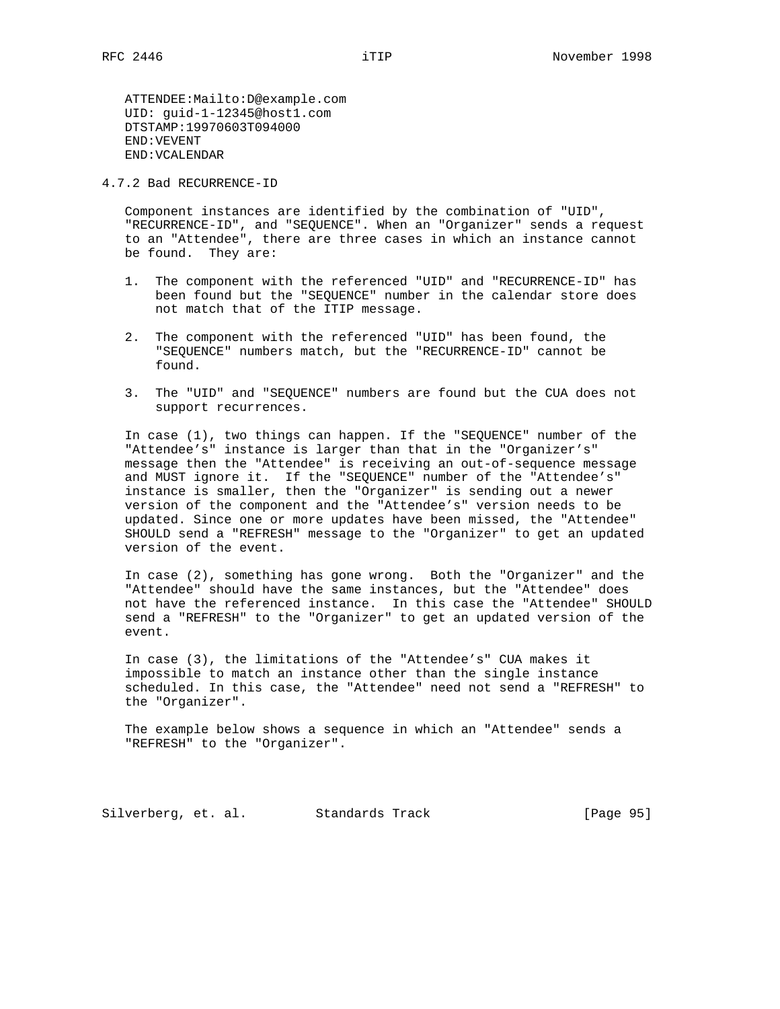ATTENDEE:Mailto:D@example.com UID: guid-1-12345@host1.com DTSTAMP:19970603T094000 END:VEVENT END:VCALENDAR

4.7.2 Bad RECURRENCE-ID

 Component instances are identified by the combination of "UID", "RECURRENCE-ID", and "SEQUENCE". When an "Organizer" sends a request to an "Attendee", there are three cases in which an instance cannot be found. They are:

- 1. The component with the referenced "UID" and "RECURRENCE-ID" has been found but the "SEQUENCE" number in the calendar store does not match that of the ITIP message.
- 2. The component with the referenced "UID" has been found, the "SEQUENCE" numbers match, but the "RECURRENCE-ID" cannot be found.
- 3. The "UID" and "SEQUENCE" numbers are found but the CUA does not support recurrences.

 In case (1), two things can happen. If the "SEQUENCE" number of the "Attendee's" instance is larger than that in the "Organizer's" message then the "Attendee" is receiving an out-of-sequence message and MUST ignore it. If the "SEQUENCE" number of the "Attendee's" instance is smaller, then the "Organizer" is sending out a newer version of the component and the "Attendee's" version needs to be updated. Since one or more updates have been missed, the "Attendee" SHOULD send a "REFRESH" message to the "Organizer" to get an updated version of the event.

 In case (2), something has gone wrong. Both the "Organizer" and the "Attendee" should have the same instances, but the "Attendee" does not have the referenced instance. In this case the "Attendee" SHOULD send a "REFRESH" to the "Organizer" to get an updated version of the event.

 In case (3), the limitations of the "Attendee's" CUA makes it impossible to match an instance other than the single instance scheduled. In this case, the "Attendee" need not send a "REFRESH" to the "Organizer".

 The example below shows a sequence in which an "Attendee" sends a "REFRESH" to the "Organizer".

Silverberg, et. al. Standards Track [Page 95]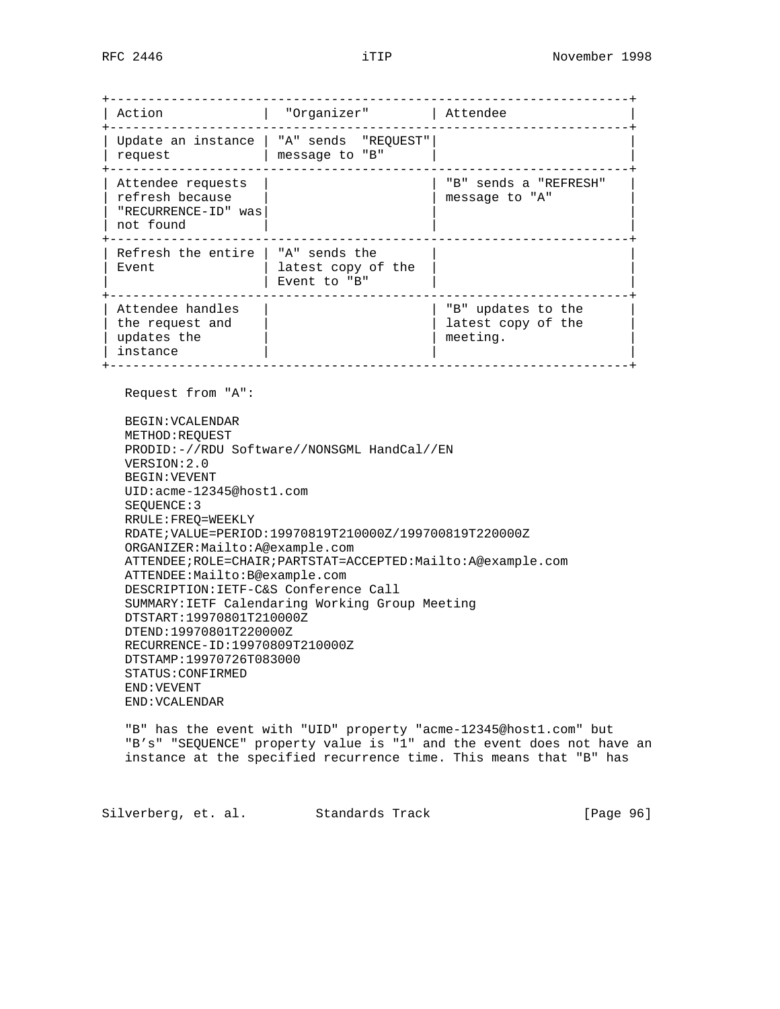+--------------------------------------------------------------------+ | Action | "Organizer" | Attendee +--------------------------------------------------------------------+ | Update an instance | "A" sends "REQUEST"| | | request | message to "B" | +--------------------------------------------------------------------+ | Attendee requests | | "B" sends a "REFRESH" | | refresh because | | message to "A" | "RECURRENCE-ID" was|<br>not found | | not found +--------------------------------------------------------------------+ | Refresh the entire | "A" sends the  $|$  Event  $|$  latest copy of the | | Event to "B" | | +--------------------------------------------------------------------+ | Attendee handles | | "B" updates to the | | the request and | | latest copy of the | | updates the  $|$  | meeting.  $|$  instance +--------------------------------------------------------------------+

Request from "A":

 BEGIN:VCALENDAR METHOD:REQUEST PRODID:-//RDU Software//NONSGML HandCal//EN VERSION:2.0 BEGIN:VEVENT UID:acme-12345@host1.com SEQUENCE:3 RRULE:FREQ=WEEKLY RDATE;VALUE=PERIOD:19970819T210000Z/199700819T220000Z ORGANIZER:Mailto:A@example.com ATTENDEE;ROLE=CHAIR;PARTSTAT=ACCEPTED:Mailto:A@example.com ATTENDEE:Mailto:B@example.com DESCRIPTION:IETF-C&S Conference Call SUMMARY:IETF Calendaring Working Group Meeting DTSTART:19970801T210000Z DTEND:19970801T220000Z RECURRENCE-ID:19970809T210000Z DTSTAMP:19970726T083000 STATUS:CONFIRMED END:VEVENT END:VCALENDAR

 "B" has the event with "UID" property "acme-12345@host1.com" but "B's" "SEQUENCE" property value is "1" and the event does not have an instance at the specified recurrence time. This means that "B" has

Silverberg, et. al. Standards Track [Page 96]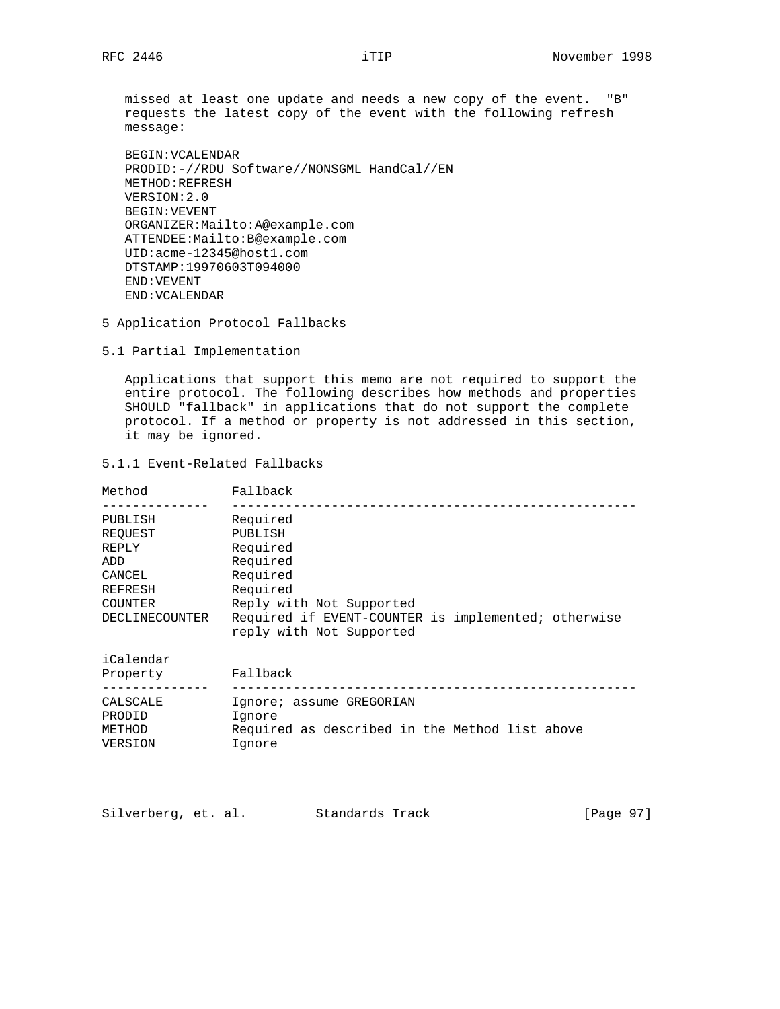missed at least one update and needs a new copy of the event. "B" requests the latest copy of the event with the following refresh message:

```
 BEGIN:VCALENDAR
PRODID:-//RDU Software//NONSGML HandCal//EN
METHOD:REFRESH
VERSION:2.0
BEGIN:VEVENT
ORGANIZER:Mailto:A@example.com
ATTENDEE:Mailto:B@example.com
UID:acme-12345@host1.com
DTSTAMP:19970603T094000
END:VEVENT
END:VCALENDAR
```
5 Application Protocol Fallbacks

5.1 Partial Implementation

 Applications that support this memo are not required to support the entire protocol. The following describes how methods and properties SHOULD "fallback" in applications that do not support the complete protocol. If a method or property is not addressed in this section, it may be ignored.

5.1.1 Event-Related Fallbacks

| Method         | Fallback                                                                        |
|----------------|---------------------------------------------------------------------------------|
| PUBLISH        | Required                                                                        |
| REOUEST        | PUBLISH                                                                         |
| REPLY          | Required                                                                        |
| ADD            | Required                                                                        |
| CANCEL         | Required                                                                        |
| REFRESH        | Required                                                                        |
| <b>COUNTER</b> | Reply with Not Supported                                                        |
| DECLINECOUNTER | Required if EVENT-COUNTER is implemented; otherwise<br>reply with Not Supported |
| iCalendar      |                                                                                 |
| Property       | Fallback                                                                        |

| FIUNCILY | raiiwach                                       |
|----------|------------------------------------------------|
|          |                                                |
| CALSCALE | Ignore; assume GREGORIAN                       |
| PRODID   | Iqnore                                         |
| METHOD   | Required as described in the Method list above |
| VERSION  | Iqnore                                         |

Silverberg, et. al. Standards Track [Page 97]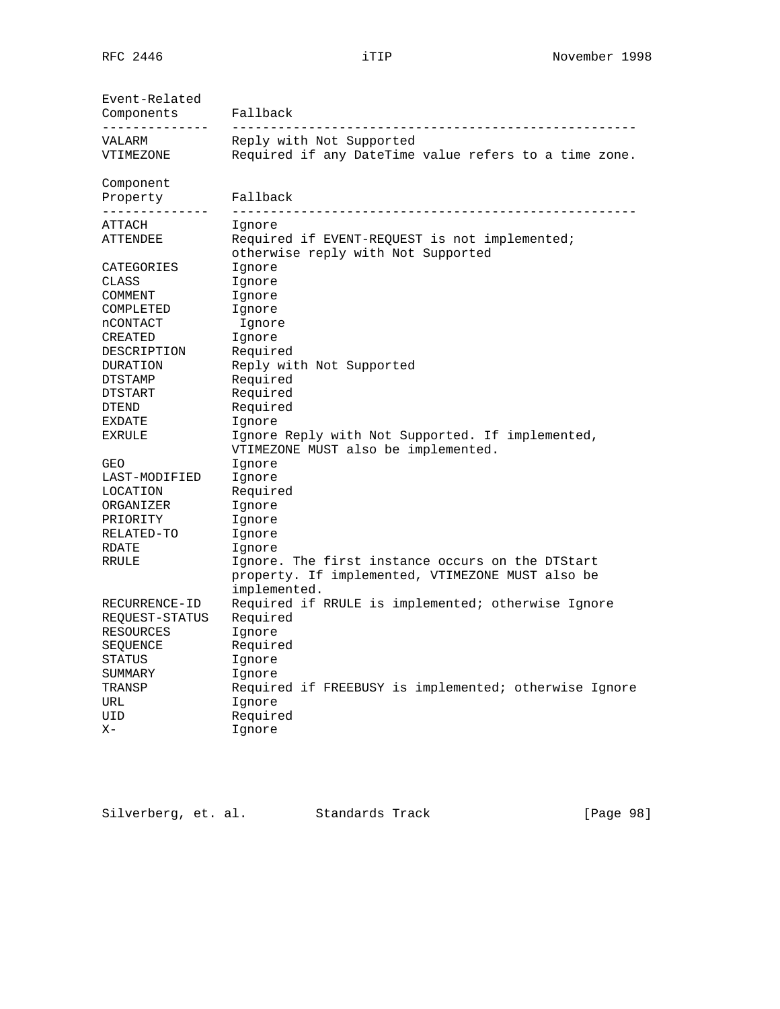| Event-Related<br>Components                                                          | Fallback                                                                                                                                                                     |
|--------------------------------------------------------------------------------------|------------------------------------------------------------------------------------------------------------------------------------------------------------------------------|
| VALARM                                                                               | Reply with Not Supported                                                                                                                                                     |
| VTIMEZONE                                                                            | Required if any DateTime value refers to a time zone.                                                                                                                        |
| Component<br>Property<br>-------------                                               | Fallback                                                                                                                                                                     |
| ATTACH<br>ATTENDEE                                                                   | Ignore<br>Required if EVENT-REQUEST is not implemented;<br>otherwise reply with Not Supported                                                                                |
| CATEGORIES                                                                           | Ignore                                                                                                                                                                       |
| CLASS                                                                                | Ignore                                                                                                                                                                       |
| COMMENT                                                                              | Ignore                                                                                                                                                                       |
| COMPLETED                                                                            | Ignore                                                                                                                                                                       |
| nCONTACT                                                                             | Ignore                                                                                                                                                                       |
| CREATED                                                                              | Ignore                                                                                                                                                                       |
| DESCRIPTION                                                                          | Required                                                                                                                                                                     |
| DURATION                                                                             | Reply with Not Supported                                                                                                                                                     |
| DTSTAMP                                                                              | Required                                                                                                                                                                     |
| DTSTART                                                                              | Required                                                                                                                                                                     |
| DTEND                                                                                | Required                                                                                                                                                                     |
| EXDATE                                                                               | Ignore                                                                                                                                                                       |
| <b>EXRULE</b>                                                                        | Ignore Reply with Not Supported. If implemented,<br>VTIMEZONE MUST also be implemented.                                                                                      |
| GEO                                                                                  | Ignore                                                                                                                                                                       |
| LAST-MODIFIED                                                                        | Ignore                                                                                                                                                                       |
| LOCATION                                                                             | Required                                                                                                                                                                     |
| ORGANIZER                                                                            | Ignore                                                                                                                                                                       |
| PRIORITY                                                                             | Ignore                                                                                                                                                                       |
| RELATED-TO                                                                           | Ignore                                                                                                                                                                       |
| RDATE                                                                                | Ignore                                                                                                                                                                       |
| RRULE                                                                                | Ignore. The first instance occurs on the DTStart                                                                                                                             |
| RECURRENCE-ID<br>REQUEST-STATUS<br>RESOURCES<br>SEQUENCE<br><b>STATUS</b><br>SUMMARY | property. If implemented, VTIMEZONE MUST also be<br>implemented.<br>Required if RRULE is implemented; otherwise Ignore<br>Required<br>Ignore<br>Required<br>Ignore<br>Ignore |
| TRANSP                                                                               | Required if FREEBUSY is implemented; otherwise Ignore                                                                                                                        |
| URL                                                                                  | Ignore                                                                                                                                                                       |
| UID                                                                                  | Required                                                                                                                                                                     |
| $X -$                                                                                | Ignore                                                                                                                                                                       |

Silverberg, et. al. Standards Track [Page 98]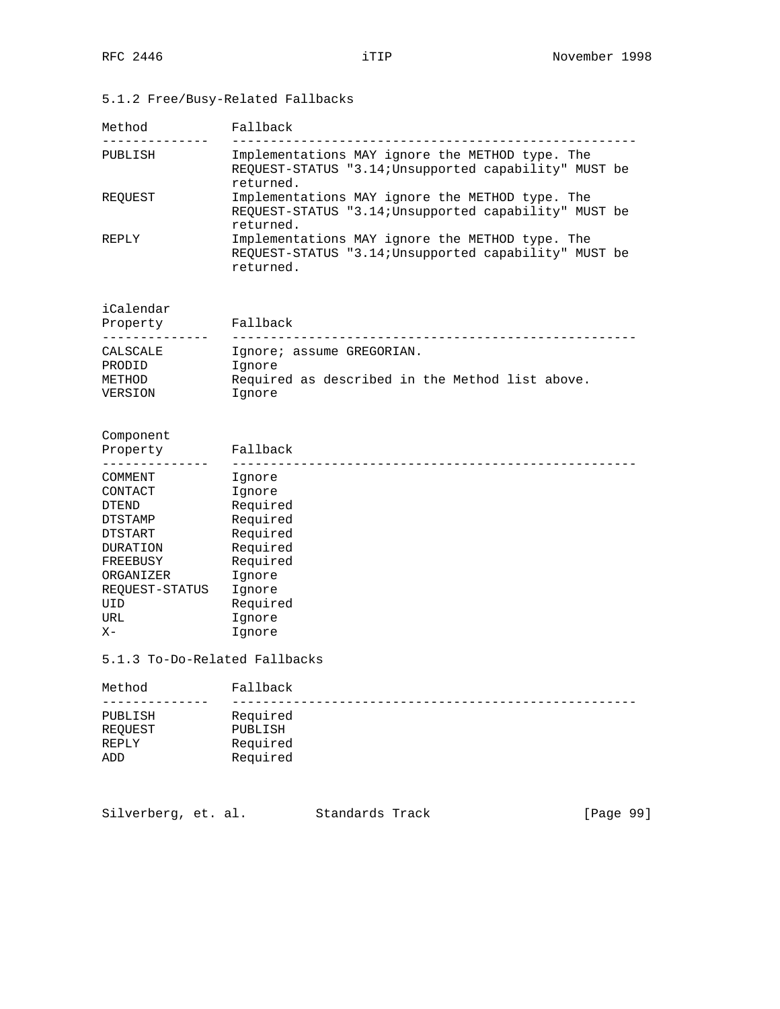# 5.1.2 Free/Busy-Related Fallbacks

| Method  | Fallback                                                                                                              |
|---------|-----------------------------------------------------------------------------------------------------------------------|
| PUBLISH | Implementations MAY ignore the METHOD type. The<br>REOUEST-STATUS "3.14; Unsupported capability" MUST be<br>returned. |
| REOUEST | Implementations MAY ignore the METHOD type. The<br>REOUEST-STATUS "3.14; Unsupported capability" MUST be<br>returned. |
| REPLY   | Implementations MAY ignore the METHOD type. The<br>REQUEST-STATUS "3.14; Unsupported capability" MUST be<br>returned. |

iCalendar

| Property | Fallback                                        |
|----------|-------------------------------------------------|
| CALSCALE | Ignore; assume GREGORIAN.                       |
| PRODID   | Iqnore                                          |
| METHOD   | Required as described in the Method list above. |
| VERSION  | Ignore                                          |

Component

| Property        | Fallback |
|-----------------|----------|
| COMMENT         | Ignore   |
| CONTACT         | Ignore   |
| <b>DTEND</b>    | Required |
| <b>DTSTAMP</b>  | Required |
| DTSTART         | Required |
| <b>DURATION</b> | Required |
| FREEBUSY        | Required |
| ORGANIZER       | Ignore   |
| REQUEST-STATUS  | Ignore   |
| UID             | Required |
| URL             | Ignore   |
| $X -$           | Ignore   |

5.1.3 To-Do-Related Fallbacks

| Method  | Fallback |
|---------|----------|
|         |          |
| PUBLISH | Required |
| REOUEST | PUBLISH  |
| REPLY   | Required |
| ADD     | Required |

Silverberg, et. al. Standards Track [Page 99]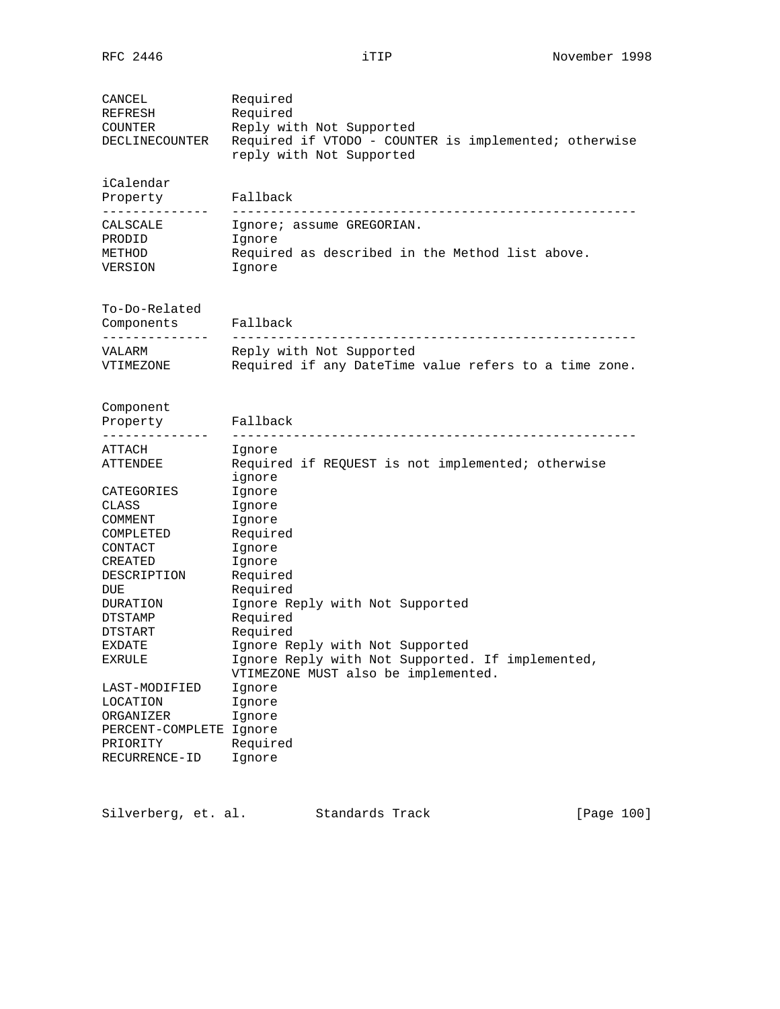| CANCEL<br>REFRESH<br>COUNTER<br>DECLINECOUNTER | Required<br>Required<br>Reply with Not Supported<br>Required if VTODO - COUNTER is implemented; otherwise<br>reply with Not Supported |
|------------------------------------------------|---------------------------------------------------------------------------------------------------------------------------------------|
| iCalendar<br>Property<br>. <u>.</u>            | Fallback                                                                                                                              |
| CALSCALE                                       | Ignore; assume GREGORIAN.                                                                                                             |
| PRODID                                         | Ignore                                                                                                                                |
| METHOD<br>VERSION                              | Required as described in the Method list above.<br>Ignore                                                                             |
| To-Do-Related                                  |                                                                                                                                       |
| Components<br>------------                     | Fallback                                                                                                                              |
| VALARM<br>VTIMEZONE                            | Reply with Not Supported<br>Required if any DateTime value refers to a time zone.                                                     |
| Component                                      |                                                                                                                                       |
| Property                                       | Fallback                                                                                                                              |
| ATTACH                                         |                                                                                                                                       |
| ATTENDEE                                       | Ignore<br>Required if REQUEST is not implemented; otherwise                                                                           |
|                                                | ignore                                                                                                                                |
| CATEGORIES                                     | Ignore                                                                                                                                |
| CLASS                                          | Ignore                                                                                                                                |
| COMMENT                                        | Ignore                                                                                                                                |
| COMPLETED                                      | Required                                                                                                                              |
| CONTACT                                        | Ignore                                                                                                                                |
| CREATED                                        | Ignore                                                                                                                                |
| DESCRIPTION                                    | Required                                                                                                                              |
| DUE                                            | Required                                                                                                                              |
| DURATION                                       | Ignore Reply with Not Supported                                                                                                       |
| DTSTAMP<br>DTSTART                             | Required<br>Required                                                                                                                  |
| EXDATE                                         | Ignore Reply with Not Supported                                                                                                       |
| EXRULE                                         | Ignore Reply with Not Supported. If implemented,                                                                                      |
|                                                | VTIMEZONE MUST also be implemented.                                                                                                   |
| LAST-MODIFIED                                  | Ignore                                                                                                                                |
| LOCATION                                       | Ignore                                                                                                                                |
| ORGANIZER                                      | Ignore                                                                                                                                |
| PERCENT-COMPLETE Ignore                        |                                                                                                                                       |
| PRIORITY                                       | Required                                                                                                                              |
| RECURRENCE-ID                                  | Ignore                                                                                                                                |

Silverberg, et. al. Standards Track [Page 100]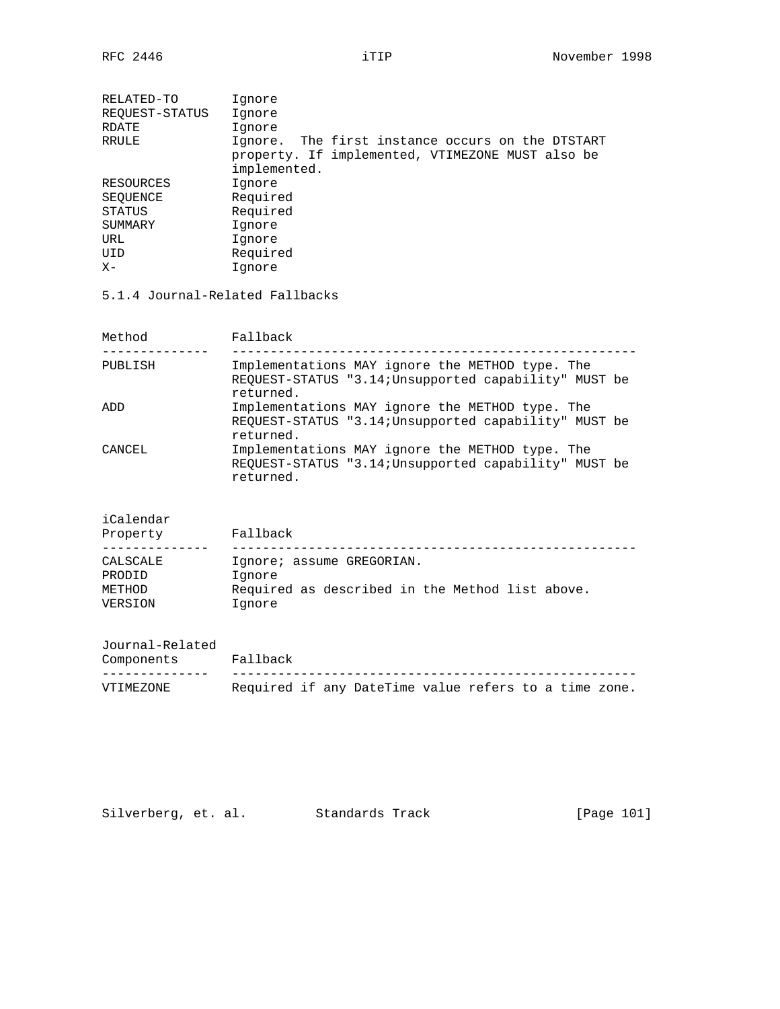| RELATED-TO     | Ignore                                           |
|----------------|--------------------------------------------------|
| REOUEST-STATUS | Ignore                                           |
| RDATE          | Ignore                                           |
| RRULE          | Ignore. The first instance occurs on the DTSTART |
|                | property. If implemented, VTIMEZONE MUST also be |
|                | implemented.                                     |
| RESOURCES      | Ignore                                           |
| SEOUENCE       | Required                                         |
| STATUS         | Required                                         |
| SUMMARY        | Ignore                                           |
| URL            | Ignore                                           |
| UID            | Required                                         |
| $X -$          | Ignore                                           |
|                |                                                  |

5.1.4 Journal-Related Fallbacks

| Method  | Fallback                                                                                                              |
|---------|-----------------------------------------------------------------------------------------------------------------------|
| PUBLISH | Implementations MAY ignore the METHOD type. The<br>REQUEST-STATUS "3.14; Unsupported capability" MUST be<br>returned. |
| ADD     | Implementations MAY ignore the METHOD type. The<br>REQUEST-STATUS "3.14; Unsupported capability" MUST be<br>returned. |
| CANCEL  | Implementations MAY ignore the METHOD type. The<br>REQUEST-STATUS "3.14; Unsupported capability" MUST be<br>returned. |

iCalendar

| Property | Fallback                                        |
|----------|-------------------------------------------------|
|          |                                                 |
| CALSCALE | Ignore; assume GREGORIAN.                       |
| PRODID   | Ignore                                          |
| METHOD   | Required as described in the Method list above. |
| VERSION  | Ignore                                          |

Journal-Related

| Components | Fallback                                              |  |  |  |  |  |
|------------|-------------------------------------------------------|--|--|--|--|--|
|            |                                                       |  |  |  |  |  |
| VTIMEZONE  | Required if any DateTime value refers to a time zone. |  |  |  |  |  |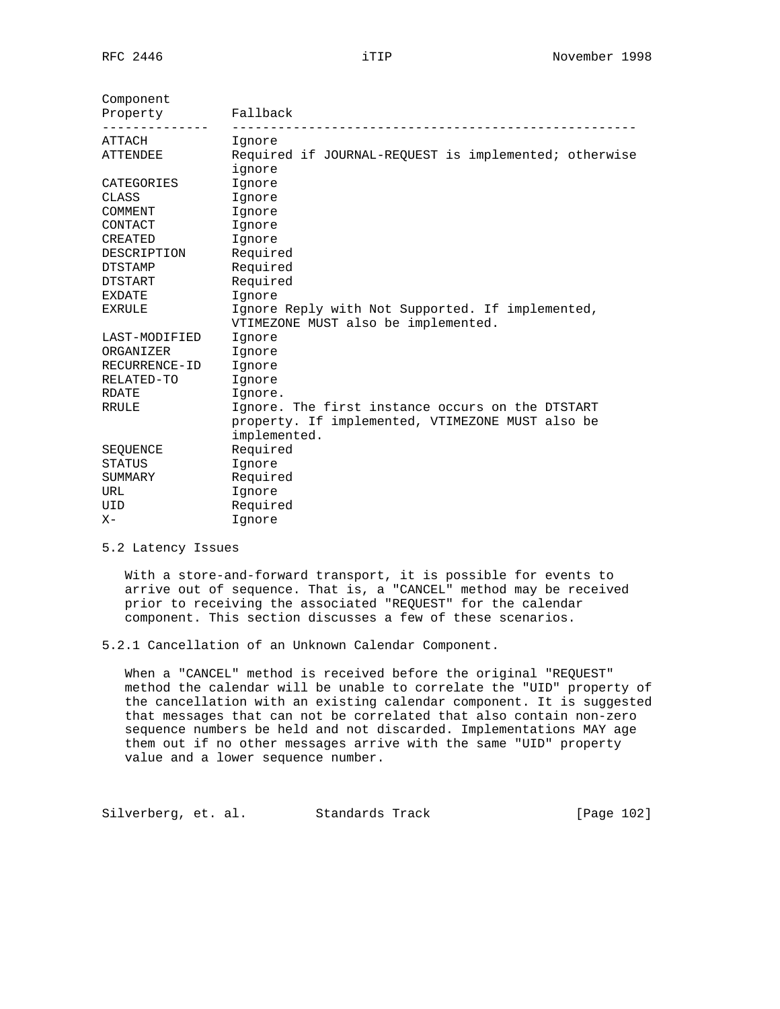| Component<br>Property<br>-------------- | Fallback                                                                                |  |  |  |  |  |
|-----------------------------------------|-----------------------------------------------------------------------------------------|--|--|--|--|--|
| ATTACH                                  | Ignore                                                                                  |  |  |  |  |  |
| ATTENDEE                                | Required if JOURNAL-REQUEST is implemented; otherwise<br>ignore                         |  |  |  |  |  |
| CATEGORIES                              | Ignore                                                                                  |  |  |  |  |  |
| CLASS                                   | Ignore                                                                                  |  |  |  |  |  |
| COMMENT                                 | Ignore                                                                                  |  |  |  |  |  |
| CONTACT                                 | Ignore                                                                                  |  |  |  |  |  |
| CREATED                                 | Ignore                                                                                  |  |  |  |  |  |
| DESCRIPTION                             | Required                                                                                |  |  |  |  |  |
| DTSTAMP                                 | Required                                                                                |  |  |  |  |  |
| DTSTART                                 | Required                                                                                |  |  |  |  |  |
| EXDATE                                  | Ignore                                                                                  |  |  |  |  |  |
| EXRULE                                  | Ignore Reply with Not Supported. If implemented,<br>VTIMEZONE MUST also be implemented. |  |  |  |  |  |
| LAST-MODIFIED                           | Ignore                                                                                  |  |  |  |  |  |
| ORGANIZER                               | Ignore                                                                                  |  |  |  |  |  |
| RECURRENCE-ID                           | Ignore                                                                                  |  |  |  |  |  |
| RELATED-TO                              | Ignore                                                                                  |  |  |  |  |  |
| RDATE                                   | Ignore.                                                                                 |  |  |  |  |  |
| RRULE                                   | Ignore. The first instance occurs on the DTSTART                                        |  |  |  |  |  |
|                                         | property. If implemented, VTIMEZONE MUST also be                                        |  |  |  |  |  |
|                                         | implemented.                                                                            |  |  |  |  |  |
| SEQUENCE                                | Required                                                                                |  |  |  |  |  |
| <b>STATUS</b>                           | Ignore                                                                                  |  |  |  |  |  |
| SUMMARY                                 | Required                                                                                |  |  |  |  |  |
| URL                                     | Ignore                                                                                  |  |  |  |  |  |
| UID                                     | Required                                                                                |  |  |  |  |  |
| $X -$                                   | Ignore                                                                                  |  |  |  |  |  |

# 5.2 Latency Issues

 With a store-and-forward transport, it is possible for events to arrive out of sequence. That is, a "CANCEL" method may be received prior to receiving the associated "REQUEST" for the calendar component. This section discusses a few of these scenarios.

5.2.1 Cancellation of an Unknown Calendar Component.

 When a "CANCEL" method is received before the original "REQUEST" method the calendar will be unable to correlate the "UID" property of the cancellation with an existing calendar component. It is suggested that messages that can not be correlated that also contain non-zero sequence numbers be held and not discarded. Implementations MAY age them out if no other messages arrive with the same "UID" property value and a lower sequence number.

Silverberg, et. al. Standards Track [Page 102]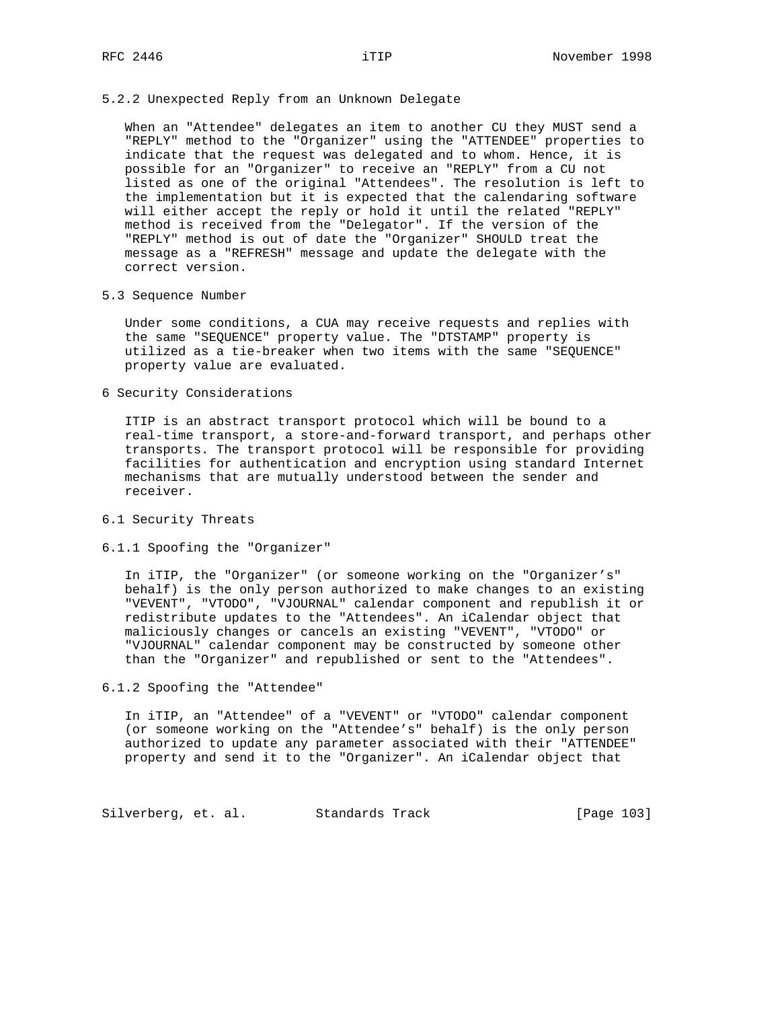# 5.2.2 Unexpected Reply from an Unknown Delegate

 When an "Attendee" delegates an item to another CU they MUST send a "REPLY" method to the "Organizer" using the "ATTENDEE" properties to indicate that the request was delegated and to whom. Hence, it is possible for an "Organizer" to receive an "REPLY" from a CU not listed as one of the original "Attendees". The resolution is left to the implementation but it is expected that the calendaring software will either accept the reply or hold it until the related "REPLY" method is received from the "Delegator". If the version of the "REPLY" method is out of date the "Organizer" SHOULD treat the message as a "REFRESH" message and update the delegate with the correct version.

#### 5.3 Sequence Number

 Under some conditions, a CUA may receive requests and replies with the same "SEQUENCE" property value. The "DTSTAMP" property is utilized as a tie-breaker when two items with the same "SEQUENCE" property value are evaluated.

6 Security Considerations

 ITIP is an abstract transport protocol which will be bound to a real-time transport, a store-and-forward transport, and perhaps other transports. The transport protocol will be responsible for providing facilities for authentication and encryption using standard Internet mechanisms that are mutually understood between the sender and receiver.

# 6.1 Security Threats

#### 6.1.1 Spoofing the "Organizer"

 In iTIP, the "Organizer" (or someone working on the "Organizer's" behalf) is the only person authorized to make changes to an existing "VEVENT", "VTODO", "VJOURNAL" calendar component and republish it or redistribute updates to the "Attendees". An iCalendar object that maliciously changes or cancels an existing "VEVENT", "VTODO" or "VJOURNAL" calendar component may be constructed by someone other than the "Organizer" and republished or sent to the "Attendees".

6.1.2 Spoofing the "Attendee"

 In iTIP, an "Attendee" of a "VEVENT" or "VTODO" calendar component (or someone working on the "Attendee's" behalf) is the only person authorized to update any parameter associated with their "ATTENDEE" property and send it to the "Organizer". An iCalendar object that

Silverberg, et. al. Standards Track [Page 103]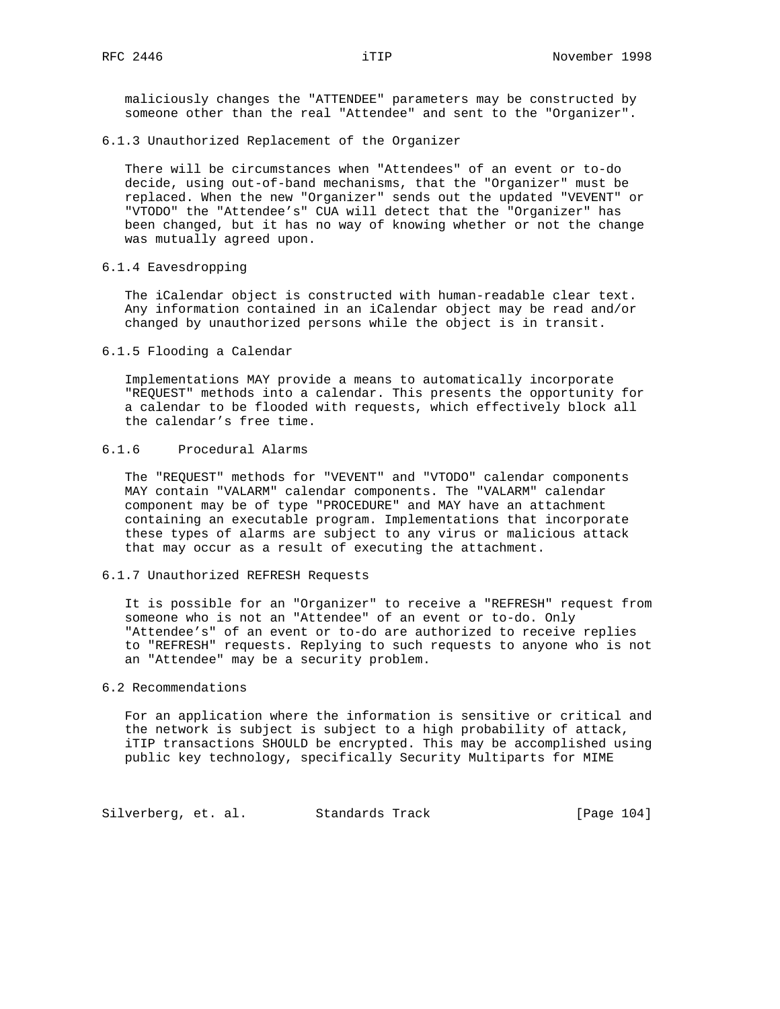maliciously changes the "ATTENDEE" parameters may be constructed by someone other than the real "Attendee" and sent to the "Organizer".

6.1.3 Unauthorized Replacement of the Organizer

 There will be circumstances when "Attendees" of an event or to-do decide, using out-of-band mechanisms, that the "Organizer" must be replaced. When the new "Organizer" sends out the updated "VEVENT" or "VTODO" the "Attendee's" CUA will detect that the "Organizer" has been changed, but it has no way of knowing whether or not the change was mutually agreed upon.

6.1.4 Eavesdropping

 The iCalendar object is constructed with human-readable clear text. Any information contained in an iCalendar object may be read and/or changed by unauthorized persons while the object is in transit.

6.1.5 Flooding a Calendar

 Implementations MAY provide a means to automatically incorporate "REQUEST" methods into a calendar. This presents the opportunity for a calendar to be flooded with requests, which effectively block all the calendar's free time.

# 6.1.6 Procedural Alarms

 The "REQUEST" methods for "VEVENT" and "VTODO" calendar components MAY contain "VALARM" calendar components. The "VALARM" calendar component may be of type "PROCEDURE" and MAY have an attachment containing an executable program. Implementations that incorporate these types of alarms are subject to any virus or malicious attack that may occur as a result of executing the attachment.

#### 6.1.7 Unauthorized REFRESH Requests

 It is possible for an "Organizer" to receive a "REFRESH" request from someone who is not an "Attendee" of an event or to-do. Only "Attendee's" of an event or to-do are authorized to receive replies to "REFRESH" requests. Replying to such requests to anyone who is not an "Attendee" may be a security problem.

# 6.2 Recommendations

 For an application where the information is sensitive or critical and the network is subject is subject to a high probability of attack, iTIP transactions SHOULD be encrypted. This may be accomplished using public key technology, specifically Security Multiparts for MIME

Silverberg, et. al. Standards Track [Page 104]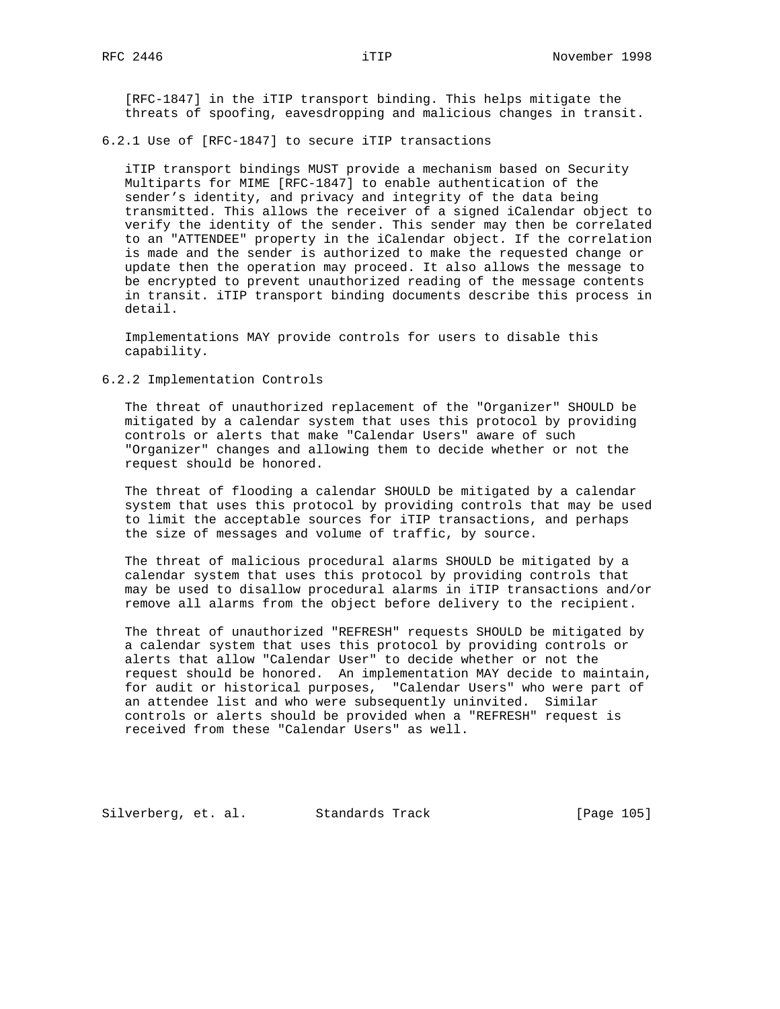[RFC-1847] in the iTIP transport binding. This helps mitigate the threats of spoofing, eavesdropping and malicious changes in transit.

#### 6.2.1 Use of [RFC-1847] to secure iTIP transactions

 iTIP transport bindings MUST provide a mechanism based on Security Multiparts for MIME [RFC-1847] to enable authentication of the sender's identity, and privacy and integrity of the data being transmitted. This allows the receiver of a signed iCalendar object to verify the identity of the sender. This sender may then be correlated to an "ATTENDEE" property in the iCalendar object. If the correlation is made and the sender is authorized to make the requested change or update then the operation may proceed. It also allows the message to be encrypted to prevent unauthorized reading of the message contents in transit. iTIP transport binding documents describe this process in detail.

 Implementations MAY provide controls for users to disable this capability.

# 6.2.2 Implementation Controls

 The threat of unauthorized replacement of the "Organizer" SHOULD be mitigated by a calendar system that uses this protocol by providing controls or alerts that make "Calendar Users" aware of such "Organizer" changes and allowing them to decide whether or not the request should be honored.

 The threat of flooding a calendar SHOULD be mitigated by a calendar system that uses this protocol by providing controls that may be used to limit the acceptable sources for iTIP transactions, and perhaps the size of messages and volume of traffic, by source.

 The threat of malicious procedural alarms SHOULD be mitigated by a calendar system that uses this protocol by providing controls that may be used to disallow procedural alarms in iTIP transactions and/or remove all alarms from the object before delivery to the recipient.

 The threat of unauthorized "REFRESH" requests SHOULD be mitigated by a calendar system that uses this protocol by providing controls or alerts that allow "Calendar User" to decide whether or not the request should be honored. An implementation MAY decide to maintain, for audit or historical purposes, "Calendar Users" who were part of an attendee list and who were subsequently uninvited. Similar controls or alerts should be provided when a "REFRESH" request is received from these "Calendar Users" as well.

Silverberg, et. al. Standards Track [Page 105]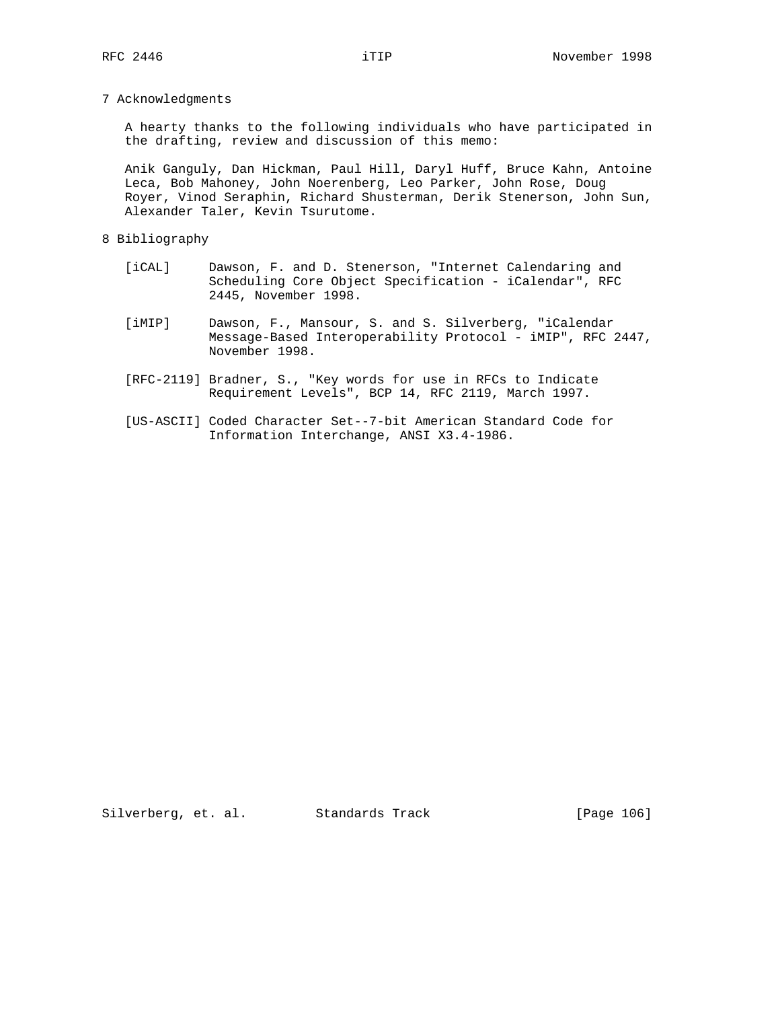7 Acknowledgments

 A hearty thanks to the following individuals who have participated in the drafting, review and discussion of this memo:

 Anik Ganguly, Dan Hickman, Paul Hill, Daryl Huff, Bruce Kahn, Antoine Leca, Bob Mahoney, John Noerenberg, Leo Parker, John Rose, Doug Royer, Vinod Seraphin, Richard Shusterman, Derik Stenerson, John Sun, Alexander Taler, Kevin Tsurutome.

#### 8 Bibliography

- [iCAL] Dawson, F. and D. Stenerson, "Internet Calendaring and Scheduling Core Object Specification - iCalendar", RFC 2445, November 1998.
- [iMIP] Dawson, F., Mansour, S. and S. Silverberg, "iCalendar Message-Based Interoperability Protocol - iMIP", RFC 2447, November 1998.
- [RFC-2119] Bradner, S., "Key words for use in RFCs to Indicate Requirement Levels", BCP 14, RFC 2119, March 1997.
- [US-ASCII] Coded Character Set--7-bit American Standard Code for Information Interchange, ANSI X3.4-1986.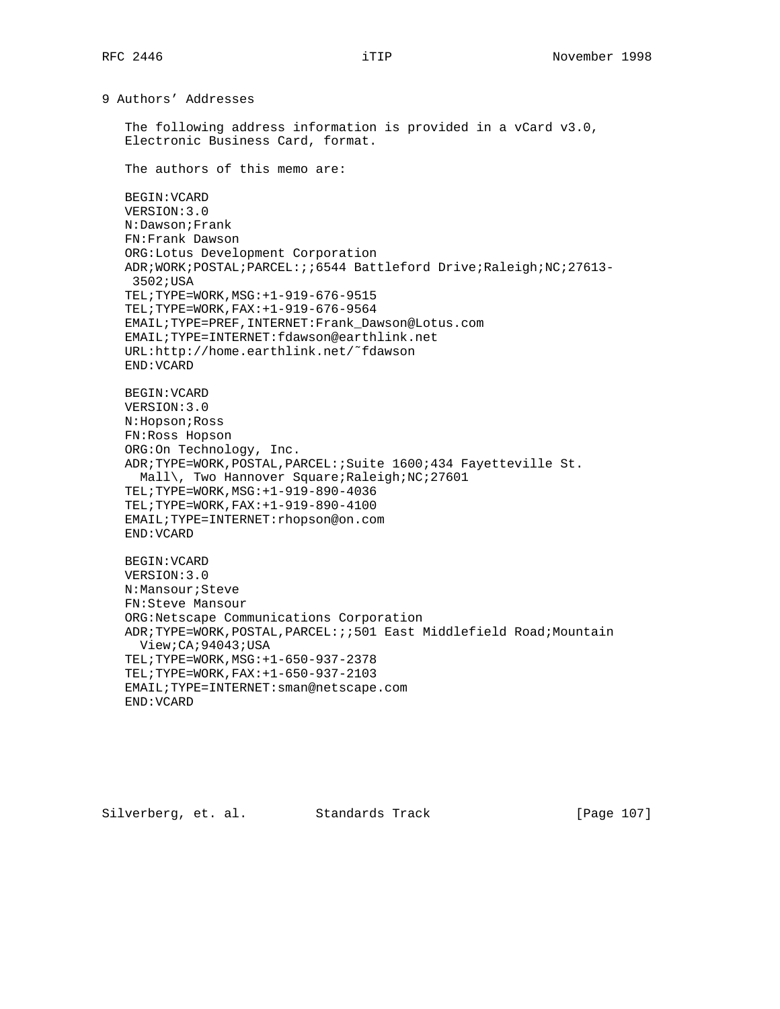9 Authors' Addresses

 The following address information is provided in a vCard v3.0, Electronic Business Card, format.

The authors of this memo are:

 BEGIN:VCARD VERSION:3.0 N:Dawson;Frank FN:Frank Dawson ORG:Lotus Development Corporation ADR;WORK;POSTAL;PARCEL:;;6544 Battleford Drive;Raleigh;NC;27613- 3502;USA TEL;TYPE=WORK,MSG:+1-919-676-9515 TEL;TYPE=WORK,FAX:+1-919-676-9564 EMAIL;TYPE=PREF,INTERNET:Frank\_Dawson@Lotus.com EMAIL;TYPE=INTERNET:fdawson@earthlink.net URL:http://home.earthlink.net/˜fdawson END:VCARD BEGIN:VCARD VERSION:3.0 N:Hopson;Ross FN:Ross Hopson ORG:On Technology, Inc. ADR;TYPE=WORK,POSTAL,PARCEL:;Suite 1600;434 Fayetteville St. Mall\, Two Hannover Square; Raleigh; NC; 27601 TEL;TYPE=WORK,MSG:+1-919-890-4036 TEL;TYPE=WORK,FAX:+1-919-890-4100 EMAIL;TYPE=INTERNET:rhopson@on.com END:VCARD BEGIN:VCARD VERSION:3.0 N:Mansour;Steve FN:Steve Mansour ORG:Netscape Communications Corporation ADR;TYPE=WORK,POSTAL,PARCEL:;;501 East Middlefield Road;Mountain View;CA;94043;USA TEL;TYPE=WORK,MSG:+1-650-937-2378 TEL;TYPE=WORK,FAX:+1-650-937-2103

 EMAIL;TYPE=INTERNET:sman@netscape.com END:VCARD

Silverberg, et. al. Standards Track [Page 107]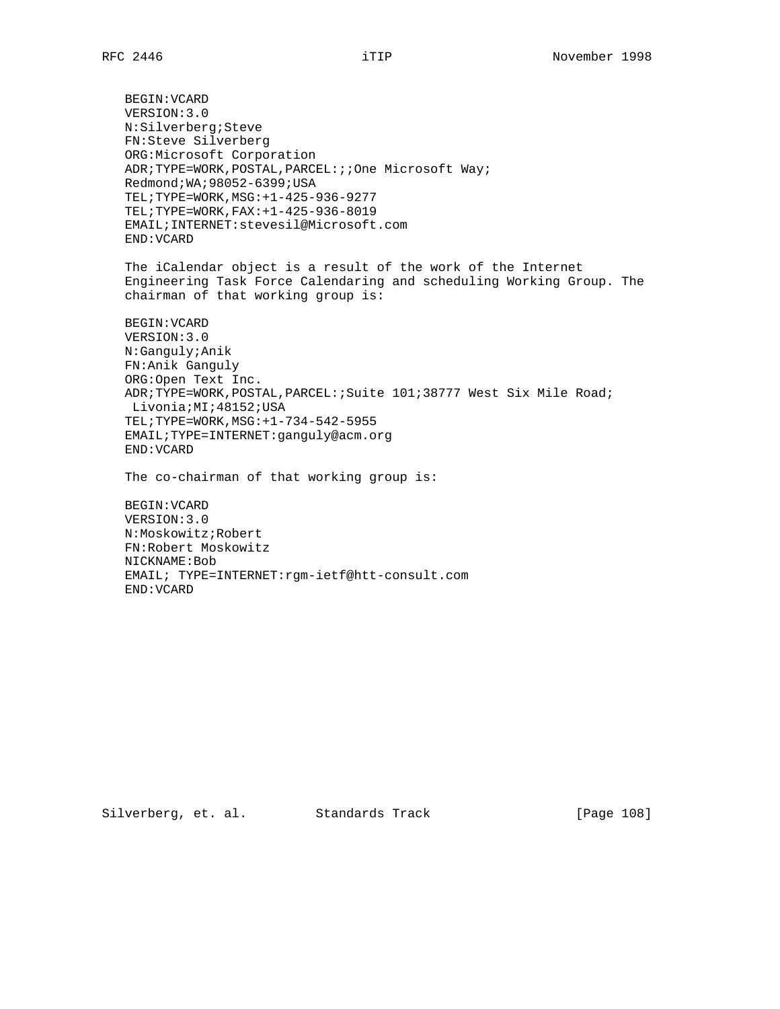BEGIN:VCARD VERSION:3.0 N:Silverberg;Steve FN:Steve Silverberg ORG:Microsoft Corporation ADR;TYPE=WORK,POSTAL,PARCEL:;;One Microsoft Way; Redmond;WA;98052-6399;USA TEL;TYPE=WORK,MSG:+1-425-936-9277 TEL;TYPE=WORK,FAX:+1-425-936-8019 EMAIL;INTERNET:stevesil@Microsoft.com END:VCARD The iCalendar object is a result of the work of the Internet Engineering Task Force Calendaring and scheduling Working Group. The chairman of that working group is: BEGIN:VCARD VERSION:3.0 N:Ganguly;Anik FN:Anik Ganguly ORG:Open Text Inc. ADR;TYPE=WORK,POSTAL,PARCEL:;Suite 101;38777 West Six Mile Road; Livonia; MI; 48152; USA TEL;TYPE=WORK,MSG:+1-734-542-5955 EMAIL;TYPE=INTERNET:ganguly@acm.org END:VCARD The co-chairman of that working group is: BEGIN:VCARD VERSION:3.0 N:Moskowitz;Robert FN:Robert Moskowitz

Silverberg, et. al. Standards Track [Page 108]

NICKNAME:Bob

END:VCARD

EMAIL; TYPE=INTERNET:rgm-ietf@htt-consult.com